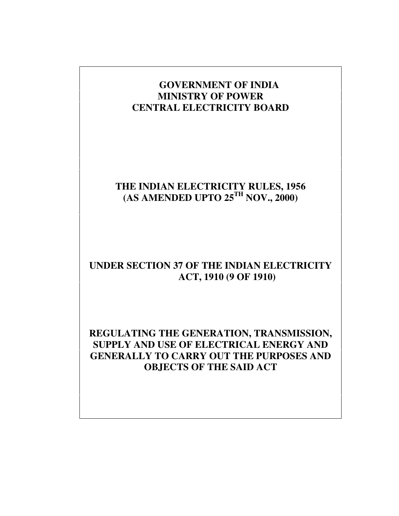# **GOVERNMENT OF INDIA MINISTRY OF POWER CENTRAL ELECTRICITY BOARD**

# **THE INDIAN ELECTRICITY RULES, 1956 (AS AMENDED UPTO 25 TH NOV., 2000)**

# **UNDER SECTION 37 OF THE INDIAN ELECTRICITY ACT, 1910 (9 OF 1910)**

**REGULATING THE GENERATION, TRANSMISSION, SUPPLY AND USE OF ELECTRICAL ENERGY AND GENERALLY TO CARRY OUT THE PURPOSES AND OBJECTS OF THE SAID ACT**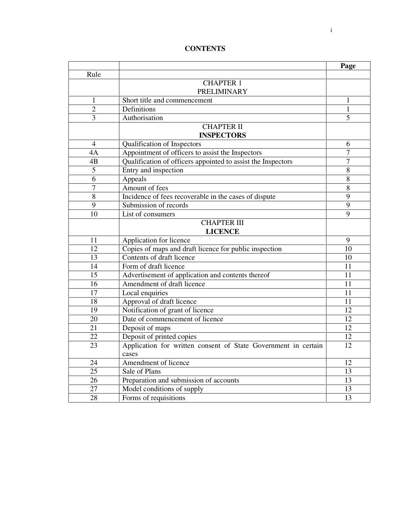## **CONTENTS**

|                |                                                                | Page |
|----------------|----------------------------------------------------------------|------|
| Rule           |                                                                |      |
|                | <b>CHAPTER 1</b>                                               |      |
|                | <b>PRELIMINARY</b>                                             |      |
| $\mathbf{1}$   | Short title and commencement                                   | 1    |
| $\overline{2}$ | Definitions                                                    | 1    |
| 3              | Authorisation                                                  | 5    |
|                | <b>CHAPTER II</b>                                              |      |
|                | <b>INSPECTORS</b>                                              |      |
| $\overline{4}$ | Qualification of Inspectors                                    | 6    |
| 4A             | Appointment of officers to assist the Inspectors               | 7    |
| 4B             | Qualification of officers appointed to assist the Inspectors   | 7    |
| $\mathfrak{S}$ | Entry and inspection                                           | 8    |
| 6              | Appeals                                                        | 8    |
| 7              | Amount of fees                                                 | 8    |
| 8              | Incidence of fees recoverable in the cases of dispute          | 9    |
| 9              | Submission of records                                          | 9    |
| 10             | List of consumers                                              | 9    |
|                | <b>CHAPTER III</b>                                             |      |
|                | <b>LICENCE</b>                                                 |      |
| 11             | Application for licence                                        | 9    |
| 12             | Copies of maps and draft licence for public inspection         | 10   |
| 13             | Contents of draft licence                                      | 10   |
| 14             | Form of draft licence                                          | 11   |
| 15             | Advertisement of application and contents thereof              | 11   |
| 16             | Amendment of draft licence                                     | 11   |
| 17             | Local enquiries                                                | 11   |
| 18             | Approval of draft licence                                      | 11   |
| 19             | Notification of grant of licence                               | 12   |
| 20             | Date of commencement of licence                                | 12   |
| 21             | Deposit of maps                                                | 12   |
| 22             | Deposit of printed copies                                      | 12   |
| 23             | Application for written consent of State Government in certain | 12   |
|                | cases                                                          |      |
| 24             | Amendment of licence                                           | 12   |
| 25             | Sale of Plans                                                  | 13   |
| 26             | Preparation and submission of accounts                         | 13   |
| 27             | Model conditions of supply                                     | 13   |
| 28             | Forms of requisitions                                          | 13   |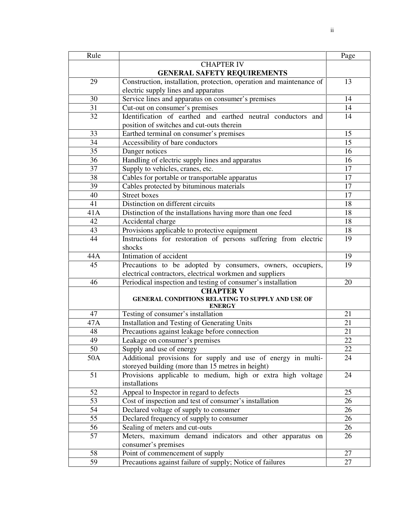| Rule |                                                                                          | Page |
|------|------------------------------------------------------------------------------------------|------|
|      | <b>CHAPTER IV</b>                                                                        |      |
|      | <b>GENERAL SAFETY REQUIREMENTS</b>                                                       |      |
| 29   | Construction, installation, protection, operation and maintenance of                     | 13   |
|      | electric supply lines and apparatus                                                      |      |
| 30   | Service lines and apparatus on consumer's premises                                       | 14   |
| 31   | Cut-out on consumer's premises                                                           | 14   |
| 32   | Identification of earthed and earthed neutral conductors and                             | 14   |
|      | position of switches and cut-outs therein                                                |      |
| 33   | Earthed terminal on consumer's premises                                                  | 15   |
| 34   | Accessibility of bare conductors                                                         | 15   |
| 35   | Danger notices                                                                           | 16   |
| 36   | Handling of electric supply lines and apparatus                                          | 16   |
| 37   | Supply to vehicles, cranes, etc.                                                         | 17   |
| 38   | Cables for portable or transportable apparatus                                           | 17   |
| 39   | Cables protected by bituminous materials                                                 | 17   |
| 40   | <b>Street boxes</b>                                                                      | 17   |
| 41   | Distinction on different circuits                                                        | 18   |
| 41A  | Distinction of the installations having more than one feed                               | 18   |
| 42   | Accidental charge                                                                        | 18   |
| 43   | Provisions applicable to protective equipment                                            | 18   |
| 44   | Instructions for restoration of persons suffering from electric                          | 19   |
|      | shocks                                                                                   |      |
| 44A  | Intimation of accident                                                                   | 19   |
| 45   | Precautions to be adopted by consumers, owners, occupiers,                               | 19   |
|      | electrical contractors, electrical workmen and suppliers                                 |      |
| 46   | Periodical inspection and testing of consumer's installation                             | 20   |
|      | <b>CHAPTER V</b>                                                                         |      |
|      | GENERAL CONDITIONS RELATING TO SUPPLY AND USE OF                                         |      |
| 47   | <b>ENERGY</b>                                                                            | 21   |
| 47A  | Testing of consumer's installation                                                       | 21   |
| 48   | Installation and Testing of Generating Units                                             | 21   |
| 49   | Precautions against leakage before connection                                            | 22   |
| 50   | Leakage on consumer's premises                                                           | 22   |
| 50A  | Supply and use of energy<br>Additional provisions for supply and use of energy in multi- | 24   |
|      | storeyed building (more than 15 metres in height)                                        |      |
| 51   | Provisions applicable to medium, high or extra high voltage                              | 24   |
|      | installations                                                                            |      |
| 52   | Appeal to Inspector in regard to defects                                                 | 25   |
| 53   | Cost of inspection and test of consumer's installation                                   | 26   |
| 54   | Declared voltage of supply to consumer                                                   | 26   |
| 55   | Declared frequency of supply to consumer                                                 | 26   |
| 56   | Sealing of meters and cut-outs                                                           | 26   |
| 57   | Meters, maximum demand indicators and other apparatus on                                 | 26   |
|      | consumer's premises                                                                      |      |
| 58   | Point of commencement of supply                                                          | 27   |
| 59   | Precautions against failure of supply; Notice of failures                                | 27   |
|      |                                                                                          |      |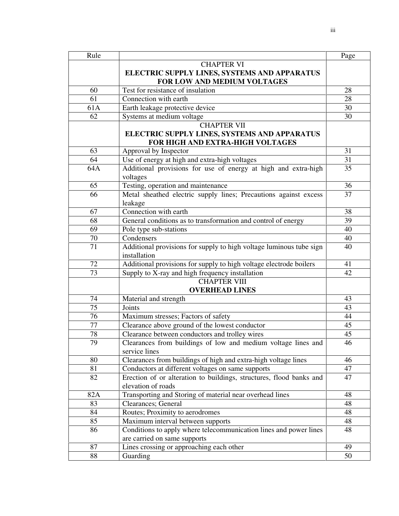| Rule |                                                                                | Page |
|------|--------------------------------------------------------------------------------|------|
|      | <b>CHAPTER VI</b>                                                              |      |
|      | ELECTRIC SUPPLY LINES, SYSTEMS AND APPARATUS                                   |      |
|      | FOR LOW AND MEDIUM VOLTAGES                                                    |      |
| 60   | Test for resistance of insulation                                              | 28   |
| 61   | Connection with earth                                                          | 28   |
| 61A  | Earth leakage protective device                                                | 30   |
| 62   | Systems at medium voltage                                                      | 30   |
|      | <b>CHAPTER VII</b>                                                             |      |
|      | ELECTRIC SUPPLY LINES, SYSTEMS AND APPARATUS                                   |      |
|      | FOR HIGH AND EXTRA-HIGH VOLTAGES                                               |      |
| 63   | Approval by Inspector                                                          | 31   |
| 64   | Use of energy at high and extra-high voltages                                  | 31   |
| 64A  | Additional provisions for use of energy at high and extra-high<br>voltages     | 35   |
| 65   | Testing, operation and maintenance                                             | 36   |
| 66   | Metal sheathed electric supply lines; Precautions against excess<br>leakage    | 37   |
| 67   | Connection with earth                                                          | 38   |
| 68   | General conditions as to transformation and control of energy                  | 39   |
| 69   | Pole type sub-stations                                                         | 40   |
| 70   | Condensers                                                                     | 40   |
| 71   | Additional provisions for supply to high voltage luminous tube sign            | 40   |
|      | installation                                                                   |      |
| 72   | Additional provisions for supply to high voltage electrode boilers             | 41   |
| 73   | Supply to X-ray and high frequency installation                                | 42   |
|      | <b>CHAPTER VIII</b>                                                            |      |
|      | <b>OVERHEAD LINES</b>                                                          |      |
| 74   | Material and strength                                                          | 43   |
| 75   | Joints                                                                         | 43   |
| 76   | Maximum stresses; Factors of safety                                            | 44   |
| 77   | Clearance above ground of the lowest conductor                                 | 45   |
| 78   | Clearance between conductors and trolley wires                                 | 45   |
| 79   | Clearances from buildings of low and medium voltage lines and<br>service lines | 46   |
| 80   | Clearances from buildings of high and extra-high voltage lines                 | 46   |
| 81   | Conductors at different voltages on same supports                              | 47   |
| 82   | Erection of or alteration to buildings, structures, flood banks and            | 47   |
|      | elevation of roads                                                             |      |
| 82A  | Transporting and Storing of material near overhead lines                       | 48   |
| 83   | <b>Clearances</b> ; General                                                    | 48   |
| 84   | Routes; Proximity to aerodromes                                                | 48   |
| 85   | Maximum interval between supports                                              | 48   |
| 86   | Conditions to apply where telecommunication lines and power lines              | 48   |
|      | are carried on same supports                                                   |      |
| 87   | Lines crossing or approaching each other                                       | 49   |
| 88   | Guarding                                                                       | 50   |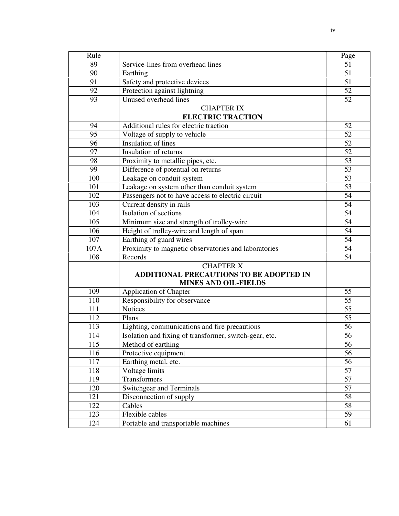| Rule |                                                        | Page |
|------|--------------------------------------------------------|------|
| 89   | Service-lines from overhead lines                      | 51   |
| 90   | Earthing                                               | 51   |
| 91   | Safety and protective devices                          | 51   |
| 92   | Protection against lightning                           | 52   |
| 93   | Unused overhead lines                                  | 52   |
|      | <b>CHAPTER IX</b>                                      |      |
|      | <b>ELECTRIC TRACTION</b>                               |      |
| 94   | Additional rules for electric traction                 | 52   |
| 95   | Voltage of supply to vehicle                           | 52   |
| 96   | Insulation of lines                                    | 52   |
| 97   | Insulation of returns                                  | 52   |
| 98   | Proximity to metallic pipes, etc.                      | 53   |
| 99   | Difference of potential on returns                     | 53   |
| 100  | Leakage on conduit system                              | 53   |
| 101  | Leakage on system other than conduit system            | 53   |
| 102  | Passengers not to have access to electric circuit      | 54   |
| 103  | Current density in rails                               | 54   |
| 104  | Isolation of sections                                  | 54   |
| 105  | Minimum size and strength of trolley-wire              | 54   |
| 106  | Height of trolley-wire and length of span              | 54   |
| 107  | Earthing of guard wires                                | 54   |
| 107A | Proximity to magnetic observatories and laboratories   | 54   |
| 108  | Records                                                | 54   |
|      | <b>CHAPTER X</b>                                       |      |
|      | ADDITIONAL PRECAUTIONS TO BE ADOPTED IN                |      |
|      | <b>MINES AND OIL-FIELDS</b>                            |      |
| 109  | Application of Chapter                                 | 55   |
| 110  | Responsibility for observance                          | 55   |
| 111  | <b>Notices</b>                                         | 55   |
| 112  | Plans                                                  | 55   |
| 113  | Lighting, communications and fire precautions          | 56   |
| 114  | Isolation and fixing of transformer, switch-gear, etc. | 56   |
| 115  | Method of earthing                                     | 56   |
| 116  | Protective equipment                                   | 56   |
| 117  | Earthing metal, etc.                                   | 56   |
| 118  | Voltage limits                                         | 57   |
| 119  | Transformers                                           | 57   |
| 120  | <b>Switchgear and Terminals</b>                        | 57   |
| 121  | $\overline{\text{Disconnection}}$ of supply            | 58   |
| 122  | Cables                                                 | 58   |
| 123  | Flexible cables                                        | 59   |
| 124  | Portable and transportable machines                    | 61   |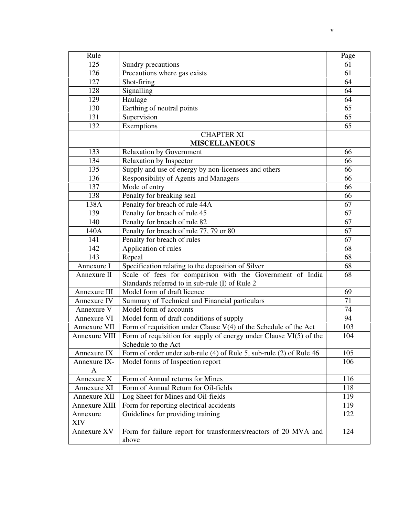| Rule              |                                                                          | Page |
|-------------------|--------------------------------------------------------------------------|------|
| 125               | Sundry precautions                                                       | 61   |
| 126               | Precautions where gas exists                                             | 61   |
| 127               | Shot-firing                                                              | 64   |
| 128               | Signalling                                                               | 64   |
| 129               | Haulage                                                                  | 64   |
| 130               | Earthing of neutral points                                               | 65   |
| 131               | Supervision                                                              | 65   |
| 132               | Exemptions                                                               | 65   |
|                   | <b>CHAPTER XI</b>                                                        |      |
|                   | <b>MISCELLANEOUS</b>                                                     |      |
| 133               | <b>Relaxation by Government</b>                                          | 66   |
| 134               | Relaxation by Inspector                                                  | 66   |
| 135               | Supply and use of energy by non-licensees and others                     | 66   |
| 136               | Responsibility of Agents and Managers                                    | 66   |
| 137               | Mode of entry                                                            | 66   |
| 138               | Penalty for breaking seal                                                | 66   |
| 138A              | Penalty for breach of rule 44A                                           | 67   |
| 139               | Penalty for breach of rule 45                                            | 67   |
| 140               | Penalty for breach of rule 82                                            | 67   |
| 140A              | Penalty for breach of rule 77, 79 or 80                                  | 67   |
| 141               | Penalty for breach of rules                                              | 67   |
| 142               | Application of rules                                                     | 68   |
| 143               | Repeal                                                                   | 68   |
| Annexure I        | Specification relating to the deposition of Silver                       | 68   |
| Annexure II       | Scale of fees for comparison with the Government of India                | 68   |
|                   | Standards referred to in sub-rule (I) of Rule 2                          |      |
| Annexure III      | Model form of draft licence                                              | 69   |
| Annexure IV       | Summary of Technical and Financial particulars                           | 71   |
| Annexure V        | Model form of accounts                                                   | 74   |
| Annexure VI       | Model form of draft conditions of supply                                 | 94   |
| Annexure VII      | Form of requisition under Clause $V(4)$ of the Schedule of the Act       | 103  |
| Annexure VIII     | Form of requisition for supply of energy under Clause $VI(5)$ of the     | 104  |
|                   | Schedule to the Act                                                      |      |
| Annexure IX       | Form of order under sub-rule (4) of Rule 5, sub-rule (2) of Rule 46      | 105  |
| Annexure IX-<br>A | Model forms of Inspection report                                         | 106  |
| Annexure X        | Form of Annual returns for Mines                                         | 116  |
| Annexure XI       | Form of Annual Return for Oil-fields                                     | 118  |
| Annexure XII      | Log Sheet for Mines and Oil-fields                                       | 119  |
| Annexure XIII     | Form for reporting electrical accidents                                  | 119  |
| Annexure          | Guidelines for providing training                                        | 122  |
| XIV               |                                                                          |      |
| Annexure XV       | Form for failure report for transformers/reactors of 20 MVA and<br>above | 124  |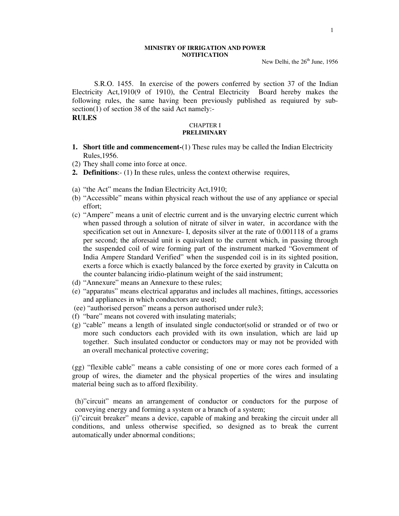#### **MINISTRY OF IRRIGATION AND POWER NOTIFICATION**

New Delhi, the 26<sup>th</sup> June, 1956

S.R.O. 1455. In exercise of the powers conferred by section 37 of the Indian Electricity Act,1910(9 of 1910), the Central Electricity Board hereby makes the following rules, the same having been previously published as requiured by subsection(1) of section 38 of the said Act namely:-

#### **RULES**

#### CHAPTER I **PRELIMINARY**

- **1. Short title and commencement-**(1) These rules may be called the Indian Electricity Rules,1956.
- (2) They shall come into force at once.
- **2. Definitions**:- (1) In these rules, unless the context otherwise requires,
- (a) "the Act" means the Indian Electricity Act,1910;
- (b) "Accessible" means within physical reach without the use of any appliance or special effort;
- (c) "Ampere" means a unit of electric current and is the unvarying electric current which when passed through a solution of nitrate of silver in water, in accordance with the specification set out in Annexure- I, deposits silver at the rate of 0.001118 of a grams per second; the aforesaid unit is equivalent to the current which, in passing through the suspended coil of wire forming part of the instrument marked "Government of India Ampere Standard Verified" when the suspended coil is in its sighted position, exerts a force which is exactly balanced by the force exerted by gravity in Calcutta on the counter balancing iridio-platinum weight of the said instrument;
- (d) "Annexure" means an Annexure to these rules;
- (e) "apparatus" means electrical apparatus and includes all machines, fittings, accessories and appliances in which conductors are used;
- (ee) "authorised person" means a person authorised under rule3;
- (f) "bare" means not covered with insulating materials;
- (g) "cable" means a length of insulated single conductor(solid or stranded or of two or more such conductors each provided with its own insulation, which are laid up together. Such insulated conductor or conductors may or may not be provided with an overall mechanical protective covering;

(gg) "flexible cable" means a cable consisting of one or more cores each formed of a group of wires, the diameter and the physical properties of the wires and insulating material being such as to afford flexibility.

(h)"circuit" means an arrangement of conductor or conductors for the purpose of conveying energy and forming a system or a branch of a system;

(i)"circuit breaker" means a device, capable of making and breaking the circuit under all conditions, and unless otherwise specified, so designed as to break the current automatically under abnormal conditions;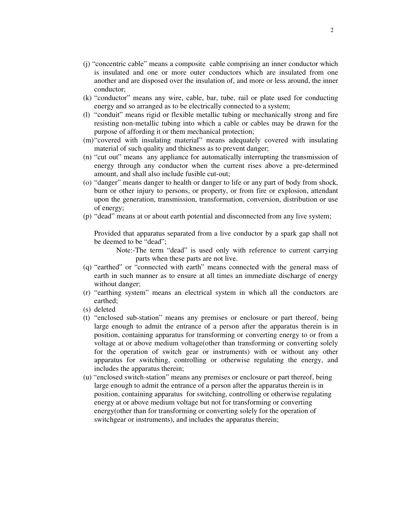- (j) " concentric cable" means a composite cable comprising an inner conductor which is insulated and one or more outer conductors which are insulated from one another and are disposed over the insulation of, and more or less around, the inner conductor;
- (k) " conductor" means any wire, cable, bar, tube, rail or plate used for conducting energy and so arranged as to be electrically connected to a system;
- (l) " conduit" means rigid or flexible metallic tubing or mechanically strong and fire resisting non-metallic tubing into which a cable or cables may be drawn for the purpose of affording it or them mechanical protection;
- (m)" covered with insulating material" means adequately covered with insulating material of such quality and thickness as to prevent danger;
- (n) " cut out" means any appliance for automatically interrupting the transmission of energy through any conductor when the current rises above a pre-determined amount, and shall also include fusible cut-out;
- (o) " danger" means danger to health or danger to life or any part of body from shock, burn or other injury to persons, or property, or from fire or explosion, attendant upon the generation, transmission, transformation, conversion, distribution or use of energy;
- (p) " dead" means at or about earth potential and disconnected from any live system;

Provided that apparatus separated from a live conductor by a spark gap shall not be deemed to be "dead";

Note:-The term "dead" is used only with reference to current carrying parts when these parts are not live.

- (q) " earthed" or " connected with earth" means connected with the general mass of earth in such manner as to ensure at all times an immediate discharge of energy without danger;
- (r) " earthing system" means an electrical system in which all the conductors are earthed;
- (s) deleted
- (t) " enclosed sub-station" means any premises or enclosure or part thereof, being large enough to admit the entrance of a person after the apparatus therein is in position, containing apparatus for transforming or converting energy to or from a voltage at or above medium voltage(other than transforming or converting solely for the operation of switch gear or instruments) with or without any other apparatus for switching, controlling or otherwise regulating the energy, and includes the apparatus therein;
- (u) " enclosed switch-station" means any premises or enclosure or part thereof, being large enough to admit the entrance of a person after the apparatus therein is in position, containing apparatus for switching, controlling or otherwise regulating energy at or above medium voltage but not for transforming or converting energy(other than for transforming or converting solely for the operation of switchgear or instruments), and includes the apparatus therein;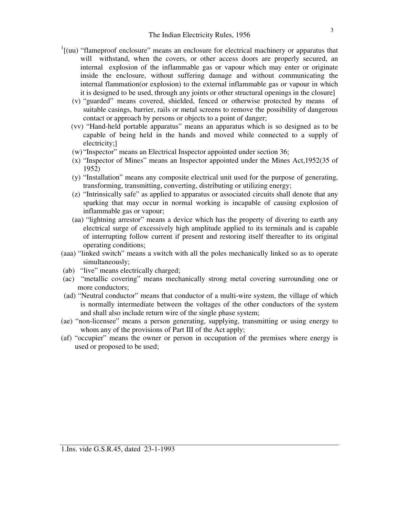- $1$ [(uu) "flameproof enclosure" means an enclosure for electrical machinery or apparatus that will withstand, when the covers, or other access doors are properly secured, an internal explosion of the inflammable gas or vapour which may enter or originate inside the enclosure, without suffering damage and without communicating the internal flammation(or explosion) to the external inflammable gas or vapour in which it is designed to be used, through any joints or other structural openings in the closure]
	- (v) " guarded" means covered, shielded, fenced or otherwise protected by means of suitable casings, barrier, rails or metal screens to remove the possibility of dangerous contact or approach by persons or objects to a point of danger;
	- (vv) " Hand-held portable apparatus" means an apparatus which is so designed as to be capable of being held in the hands and moved while connected to a supply of electricity;]
	- (w)" Inspector" means an Electrical Inspector appointed under section 36;
	- (x) " Inspector of Mines" means an Inspector appointed under the Mines Act,1952(35 of 1952)
	- (y) " Installation" means any composite electrical unit used for the purpose of generating, transforming, transmitting, converting, distributing or utilizing energy;
	- (z) " Intrinsically safe" as applied to apparatus or associated circuits shall denote that any sparking that may occur in normal working is incapable of causing explosion of inflammable gas or vapour;
	- (aa) " lightning arrestor" means a device which has the property of divering to earth any electrical surge of excessively high amplitude applied to its terminals and is capable of interrupting follow current if present and restoring itself thereafter to its original operating conditions;
- (aaa) " linked switch" means a switch with all the poles mechanically linked so as to operate simultaneously;
- (ab) "live" means electrically charged;
- (ac) " metallic covering" means mechanically strong metal covering surrounding one or more conductors;
- (ad) " Neutral conductor" means that conductor of a multi-wire system, the village of which is normally intermediate between the voltages of the other conductors of the system and shall also include return wire of the single phase system;
- (ae) " non-licensee" means a person generating, supplying, transmitting or using energy to whom any of the provisions of Part III of the Act apply;
- (af) " occupier" means the owner or person in occupation of the premises where energy is used or proposed to be used;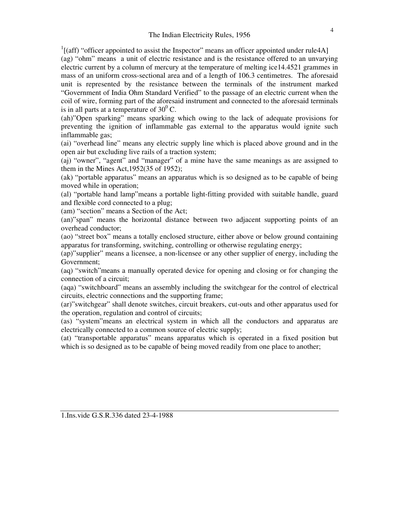$\frac{1}{1}$ [(aff) "officer appointed to assist the Inspector" means an officer appointed under rule4A] (ag) " ohm" means a unit of electric resistance and is the resistance offered to an unvarying electric current by a column of mercury at the temperature of melting ice14.4521 grammes in mass of an uniform cross-sectional area and of a length of 106.3 centimetres. The aforesaid unit is represented by the resistance between the terminals of the instrument marked " Government of India Ohm Standard Verified" to the passage of an electric current when the coil of wire, forming part of the aforesaid instrument and connected to the aforesaid terminals is in all parts at a temperature of  $30^0$  C.

(ah)"Open sparking" means sparking which owing to the lack of adequate provisions for preventing the ignition of inflammable gas external to the apparatus would ignite such inflammable gas;

(ai) " overhead line" means any electric supply line which is placed above ground and in the open air but excluding live rails of a traction system;

(aj) "owner", "agent" and "manager" of a mine have the same meanings as are assigned to them in the Mines Act,1952(35 of 1952);

(ak) " portable apparatus" means an apparatus which is so designed as to be capable of being moved while in operation;

(al) " portable hand lamp"means a portable light-fitting provided with suitable handle, guard and flexible cord connected to a plug;

(am) "section" means a Section of the Act;

(an)"span" means the horizontal distance between two adjacent supporting points of an overhead conductor;

(ao) "street box" means a totally enclosed structure, either above or below ground containing apparatus for transforming, switching, controlling or otherwise regulating energy;

(ap)"supplier" means a licensee, a non-licensee or any other supplier of energy, including the Government;

(aq) "switch"means a manually operated device for opening and closing or for changing the connection of a circuit;

(aqa) "switchboard" means an assembly including the switchgear for the control of electrical circuits, electric connections and the supporting frame;

(ar)"switchgear" shall denote switches, circuit breakers, cut-outs and other apparatus used for the operation, regulation and control of circuits;

(as) "system"means an electrical system in which all the conductors and apparatus are electrically connected to a common source of electric supply;

(at) "transportable apparatus" means apparatus which is operated in a fixed position but which is so designed as to be capable of being moved readily from one place to another;

1.Ins.vide G.S.R.336 dated 23-4-1988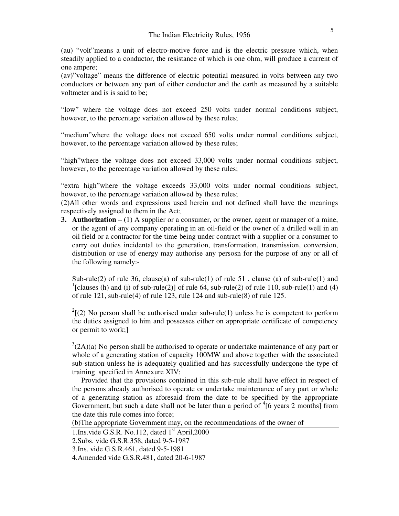(au) " volt"means a unit of electro-motive force and is the electric pressure which, when steadily applied to a conductor, the resistance of which is one ohm, will produce a current of one ampere;

(av)" voltage" means the difference of electric potential measured in volts between any two conductors or between any part of either conductor and the earth as measured by a suitable voltmeter and is is said to be;

" low" where the voltage does not exceed 250 volts under normal conditions subject, however, to the percentage variation allowed by these rules;

" medium"where the voltage does not exceed 650 volts under normal conditions subject, however, to the percentage variation allowed by these rules;

" high"where the voltage does not exceed 33,000 volts under normal conditions subject, however, to the percentage variation allowed by these rules;

" extra high" where the voltage exceeds 33,000 volts under normal conditions subject, however, to the percentage variation allowed by these rules;

(2)All other words and expressions used herein and not defined shall have the meanings respectively assigned to them in the Act;

**3. Authorization** – (1) A supplier or a consumer, or the owner, agent or manager of a mine, or the agent of any company operating in an oil-field or the owner of a drilled well in an oil field or a contractor for the time being under contract with a supplier or a consumer to carry out duties incidental to the generation, transformation, transmission, conversion, distribution or use of energy may authorise any persosn for the purpose of any or all of the following namely:-

Sub-rule(2) of rule 36, clause(a) of sub-rule(1) of rule  $51$ , clause (a) of sub-rule(1) and <sup>1</sup>[clauses (h) and (i) of sub-rule(2)] of rule 64, sub-rule(2) of rule 110, sub-rule(1) and (4) of rule 121, sub-rule(4) of rule 123, rule 124 and sub-rule(8) of rule 125.

 $2^{2}$ [(2) No person shall be authorised under sub-rule(1) unless he is competent to perform the duties assigned to him and possesses either on appropriate certificate of competency or permit to work;]

 $3(2A)(a)$  No person shall be authorised to operate or undertake maintenance of any part or whole of a generating station of capacity 100MW and above together with the associated sub-station unless he is adequately qualified and has successfully undergone the type of training specified in Annexure XIV;

Provided that the provisions contained in this sub-rule shall have effect in respect of the persons already authorised to operate or undertake maintenance of any part or whole of a generating station as aforesaid from the date to be specified by the appropriate Government, but such a date shall not be later than a period of  ${}^{4}$ [6 years 2 months] from the date this rule comes into force;

(b)The appropriate Government may, on the recommendations of the owner of

<sup>1.</sup>Ins.vide G.S.R. No.112, dated 1 st April,2000

<sup>2.</sup>Subs. vide G.S.R.358, dated 9-5-1987

<sup>3.</sup>Ins. vide G.S.R.461, dated 9-5-1981

<sup>4.</sup>Amended vide G.S.R.481, dated 20-6-1987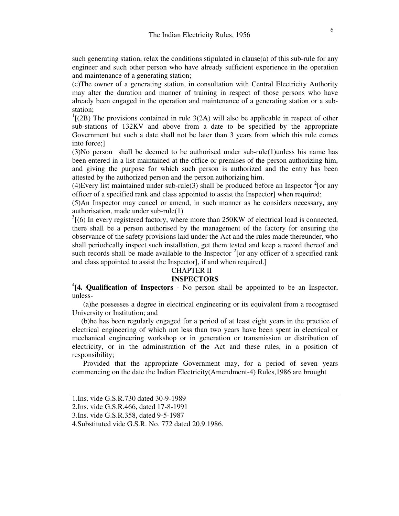such generating station, relax the conditions stipulated in clause(a) of this sub-rule for any engineer and such other person who have already sufficient experience in the operation and maintenance of a generating station;

(c)The owner of a generating station, in consultation with Central Electricity Authority may alter the duration and manner of training in respect of those persons who have already been engaged in the operation and maintenance of a generating station or a substation;

 $1$ [(2B) The provisions contained in rule 3(2A) will also be applicable in respect of other sub-stations of 132KV and above from a date to be specified by the appropriate Government but such a date shall not be later than 3 years from which this rule comes into force;]

(3)No person shall be deemed to be authorised under sub-rule(1)unless his name has been entered in a list maintained at the office or premises of the person authorizing him, and giving the purpose for which such person is authorized and the entry has been attested by the authorized person and the person authorizing him.

(4) Every list maintained under sub-rule(3) shall be produced before an Inspector <sup>2</sup> [or any officer of a specified rank and class appointed to assist the Inspector] when required;

(5)An Inspector may cancel or amend, in such manner as he considers necessary, any authorisation, made under sub-rule(1)

 $3(6)$  In every registered factory, where more than 250KW of electrical load is connected, there shall be a person authorised by the management of the factory for ensuring the observance of the safety provisions laid under the Act and the rules made thereunder, who shall periodically inspect such installation, get them tested and keep a record thereof and such records shall be made available to the Inspector  $2$ [or any officer of a specified rank and class appointed to assist the Inspector], if and when required.]

## CHAPTER II

#### **INSPECTORS**

4 [**4. Qualification of Inspectors** - No person shall be appointed to be an Inspector, unless-

(a)he possesses a degree in electrical engineering or its equivalent from a recognised University or Institution; and

(b)he has been regularly engaged for a period of at least eight years in the practice of electrical engineering of which not less than two years have been spent in electrical or mechanical engineering workshop or in generation or transmission or distribution of electricity, or in the administration of the Act and these rules, in a position of responsibility;

Provided that the appropriate Government may, for a period of seven years commencing on the date the Indian Electricity(Amendment-4) Rules,1986 are brought

<sup>1.</sup>Ins. vide G.S.R.730 dated 30-9-1989 2.Ins. vide G.S.R.466, dated 17-8-1991 3.Ins. vide G.S.R.358, dated 9-5-1987

<sup>4.</sup>Substituted vide G.S.R. No. 772 dated 20.9.1986.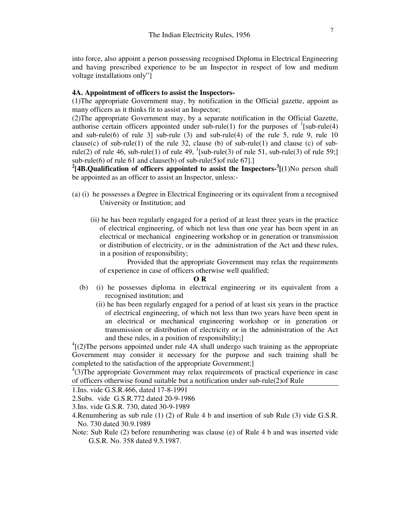into force, also appoint a person possessing recognised Diploma in Electrical Engineering and having prescribed experience to be an Inspector in respect of low and medium voltage installations only"]

#### **4A. Appointment of officers to assist the Inspectors-**

(1)The appropriate Government may, by notification in the Official gazette, appoint as many officers as it thinks fit to assist an Inspector;

(2)The appropriate Government may, by a separate notification in the Official Gazette, authorise certain officers appointed under sub-rule(1) for the purposes of  $\frac{1}{2}$ [sub-rule(4) and sub-rule(6) of rule 3] sub-rule (3) and sub-rule(4) of the rule 5, rule 9, rule 10 clause(c) of sub-rule(1) of the rule 32, clause (b) of sub-rule(1) and clause (c) of subrule(2) of rule 46, sub-rule(1) of rule 49,  $\frac{1}{2}$ [sub-rule(3) of rule 51, sub-rule(3) of rule 59;] sub-rule(6) of rule 61 and clause(b) of sub-rule(5)of rule 67].]

**2 [4B.Qualification of officers appointed to assist the Inspectors-3 [(**1)No person shall be appointed as an officer to assist an Inspector, unless:-

- (a) (i) he possesses a Degree in Electrical Engineering or its equivalent from a recognised University or Institution; and
	- (ii) he has been regularly engaged for a period of at least three years in the practice of electrical engineering, of which not less than one year has been spent in an electrical or mechanical engineering workshop or in generation or transmission or distribution of electricity, or in the administration of the Act and these rules, in a position of responsibility;

Provided that the appropriate Government may relax the requirements of experience in case of officers otherwise well qualified;

#### **O R**

- (b) (i) he possesses diploma in electrical engineering or its equivalent from a recognised institution; and
	- (ii) he has been regularly engaged for a period of at least six years in the practice of electrical engineering, of which not less than two years have been spent in an electrical or mechanical engineering workshop or in generation or transmission or distribution of electricity or in the administration of the Act and these rules, in a position of responsibility;]

<sup>4</sup>[(2)The persons appointed under rule 4A shall undergo such training as the appropriate Government may consider it necessary for the purpose and such training shall be completed to the satisfaction of the appropriate Government;]

4 (3)The appropriate Government may relax requirements of practical experience in case of officers otherwise found suitable but a notification under sub-rule(2)of Rule

1.Ins. vide G.S.R.466, dated 17-8-1991

2.Subs. vide G.S.R.772 dated 20-9-1986

3.Ins. vide G.S.R. 730, dated 30-9-1989

- 4.Renumbering as sub rule (1) (2) of Rule 4 b and insertion of sub Rule (3) vide G.S.R. No. 730 dated 30.9.1989
- Note: Sub Rule (2) before renumbering was clause (e) of Rule 4 b and was inserted vide G.S.R. No. 358 dated 9.5.1987.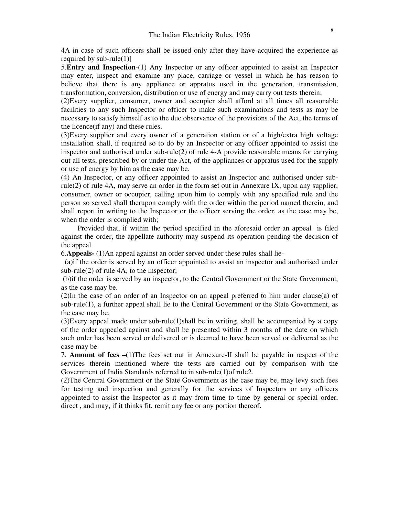4A in case of such officers shall be issued only after they have acquired the experience as required by sub-rule(1)]

5.**Entry and Inspection**-(1) Any Inspector or any officer appointed to assist an Inspector may enter, inspect and examine any place, carriage or vessel in which he has reason to believe that there is any appliance or appratus used in the generation, transmission, transformation, conversion, distribution or use of energy and may carry out tests therein;

(2)Every supplier, consumer, owner and occupier shall afford at all times all reasonable facilities to any such Inspector or officer to make such examinations and tests as may be necessary to satisfy himself as to the due observance of the provisions of the Act, the terms of the licence(if any) and these rules.

(3)Every supplier and every owner of a generation station or of a high/extra high voltage installation shall, if required so to do by an Inspector or any officer appointed to assist the inspector and authorised under sub-rule(2) of rule 4-A provide reasonable means for carrying out all tests, prescribed by or under the Act, of the appliances or appratus used for the supply or use of energy by him as the case may be.

(4) An Inspector, or any officer appointed to assist an Inspector and authorised under subrule(2) of rule 4A, may serve an order in the form set out in Annexure IX, upon any supplier, consumer, owner or occupier, calling upon him to comply with any specified rule and the person so served shall therupon comply with the order within the period named therein, and shall report in writing to the Inspector or the officer serving the order, as the case may be, when the order is complied with;

Provided that, if within the period specified in the aforesaid order an appeal is filed against the order, the appellate authority may suspend its operation pending the decision of the appeal.

6.**Appeals-** (1)An appeal against an order served under these rules shall lie-

(a)if the order is served by an officer appointed to assist an inspector and authorised under sub-rule(2) of rule 4A, to the inspector;

(b)if the order is served by an inspector, to the Central Government or the State Government, as the case may be.

(2)In the case of an order of an Inspector on an appeal preferred to him under clause(a) of sub-rule(1), a further appeal shall lie to the Central Government or the State Government, as the case may be.

(3)Every appeal made under sub-rule(1)shall be in writing, shall be accompanied by a copy of the order appealed against and shall be presented within 3 months of the date on which such order has been served or delivered or is deemed to have been served or delivered as the case may be

7. **Amount of fees –**(1)The fees set out in Annexure-II shall be payable in respect of the services therein mentioned where the tests are carried out by comparison with the Government of India Standards referred to in sub-rule(1)of rule2.

(2)The Central Government or the State Government as the case may be, may levy such fees for testing and inspection and generally for the services of Inspectors or any officers appointed to assist the Inspector as it may from time to time by general or special order, direct , and may, if it thinks fit, remit any fee or any portion thereof.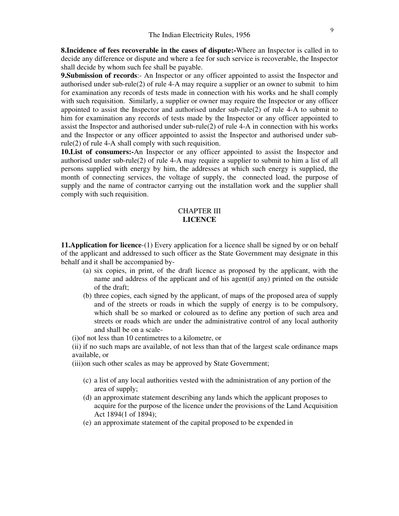**8.Incidence of fees recoverable in the cases of dispute:-**Where an Inspector is called in to decide any difference or dispute and where a fee for such service is recoverable, the Inspector shall decide by whom such fee shall be payable.

**9.Submission of records**:- An Inspector or any officer appointed to assist the Inspector and authorised under sub-rule(2) of rule 4-A may require a supplier or an owner to submit to him for examination any records of tests made in connection with his works and he shall comply with such requisition. Similarly, a supplier or owner may require the Inspector or any officer appointed to assist the Inspector and authorised under sub-rule(2) of rule  $4-A$  to submit to him for examination any records of tests made by the Inspector or any officer appointed to assist the Inspector and authorised under sub-rule(2) of rule 4-A in connection with his works and the Inspector or any officer appointed to assist the Inspector and authorised under subrule(2) of rule 4-A shall comply with such requisition.

**10.List of consumers:-**An Inspector or any officer appointed to assist the Inspector and authorised under sub-rule(2) of rule 4-A may require a supplier to submit to him a list of all persons supplied with energy by him, the addresses at which such energy is supplied, the month of connecting services, the voltage of supply, the connected load, the purpose of supply and the name of contractor carrying out the installation work and the supplier shall comply with such requisition.

### CHAPTER III **LICENCE**

**11.Application for licence**-(1) Every application for a licence shall be signed by or on behalf of the applicant and addressed to such officer as the State Government may designate in this behalf and it shall be accompanied by-

- (a) six copies, in print, of the draft licence as proposed by the applicant, with the name and address of the applicant and of his agent(if any) printed on the outside of the draft;
- (b) three copies, each signed by the applicant, of maps of the proposed area of supply and of the streets or roads in which the supply of energy is to be compulsory, which shall be so marked or coloured as to define any portion of such area and streets or roads which are under the administrative control of any local authority and shall be on a scale-

(i)of not less than 10 centimetres to a kilometre, or

(ii) if no such maps are available, of not less than that of the largest scale ordinance maps available, or

(iii)on such other scales as may be approved by State Government;

- (c) a list of any local authorities vested with the administration of any portion of the area of supply;
- (d) an approximate statement describing any lands which the applicant proposes to acquire for the purpose of the licence under the provisions of the Land Acquisition Act 1894(1 of 1894);
- (e) an approximate statement of the capital proposed to be expended in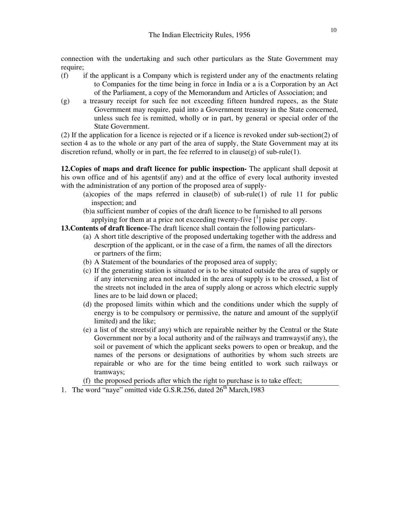connection with the undertaking and such other particulars as the State Government may require;

- (f) if the applicant is a Company which is registerd under any of the enactments relating to Companies for the time being in force in India or a is a Corporation by an Act of the Parliament, a copy of the Memorandum and Articles of Association; and
- (g) a treasury receipt for such fee not exceeding fifteen hundred rupees, as the State Government may require, paid into a Government treasury in the State concerned, unless such fee is remitted, wholly or in part, by general or special order of the State Government.

(2) If the application for a licence is rejected or if a licence is revoked under sub-section(2) of section 4 as to the whole or any part of the area of supply, the State Government may at its discretion refund, wholly or in part, the fee referred to in clause(g) of sub-rule(1).

**12.Copies of maps and draft licence for public inspection-** The applicant shall deposit at his own office and of his agents(if any) and at the office of every local authority invested with the administration of any portion of the proposed area of supply-

- (a)copies of the maps referred in clause(b) of sub-rule(1) of rule 11 for public inspection; and
- (b)a sufficient number of copies of the draft licence to be furnished to all persons applying for them at a price not exceeding twenty-five  $\left[\begin{smallmatrix}1\end{smallmatrix}\right]$  paise per copy.

### **13.Contents of draft licence**-The draft licence shall contain the following particulars-

- (a) A short title descriptive of the proposed undertaking together with the address and descrption of the applicant, or in the case of a firm, the names of all the directors or partners of the firm;
- (b) A Statement of the boundaries of the proposed area of supply;
- (c) If the generating station is situated or is to be situated outside the area of supply or if any intervening area not included in the area of supply is to be crossed, a list of the streets not included in the area of supply along or across which electric supply lines are to be laid down or placed;
- (d) the proposed limits within which and the conditions under which the supply of energy is to be compulsory or permissive, the nature and amount of the supply(if limited) and the like;
- (e) a list of the streets(if any) which are repairable neither by the Central or the State Government nor by a local authority and of the railways and tramways(if any), the soil or pavement of which the applicant seeks powers to open or breakup, and the names of the persons or designations of authorities by whom such streets are repairable or who are for the time being entitled to work such railways or tramways;
- (f) the proposed periods after which the right to purchase is to take effect;
- 1. The word "naye" omitted vide G.S.R.256, dated 26<sup>th</sup> March,1983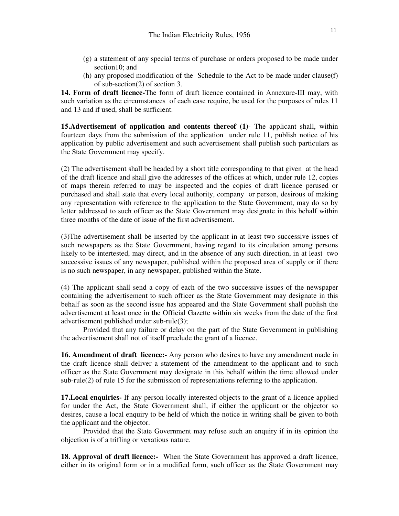- (g) a statement of any special terms of purchase or orders proposed to be made under section10; and
- (h) any proposed modification of the Schedule to the Act to be made under clause(f) of sub-section(2) of section 3.

**14. Form of draft licence-**The form of draft licence contained in Annexure-III may, with such variation as the circumstances of each case require, be used for the purposes of rules 11 and 13 and if used, shall be sufficient.

**15.Advertisement of application and contents thereof (1)**- The applicant shall, within fourteen days from the submission of the application under rule 11, publish notice of his application by public advertisement and such advertisement shall publish such particulars as the State Government may specify.

(2) The advertisement shall be headed by a short title corresponding to that given at the head of the draft licence and shall give the addresses of the offices at which, under rule 12, copies of maps therein referred to may be inspected and the copies of draft licence perused or purchased and shall state that every local authority, company or person, desirous of making any representation with reference to the application to the State Government, may do so by letter addressed to such officer as the State Government may designate in this behalf within three months of the date of issue of the first advertisement.

(3)The advertisement shall be inserted by the applicant in at least two successive issues of such newspapers as the State Government, having regard to its circulation among persons likely to be intertested, may direct, and in the absence of any such direction, in at least two successive issues of any newspaper, published within the proposed area of supply or if there is no such newspaper, in any newspaper, published within the State.

(4) The applicant shall send a copy of each of the two successive issues of the newspaper containing the advertisement to such officer as the State Government may designate in this behalf as soon as the second issue has appeared and the State Government shall publish the advertisement at least once in the Official Gazette within six weeks from the date of the first advertisement published under sub-rule(3);

Provided that any failure or delay on the part of the State Government in publishing the advertisement shall not of itself preclude the grant of a licence.

**16. Amendment of draft licence:-** Any person who desires to have any amendment made in the draft licence shall deliver a statement of the amendment to the applicant and to such officer as the State Government may designate in this behalf within the time allowed under sub-rule(2) of rule 15 for the submission of representations referring to the application.

**17.Local enquiries-** If any person locally interested objects to the grant of a licence applied for under the Act, the State Government shall, if either the applicant or the objector so desires, cause a local enquiry to be held of which the notice in writing shall be given to both the applicant and the objector.

Provided that the State Government may refuse such an enquiry if in its opinion the objection is of a trifling or vexatious nature.

**18. Approval of draft licence:-** When the State Government has approved a draft licence, either in its original form or in a modified form, such officer as the State Government may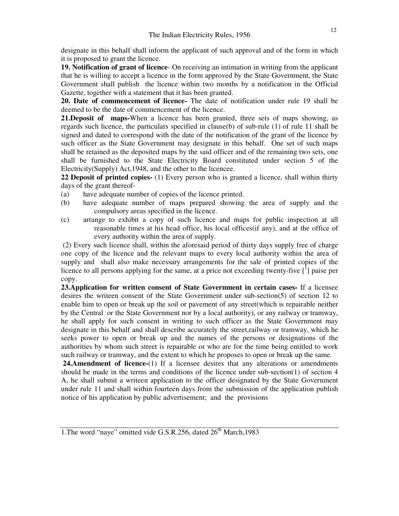designate in this behalf shall inform the applicant of such approval and of the form in which it is proposed to grant the licence.

**19. Notification of grant of licence**- On receiving an intimation in writing from the applicant that he is willing to accept a licence in the form approved by the State Government, the State Government shall publish the licence within two months by a notification in the Official Gazette, together with a statement that it has been granted.

**20. Date of commencement of licence-** The date of notification under rule 19 shall be deemed to be the date of commencement of the licence.

**21.Deposit of maps-**When a licence has been granted, three sets of maps showing, as regards such licence, the particulars specified in clause(b) of sub-rule (1) of rule 11 shall be signed and dated to correspond with the date of the notification of the grant of the licence by such officer as the State Government may designate in this behalf. One set of such maps shall be retained as the deposited maps by the said officer and of the remaining two sets, one shall be furnished to the State Electricity Board constituted under section 5 of the Electricity(Supply) Act,1948, and the other to the licencee.

**22 Deposit of printed copies-** (1) Every person who is granted a licence, shall within thirty days of the grant thereof-

- (a) have adequate number of copies of the licence printed.
- (b) have adequate number of maps prepared showing the area of supply and the compulsory areas specified in the licence.
- (c) arrange to exhibit a copy of such licence and maps for public inspection at all reasonable times at his head office, his local offices(if any), and at the office of every authority within the area of supply.

(2) Every such licence shall, within the aforesaid period of thirty days supply free of charge one copy of the licence and the relevant maps to every local authority within the area of supply and shall also make necessary arrangements for the sale of printed copies of the licence to all persons applying for the same, at a price not exceeding twenty-five  $\begin{bmatrix} 1 \end{bmatrix}$  paise per copy.

**23.Application for written consent of State Government in certain cases-** If a licensee desires the writeen consent of the State Government under sub-section(5) of section 12 to enable him to open or break up the soil or pavement of any street(which is repairable neither by the Central or the State Government nor by a local authority), or any railway or tramway, he shall apply for such consent in writing to such officer as the State Government may designate in this behalf and shall describe accurately the street,railway or tramway, which he seeks power to open or break up and the names of the persons or designations of the authorities by whom such street is repairable or who are for the time being entitled to work such railway or tramway, and the extent to which he proposes to open or break up the same.

**24.Amendment of licence-**(1) If a licensee desires that any alterations or amendments should be made in the terms and conditions of the licence under sub-section(1) of section 4 A, he shall submit a writeen application to the officer designated by the State Government under rule 11 and shall within fourteen days from the submission of the application publish notice of his application by public advertisement; and the provisions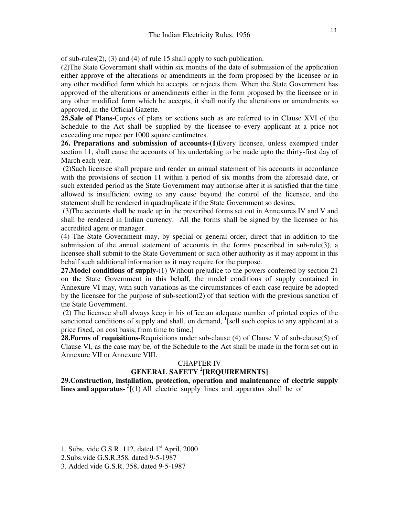of sub-rules(2), (3) and (4) of rule 15 shall apply to such publication.

(2)The State Government shall within six months of the date of submission of the application either approve of the alterations or amendments in the form proposed by the licensee or in any other modified form which he accepts or rejects them. When the State Government has approved of the alterations or amendments either in the form proposed by the licensee or in any other modified form which he accepts, it shall notify the alterations or amendments so approved, in the Official Gazette.

**25.Sale of Plans-**Copies of plans or sections such as are referred to in Clause XVI of the Schedule to the Act shall be supplied by the licensee to every applicant at a price not exceeding one rupee per 1000 square centimetres.

**26. Preparations and submission of accounts-(1)**Every licensee, unless exempted under section 11, shall cause the accounts of his undertaking to be made upto the thirty-first day of March each year.

(2)Such licensee shall prepare and render an annual statement of his accounts in accordance with the provisions of section 11 within a period of six months from the aforesaid date, or such extended period as the State Government may authorise after it is satisfied that the time allowed is insufficient owing to any cause beyond the control of the licensee, and the statement shall be rendered in quadruplicate if the State Government so desires.

(3)The accounts shall be made up in the prescribed forms set out in Annexures IV and V and shall be rendered in Indian currency. All the forms shall be signed by the licensee or his accredited agent or manager.

(4) The State Government may, by special or general order, direct that in addition to the submission of the annual statement of accounts in the forms prescribed in sub-rule(3), a licensee shall submit to the State Government or such other authority as it may appoint in this behalf such additional information as it may require for the purpose.

**27.Model conditions of supply-**(1) Without prejudice to the powers conferred by section 21 on the State Government in this behalf, the model conditions of supply contained in Annexure VI may, with such variations as the circumstances of each case require be adopted by the licensee for the purpose of sub-section(2) of that section with the previous sanction of the State Government.

(2) The licensee shall always keep in his office an adequate number of printed copies of the sanctioned conditions of supply and shall, on demand,  $\frac{1}{1}$  such copies to any applicant at a price fixed, on cost basis, from time to time.]

**28.Forms of requisitions-**Requisitions under sub-clause (4) of Clause V of sub-clause(5) of Clause VI, as the case may be, of the Schedule to the Act shall be made in the form set out in Annexure VII or Annexure VIII.

# CHAPTER IV

## **GENERAL SAFETY 2 [REQUIREMENTS]**

**29.Construction, installation, protection, operation and maintenance of electric supply lines and apparatus-**3 [(1) All electric supply lines and apparatus shall be of

<sup>1.</sup> Subs. vide G.S.R. 112, dated 1<sup>st</sup> April, 2000

<sup>2.</sup>Subs.vide G.S.R.358, dated 9-5-1987

<sup>3.</sup> Added vide G.S.R. 358, dated 9-5-1987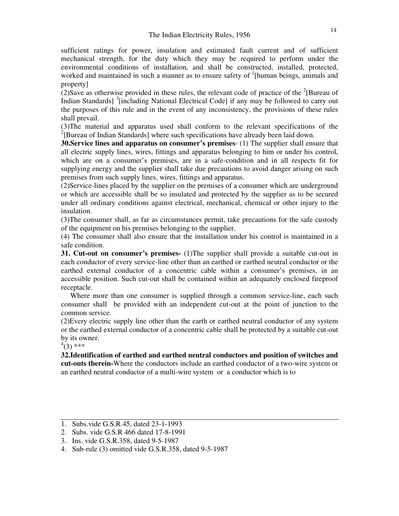sufficient ratings for power, insulation and estimated fault current and of sufficient mechanical strength, for the duty which they may be required to perform under the environmental conditions of installation, and shall be constructed, installed, protected, worked and maintained in such a manner as to ensure safety of <sup>1</sup>[human beings, animals and property]

 $(2)$ Save as otherwise provided in these rules, the relevant code of practice of the <sup>2</sup>[Bureau of Indian Standards]<sup>3</sup>[including National Electrical Code] if any may be followed to carry out the purposes of this rule and in the event of any inconsistency, the provisions of these rules shall prevail.

(3)The material and apparatus used shall conform to the relevant specifications of the <sup>2</sup>[Bureau of Indian Standards] where such specifications have already been laid down.

**30.Service lines and apparatus on consumer's premises**- (1) The supplier shall ensure that all electric supply lines, wires, fittings and apparatus belonging to him or under his control, which are on a consumer's premises, are in a safe-condition and in all respects fit for supplying energy and the supplier shall take due precautions to avoid danger arising on such premises from such supply lines, wires, fittings and apparatus.

(2)Service-lines placed by the supplier on the premises of a consumer which are underground or which are accessible shall be so insulated and protected by the supplier as to be secured under all ordinary conditions against electrical, mechanical, chemical or other injury to the insulation.

(3)The consumer shall, as far as circumstances permit, take precautions for the safe custody of the equipment on his premises belonging to the supplier.

(4) The consumer shall also ensure that the installation under his control is maintained in a safe condition.

**31. Cut-out on consumer's premises-** (1)The supplier shall provide a suitable cut-out in each conductor of every service-line other than an earthed or earthed neutral conductor or the earthed external conductor of a concentric cable within a consumer's premises, in an accessible position. Such cut-out shall be contained within an adequately enclosed fireproof receptacle.

Where more than one consumer is supplied through a common service-line, each such consumer shall be provided with an independent cut-out at the point of junction to the common service.

(2)Every electric supply line other than the earth or earthed neutral conductor of any system or the earthed external conductor of a concentric cable shall be protected by a suitable cut-out by its owner.

 $^{4}(3)$  \*\*\*

**32.Identification of earthed and earthed neutral conductors and position of switches and cut-outs therein-**Where the conductors include an earthed conductor of a two-wire system or an earthed neutral conductor of a multi-wire system or a conductor which is to

<sup>1.</sup> Subs.vide G.S.R.45, dated 23-1-1993

<sup>2.</sup> Subs. vide G.S.R 466 dated 17-8-1991

<sup>3.</sup> Ins. vide G.S.R.358, dated 9-5-1987

<sup>4.</sup> Sub-rule (3) omitted vide G.S.R.358, dated 9-5-1987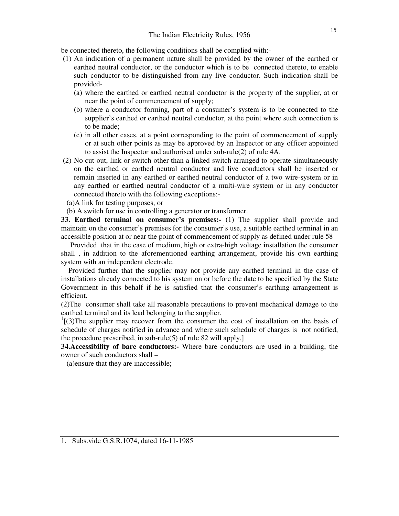be connected thereto, the following conditions shall be complied with:-

- (1) An indication of a permanent nature shall be provided by the owner of the earthed or earthed neutral conductor, or the conductor which is to be connected thereto, to enable such conductor to be distinguished from any live conductor. Such indication shall be provided-
	- (a) where the earthed or earthed neutral conductor is the property of the supplier, at or near the point of commencement of supply;
	- (b) where a conductor forming, part of a consumer's system is to be connected to the supplier's earthed or earthed neutral conductor, at the point where such connection is to be made;
	- (c) in all other cases, at a point corresponding to the point of commencement of supply or at such other points as may be approved by an Inspector or any officer appointed to assist the Inspector and authorised under sub-rule(2) of rule 4A.
- (2) No cut-out, link or switch other than a linked switch arranged to operate simultaneously on the earthed or earthed neutral conductor and live conductors shall be inserted or remain inserted in any earthed or earthed neutral conductor of a two wire-system or in any earthed or earthed neutral conductor of a multi-wire system or in any conductor connected thereto with the following exceptions:-
- (a)A link for testing purposes, or
- (b) A switch for use in controlling a generator or transformer.

**33. Earthed terminal on consumer's premises:-** (1) The supplier shall provide and maintain on the consumer's premises for the consumer's use, a suitable earthed terminal in an accessible position at or near the point of commencement of supply as defined under rule 58

Provided that in the case of medium, high or extra-high voltage installation the consumer shall , in addition to the aforementioned earthing arrangement, provide his own earthing system with an independent electrode.

Provided further that the supplier may not provide any earthed terminal in the case of installations already connected to his system on or before the date to be specified by the State Government in this behalf if he is satisfied that the consumer's earthing arrangement is efficient.

(2)The consumer shall take all reasonable precautions to prevent mechanical damage to the earthed terminal and its lead belonging to the supplier.

 $1$ [(3)The supplier may recover from the consumer the cost of installation on the basis of schedule of charges notified in advance and where such schedule of charges is not notified, the procedure prescribed, in sub-rule(5) of rule 82 will apply.]

**34.Accessibility of bare conductors:-** Where bare conductors are used in a building, the owner of such conductors shall –

(a)ensure that they are inaccessible;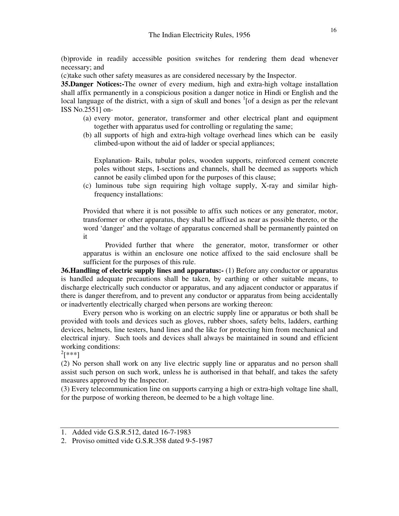(b)provide in readily accessible position switches for rendering them dead whenever necessary; and

(c)take such other safety measures as are considered necessary by the Inspector.

**35.Danger Notices:-**The owner of every medium, high and extra-high voltage installation shall affix permanently in a conspicious position a danger notice in Hindi or English and the local language of the district, with a sign of skull and bones <sup>1</sup>[of a design as per the relevant ISS No.2551] on-

- (a) every motor, generator, transformer and other electrical plant and equipment together with apparatus used for controlling or regulating the same;
- (b) all supports of high and extra-high voltage overhead lines which can be easily climbed-upon without the aid of ladder or special appliances;

Explanation- Rails, tubular poles, wooden supports, reinforced cement concrete poles without steps, I-sections and channels, shall be deemed as supports which cannot be easily climbed upon for the purposes of this clause;

(c) luminous tube sign requiring high voltage supply, X-ray and similar highfrequency installations:

Provided that where it is not possible to affix such notices or any generator, motor, transformer or other apparatus, they shall be affixed as near as possible thereto, or the word 'danger' and the voltage of apparatus concerned shall be permanently painted on it

Provided further that where the generator, motor, transformer or other apparatus is within an enclosure one notice affixed to the said enclosure shall be sufficient for the purposes of this rule.

**36.Handling of electric supply lines and apparatus:-** (1) Before any conductor or apparatus is handled adequate precautions shall be taken, by earthing or other suitable means, to discharge electrically such conductor or apparatus, and any adjacent conductor or apparatus if there is danger therefrom, and to prevent any conductor or apparatus from being accidentally or inadvertently electrically charged when persons are working thereon:

Every person who is working on an electric supply line or apparatus or both shall be provided with tools and devices such as gloves, rubber shoes, safety belts, ladders, earthing devices, helmets, line testers, hand lines and the like for protecting him from mechanical and electrical injury. Such tools and devices shall always be maintained in sound and efficient working conditions:

 $^{2}$ [\*\*\*]

(2) No person shall work on any live electric supply line or apparatus and no person shall assist such person on such work, unless he is authorised in that behalf, and takes the safety measures approved by the Inspector.

(3) Every telecommunication line on supports carrying a high or extra-high voltage line shall, for the purpose of working thereon, be deemed to be a high voltage line.

<sup>1.</sup> Added vide G.S.R.512, dated 16-7-1983

<sup>2.</sup> Proviso omitted vide G.S.R.358 dated 9-5-1987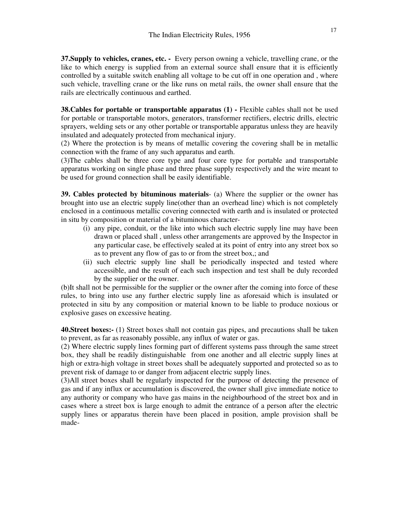**37.Supply to vehicles, cranes, etc. -** Every person owning a vehicle, travelling crane, or the like to which energy is supplied from an external source shall ensure that it is efficiently controlled by a suitable switch enabling all voltage to be cut off in one operation and , where such vehicle, travelling crane or the like runs on metal rails, the owner shall ensure that the rails are electrically continuous and earthed.

**38.Cables for portable or transportable apparatus (1) -** Flexible cables shall not be used for portable or transportable motors, generators, transformer rectifiers, electric drills, electric sprayers, welding sets or any other portable or transportable apparatus unless they are heavily insulated and adequately protected from mechanical injury.

(2) Where the protection is by means of metallic covering the covering shall be in metallic connection with the frame of any such apparatus and earth.

(3)The cables shall be three core type and four core type for portable and transportable apparatus working on single phase and three phase supply respectively and the wire meant to be used for ground connection shall be easily identifiable.

**39. Cables protected by bituminous materials**- (a) Where the supplier or the owner has brought into use an electric supply line(other than an overhead line) which is not completely enclosed in a continuous metallic covering connected with earth and is insulated or protected in situ by composition or material of a bituminous character-

- (i) any pipe, conduit, or the like into which such electric supply line may have been drawn or placed shall , unless other arrangements are approved by the Inspector in any particular case, be effectively sealed at its point of entry into any street box so as to prevent any flow of gas to or from the street box,; and
- (ii) such electric supply line shall be periodically inspected and tested where accessible, and the result of each such inspection and test shall be duly recorded by the supplier or the owner.

(b)It shall not be permissible for the supplier or the owner after the coming into force of these rules, to bring into use any further electric supply line as aforesaid which is insulated or protected in situ by any composition or material known to be liable to produce noxious or explosive gases on excessive heating.

**40.Street boxes:-** (1) Street boxes shall not contain gas pipes, and precautions shall be taken to prevent, as far as reasonably possible, any influx of water or gas.

(2) Where electric supply lines forming part of different systems pass through the same street box, they shall be readily distinguishable from one another and all electric supply lines at high or extra-high voltage in street boxes shall be adequately supported and protected so as to prevent risk of damage to or danger from adjacent electric supply lines.

(3)All street boxes shall be regularly inspected for the purpose of detecting the presence of gas and if any influx or accumulation is discovered, the owner shall give immediate notice to any authority or company who have gas mains in the neighbourhood of the street box and in cases where a street box is large enough to admit the entrance of a person after the electric supply lines or apparatus therein have been placed in position, ample provision shall be made-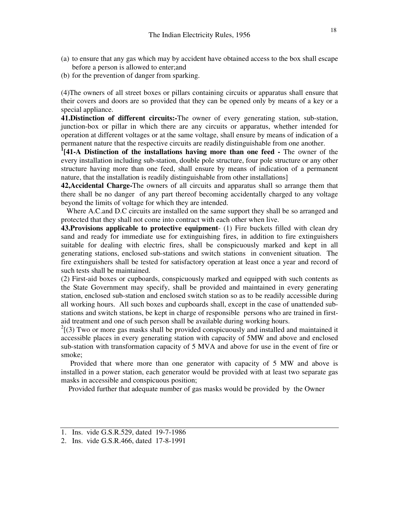- (a) to ensure that any gas which may by accident have obtained access to the box shall escape before a person is allowed to enter;and
- (b) for the prevention of danger from sparking.

(4)The owners of all street boxes or pillars containing circuits or apparatus shall ensure that their covers and doors are so provided that they can be opened only by means of a key or a special appliance.

**41.Distinction of different circuits:-**The owner of every generating station, sub-station, junction-box or pillar in which there are any circuits or apparatus, whether intended for operation at different voltages or at the same voltage, shall ensure by means of indication of a permanent nature that the respective circuits are readily distinguishable from one another.

**1 [41-A Distinction of the installations having more than one feed -** The owner of the every installation including sub-station, double pole structure, four pole structure or any other structure having more than one feed, shall ensure by means of indication of a permanent nature, that the installation is readily distinguishable from other installations]

**42,Accidental Charge-**The owners of all circuits and apparatus shall so arrange them that there shall be no danger of any part thereof becoming accidentally charged to any voltage beyond the limits of voltage for which they are intended.

Where A.C.and D.C circuits are installed on the same support they shall be so arranged and protected that they shall not come into contract with each other when live.

**43.Provisions applicable to protective equipment**- (1) Fire buckets filled with clean dry sand and ready for immediate use for extinguishing fires, in addition to fire extinguishers suitable for dealing with electric fires, shall be conspicuously marked and kept in all generating stations, enclosed sub-stations and switch stations in convenient situation. The fire extinguishers shall be tested for satisfactory operation at least once a year and record of such tests shall be maintained.

(2) First-aid boxes or cupboards, conspicuously marked and equipped with such contents as the State Government may specify, shall be provided and maintained in every generating station, enclosed sub-station and enclosed switch station so as to be readily accessible during all working hours. All such boxes and cupboards shall, except in the case of unattended substations and switch stations, be kept in charge of responsible persons who are trained in firstaid treatment and one of such person shall be available during working hours.

 $2(3)$  Two or more gas masks shall be provided conspicuously and installed and maintained it accessible places in every generating station with capacity of 5MW and above and enclosed sub-station with transformation capacity of 5 MVA and above for use in the event of fire or smoke;

Provided that where more than one generator with capacity of 5 MW and above is installed in a power station, each generator would be provided with at least two separate gas masks in accessible and conspicuous position;

Provided further that adequate number of gas masks would be provided by the Owner

<sup>1.</sup> Ins. vide G.S.R.529, dated 19-7-1986

<sup>2.</sup> Ins. vide G.S.R.466, dated 17-8-1991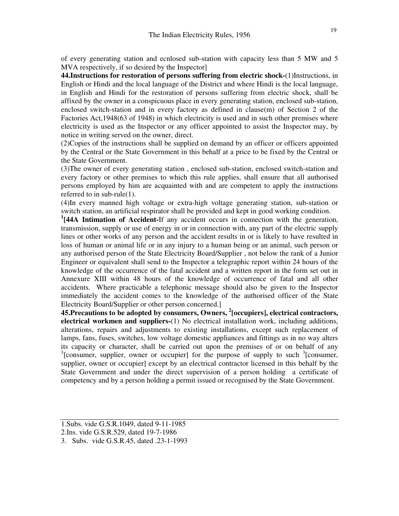of every generating station and ecnlosed sub-station with capacity less than 5 MW and 5 MVA respectively, if so desired by the Inspector]

**44.Instructions for restoration of persons suffering from electric shock-**(1)Instructions, in English or Hindi and the local language of the District and where Hindi is the local language, in English and Hindi for the restoration of persons suffering from electric shock, shall be affixed by the owner in a conspicuous place in every generating station, enclosed sub-station, enclosed switch-station and in every factory as defined in clause(m) of Section 2 of the Factories Act,1948(63 of 1948) in which electricity is used and in such other premises where electricity is used as the Inspector or any officer appointed to assist the Inspector may, by notice in writing served on the owner, direct.

(2)Copies of the instructions shall be supplied on demand by an officer or officers appointed by the Central or the State Government in this behalf at a price to be fixed by the Central or the State Government.

(3)The owner of every generating station , enclosed sub-station, enclosed switch-station and every factory or other premises to which this rule applies, shall ensure that all authorised persons employed by him are acquainted with and are competent to apply the instructions referred to in sub-rule(1).

(4)In every manned high voltage or extra-high voltage generating station, sub-station or switch station, an artificial respirator shall be provided and kept in good working condition.

**1 [44A Intimation of Accident-**If any accident occurs in connection with the generation, transmission, supply or use of energy in or in connection with, any part of the electric supply lines or other works of any person and the accident results in or is likely to have resulted in loss of human or animal life or in any injury to a human being or an animal, such person or any authorised person of the State Electricity Board/Supplier , not below the rank of a Junior Engineer or equivalent shall send to the Inspector a telegraphic report within 24 hours of the knowledge of the occurrence of the fatal accident and a written report in the form set out in Annexure XIII within 48 hours of the knowledge of occurrence of fatal and all other accidents. Where practicable a telephonic message should also be given to the Inspector immediately the accident comes to the knowledge of the authorised officer of the State Electricity Board/Supplier or other person concerned.]

**45.Precautions to be adopted by consumers, Owners, 2 [occupiers], electrical contractors, electrical workmen and suppliers-**(1) No electrical installation work, including additions, alterations, repairs and adjustments to existing installations, except such replacement of lamps, fans, fuses, switches, low voltage domestic appliances and fittings as in no way alters its capacity or character, shall be carried out upon the premises of or on behalf of any  $3$ [consumer, supplier, owner or occupier] for the purpose of supply to such  $3$ [consumer, supplier, owner or occupier] except by an electrical contractor licensed in this behalf by the State Government and under the direct supervision of a person holding a certificate of competency and by a person holding a permit issued or recognised by the State Government.

<sup>1.</sup>Subs. vide G.S.R.1049, dated 9-11-1985

<sup>2.</sup>Ins. vide G.S.R.529, dated 19-7-1986

<sup>3.</sup> Subs. vide G.S.R.45, dated .23-1-1993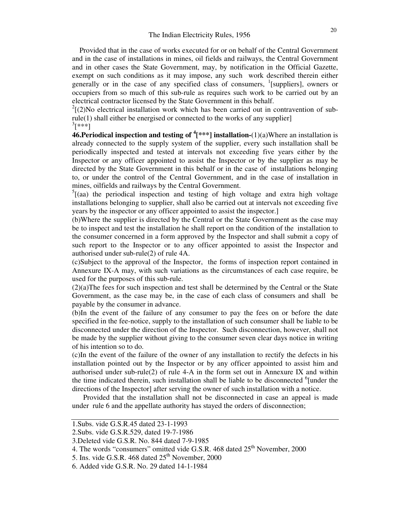Provided that in the case of works executed for or on behalf of the Central Government and in the case of installations in mines, oil fields and railways, the Central Government and in other cases the State Government, may, by notification in the Official Gazette, exempt on such conditions as it may impose, any such work described therein either generally or in the case of any specified class of consumers, 1 [suppliers], owners or occupiers from so much of this sub-rule as requires such work to be carried out by an electrical contractor licensed by the State Government in this behalf.

 $2^2$ [(2)No electrical installation work which has been carried out in contravention of subrule(1) shall either be energised or connected to the works of any supplier]  $^{3}[***]$ 

**46.Periodical inspection and testing of 4 [\*\*\*] installation-**(1)(a)Where an installation is already connected to the supply system of the supplier, every such installation shall be periodically inspected and tested at intervals not exceeding five years either by the Inspector or any officer appointed to assist the Inspector or by the supplier as may be directed by the State Government in this behalf or in the case of installations belonging to, or under the control of the Central Government, and in the case of installation in mines, oilfields and railways by the Central Government.

 $5$ [(aa) the periodical inspection and testing of high voltage and extra high voltage installations belonging to supplier, shall also be carried out at intervals not exceeding five years by the inspector or any officer appointed to assist the inspector.]

(b)Where the supplier is directed by the Central or the State Government as the case may be to inspect and test the installation he shall report on the condition of the installation to the consumer concerned in a form approved by the Inspector and shall submit a copy of such report to the Inspector or to any officer appointed to assist the Inspector and authorised under sub-rule(2) of rule 4A.

(c)Subject to the approval of the Inspector, the forms of inspection report contained in Annexure IX-A may, with such variations as the circumstances of each case require, be used for the purposes of this sub-rule.

(2)(a)The fees for such inspection and test shall be determined by the Central or the State Government, as the case may be, in the case of each class of consumers and shall be payable by the consumer in advance.

(b)In the event of the failure of any consumer to pay the fees on or before the date specified in the fee-notice, supply to the installation of such consumer shall be liable to be disconnected under the direction of the Inspector. Such disconnection, however, shall not be made by the supplier without giving to the consumer seven clear days notice in writing of his intention so to do.

(c)In the event of the failure of the owner of any installation to rectify the defects in his installation pointed out by the Inspector or by any officer appointed to assist him and authorised under sub-rule(2) of rule 4-A in the form set out in Annexure IX and within the time indicated therein, such installation shall be liable to be disconnected <sup>6</sup>[under the directions of the Inspector] after serving the owner of such installation with a notice.

Provided that the installation shall not be disconnected in case an appeal is made under rule 6 and the appellate authority has stayed the orders of disconnection;

<sup>1.</sup>Subs. vide G.S.R.45 dated 23-1-1993

<sup>2.</sup>Subs. vide G.S.R.529, dated 19-7-1986

<sup>3.</sup>Deleted vide G.S.R. No. 844 dated 7-9-1985

<sup>4.</sup> The words "consumers" omitted vide G.S.R.  $468$  dated  $25<sup>th</sup>$  November, 2000

<sup>5.</sup> Ins. vide G.S.R.  $468$  dated  $25<sup>th</sup>$  November,  $2000$ 

<sup>6.</sup> Added vide G.S.R. No. 29 dated 14-1-1984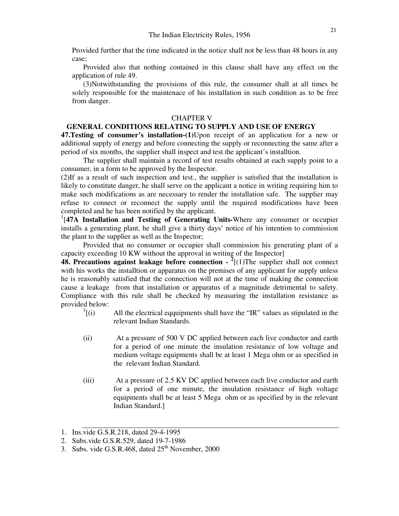Provided further that the time indicated in the notice shall not be less than 48 hours in any case;

Provided also that nothing contained in this clause shall have any effect on the application of rule 49.

(3)Notwithstanding the provisions of this rule, the consumer shall at all times be solely responsible for the maintenace of his installation in such condition as to be free from danger.

#### CHAPTER V

#### **GENERAL CONDITIONS RELATING TO SUPPLY AND USE OF ENERGY**

**47.Testing of consumer's installation-(1)**Upon receipt of an application for a new or additional supply of energy and before connecting the supply or reconnecting the same after a period of six months, the supplier shall inspect and test the applicant's installtion.

The supplier shall maintain a record of test results obtained at each supply point to a consumer, in a form to be approved by the Inspector.

(2)If as a result of such inspection and test., the supplier is satisfied that the installation is likely to constitute danger, he shall serve on the applicant a notice in writing requiring him to make such modifications as are necessary to render the installation safe. The supplier may refuse to connect or reconnect the supply until the required modifications have been completed and he has been notified by the applicant.

1 [**47A Installation and Testing of Generating Units-**Where any consumer or occupier installs a generating plant, he shall give a thirty days' notice of his intention to commission the plant to the supplier as well as the Inspector;

Provided that no consumer or occupier shall commission his generating plant of a capacity exceeding 10 KW without the approval in writing of the Inspector]

**48. Precautions against leakage before connection - 2** [(1)The supplier shall not connect with his works the installtion or apparatus on the premises of any applicant for supply unless he is reasonably satisfied that the connection will not at the time of making the connection cause a leakage from that installation or apparatus of a magnitude detrimental to safety. Compliance with this rule shall be checked by measuring the installation resistance as provided below:

- $\frac{3}{1}$ (i) All the electrical eqquipments shall have the "IR" values as stipulated in the relevant Indian Standards.
- (ii) At a pressure of 500 V DC applied between each live conductor and earth for a period of one minute the insulation resistance of low voltage and medium voltage equipments shall be at least 1 Mega ohm or as specified in the relevant Indian Standard.
- (iii) At a pressure of 2.5 KV DC applied between each live conductor and earth for a period of one minute, the insulation resistance of high voltage equipments shall be at least 5 Mega ohm or as specified by in the relevant Indian Standard.]

<sup>1.</sup> Ins.vide G.S.R.218, dated 29-4-1995

<sup>2.</sup> Subs.vide G.S.R.529, dated 19-7-1986

<sup>3.</sup> Subs. vide G.S.R.468, dated  $25<sup>th</sup>$  November, 2000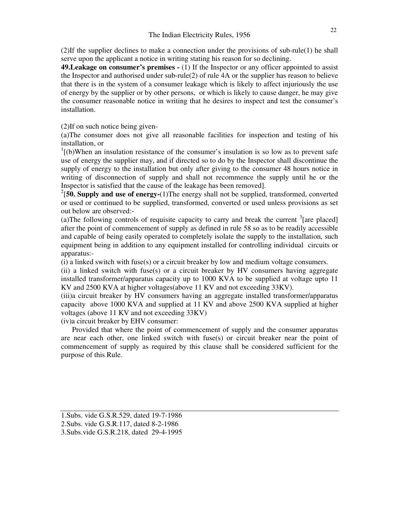(2)If the supplier declines to make a connection under the provisions of sub-rule(1) he shall serve upon the applicant a notice in writing stating his reason for so declining.

**49.Leakage on consumer's premises -** (1) If the Inspector or any officer appointed to assist the Inspector and authorised under sub-rule(2) of rule 4A or the supplier has reason to believe that there is in the system of a consumer leakage which is likely to affect injuriously the use of energy by the supplier or by other persons, or which is likely to cause danger, he may give the consumer reasonable notice in writing that he desires to inspect and test the consumer's installation.

(2)If on such notice being given-

(a)The consumer does not give all reasonable facilities for inspection and testing of his installation, or

 $<sup>1</sup>$ [(b)When an insulation resistance of the consumer's insulation is so low as to prevent safe</sup> use of energy the supplier may, and if directed so to do by the Inspector shall discontinue the supply of energy to the installation but only after giving to the consumer 48 hours notice in writing of disconnection of supply and shall not recommence the supply until he or the Inspector is satisfied that the cause of the leakage has been removed].

2 [**50. Supply and use of energy-**(1)The energy shall not be supplied, transformed, converted or used or continued to be supplied, transformed, converted or used unless provisions as set out below are observed:-

(a) The following controls of requisite capacity to carry and break the current  $3$  [are placed] after the point of commencement of supply as defined in rule 58 so as to be readily accessible and capable of being easily operated to completely isolate the supply to the installation, such equipment being in addition to any equipment installed for controlling individual circuits or apparatus:-

(i) a linked switch with fuse(s) or a circuit breaker by low and medium voltage consumers.

(ii) a linked switch with fuse(s) or a circuit breaker by HV consumers having aggregate installed transformer/apparatus capacity up to 1000 KVA to be supplied at voltage upto 11 KV and 2500 KVA at higher voltages(above 11 KV and not exceeding 33KV).

(iii)a circuit breaker by HV consumers having an aggregate installed transformer/apparatus capacity above 1000 KVA and supplied at 11 KV and above 2500 KVA supplied at higher voltages (above 11 KV and not exceeding 33KV)

(iv)a circuit breaker by EHV consumer:

Provided that where the point of commencement of supply and the consumer apparatus are near each other, one linked switch with fuse(s) or circuit breaker near the point of commencement of supply as required by this clause shall be considered sufficient for the purpose of this Rule.

<sup>1.</sup>Subs. vide G.S.R.529, dated 19-7-1986

<sup>2.</sup>Subs. vide G.S.R.117, dated 8-2-1986

<sup>3.</sup>Subs.vide G.S.R.218, dated 29-4-1995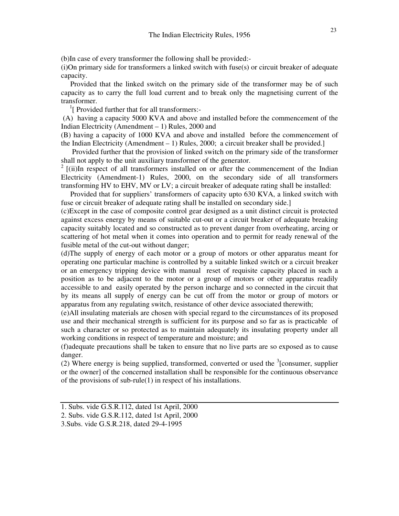(b)In case of every transformer the following shall be provided:-

(i)On primary side for transformers a linked switch with fuse(s) or circuit breaker of adequate capacity.

Provided that the linked switch on the primary side of the transformer may be of such capacity as to carry the full load current and to break only the magnetising current of the transformer.

<sup>1</sup>[ Provided further that for all transformers:-

(A) having a capacity 5000 KVA and above and installed before the commencement of the Indian Electricity (Amendment – 1) Rules, 2000 and

(B) having a capacity of 1000 KVA and above and installed before the commencement of the Indian Electricity (Amendment – 1) Rules, 2000; a circuit breaker shall be provided.]

Provided further that the provision of linked switch on the primary side of the transformer shall not apply to the unit auxiliary transformer of the generator.

<sup>2</sup> [(ii)In respect of all transformers installed on or after the commencement of the Indian Electricity (Amendment-1) Rules, 2000, on the secondary side of all transformers transforming HV to EHV, MV or LV; a circuit breaker of adequate rating shall be installed:

Provided that for suppliers' transformers of capacity upto 630 KVA, a linked switch with fuse or circuit breaker of adequate rating shall be installed on secondary side.]

(c)Except in the case of composite control gear designed as a unit distinct circuit is protected against excess energy by means of suitable cut-out or a circuit breaker of adequate breaking capacity suitably located and so constructed as to prevent danger from overheating, arcing or scattering of hot metal when it comes into operation and to permit for ready renewal of the fusible metal of the cut-out without danger;

(d)The supply of energy of each motor or a group of motors or other apparatus meant for operating one particular machine is controlled by a suitable linked switch or a circuit breaker or an emergency tripping device with manual reset of requisite capacity placed in such a position as to be adjacent to the motor or a group of motors or other apparatus readily accessible to and easily operated by the person incharge and so connected in the circuit that by its means all supply of energy can be cut off from the motor or group of motors or apparatus from any regulating switch, resistance of other device associated therewith;

(e)All insulating materials are chosen with special regard to the circumstances of its proposed use and their mechanical strength is sufficient for its purpose and so far as is practicable of such a character or so protected as to maintain adequately its insulating property under all working conditions in respect of temperature and moisture; and

(f)adequate precautions shall be taken to ensure that no live parts are so exposed as to cause danger.

(2) Where energy is being supplied, transformed, converted or used the  $3$ [consumer, supplier or the owner] of the concerned installation shall be responsible for the continuous observance of the provisions of sub-rule(1) in respect of his installations.

<sup>1.</sup> Subs. vide G.S.R.112, dated 1st April, 2000

<sup>2.</sup> Subs. vide G.S.R.112, dated 1st April, 2000

<sup>3.</sup>Subs. vide G.S.R.218, dated 29-4-1995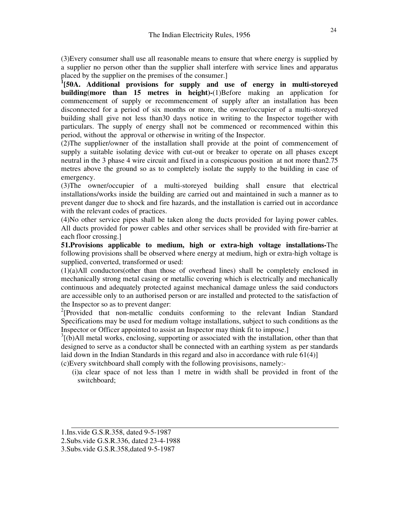(3)Every consumer shall use all reasonable means to ensure that where energy is supplied by a supplier no person other than the supplier shall interfere with service lines and apparatus placed by the supplier on the premises of the consumer.]

**1 [50A. Additional provisions for supply and use of energy in multi-storeyed building(more than 15 metres in height)-**(1)Before making an application for commencement of supply or recommencement of supply after an installation has been disconnected for a period of six months or more, the owner/occupier of a multi-storeyed building shall give not less than30 days notice in writing to the Inspector together with particulars. The supply of energy shall not be commenced or recommenced within this period, without the approval or otherwise in writing of the Inspector.

(2)The supplier/owner of the installation shall provide at the point of commencement of supply a suitable isolating device with cut-out or breaker to operate on all phases except neutral in the 3 phase 4 wire circuit and fixed in a conspicuous position at not more than2.75 metres above the ground so as to completely isolate the supply to the building in case of emergency.

(3)The owner/occupier of a multi-storeyed building shall ensure that electrical installations/works inside the building are carried out and maintained in such a manner as to prevent danger due to shock and fire hazards, and the installation is carried out in accordance with the relevant codes of practices.

(4)No other service pipes shall be taken along the ducts provided for laying power cables. All ducts provided for power cables and other services shall be provided with fire-barrier at each floor crossing.]

**51.Provisions applicable to medium, high or extra-high voltage installations-**The following provisions shall be observed where energy at medium, high or extra-high voltage is supplied, converted, transformed or used:

(1)(a)All conductors(other than those of overhead lines) shall be completely enclosed in mechanically strong metal casing or metallic covering which is electrically and mechanically continuous and adequately protected against mechanical damage unless the said conductors are accessible only to an authorised person or are installed and protected to the satisfaction of the Inspector so as to prevent danger:

<sup>2</sup>[Provided that non-metallic conduits conforming to the relevant Indian Standard Specifications may be used for medium voltage installations, subject to such conditions as the Inspector or Officer appointed to assist an Inspector may think fit to impose.]

 $3$ [(b)All metal works, enclosing, supporting or associated with the installation, other than that designed to serve as a conductor shall be connected with an earthing system as per standards laid down in the Indian Standards in this regard and also in accordance with rule 61(4)]

(c)Every switchboard shall comply with the following provisisons, namely:-

(i)a clear space of not less than 1 metre in width shall be provided in front of the switchboard;

<sup>1.</sup>Ins.vide G.S.R.358, dated 9-5-1987

<sup>2.</sup>Subs.vide G.S.R.336, dated 23-4-1988

<sup>3.</sup>Subs.vide G.S.R.358,dated 9-5-1987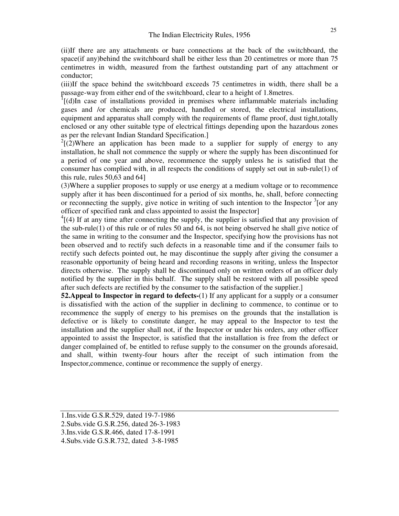(ii)If there are any attachments or bare connections at the back of the switchboard, the space(if any)behind the switchboard shall be either less than 20 centimetres or more than 75 centimetres in width, measured from the farthest outstanding part of any attachment or conductor;

(iii)If the space behind the switchboard exceeds 75 centimetres in width, there shall be a passage-way from either end of the switchboard, clear to a height of 1.8metres.

 $1$ [(d)In case of installations provided in premises where inflammable materials including gases and /or chemicals are produced, handled or stored, the electrical installations, equipment and apparatus shall comply with the requirements of flame proof, dust tight,totally enclosed or any other suitable type of electrical fittings depending upon the hazardous zones as per the relevant Indian Standard Specification.]

 $2(2)$ Where an application has been made to a supplier for supply of energy to any installation, he shall not commence the supply or where the supply has been discontinued for a period of one year and above, recommence the supply unless he is satisfied that the consumer has complied with, in all respects the conditions of supply set out in sub-rule(1) of this rule, rules 50,63 and 64]

(3)Where a supplier proposes to supply or use energy at a medium voltage or to recommence supply after it has been discontinued for a period of six months, he, shall, before connecting or reconnecting the supply, give notice in writing of such intention to the Inspector  $3$  [or any officer of specified rank and class appointed to assist the Inspector]

 ${}^{4}$ [(4) If at any time after connecting the supply, the supplier is satisfied that any provision of the sub-rule(1) of this rule or of rules 50 and 64, is not being observed he shall give notice of the same in writing to the consumer and the Inspector, specifying how the provisions has not been observed and to rectify such defects in a reasonable time and if the consumer fails to rectify such defects pointed out, he may discontinue the supply after giving the consumer a reasonable opportunity of being heard and recording reasons in writing, unless the Inspector directs otherwise. The supply shall be discontinued only on written orders of an officer duly notified by the supplier in this behalf. The supply shall be restored with all possible speed after such defects are rectified by the consumer to the satisfaction of the supplier.]

**52.Appeal to Inspector in regard to defects-**(1) If any applicant for a supply or a consumer is dissatisfied with the action of the supplier in declining to commence, to continue or to recommence the supply of energy to his premises on the grounds that the installation is defective or is likely to constitute danger, he may appeal to the Inspector to test the installation and the supplier shall not, if the Inspector or under his orders, any other officer appointed to assist the Inspector, is satisfied that the installation is free from the defect or danger complained of, be entitled to refuse supply to the consumer on the grounds aforesaid, and shall, within twenty-four hours after the receipt of such intimation from the Inspector,commence, continue or recommence the supply of energy.

<sup>1.</sup>Ins.vide G.S.R.529, dated 19-7-1986

<sup>2.</sup>Subs.vide G.S.R.256, dated 26-3-1983

<sup>3.</sup>Ins.vide G.S.R.466, dated 17-8-1991

<sup>4.</sup>Subs.vide G.S.R.732, dated 3-8-1985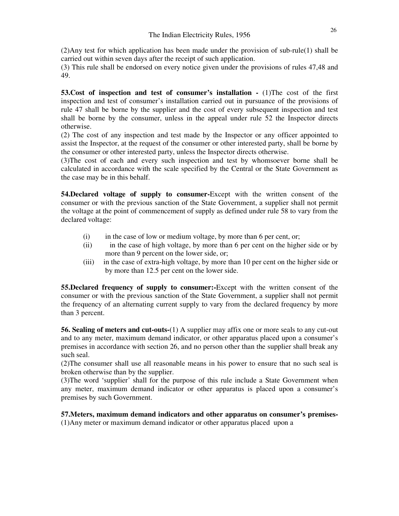(2)Any test for which application has been made under the provision of sub-rule(1) shall be carried out within seven days after the receipt of such application.

(3) This rule shall be endorsed on every notice given under the provisions of rules 47,48 and 49.

**53.Cost of inspection and test of consumer's installation -** (1)The cost of the first inspection and test of consumer's installation carried out in pursuance of the provisions of rule 47 shall be borne by the supplier and the cost of every subsequent inspection and test shall be borne by the consumer, unless in the appeal under rule 52 the Inspector directs otherwise.

(2) The cost of any inspection and test made by the Inspector or any officer appointed to assist the Inspector, at the request of the consumer or other interested party, shall be borne by the consumer or other interested party, unless the Inspector directs otherwise.

(3)The cost of each and every such inspection and test by whomsoever borne shall be calculated in accordance with the scale specified by the Central or the State Government as the case may be in this behalf.

**54.Declared voltage of supply to consumer-**Except with the written consent of the consumer or with the previous sanction of the State Government, a supplier shall not permit the voltage at the point of commencement of supply as defined under rule 58 to vary from the declared voltage:

- (i) in the case of low or medium voltage, by more than 6 per cent, or;
- (ii) in the case of high voltage, by more than 6 per cent on the higher side or by more than 9 percent on the lower side, or;
- (iii) in the case of extra-high voltage, by more than 10 per cent on the higher side or by more than 12.5 per cent on the lower side.

**55.Declared frequency of supply to consumer:-**Except with the written consent of the consumer or with the previous sanction of the State Government, a supplier shall not permit the frequency of an alternating current supply to vary from the declared frequency by more than 3 percent.

**56. Sealing of meters and cut-outs-**(1) A supplier may affix one or more seals to any cut-out and to any meter, maximum demand indicator, or other apparatus placed upon a consumer's premises in accordance with section 26, and no person other than the supplier shall break any such seal.

(2)The consumer shall use all reasonable means in his power to ensure that no such seal is broken otherwise than by the supplier.

(3)The word 'supplier' shall for the purpose of this rule include a State Government when any meter, maximum demand indicator or other apparatus is placed upon a consumer's premises by such Government.

### **57.Meters, maximum demand indicators and other apparatus on consumer's premises-**

(1)Any meter or maximum demand indicator or other apparatus placed upon a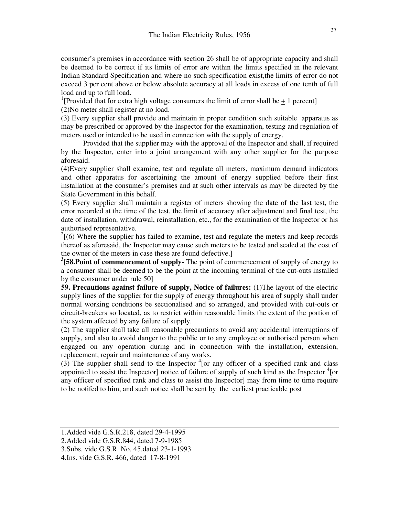consumer's premises in accordance with section 26 shall be of appropriate capacity and shall be deemed to be correct if its limits of error are within the limits specified in the relevant Indian Standard Specification and where no such specification exist,the limits of error do not exceed 3 per cent above or below absolute accuracy at all loads in excess of one tenth of full load and up to full load.

<sup>1</sup>[Provided that for extra high voltage consumers the limit of error shall be  $\pm$  1 percent]

(2)No meter shall register at no load.

(3) Every supplier shall provide and maintain in proper condition such suitable apparatus as may be prescribed or approved by the Inspector for the examination, testing and regulation of meters used or intended to be used in connection with the supply of energy.

Provided that the supplier may with the approval of the Inspector and shall, if required by the Inspector, enter into a joint arrangement with any other supplier for the purpose aforesaid.

(4)Every supplier shall examine, test and regulate all meters, maximum demand indicators and other apparatus for ascertaining the amount of energy supplied before their first installation at the consumer's premises and at such other intervals as may be directed by the State Government in this behalf.

(5) Every supplier shall maintain a register of meters showing the date of the last test, the error recorded at the time of the test, the limit of accuracy after adjustment and final test, the date of installation, withdrawal, reinstallation, etc., for the examination of the Inspector or his authorised representative.

 $2(6)$  Where the supplier has failed to examine, test and regulate the meters and keep records thereof as aforesaid, the Inspector may cause such meters to be tested and sealed at the cost of the owner of the meters in case these are found defective.]

**3 [58.Point of commencement of supply-** The point of commencement of supply of energy to a consumer shall be deemed to be the point at the incoming terminal of the cut-outs installed by the consumer under rule 50]

**59. Precautions against failure of supply, Notice of failures:** (1)The layout of the electric supply lines of the supplier for the supply of energy throughout his area of supply shall under normal working conditions be sectionalised and so arranged, and provided with cut-outs or circuit-breakers so located, as to restrict within reasonable limits the extent of the portion of the system affected by any failure of supply.

(2) The supplier shall take all reasonable precautions to avoid any accidental interruptions of supply, and also to avoid danger to the public or to any employee or authorised person when engaged on any operation during and in connection with the installation, extension, replacement, repair and maintenance of any works.

(3) The supplier shall send to the Inspector  ${}^{4}$  [or any officer of a specified rank and class appointed to assist the Inspector] notice of failure of supply of such kind as the Inspector <sup>4</sup>[or any officer of specified rank and class to assist the Inspector] may from time to time require to be notifed to him, and such notice shall be sent by the earliest practicable post

<sup>1.</sup>Added vide G.S.R.218, dated 29-4-1995

<sup>2.</sup>Added vide G.S.R.844, dated 7-9-1985

<sup>3.</sup>Subs. vide G.S.R. No. 45.dated 23-1-1993

<sup>4.</sup>Ins. vide G.S.R. 466, dated 17-8-1991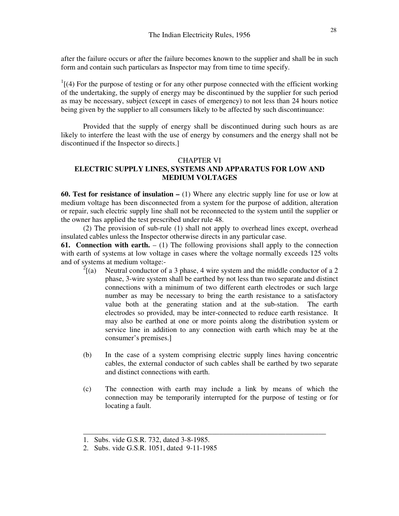after the failure occurs or after the failure becomes known to the supplier and shall be in such form and contain such particulars as Inspector may from time to time specify.

 $<sup>1</sup>$ [(4) For the purpose of testing or for any other purpose connected with the efficient working</sup> of the undertaking, the supply of energy may be discontinued by the supplier for such period as may be necessary, subject (except in cases of emergency) to not less than 24 hours notice being given by the supplier to all consumers likely to be affected by such discontinuance:

Provided that the supply of energy shall be discontinued during such hours as are likely to interfere the least with the use of energy by consumers and the energy shall not be discontinued if the Inspector so directs.]

### CHAPTER VI **ELECTRIC SUPPLY LINES, SYSTEMS AND APPARATUS FOR LOW AND MEDIUM VOLTAGES**

**60. Test for resistance of insulation –** (1) Where any electric supply line for use or low at medium voltage has been disconnected from a system for the purpose of addition, alteration or repair, such electric supply line shall not be reconnected to the system until the supplier or the owner has applied the test prescribed under rule 48.

(2) The provision of sub-rule (1) shall not apply to overhead lines except, overhead insulated cables unless the Inspector otherwise directs in any particular case.

**61. Connection with earth.** – (1) The following provisions shall apply to the connection with earth of systems at low voltage in cases where the voltage normally exceeds 125 volts and of systems at medium voltage:-

- $\frac{2}{1}$ (a) Neutral conductor of a 3 phase, 4 wire system and the middle conductor of a 2 phase, 3-wire system shall be earthed by not less than two separate and distinct connections with a minimum of two different earth electrodes or such large number as may be necessary to bring the earth resistance to a satisfactory value both at the generating station and at the sub-station. The earth electrodes so provided, may be inter-connected to reduce earth resistance. It may also be earthed at one or more points along the distribution system or service line in addition to any connection with earth which may be at the consumer's premises.]
- (b) In the case of a system comprising electric supply lines having concentric cables, the external conductor of such cables shall be earthed by two separate and distinct connections with earth.
- (c) The connection with earth may include a link by means of which the connection may be temporarily interrupted for the purpose of testing or for locating a fault.

\_\_\_\_\_\_\_\_\_\_\_\_\_\_\_\_\_\_\_\_\_\_\_\_\_\_\_\_\_\_\_\_\_\_\_\_\_\_\_\_\_\_\_\_\_\_\_\_\_\_\_\_\_\_\_\_\_\_\_\_\_\_\_\_\_\_

<sup>1.</sup> Subs. vide G.S.R. 732, dated 3-8-1985.

<sup>2.</sup> Subs. vide G.S.R. 1051, dated 9-11-1985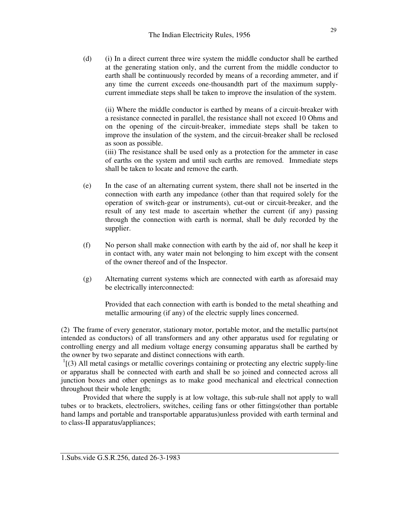(d) (i) In a direct current three wire system the middle conductor shall be earthed at the generating station only, and the current from the middle conductor to earth shall be continuously recorded by means of a recording ammeter, and if any time the current exceeds one-thousandth part of the maximum supplycurrent immediate steps shall be taken to improve the insulation of the system.

(ii) Where the middle conductor is earthed by means of a circuit-breaker with a resistance connected in parallel, the resistance shall not exceed 10 Ohms and on the opening of the circuit-breaker, immediate steps shall be taken to improve the insulation of the system, and the circuit-breaker shall be reclosed as soon as possible.

(iii) The resistance shall be used only as a protection for the ammeter in case of earths on the system and until such earths are removed. Immediate steps shall be taken to locate and remove the earth.

- (e) In the case of an alternating current system, there shall not be inserted in the connection with earth any impedance (other than that required solely for the operation of switch-gear or instruments), cut-out or circuit-breaker, and the result of any test made to ascertain whether the current (if any) passing through the connection with earth is normal, shall be duly recorded by the supplier.
- (f) No person shall make connection with earth by the aid of, nor shall he keep it in contact with, any water main not belonging to him except with the consent of the owner thereof and of the Inspector.
- (g) Alternating current systems which are connected with earth as aforesaid may be electrically interconnected:

Provided that each connection with earth is bonded to the metal sheathing and metallic armouring (if any) of the electric supply lines concerned.

(2) The frame of every generator, stationary motor, portable motor, and the metallic parts(not intended as conductors) of all transformers and any other apparatus used for regulating or controlling energy and all medium voltage energy consuming apparatus shall be earthed by the owner by two separate and distinct connections with earth.

<sup>1</sup>[(3) All metal casings or metallic coverings containing or protecting any electric supply-line or apparatus shall be connected with earth and shall be so joined and connected across all junction boxes and other openings as to make good mechanical and electrical connection throughout their whole length;

Provided that where the supply is at low voltage, this sub-rule shall not apply to wall tubes or to brackets, electroliers, switches, ceiling fans or other fittings(other than portable hand lamps and portable and transportable apparatus)unless provided with earth terminal and to class-II apparatus/appliances;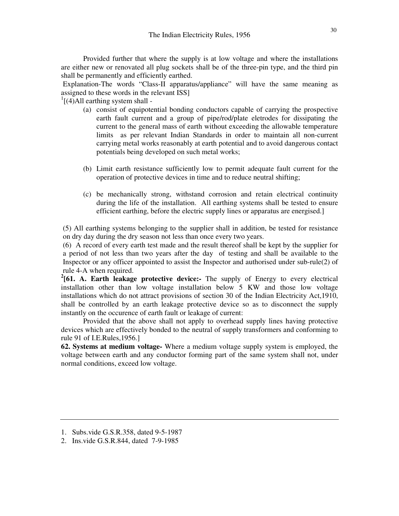Provided further that where the supply is at low voltage and where the installations are either new or renovated all plug sockets shall be of the three-pin type, and the third pin shall be permanently and efficiently earthed.

Explanation-The words "Class-II apparatus/appliance" will have the same meaning as assigned to these words in the relevant ISS]

 $\frac{1}{1}$ [(4)All earthing system shall -

- (a) consist of equipotential bonding conductors capable of carrying the prospective earth fault current and a group of pipe/rod/plate eletrodes for dissipating the current to the general mass of earth without exceeding the allowable temperature limits as per relevant Indian Standards in order to maintain all non-current carrying metal works reasonably at earth potential and to avoid dangerous contact potentials being developed on such metal works;
- (b) Limit earth resistance sufficiently low to permit adequate fault current for the operation of protective devices in time and to reduce neutral shifting;
- (c) be mechanically strong, withstand corrosion and retain electrical continuity during the life of the installation. All earthing systems shall be tested to ensure efficient earthing, before the electric supply lines or apparatus are energised.]

(5) All earthing systems belonging to the supplier shall in addition, be tested for resistance on dry day during the dry season not less than once every two years.

(6) A record of every earth test made and the result thereof shall be kept by the supplier for a period of not less than two years after the day of testing and shall be available to the Inspector or any officer appointed to assist the Inspector and authorised under sub-rule(2) of rule 4-A when required.

**2 [61. A. Earth leakage protective device:-** The supply of Energy to every electrical installation other than low voltage installation below 5 KW and those low voltage installations which do not attract provisions of section 30 of the Indian Electricity Act,1910, shall be controlled by an earth leakage protective device so as to disconnect the supply instantly on the occurence of earth fault or leakage of current:

Provided that the above shall not apply to overhead supply lines having protective devices which are effectively bonded to the neutral of supply transformers and conforming to rule 91 of I.E.Rules,1956.]

**62. Systems at medium voltage-** Where a medium voltage supply system is employed, the voltage between earth and any conductor forming part of the same system shall not, under normal conditions, exceed low voltage.

<sup>1.</sup> Subs.vide G.S.R.358, dated 9-5-1987

<sup>2.</sup> Ins.vide G.S.R.844, dated 7-9-1985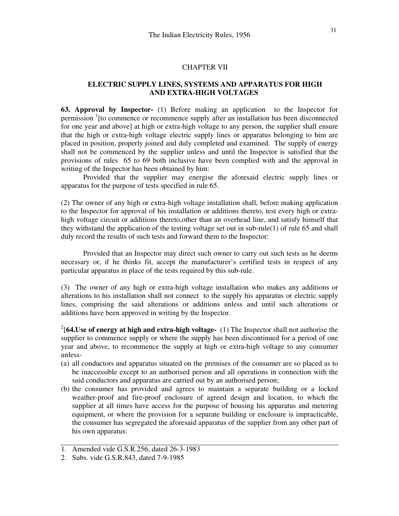#### CHAPTER VII

#### **ELECTRIC SUPPLY LINES, SYSTEMS AND APPARATUS FOR HIGH AND EXTRA-HIGH VOLTAGES**

**63. Approval by Inspector-** (1) Before making an application to the Inspector for permission 1 [to commence or recommence supply after an installation has been disconnected for one year and above] at high or extra-high voltage to any person, the supplier shall ensure that the high or extra-high voltage electric supply lines or apparatus belonging to him are placed in position, properly joined and duly completed and examined. The supply of energy shall not be commenced by the supplier unless and until the Inspector is satisfied that the provisions of rules 65 to 69 both inclusive have been complied with and the approval in writing of the Inspector has been obtained by him:

Provided that the supplier may energise the aforesaid electric supply lines or apparatus for the purpose of tests specified in rule 65.

(2) The owner of any high or extra-high voltage installation shall, before making application to the Inspector for approval of his installation or additions thereto, test every high or extrahigh voltage circuit or additions thereto,other than an overhead line, and satisfy himself that they withstand the application of the testing voltage set out in sub-rule(1) of rule 65 and shall duly record the results of such tests and forward them to the Inspector:

Provided that an Inspector may direct such owner to carry out such tests as he deems necessary or, if he thinks fit, accept the manufacturer's certified tests in respect of any particular apparatus in place of the tests required by this sub-rule.

(3) The owner of any high or extra-high voltage installation who makes any additions or alterations to his installation shall not connect to the supply his apparatus or electric supply lines, comprising the said alterations or additions unless and until such alterations or additions have been approved in writing by the Inspector.

2 [**64.Use of energy at high and extra-high voltage-** (1) The Inspector shall not authorise the supplier to commence supply or where the supply has been discontinued for a period of one year and above, to recommence the supply at high or extra-high voltage to any consumer unless-

- (a) all conductors and apparatus situated on the premises of the consumer are so placed as to be inaccessible except to an authorised person and all operations in connection with the said conductors and apparatus are carried out by an authorised person;
- (b) the consumer has provided and agrees to maintain a separate building or a locked weather-proof and fire-proof enclosure of agreed design and location, to which the supplier at all times have access for the purpose of housing his apparatus and metering equipment, or where the provision for a separate building or enclosure is impracticable, the consumer has segregated the aforesaid apparatus of the supplier from any other part of his own apparatus:

<sup>1.</sup> Amended vide G.S.R.256, dated 26-3-1983

<sup>2.</sup> Subs. vide G.S.R.843, dated 7-9-1985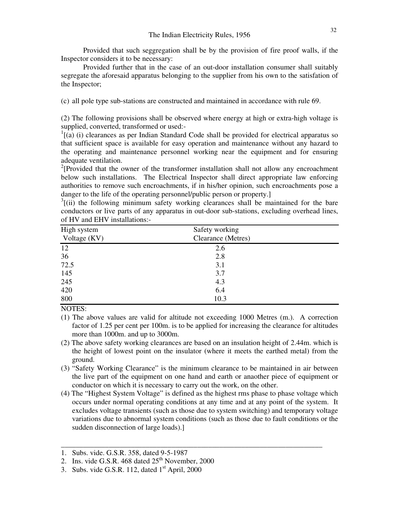Provided that such seggregation shall be by the provision of fire proof walls, if the Inspector considers it to be necessary:

Provided further that in the case of an out-door installation consumer shall suitably segregate the aforesaid apparatus belonging to the supplier from his own to the satisfation of the Inspector;

(c) all pole type sub-stations are constructed and maintained in accordance with rule 69.

(2) The following provisions shall be observed where energy at high or extra-high voltage is supplied, converted, transformed or used:-

 $\frac{1}{1}$ (a) (i) clearances as per Indian Standard Code shall be provided for electrical apparatus so that sufficient space is available for easy operation and maintenance without any hazard to the operating and maintenance personnel working near the equipment and for ensuring adequate ventilation.

<sup>2</sup>[Provided that the owner of the transformer installation shall not allow any encroachment below such installations. The Electrical Inspector shall direct appropriate law enforcing authorities to remove such encroachments, if in his/her opinion, such encroachments pose a danger to the life of the operating personnel/public person or property.

 $3$ [(ii) the following minimum safety working clearances shall be maintained for the bare conductors or live parts of any apparatus in out-door sub-stations, excluding overhead lines, of HV and EHV installations:-

| High system  | Safety working     |  |
|--------------|--------------------|--|
| Voltage (KV) | Clearance (Metres) |  |
| 12           | 2.6                |  |
| 36           | 2.8                |  |
| 72.5         | 3.1                |  |
| 145          | 3.7                |  |
| 245          | 4.3                |  |
| 420          | 6.4                |  |
| 800          | 10.3               |  |

NOTES:

- (1) The above values are valid for altitude not exceeding 1000 Metres (m.). A correction factor of 1.25 per cent per 100m. is to be applied for increasing the clearance for altitudes more than 1000m. and up to 3000m.
- (2) The above safety working clearances are based on an insulation height of 2.44m. which is the height of lowest point on the insulator (where it meets the earthed metal) from the ground.
- (3) " Safety Working Clearance" is the minimum clearance to be maintained in air between the live part of the equipment on one hand and earth or anaother piece of equipment or conductor on which it is necessary to carry out the work, on the other.
- (4) The " Highest System Voltage" is defined as the highest rms phase to phase voltage which occurs under normal operating conditions at any time and at any point of the system. It excludes voltage transients (such as those due to system switching) and temporary voltage variations due to abnormal system conditions (such as those due to fault conditions or the sudden disconnection of large loads).]

<sup>1.</sup> Subs. vide. G.S.R. 358, dated 9-5-1987

<sup>2.</sup> Ins. vide G.S.R.  $468$  dated  $25<sup>th</sup>$  November, 2000

<sup>3.</sup> Subs. vide G.S.R. 112, dated  $1<sup>st</sup>$  April, 2000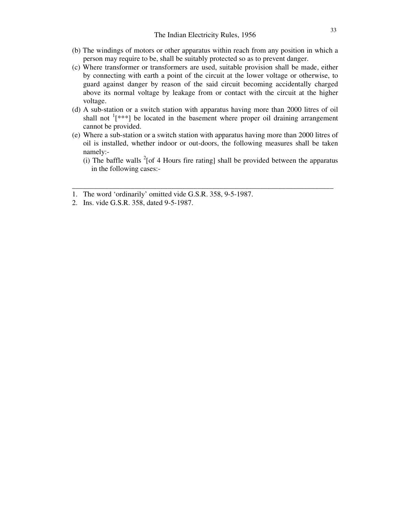- (b) The windings of motors or other apparatus within reach from any position in which a person may require to be, shall be suitably protected so as to prevent danger.
- (c) Where transformer or transformers are used, suitable provision shall be made, either by connecting with earth a point of the circuit at the lower voltage or otherwise, to guard against danger by reason of the said circuit becoming accidentally charged above its normal voltage by leakage from or contact with the circuit at the higher voltage.
- (d) A sub-station or a switch station with apparatus having more than 2000 litres of oil shall not  $(1 + \ast \ast)$  be located in the basement where proper oil draining arrangement cannot be provided.
- (e) Where a sub-station or a switch station with apparatus having more than 2000 litres of oil is installed, whether indoor or out-doors, the following measures shall be taken namely:-

- (i) The baffle walls  $2$ [of 4 Hours fire rating] shall be provided between the apparatus in the following cases:-
- 1. The word 'ordinarily' omitted vide G.S.R. 358, 9-5-1987.
- 2. Ins. vide G.S.R. 358, dated 9-5-1987.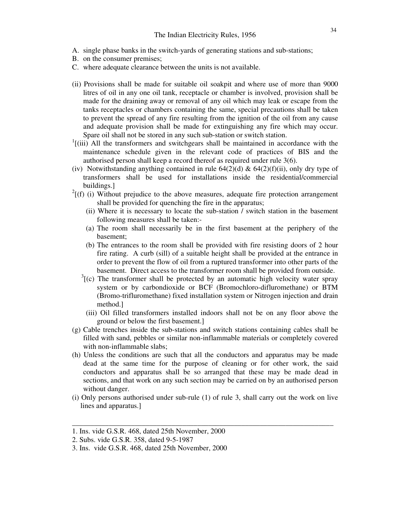- A. single phase banks in the switch-yards of generating stations and sub-stations;
- B. on the consumer premises;
- C. where adequate clearance between the units is not available.
- (ii) Provisions shall be made for suitable oil soakpit and where use of more than 9000 litres of oil in any one oil tank, receptacle or chamber is involved, provision shall be made for the draining away or removal of any oil which may leak or escape from the tanks receptacles or chambers containing the same, special precautions shall be taken to prevent the spread of any fire resulting from the ignition of the oil from any cause and adequate provision shall be made for extinguishing any fire which may occur. Spare oil shall not be stored in any such sub-station or switch station.
- $\frac{1}{1}$ [(iii) All the transformers and switchgears shall be maintained in accordance with the maintenance schedule given in the relevant code of practices of BIS and the authorised person shall keep a record thereof as required under rule 3(6).
- (iv) Notwithstanding anything contained in rule  $64(2)(d)$  &  $64(2)(f)(ii)$ , only dry type of transformers shall be used for installations inside the residential/commercial buildings.]
- $^{2}$ [(f) (i) Without prejudice to the above measures, adequate fire protection arrangement shall be provided for quenching the fire in the apparatus;
	- (ii) Where it is necessary to locate the sub-station / switch station in the basement following measures shall be taken:-
	- (a) The room shall necessarily be in the first basement at the periphery of the basement;
	- (b) The entrances to the room shall be provided with fire resisting doors of 2 hour fire rating. A curb (sill) of a suitable height shall be provided at the entrance in order to prevent the flow of oil from a ruptured transformer into other parts of the basement. Direct access to the transformer room shall be provided from outside.
	- $3$ [(c) The transformer shall be protected by an automatic high velocity water spray system or by carbondioxide or BCF (Bromochloro-difluromethane) or BTM (Bromo-trifluromethane) fixed installation system or Nitrogen injection and drain method.]
	- (iii) Oil filled transformers installed indoors shall not be on any floor above the ground or below the first basement.]
- (g) Cable trenches inside the sub-stations and switch stations containing cables shall be filled with sand, pebbles or similar non-inflammable materials or completely covered with non-inflammable slabs;
- (h) Unless the conditions are such that all the conductors and apparatus may be made dead at the same time for the purpose of cleaning or for other work, the said conductors and apparatus shall be so arranged that these may be made dead in sections, and that work on any such section may be carried on by an authorised person without danger.
- (i) Only persons authorised under sub-rule (1) of rule 3, shall carry out the work on live lines and apparatus.]

<sup>1.</sup> Ins. vide G.S.R. 468, dated 25th November, 2000

<sup>2.</sup> Subs. vide G.S.R. 358, dated 9-5-1987

<sup>3.</sup> Ins. vide G.S.R. 468, dated 25th November, 2000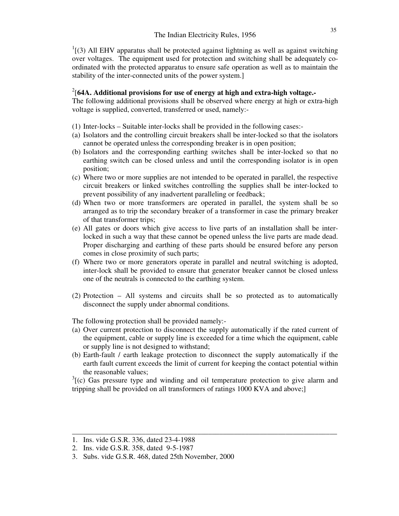$1(3)$  All EHV apparatus shall be protected against lightning as well as against switching over voltages. The equipment used for protection and switching shall be adequately coordinated with the protected apparatus to ensure safe operation as well as to maintain the stability of the inter-connected units of the power system.]

## 2 [**64A. Additional provisions for use of energy at high and extra-high voltage.-**

The following additional provisions shall be observed where energy at high or extra-high voltage is supplied, converted, transferred or used, namely:-

- (1) Inter-locks Suitable inter-locks shall be provided in the following cases:-
- (a) Isolators and the controlling circuit breakers shall be inter-locked so that the isolators cannot be operated unless the corresponding breaker is in open position;
- (b) Isolators and the corresponding earthing switches shall be inter-locked so that no earthing switch can be closed unless and until the corresponding isolator is in open position;
- (c) Where two or more supplies are not intended to be operated in parallel, the respective circuit breakers or linked switches controlling the supplies shall be inter-locked to prevent possibility of any inadvertent paralleling or feedback;
- (d) When two or more transformers are operated in parallel, the system shall be so arranged as to trip the secondary breaker of a transformer in case the primary breaker of that transformer trips;
- (e) All gates or doors which give access to live parts of an installation shall be interlocked in such a way that these cannot be opened unless the live parts are made dead. Proper discharging and earthing of these parts should be ensured before any person comes in close proximity of such parts;
- (f) Where two or more generators operate in parallel and neutral switching is adopted, inter-lock shall be provided to ensure that generator breaker cannot be closed unless one of the neutrals is connected to the earthing system.
- (2) Protection All systems and circuits shall be so protected as to automatically disconnect the supply under abnormal conditions.

The following protection shall be provided namely:-

- (a) Over current protection to disconnect the supply automatically if the rated current of the equipment, cable or supply line is exceeded for a time which the equipment, cable or supply line is not designed to withstand;
- (b) Earth-fault / earth leakage protection to disconnect the supply automatically if the earth fault current exceeds the limit of current for keeping the contact potential within the reasonable values;

 $3$ [(c) Gas pressure type and winding and oil temperature protection to give alarm and tripping shall be provided on all transformers of ratings 1000 KVA and above;]

<sup>1.</sup> Ins. vide G.S.R. 336, dated 23-4-1988

<sup>2.</sup> Ins. vide G.S.R. 358, dated 9-5-1987

<sup>3.</sup> Subs. vide G.S.R. 468, dated 25th November, 2000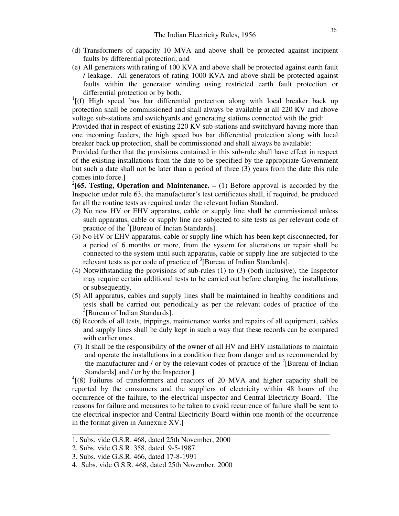- (d) Transformers of capacity 10 MVA and above shall be protected against incipient faults by differential protection; and
- (e) All generators with rating of 100 KVA and above shall be protected against earth fault / leakage. All generators of rating 1000 KVA and above shall be protected against faults within the generator winding using restricted earth fault protection or differential protection or by both.

<sup>1</sup>[(f) High speed bus bar differential protection along with local breaker back up protection shall be commissioned and shall always be available at all 220 KV and above voltage sub-stations and switchyards and generating stations connected with the grid:

Provided that in respect of existing 220 KV sub-stations and switchyard having more than one incoming feeders, the high speed bus bar differential protection along with local breaker back up protection, shall be commissioned and shall always be available:

Provided further that the provisions contained in this sub-rule shall have effect in respect of the existing installations from the date to be specified by the appropriate Government but such a date shall not be later than a period of three (3) years from the date this rule comes into force.]

2 [**65. Testing, Operation and Maintenance. –** (1) Before approval is accorded by the Inspector under rule 63, the manufacturer's test certificates shall, if required, be produced for all the routine tests as required under the relevant Indian Standard.

- (2) No new HV or EHV apparatus, cable or supply line shall be commissioned unless such apparatus, cable or supply line are subjected to site tests as per relevant code of practice of the <sup>3</sup>[Bureau of Indian Standards].
- (3) No HV or EHV apparatus, cable or supply line which has been kept disconnected, for a period of 6 months or more, from the system for alterations or repair shall be connected to the system until such apparatus, cable or supply line are subjected to the relevant tests as per code of practice of <sup>3</sup>[Bureau of Indian Standards].
- (4) Notwithstanding the provisions of sub-rules (1) to (3) (both inclusive), the Inspector may require certain additional tests to be carried out before charging the installations or subsequently.
- (5) All apparatus, cables and supply lines shall be maintained in healthy conditions and tests shall be carried out periodically as per the relevant codes of practice of the <sup>3</sup>[Bureau of Indian Standards].
- (6) Records of all tests, trippings, maintenance works and repairs of all equipment, cables and supply lines shall be duly kept in such a way that these records can be compared with earlier ones.
- (7) It shall be the responsibility of the owner of all HV and EHV installations to maintain and operate the installations in a condition free from danger and as recommended by the manufacturer and / or by the relevant codes of practice of the <sup>2</sup>[Bureau of Indian Standards] and / or by the Inspector.]

<sup>4</sup>[(8) Failures of transformers and reactors of 20 MVA and higher capacity shall be reported by the consumers and the suppliers of electricity within 48 hours of the occurrence of the failure, to the electrical inspector and Central Electricity Board. The reasons for failure and measures to be taken to avoid recurrence of failure shall be sent to the electrical inspector and Central Electricity Board within one month of the occurrence in the format given in Annexure XV.]

<sup>1.</sup> Subs. vide G.S.R. 468, dated 25th November, 2000

<sup>2.</sup> Subs. vide G.S.R. 358, dated 9-5-1987

<sup>3.</sup> Subs. vide G.S.R. 466, dated 17-8-1991

<sup>4.</sup> Subs. vide G.S.R. 468, dated 25th November, 2000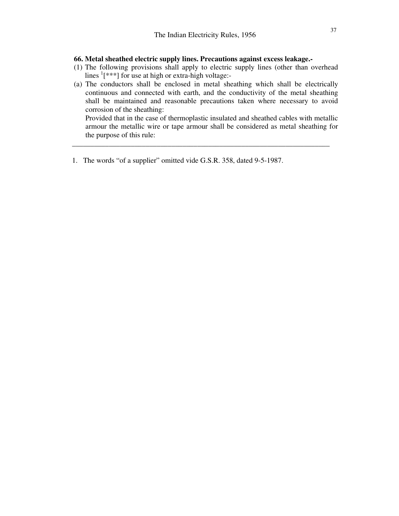#### **66. Metal sheathed electric supply lines. Precautions against excess leakage.-**

- (1) The following provisions shall apply to electric supply lines (other than overhead lines <sup>1</sup>[\*\*\*] for use at high or extra-high voltage:-
- (a) The conductors shall be enclosed in metal sheathing which shall be electrically continuous and connected with earth, and the conductivity of the metal sheathing shall be maintained and reasonable precautions taken where necessary to avoid corrosion of the sheathing:

Provided that in the case of thermoplastic insulated and sheathed cables with metallic armour the metallic wire or tape armour shall be considered as metal sheathing for the purpose of this rule:

\_\_\_\_\_\_\_\_\_\_\_\_\_\_\_\_\_\_\_\_\_\_\_\_\_\_\_\_\_\_\_\_\_\_\_\_\_\_\_\_\_\_\_\_\_\_\_\_\_\_\_\_\_\_\_\_\_\_\_\_\_\_\_\_\_\_\_\_\_\_

1. The words "of a supplier" omitted vide G.S.R. 358, dated 9-5-1987.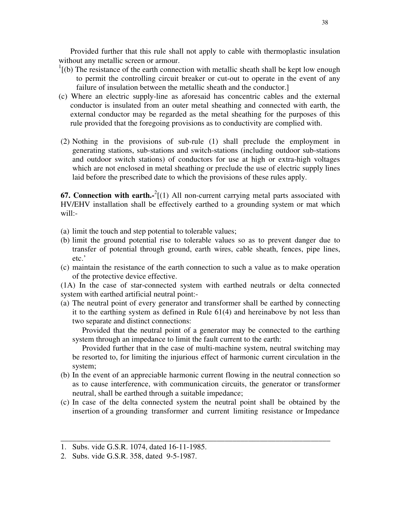Provided further that this rule shall not apply to cable with thermoplastic insulation without any metallic screen or armour.

- $<sup>1</sup>$ [(b) The resistance of the earth connection with metallic sheath shall be kept low enough</sup> to permit the controlling circuit breaker or cut-out to operate in the event of any failure of insulation between the metallic sheath and the conductor.]
- (c) Where an electric supply-line as aforesaid has concentric cables and the external conductor is insulated from an outer metal sheathing and connected with earth, the external conductor may be regarded as the metal sheathing for the purposes of this rule provided that the foregoing provisions as to conductivity are complied with.
- (2) Nothing in the provisions of sub-rule (1) shall preclude the employment in generating stations, sub-stations and switch-stations (including outdoor sub-stations and outdoor switch stations) of conductors for use at high or extra-high voltages which are not enclosed in metal sheathing or preclude the use of electric supply lines laid before the prescribed date to which the provisions of these rules apply.

**67. Connection with earth.-** 2 [(1) All non-current carrying metal parts associated with HV/EHV installation shall be effectively earthed to a grounding system or mat which will:-

- (a) limit the touch and step potential to tolerable values;
- (b) limit the ground potential rise to tolerable values so as to prevent danger due to transfer of potential through ground, earth wires, cable sheath, fences, pipe lines, etc.'
- (c) maintain the resistance of the earth connection to such a value as to make operation of the protective device effective.

(1A) In the case of star-connected system with earthed neutrals or delta connected system with earthed artificial neutral point:-

(a) The neutral point of every generator and transformer shall be earthed by connecting it to the earthing system as defined in Rule 61(4) and hereinabove by not less than two separate and distinct connections:

Provided that the neutral point of a generator may be connected to the earthing system through an impedance to limit the fault current to the earth:

Provided further that in the case of multi-machine system, neutral switching may be resorted to, for limiting the injurious effect of harmonic current circulation in the system;

- (b) In the event of an appreciable harmonic current flowing in the neutral connection so as to cause interference, with communication circuits, the generator or transformer neutral, shall be earthed through a suitable impedance;
- (c) In case of the delta connected system the neutral point shall be obtained by the insertion of a grounding transformer and current limiting resistance or Impedance

<sup>1.</sup> Subs. vide G.S.R. 1074, dated 16-11-1985.

<sup>2.</sup> Subs. vide G.S.R. 358, dated 9-5-1987.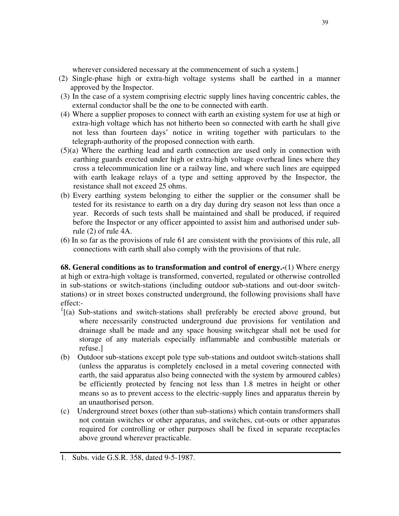wherever considered necessary at the commencement of such a system.]

- (2) Single-phase high or extra-high voltage systems shall be earthed in a manner approved by the Inspector.
- (3) In the case of a system comprising electric supply lines having concentric cables, the external conductor shall be the one to be connected with earth.
- (4) Where a supplier proposes to connect with earth an existing system for use at high or extra-high voltage which has not hitherto been so connected with earth he shall give not less than fourteen days' notice in writing together with particulars to the telegraph-authority of the proposed connection with earth.
- (5)(a) Where the earthing lead and earth connection are used only in connection with earthing guards erected under high or extra-high voltage overhead lines where they cross a telecommunication line or a railway line, and where such lines are equipped with earth leakage relays of a type and setting approved by the Inspector, the resistance shall not exceed 25 ohms.
- (b) Every earthing system belonging to either the supplier or the consumer shall be tested for its resistance to earth on a dry day during dry season not less than once a year. Records of such tests shall be maintained and shall be produced, if required before the Inspector or any officer appointed to assist him and authorised under subrule (2) of rule 4A.
- (6) In so far as the provisions of rule 61 are consistent with the provisions of this rule, all connections with earth shall also comply with the provisions of that rule.

**68. General conditions as to transformation and control of energy.-**(1) Where energy at high or extra-high voltage is transformed, converted, regulated or otherwise controlled in sub-stations or switch-stations (including outdoor sub-stations and out-door switchstations) or in street boxes constructed underground, the following provisions shall have effect:-

- $1$ [(a) Sub-stations and switch-stations shall preferably be erected above ground, but where necessarily constructed underground due provisions for ventilation and drainage shall be made and any space housing switchgear shall not be used for storage of any materials especially inflammable and combustible materials or refuse.]
- (b) Outdoor sub-stations except pole type sub-stations and outdoot switch-stations shall (unless the apparatus is completely enclosed in a metal covering connected with earth, the said apparatus also being connected with the system by armoured cables) be efficiently protected by fencing not less than 1.8 metres in height or other means so as to prevent access to the electric-supply lines and apparatus therein by an unauthorised person.
- (c) Underground street boxes (other than sub-stations) which contain transformers shall not contain switches or other apparatus, and switches, cut-outs or other apparatus required for controlling or other purposes shall be fixed in separate receptacles above ground wherever practicable.

<sup>1.</sup> Subs. vide G.S.R. 358, dated 9-5-1987.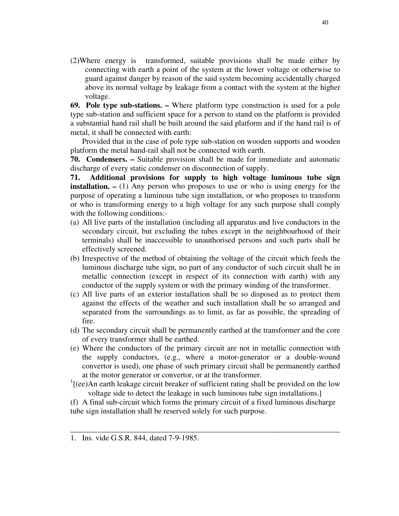(2)Where energy is transformed, suitable provisions shall be made either by connecting with earth a point of the system at the lower voltage or otherwise to guard against danger by reason of the said system becoming accidentally charged above its normal voltage by leakage from a contact with the system at the higher voltage.

**69. Pole type sub-stations. –** Where platform type construction is used for a pole type sub-station and sufficient space for a person to stand on the platform is provided a substantial hand rail shall be built around the said platform and if the hand rail is of metal, it shall be connected with earth:

Provided that in the case of pole type sub-station on wooden supports and wooden platform the metal hand-rail shall not be connected with earth.

**70. Condensers. –** Suitable provision shall be made for immediate and automatic discharge of every static condenser on disconnection of supply.

**71. Additional provisions for supply to high voltage luminous tube sign installation.**  $- (1)$  Any person who proposes to use or who is using energy for the purpose of operating a luminous tube sign installation, or who proposes to transform or who is transforming energy to a high voltage for any such purpose shall comply with the following conditions:-

- (a) All live parts of the installation (including all apparatus and live conductors in the secondary circuit, but excluding the tubes except in the neighbourhood of their terminals) shall be inaccessible to unauthorised persons and such parts shall be effectively screened.
- (b) Irrespective of the method of obtaining the voltage of the circuit which feeds the luminous discharge tube sign, no part of any conductor of such circuit shall be in metallic connection (except in respect of its connection with earth) with any conductor of the supply system or with the primary winding of the transformer.
- (c) All live parts of an exterior installation shall be so disposed as to protect them against the effects of the weather and such installation shall be so arranged and separated from the surroundings as to limit, as far as possible, the spreading of fire.
- (d) The secondary circuit shall be permanently earthed at the transformer and the core of every transformer shall be earthed.
- (e) Where the conductors of the primary circuit are not in metallic connection with the supply conductors, (e.g., where a motor-generator or a double-wound convertor is used), one phase of such primary circuit shall be permanently earthed at the motor generator or convertor, or at the transformer.
- <sup>1</sup>[(ee)An earth leakage circuit breaker of sufficient rating shall be provided on the low voltage side to detect the leakage in such luminous tube sign installations.]

(f) A final sub-circuit which forms the primary circuit of a fixed luminous discharge tube sign installation shall be reserved solely for such purpose.

<sup>1.</sup> Ins. vide G.S.R. 844, dated 7-9-1985.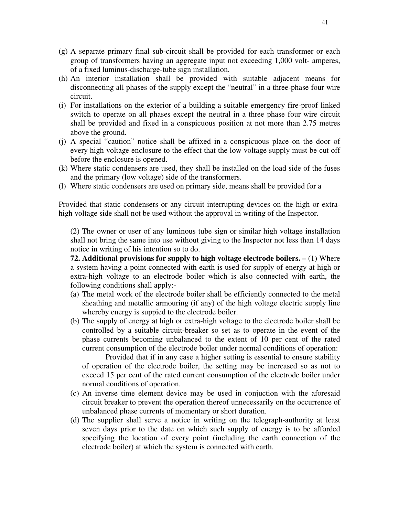- (g) A separate primary final sub-circuit shall be provided for each transformer or each group of transformers having an aggregate input not exceeding 1,000 volt- amperes, of a fixed luminus-discharge-tube sign installation.
- (h) An interior installation shall be provided with suitable adjacent means for disconnecting all phases of the supply except the " neutral" in a three-phase four wire circuit.
- (i) For installations on the exterior of a building a suitable emergency fire-proof linked switch to operate on all phases except the neutral in a three phase four wire circuit shall be provided and fixed in a conspicuous position at not more than 2.75 metres above the ground.
- (i) A special "caution" notice shall be affixed in a conspicuous place on the door of every high voltage enclosure to the effect that the low voltage supply must be cut off before the enclosure is opened.
- (k) Where static condensers are used, they shall be installed on the load side of the fuses and the primary (low voltage) side of the transformers.
- (l) Where static condensers are used on primary side, means shall be provided for a

Provided that static condensers or any circuit interrupting devices on the high or extrahigh voltage side shall not be used without the approval in writing of the Inspector.

(2) The owner or user of any luminous tube sign or similar high voltage installation shall not bring the same into use without giving to the Inspector not less than 14 days notice in writing of his intention so to do.

**72. Additional provisions for supply to high voltage electrode boilers. –** (1) Where a system having a point connected with earth is used for supply of energy at high or extra-high voltage to an electrode boiler which is also connected with earth, the following conditions shall apply:-

- (a) The metal work of the electrode boiler shall be efficiently connected to the metal sheathing and metallic armouring (if any) of the high voltage electric supply line whereby energy is suppied to the electrode boiler.
- (b) The supply of energy at high or extra-high voltage to the electrode boiler shall be controlled by a suitable circuit-breaker so set as to operate in the event of the phase currents becoming unbalanced to the extent of 10 per cent of the rated current consumption of the electrode boiler under normal conditions of operation:

Provided that if in any case a higher setting is essential to ensure stability of operation of the electrode boiler, the setting may be increased so as not to exceed 15 per cent of the rated current consumption of the electrode boiler under normal conditions of operation.

- (c) An inverse time element device may be used in conjuction with the aforesaid circuit breaker to prevent the operation thereof unnecessarily on the occurrence of unbalanced phase currents of momentary or short duration.
- (d) The supplier shall serve a notice in writing on the telegraph-authority at least seven days prior to the date on which such supply of energy is to be afforded specifying the location of every point (including the earth connection of the electrode boiler) at which the system is connected with earth.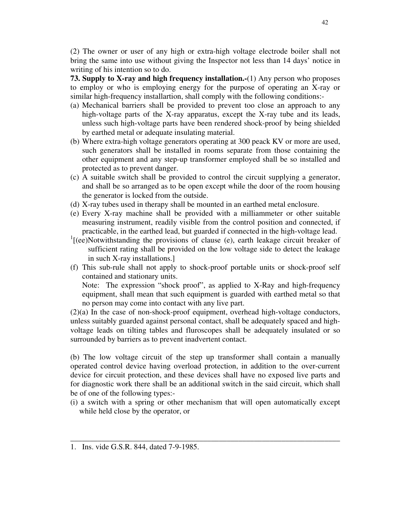(2) The owner or user of any high or extra-high voltage electrode boiler shall not bring the same into use without giving the Inspector not less than 14 days' notice in writing of his intention so to do.

**73. Supply to X-ray and high frequency installation.-**(1) Any person who proposes to employ or who is employing energy for the purpose of operating an X-ray or similar high-frequency installartion, shall comply with the following conditions:-

- (a) Mechanical barriers shall be provided to prevent too close an approach to any high-voltage parts of the X-ray apparatus, except the X-ray tube and its leads, unless such high-voltage parts have been rendered shock-proof by being shielded by earthed metal or adequate insulating material.
- (b) Where extra-high voltage generators operating at 300 peack KV or more are used, such generators shall be installed in rooms separate from those containing the other equipment and any step-up transformer employed shall be so installed and protected as to prevent danger.
- (c) A suitable switch shall be provided to control the circuit supplying a generator, and shall be so arranged as to be open except while the door of the room housing the generator is locked from the outside.
- (d) X-ray tubes used in therapy shall be mounted in an earthed metal enclosure.
- (e) Every X-ray machine shall be provided with a milliammeter or other suitable measuring instrument, readily visible from the control position and connected, if practicable, in the earthed lead, but guarded if connected in the high-voltage lead.
- <sup>1</sup>[(ee)Notwithstanding the provisions of clause (e), earth leakage circuit breaker of sufficient rating shall be provided on the low voltage side to detect the leakage in such X-ray installations.]
- (f) This sub-rule shall not apply to shock-proof portable units or shock-proof self contained and stationary units.

Note: The expression "shock proof", as applied to X-Ray and high-frequency equipment, shall mean that such equipment is guarded with earthed metal so that no person may come into contact with any live part.

(2)(a) In the case of non-shock-proof equipment, overhead high-voltage conductors, unless suitably guarded against personal contact, shall be adequately spaced and highvoltage leads on tilting tables and fluroscopes shall be adequately insulated or so surrounded by barriers as to prevent inadvertent contact.

(b) The low voltage circuit of the step up transformer shall contain a manually operated control device having overload protection, in addition to the over-current device for circuit protection, and these devices shall have no exposed live parts and for diagnostic work there shall be an additional switch in the said circuit, which shall be of one of the following types:-

(i) a switch with a spring or other mechanism that will open automatically except while held close by the operator, or

<sup>1.</sup> Ins. vide G.S.R. 844, dated 7-9-1985.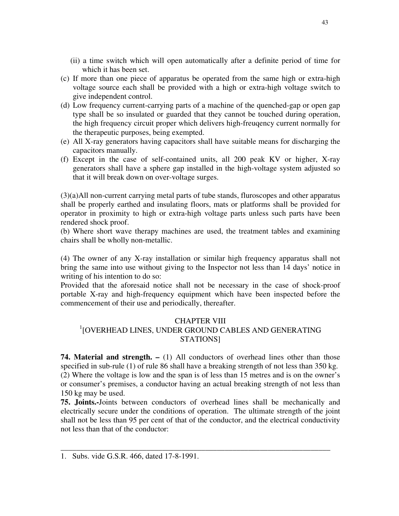- (ii) a time switch which will open automatically after a definite period of time for which it has been set.
- (c) If more than one piece of apparatus be operated from the same high or extra-high voltage source each shall be provided with a high or extra-high voltage switch to give independent control.
- (d) Low frequency current-carrying parts of a machine of the quenched-gap or open gap type shall be so insulated or guarded that they cannot be touched during operation, the high frequency circuit proper which delivers high-freuqency current normally for the therapeutic purposes, being exempted.
- (e) All X-ray generators having capacitors shall have suitable means for discharging the capacitors manually.
- (f) Except in the case of self-contained units, all 200 peak KV or higher, X-ray generators shall have a sphere gap installed in the high-voltage system adjusted so that it will break down on over-voltage surges.

(3)(a)All non-current carrying metal parts of tube stands, fluroscopes and other apparatus shall be properly earthed and insulating floors, mats or platforms shall be provided for operator in proximity to high or extra-high voltage parts unless such parts have been rendered shock proof.

(b) Where short wave therapy machines are used, the treatment tables and examining chairs shall be wholly non-metallic.

(4) The owner of any X-ray installation or similar high frequency apparatus shall not bring the same into use without giving to the Inspector not less than 14 days' notice in writing of his intention to do so:

Provided that the aforesaid notice shall not be necessary in the case of shock-proof portable X-ray and high-frequency equipment which have been inspected before the commencement of their use and periodically, thereafter.

# CHAPTER VIII 1 [OVERHEAD LINES, UNDER GROUND CABLES AND GENERATING STATIONS]

**74. Material and strength. –** (1) All conductors of overhead lines other than those specified in sub-rule (1) of rule 86 shall have a breaking strength of not less than 350 kg. (2) Where the voltage is low and the span is of less than 15 metres and is on the owner's or consumer's premises, a conductor having an actual breaking strength of not less than 150 kg may be used.

**75. Joints.-**Joints between conductors of overhead lines shall be mechanically and electrically secure under the conditions of operation. The ultimate strength of the joint shall not be less than 95 per cent of that of the conductor, and the electrical conductivity not less than that of the conductor:

<sup>1.</sup> Subs. vide G.S.R. 466, dated 17-8-1991.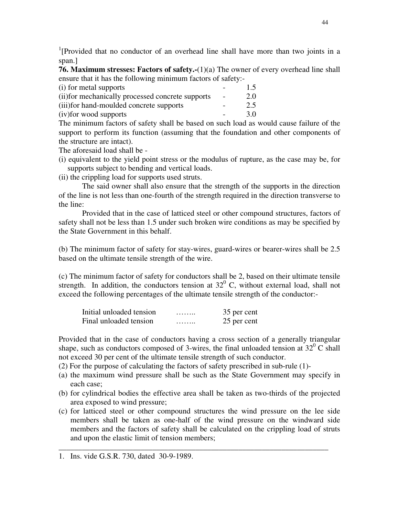<sup>1</sup>[Provided that no conductor of an overhead line shall have more than two joints in a span.]

**76. Maximum stresses: Factors of safety.-**(1)(a) The owner of every overhead line shall ensure that it has the following minimum factors of safety:-

| (i) for metal supports                            |        | 1.5 |
|---------------------------------------------------|--------|-----|
| (ii) for mechanically processed concrete supports | $\sim$ | 2.0 |
| (iii) for hand-moulded concrete supports          |        | 2.5 |
| (iv) for wood supports                            |        | 3.O |

The minimum factors of safety shall be based on such load as would cause failure of the support to perform its function (assuming that the foundation and other components of the structure are intact).

The aforesaid load shall be -

- (i) equivalent to the yield point stress or the modulus of rupture, as the case may be, for supports subject to bending and vertical loads.
- (ii) the crippling load for supports used struts.

The said owner shall also ensure that the strength of the supports in the direction of the line is not less than one-fourth of the strength required in the direction transverse to the line:

Provided that in the case of latticed steel or other compound structures, factors of safety shall not be less than 1.5 under such broken wire conditions as may be specified by the State Government in this behalf.

(b) The minimum factor of safety for stay-wires, guard-wires or bearer-wires shall be 2.5 based on the ultimate tensile strength of the wire.

(c) The minimum factor of safety for conductors shall be 2, based on their ultimate tensile strength. In addition, the conductors tension at  $32^{\circ}$  C, without external load, shall not exceed the following percentages of the ultimate tensile strength of the conductor:-

| Initial unloaded tension | . | 35 per cent |
|--------------------------|---|-------------|
| Final unloaded tension   | . | 25 per cent |

Provided that in the case of conductors having a cross section of a generally triangular shape, such as conductors composed of 3-wires, the final unloaded tension at  $32^{\circ}$  C shall not exceed 30 per cent of the ultimate tensile strength of such conductor.

- (2) For the purpose of calculating the factors of safety prescribed in sub-rule (1)-
- (a) the maximum wind pressure shall be such as the State Government may specify in each case;
- (b) for cylindrical bodies the effective area shall be taken as two-thirds of the projected area exposed to wind pressure;
- (c) for latticed steel or other compound structures the wind pressure on the lee side members shall be taken as one-half of the wind pressure on the windward side members and the factors of safety shall be calculated on the crippling load of struts and upon the elastic limit of tension members;

<sup>1.</sup> Ins. vide G.S.R. 730, dated 30-9-1989.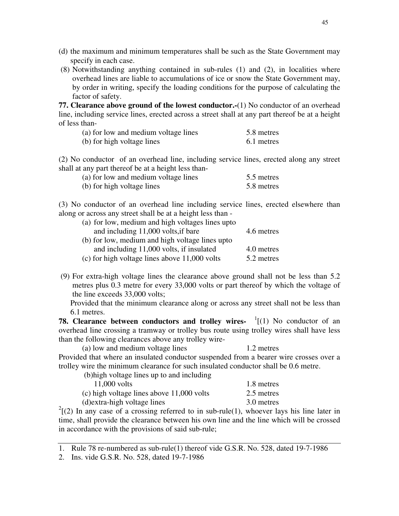- (d) the maximum and minimum temperatures shall be such as the State Government may specify in each case.
- (8) Notwithstanding anything contained in sub-rules (1) and (2), in localities where overhead lines are liable to accumulations of ice or snow the State Government may, by order in writing, specify the loading conditions for the purpose of calculating the factor of safety.

**77. Clearance above ground of the lowest conductor.-**(1) No conductor of an overhead line, including service lines, erected across a street shall at any part thereof be at a height of less than-

| (a) for low and medium voltage lines | 5.8 metres |
|--------------------------------------|------------|
| (b) for high voltage lines           | 6.1 metres |

(2) No conductor of an overhead line, including service lines, erected along any street shall at any part thereof be at a height less than-

| (a) for low and medium voltage lines | 5.5 metres |
|--------------------------------------|------------|
| (b) for high voltage lines           | 5.8 metres |

(3) No conductor of an overhead line including service lines, erected elsewhere than along or across any street shall be at a height less than -

| (a) for low, medium and high voltages lines upto |            |
|--------------------------------------------------|------------|
| and including 11,000 volts, if bare              | 4.6 metres |
| (b) for low, medium and high voltage lines upto  |            |
| and including 11,000 volts, if insulated         | 4.0 metres |
| (c) for high voltage lines above 11,000 volts    | 5.2 metres |

(9) For extra-high voltage lines the clearance above ground shall not be less than 5.2 metres plus 0.3 metre for every 33,000 volts or part thereof by which the voltage of the line exceeds 33,000 volts;

Provided that the minimum clearance along or across any street shall not be less than 6.1 metres.

**78. Clearance between conductors and trolley wires-**1 [(1) No conductor of an overhead line crossing a tramway or trolley bus route using trolley wires shall have less than the following clearances above any trolley wire-

(a) low and medium voltage lines 1.2 metres Provided that where an insulated conductor suspended from a bearer wire crosses over a trolley wire the minimum clearance for such insulated conductor shall be 0.6 metre.

(b)high voltage lines up to and including

| $11,000$ volts                              | 1.8 metres |
|---------------------------------------------|------------|
| $(c)$ high voltage lines above 11,000 volts | 2.5 metres |
| (d) extra-high voltage lines                | 3.0 metres |

 $2(2)$  In any case of a crossing referred to in sub-rule(1), whoever lays his line later in time, shall provide the clearance between his own line and the line which will be crossed in accordance with the provisions of said sub-rule;

1. Rule 78 re-numbered as sub-rule(1) thereof vide G.S.R. No. 528, dated 19-7-1986

2. Ins. vide G.S.R. No. 528, dated 19-7-1986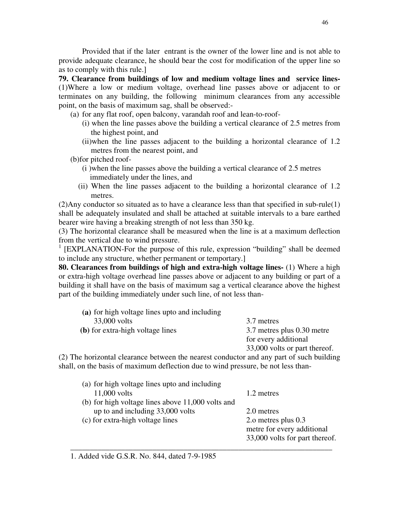Provided that if the later entrant is the owner of the lower line and is not able to provide adequate clearance, he should bear the cost for modification of the upper line so as to comply with this rule.]

**79. Clearance from buildings of low and medium voltage lines and service lines-** (1)Where a low or medium voltage, overhead line passes above or adjacent to or terminates on any building, the following minimum clearances from any accessible point, on the basis of maximum sag, shall be observed:-

- (a) for any flat roof, open balcony, varandah roof and lean-to-roof-
	- (i) when the line passes above the building a vertical clearance of 2.5 metres from the highest point, and
	- (ii)when the line passes adjacent to the building a horizontal clearance of 1.2 metres from the nearest point, and

(b)for pitched roof-

- (i )when the line passes above the building a vertical clearance of 2.5 metres immediately under the lines, and
- (ii) When the line passes adjacent to the building a horizontal clearance of 1.2 metres.

(2)Any conductor so situated as to have a clearance less than that specified in sub-rule(1) shall be adequately insulated and shall be attached at suitable intervals to a bare earthed bearer wire having a breaking strength of not less than 350 kg.

(3) The horizontal clearance shall be measured when the line is at a maximum deflection from the vertical due to wind pressure.

<sup>1</sup> [EXPLANATION-For the purpose of this rule, expression "building" shall be deemed to include any structure, whether permanent or temportary.]

**80. Clearances from buildings of high and extra-high voltage lines-** (1) Where a high or extra-high voltage overhead line passes above or adjacent to any building or part of a building it shall have on the basis of maximum sag a vertical clearance above the highest part of the building immediately under such line, of not less than-

| (a) for high voltage lines upto and including |                               |
|-----------------------------------------------|-------------------------------|
| 33,000 volts                                  | 3.7 metres                    |
| <b>(b)</b> for extra-high voltage lines       | 3.7 metres plus 0.30 metre    |
|                                               | for every additional          |
|                                               | 33,000 volts or part thereof. |

(2) The horizontal clearance between the nearest conductor and any part of such building shall, on the basis of maximum deflection due to wind pressure, be not less than-

| (a) for high voltage lines upto and including       |                                                   |
|-----------------------------------------------------|---------------------------------------------------|
| $11,000$ volts                                      | 1.2 metres                                        |
| (b) for high voltage lines above $11,000$ volts and |                                                   |
| up to and including 33,000 volts                    | 2.0 metres                                        |
| (c) for extra-high voltage lines                    | 2.0 metres plus 0.3<br>metre for every additional |
|                                                     | 33,000 volts for part thereof.                    |
|                                                     |                                                   |

1. Added vide G.S.R. No. 844, dated 7-9-1985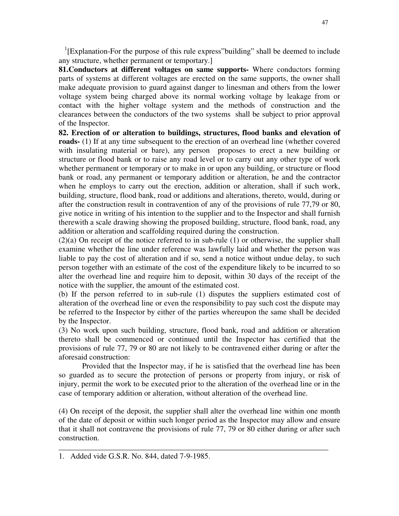<sup>1</sup>[Explanation-For the purpose of this rule express" building" shall be deemed to include any structure, whether permanent or temportary.]

**81.Conductors at different voltages on same supports-** Where conductors forming parts of systems at different voltages are erected on the same supports, the owner shall make adequate provision to guard against danger to linesman and others from the lower voltage system being charged above its normal working voltage by leakage from or contact with the higher voltage system and the methods of construction and the clearances between the conductors of the two systems shall be subject to prior approval of the Inspector.

**82. Erection of or alteration to buildings, structures, flood banks and elevation of roads-** (1) If at any time subsequent to the erection of an overhead line (whether covered with insulating material or bare), any person proposes to erect a new building or structure or flood bank or to raise any road level or to carry out any other type of work whether permanent or temporary or to make in or upon any building, or structure or flood bank or road, any permanent or temporary addition or alteration, he and the contractor when he employs to carry out the erection, addition or alteration, shall if such work, building, structure, flood bank, road or additions and alterations, thereto, would, during or after the construction result in contravention of any of the provisions of rule 77,79 or 80, give notice in writing of his intention to the supplier and to the Inspector and shall furnish therewith a scale drawing showing the proposed building, structure, flood bank, road, any addition or alteration and scaffolding required during the construction.

(2)(a) On receipt of the notice referred to in sub-rule (1) or otherwise, the supplier shall examine whether the line under reference was lawfully laid and whether the person was liable to pay the cost of alteration and if so, send a notice without undue delay, to such person together with an estimate of the cost of the expenditure likely to be incurred to so alter the overhead line and require him to deposit, within 30 days of the receipt of the notice with the supplier, the amount of the estimated cost.

(b) If the person referred to in sub-rule (1) disputes the suppliers estimated cost of alteration of the overhead line or even the responsibility to pay such cost the dispute may be referred to the Inspector by either of the parties whereupon the same shall be decided by the Inspector.

(3) No work upon such building, structure, flood bank, road and addition or alteration thereto shall be commenced or continued until the Inspector has certified that the provisions of rule 77, 79 or 80 are not likely to be contravened either during or after the aforesaid construction:

Provided that the Inspector may, if he is satisfied that the overhead line has been so guarded as to secure the protection of persons or property from injury, or risk of injury, permit the work to be executed prior to the alteration of the overhead line or in the case of temporary addition or alteration, without alteration of the overhead line.

(4) On receipt of the deposit, the supplier shall alter the overhead line within one month of the date of deposit or within such longer period as the Inspector may allow and ensure that it shall not contravene the provisions of rule 77, 79 or 80 either during or after such construction.

<sup>1.</sup> Added vide G.S.R. No. 844, dated 7-9-1985.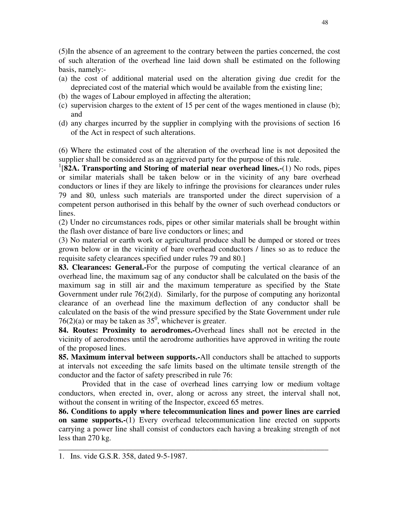(5)In the absence of an agreement to the contrary between the parties concerned, the cost of such alteration of the overhead line laid down shall be estimated on the following basis, namely:-

- (a) the cost of additional material used on the alteration giving due credit for the depreciated cost of the material which would be available from the existing line;
- (b) the wages of Labour employed in affecting the alteration;
- (c) supervision charges to the extent of 15 per cent of the wages mentioned in clause (b); and
- (d) any charges incurred by the supplier in complying with the provisions of section 16 of the Act in respect of such alterations.

(6) Where the estimated cost of the alteration of the overhead line is not deposited the supplier shall be considered as an aggrieved party for the purpose of this rule.

1 [**82A. Transporting and Storing of material near overhead lines.-**(1) No rods, pipes or similar materials shall be taken below or in the vicinity of any bare overhead conductors or lines if they are likely to infringe the provisions for clearances under rules 79 and 80, unless such materials are transported under the direct supervision of a competent person authorised in this behalf by the owner of such overhead conductors or lines.

(2) Under no circumstances rods, pipes or other similar materials shall be brought within the flash over distance of bare live conductors or lines; and

(3) No material or earth work or agricultural produce shall be dumped or stored or trees grown below or in the vicinity of bare overhead conductors / lines so as to reduce the requisite safety clearances specified under rules 79 and 80.]

**83. Clearances: General.-**For the purpose of computing the vertical clearance of an overhead line, the maximum sag of any conductor shall be calculated on the basis of the maximum sag in still air and the maximum temperature as specified by the State Government under rule 76(2)(d). Similarly, for the purpose of computing any horizontal clearance of an overhead line the maximum deflection of any conductor shall be calculated on the basis of the wind pressure specified by the State Government under rule 76(2)(a) or may be taken as  $35^{\circ}$ , whichever is greater.

**84. Routes: Proximity to aerodromes.-**Overhead lines shall not be erected in the vicinity of aerodromes until the aerodrome authorities have approved in writing the route of the proposed lines.

**85. Maximum interval between supports.-**All conductors shall be attached to supports at intervals not exceeding the safe limits based on the ultimate tensile strength of the conductor and the factor of safety prescribed in rule 76:

Provided that in the case of overhead lines carrying low or medium voltage conductors, when erected in, over, along or across any street, the interval shall not, without the consent in writing of the Inspector, exceed 65 metres.

**86. Conditions to apply where telecommunication lines and power lines are carried on same supports.-**(1) Every overhead telecommunication line erected on supports carrying a power line shall consist of conductors each having a breaking strength of not less than 270 kg.

<sup>1.</sup> Ins. vide G.S.R. 358, dated 9-5-1987.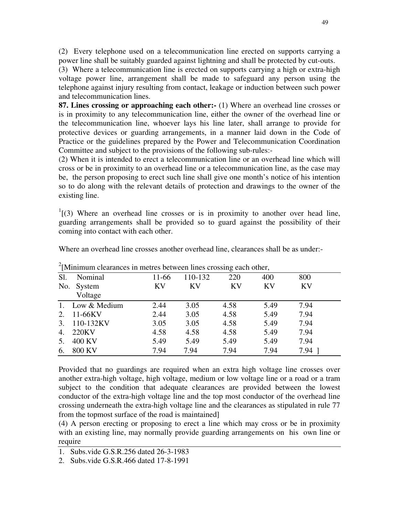(2) Every telephone used on a telecommunication line erected on supports carrying a power line shall be suitably guarded against lightning and shall be protected by cut-outs.

(3) Where a telecommunication line is erected on supports carrying a high or extra-high voltage power line, arrangement shall be made to safeguard any person using the telephone against injury resulting from contact, leakage or induction between such power and telecommunication lines.

**87. Lines crossing or approaching each other:-** (1) Where an overhead line crosses or is in proximity to any telecommunication line, either the owner of the overhead line or the telecommunication line, whoever lays his line later, shall arrange to provide for protective devices or guarding arrangements, in a manner laid down in the Code of Practice or the guidelines prepared by the Power and Telecommunication Coordination Committee and subject to the provisions of the following sub-rules:-

(2) When it is intended to erect a telecommunication line or an overhead line which will cross or be in proximity to an overhead line or a telecommunication line, as the case may be, the person proposing to erect such line shall give one month's notice of his intention so to do along with the relevant details of protection and drawings to the owner of the existing line.

 $<sup>1</sup>$ [(3) Where an overhead line crosses or is in proximity to another over head line,</sup> guarding arrangements shall be provided so to guard against the possibility of their coming into contact with each other.

|     | $\frac{1}{2}$ [Minimum clearances in metres between lines crossing each other, |       |         |      |      |      |  |
|-----|--------------------------------------------------------------------------------|-------|---------|------|------|------|--|
| Sl. | Nominal                                                                        | 11-66 | 110-132 | 220  | 400  | 800  |  |
| No. | System                                                                         | KV    | KV      | KV   | KV   | KV   |  |
|     | Voltage                                                                        |       |         |      |      |      |  |
|     | 1. Low & Medium                                                                | 2.44  | 3.05    | 4.58 | 5.49 | 7.94 |  |
| 2.  | 11-66KV                                                                        | 2.44  | 3.05    | 4.58 | 5.49 | 7.94 |  |
| 3.  | 110-132KV                                                                      | 3.05  | 3.05    | 4.58 | 5.49 | 7.94 |  |
| 4.  | <b>220KV</b>                                                                   | 4.58  | 4.58    | 4.58 | 5.49 | 7.94 |  |
| 5.  | <b>400 KV</b>                                                                  | 5.49  | 5.49    | 5.49 | 5.49 | 7.94 |  |
| 6.  | <b>800 KV</b>                                                                  | 7.94  | 7.94    | 7.94 | 7.94 | 7.94 |  |

Where an overhead line crosses another overhead line, clearances shall be as under:-

Provided that no guardings are required when an extra high voltage line crosses over another extra-high voltage, high voltage, medium or low voltage line or a road or a tram subject to the condition that adequate clearances are provided between the lowest conductor of the extra-high voltage line and the top most conductor of the overhead line crossing underneath the extra-high voltage line and the clearances as stipulated in rule 77 from the topmost surface of the road is maintained]

(4) A person erecting or proposing to erect a line which may cross or be in proximity with an existing line, may normally provide guarding arrangements on his own line or require

 $2 - 2i$ 

2. Subs.vide G.S.R.466 dated 17-8-1991

<sup>1.</sup> Subs.vide G.S.R.256 dated 26-3-1983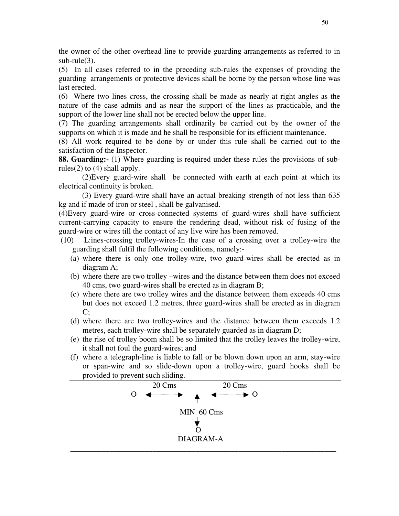the owner of the other overhead line to provide guarding arrangements as referred to in  $sub-rule(3)$ .

(5) In all cases referred to in the preceding sub-rules the expenses of providing the guarding arrangements or protective devices shall be borne by the person whose line was last erected.

(6) Where two lines cross, the crossing shall be made as nearly at right angles as the nature of the case admits and as near the support of the lines as practicable, and the support of the lower line shall not be erected below the upper line.

(7) The guarding arrangements shall ordinarily be carried out by the owner of the supports on which it is made and he shall be responsible for its efficient maintenance.

(8) All work required to be done by or under this rule shall be carried out to the satisfaction of the Inspector.

**88. Guarding:-** (1) Where guarding is required under these rules the provisions of subrules $(2)$  to  $(4)$  shall apply.

(2)Every guard-wire shall be connected with earth at each point at which its electrical continuity is broken.

(3) Every guard-wire shall have an actual breaking strength of not less than 635 kg and if made of iron or steel , shall be galvanised.

(4)Every guard-wire or cross-connected systems of guard-wires shall have sufficient current-carrying capacity to ensure the rendering dead, without risk of fusing of the guard-wire or wires till the contact of any live wire has been removed.

- (10) L:ines-crossing trolley-wires-In the case of a crossing over a trolley-wire the guarding shall fulfil the following conditions, namely:-
	- (a) where there is only one trolley-wire, two guard-wires shall be erected as in diagram A;
	- (b) where there are two trolley –wires and the distance between them does not exceed 40 cms, two guard-wires shall be erected as in diagram B;
	- (c) where there are two trolley wires and the distance between them exceeds 40 cms but does not exceed 1.2 metres, three guard-wires shall be erected as in diagram  $C$ :
	- (d) where there are two trolley-wires and the distance between them exceeds 1.2 metres, each trolley-wire shall be separately guarded as in diagram D;
	- (e) the rise of trolley boom shall be so limited that the trolley leaves the trolley-wire, it shall not foul the guard-wires; and
	- (f) where a telegraph-line is liable to fall or be blown down upon an arm, stay-wire or span-wire and so slide-down upon a trolley-wire, guard hooks shall be provided to prevent such sliding.

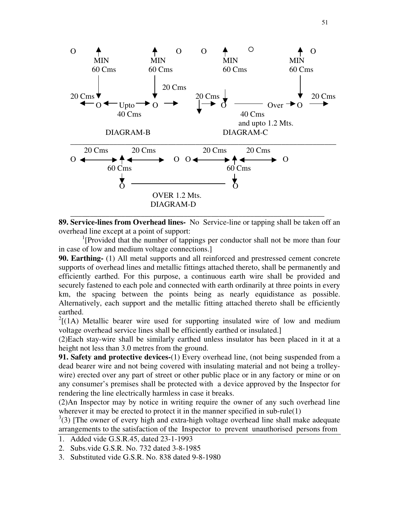

**89. Service-lines from Overhead lines-** No Service-line or tapping shall be taken off an overhead line except at a point of support:

<sup>1</sup>[Provided that the number of tappings per conductor shall not be more than four in case of low and medium voltage connections.]

**90. Earthing-** (1) All metal supports and all reinforced and prestressed cement concrete supports of overhead lines and metallic fittings attached thereto, shall be permanently and efficiently earthed. For this purpose, a continuous earth wire shall be provided and securely fastened to each pole and connected with earth ordinarily at three points in every km, the spacing between the points being as nearly equidistance as possible. Alternatively, each support and the metallic fitting attached thereto shall be efficiently earthed.

 $2[(1A)$  Metallic bearer wire used for supporting insulated wire of low and medium voltage overhead service lines shall be efficiently earthed or insulated.]

(2)Each stay-wire shall be similarly earthed unless insulator has been placed in it at a height not less than 3.0 metres from the ground.

**91. Safety and protective devices-**(1) Every overhead line, (not being suspended from a dead bearer wire and not being covered with insulating material and not being a trolleywire) erected over any part of street or other public place or in any factory or mine or on any consumer's premises shall be protected with a device approved by the Inspector for rendering the line electrically harmless in case it breaks.

(2)An Inspector may by notice in writing require the owner of any such overhead line wherever it may be erected to protect it in the manner specified in sub-rule(1)

 $3(3)$  [The owner of every high and extra-high voltage overhead line shall make adequate arrangements to the satisfaction of the Inspector to prevent unauthorised persons from

1. Added vide G.S.R.45, dated 23-1-1993

2. Subs.vide G.S.R. No. 732 dated 3-8-1985

3. Substituted vide G.S.R. No. 838 dated 9-8-1980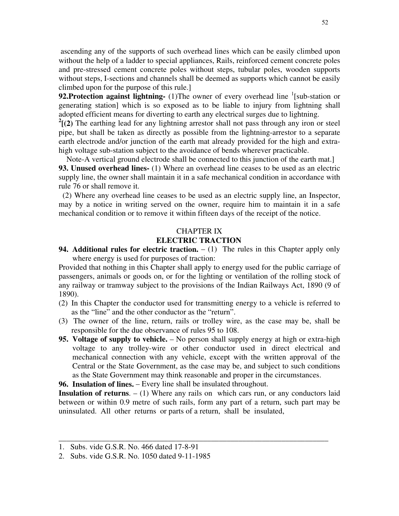ascending any of the supports of such overhead lines which can be easily climbed upon without the help of a ladder to special appliances, Rails, reinforced cement concrete poles and pre-stressed cement concrete poles without steps, tubular poles, wooden supports without steps, I-sections and channels shall be deemed as supports which cannot be easily climbed upon for the purpose of this rule.]

**92. Protection against lightning-** (1) The owner of every overhead line <sup>1</sup>[sub-station or generating station] which is so exposed as to be liable to injury from lightning shall adopted efficient means for diverting to earth any electrical surges due to lightning.

**2 [(2)** The earthing lead for any lightning arrestor shall not pass through any iron or steel pipe, but shall be taken as directly as possible from the lightning-arrestor to a separate earth electrode and/or junction of the earth mat already provided for the high and extrahigh voltage sub-station subject to the avoidance of bends wherever practicable.

Note-A vertical ground electrode shall be connected to this junction of the earth mat.] **93. Unused overhead lines-** (1) Where an overhead line ceases to be used as an electric supply line, the owner shall maintain it in a safe mechanical condition in accordance with rule 76 or shall remove it.

(2) Where any overhead line ceases to be used as an electric supply line, an Inspector, may by a notice in writing served on the owner, require him to maintain it in a safe mechanical condition or to remove it within fifteen days of the receipt of the notice.

### CHAPTER IX **ELECTRIC TRACTION**

**94. Additional rules for electric traction.** – (1) The rules in this Chapter apply only where energy is used for purposes of traction:

Provided that nothing in this Chapter shall apply to energy used for the public carriage of passengers, animals or goods on, or for the lighting or ventilation of the rolling stock of any railway or tramway subject to the provisions of the Indian Railways Act, 1890 (9 of 1890).

- (2) In this Chapter the conductor used for transmitting energy to a vehicle is referred to as the "line" and the other conductor as the "return".
- (3) The owner of the line, return, rails or trolley wire, as the case may be, shall be responsible for the due observance of rules 95 to 108.
- **95. Voltage of supply to vehicle.** No person shall supply energy at high or extra-high voltage to any trolley-wire or other conductor used in direct electrical and mechanical connection with any vehicle, except with the written approval of the Central or the State Government, as the case may be, and subject to such conditions as the State Government may think reasonable and proper in the circumstances.

**96. Insulation of lines.** – Every line shall be insulated throughout.

**Insulation of returns.**  $- (1)$  Where any rails on which cars run, or any conductors laid between or within 0.9 metre of such rails, form any part of a return, such part may be uninsulated. All other returns or parts of a return, shall be insulated,

<sup>1.</sup> Subs. vide G.S.R. No. 466 dated 17-8-91

<sup>2.</sup> Subs. vide G.S.R. No. 1050 dated 9-11-1985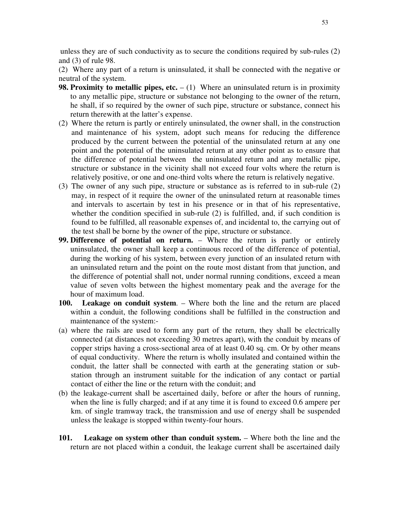unless they are of such conductivity as to secure the conditions required by sub-rules (2) and (3) of rule 98.

(2) Where any part of a return is uninsulated, it shall be connected with the negative or neutral of the system.

- **98. Proximity to metallic pipes, etc.** (1) Where an uninsulated return is in proximity to any metallic pipe, structure or substance not belonging to the owner of the return, he shall, if so required by the owner of such pipe, structure or substance, connect his return therewith at the latter's expense.
- (2) Where the return is partly or entirely uninsulated, the owner shall, in the construction and maintenance of his system, adopt such means for reducing the difference produced by the current between the potential of the uninsulated return at any one point and the potential of the uninsulated return at any other point as to ensure that the difference of potential between the uninsulated return and any metallic pipe, structure or substance in the vicinity shall not exceed four volts where the return is relatively positive, or one and one-third volts where the return is relatively negative.
- (3) The owner of any such pipe, structure or substance as is referred to in sub-rule (2) may, in respect of it require the owner of the uninsulated return at reasonable times and intervals to ascertain by test in his presence or in that of his representative, whether the condition specified in sub-rule (2) is fulfilled, and, if such condition is found to be fulfilled, all reasonable expenses of, and incidental to, the carrying out of the test shall be borne by the owner of the pipe, structure or substance.
- **99. Difference of potential on return.** Where the return is partly or entirely uninsulated, the owner shall keep a continuous record of the difference of potential, during the working of his system, between every junction of an insulated return with an uninsulated return and the point on the route most distant from that junction, and the difference of potential shall not, under normal running conditions, exceed a mean value of seven volts between the highest momentary peak and the average for the hour of maximum load.
- **100. Leakage on conduit system**. Where both the line and the return are placed within a conduit, the following conditions shall be fulfilled in the construction and maintenance of the system:-
- (a) where the rails are used to form any part of the return, they shall be electrically connected (at distances not exceeding 30 metres apart), with the conduit by means of copper strips having a cross-sectional area of at least 0.40 sq. cm. Or by other means of equal conductivity. Where the return is wholly insulated and contained within the conduit, the latter shall be connected with earth at the generating station or substation through an instrument suitable for the indication of any contact or partial contact of either the line or the return with the conduit; and
- (b) the leakage-current shall be ascertained daily, before or after the hours of running, when the line is fully charged; and if at any time it is found to exceed 0.6 ampere per km. of single tramway track, the transmission and use of energy shall be suspended unless the leakage is stopped within twenty-four hours.
- **101. Leakage on system other than conduit system.** Where both the line and the return are not placed within a conduit, the leakage current shall be ascertained daily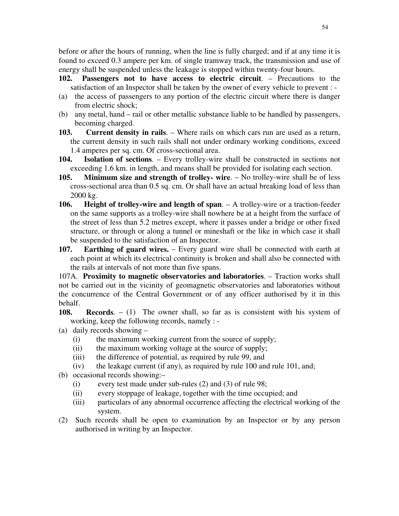before or after the hours of running, when the line is fully charged; and if at any time it is found to exceed 0.3 ampere per km. of single tramway track, the transmission and use of energy shall be suspended unless the leakage is stopped within twenty-four hours.

- **102. Passengers not to have access to electric circuit**. Precautions to the satisfaction of an Inspector shall be taken by the owner of every vehicle to prevent : -
- (a) the access of passengers to any portion of the electric circuit where there is danger from electric shock;
- (b) any metal, hand rail or other metallic substance liable to be handled by passengers, becoming charged.
- **103. Current density in rails**. Where rails on which cars run are used as a return, the current density in such rails shall not under ordinary working conditions, exceed 1.4 amperes per sq. cm. Of cross-sectional area.
- **104. Isolation of sections**. Every trolley-wire shall be constructed in sections not exceeding 1.6 km. in length, and means shall be provided for isolating each section.
- **105. Minimum size and strength of trolley- wire**. No trolley-wire shall be of less cross-sectional area than 0.5 sq. cm. Or shall have an actual breaking load of less than 2000 kg.
- **106. Height of trolley-wire and length of span**. A trolley-wire or a traction-feeder on the same supports as a trolley-wire shall nowhere be at a height from the surface of the street of less than 5.2 metres except, where it passes under a bridge or other fixed structure, or through or along a tunnel or mineshaft or the like in which case it shall be suspended to the satisfaction of an Inspector.
- **107. Earthing of guard wires.** Every guard wire shall be connected with earth at each point at which its electrical continuity is broken and shall also be connected with the rails at intervals of not more than five spans.

107A. **Proximity to magnetic observatories and laboratories**. – Traction works shall not be carried out in the vicinity of geomagnetic observatories and laboratories without the concurrence of the Central Government or of any officer authorised by it in this behalf.

**108. Records**. – (1) The owner shall, so far as is consistent with his system of working, keep the following records, namely : -

- (a) daily records showing
	- (i) the maximum working current from the source of supply;
	- (ii) the maximum working voltage at the source of supply;
	- (iii) the difference of potential, as required by rule 99, and
	- (iv) the leakage current (if any), as required by rule 100 and rule 101, and;
- (b) occasional records showing:–
	- (i) every test made under sub-rules (2) and (3) of rule 98;
	- (ii) every stoppage of leakage, together with the time occupied; and
	- (iii) particulars of any abnormal occurrence affecting the electrical working of the system.
- (2) Such records shall be open to examination by an Inspector or by any person authorised in writing by an Inspector.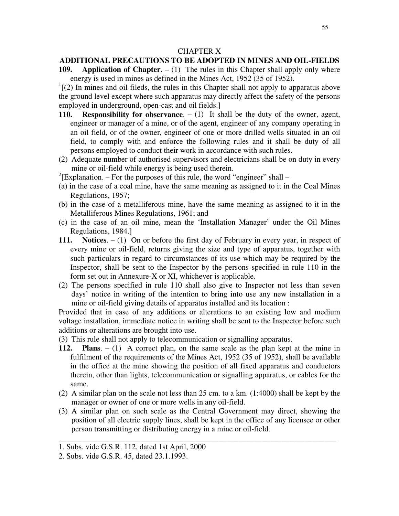## **ADDITIONAL PRECAUTIONS TO BE ADOPTED IN MINES AND OIL-FIELDS**

**109. Application of Chapter**. – (1) The rules in this Chapter shall apply only where energy is used in mines as defined in the Mines Act, 1952 (35 of 1952).

 $\frac{1}{2}$  [(2) In mines and oil fileds, the rules in this Chapter shall not apply to apparatus above the ground level except where such apparatus may directly affect the safety of the persons employed in underground, open-cast and oil fields.]

- **110. Responsibility for observance**. (1) It shall be the duty of the owner, agent, engineer or manager of a mine, or of the agent, engineer of any company operating in an oil field, or of the owner, engineer of one or more drilled wells situated in an oil field, to comply with and enforce the following rules and it shall be duty of all persons employed to conduct their work in accordance with such rules.
- (2) Adequate number of authorised supervisors and electricians shall be on duty in every mine or oil-field while energy is being used therein.
- <sup>2</sup>[Explanation. For the purposes of this rule, the word "engineer" shall –
- (a) in the case of a coal mine, have the same meaning as assigned to it in the Coal Mines Regulations, 1957;
- (b) in the case of a metalliferous mine, have the same meaning as assigned to it in the Metalliferous Mines Regulations, 1961; and
- (c) in the case of an oil mine, mean the 'Installation Manager' under the Oil Mines Regulations, 1984.]
- **111. Notices**. (1) On or before the first day of February in every year, in respect of every mine or oil-field, returns giving the size and type of apparatus, together with such particulars in regard to circumstances of its use which may be required by the Inspector, shall be sent to the Inspector by the persons specified in rule 110 in the form set out in Annexure-X or XI, whichever is applicable.
- (2) The persons specified in rule 110 shall also give to Inspector not less than seven days' notice in writing of the intention to bring into use any new installation in a mine or oil-field giving details of apparatus installed and its location :

Provided that in case of any additions or alterations to an existing low and medium voltage installation, immediate notice in writing shall be sent to the Inspector before such additions or alterations are brought into use.

- (3) This rule shall not apply to telecommunication or signalling apparatus.
- **112. Plans**. (1) A correct plan, on the same scale as the plan kept at the mine in fulfilment of the requirements of the Mines Act, 1952 (35 of 1952), shall be available in the office at the mine showing the position of all fixed apparatus and conductors therein, other than lights, telecommunication or signalling apparatus, or cables for the same.
- (2) A similar plan on the scale not less than 25 cm. to a km. (1:4000) shall be kept by the manager or owner of one or more wells in any oil-field.
- (3) A similar plan on such scale as the Central Government may direct, showing the position of all electric supply lines, shall be kept in the office of any licensee or other person transmitting or distributing energy in a mine or oil-field.

<sup>1.</sup> Subs. vide G.S.R. 112, dated 1st April, 2000

<sup>2.</sup> Subs. vide G.S.R. 45, dated 23.1.1993.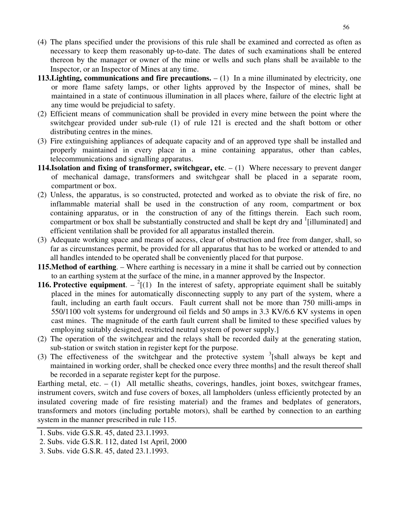- (4) The plans specified under the provisions of this rule shall be examined and corrected as often as necessary to keep them reasonably up-to-date. The dates of such examinations shall be entered thereon by the manager or owner of the mine or wells and such plans shall be available to the Inspector, or an Inspector of Mines at any time.
- **113.Lighting, communications and fire precautions.** (1) In a mine illuminated by electricity, one or more flame safety lamps, or other lights approved by the Inspector of mines, shall be maintained in a state of continuous illumination in all places where, failure of the electric light at any time would be prejudicial to safety.
- (2) Efficient means of communication shall be provided in every mine between the point where the switchgear provided under sub-rule (1) of rule 121 is erected and the shaft bottom or other distributing centres in the mines.
- (3) Fire extinguishing appliances of adequate capacity and of an approved type shall be installed and properly maintained in every place in a mine containing apparatus, other than cables, telecommunications and signalling apparatus.
- **114.Isolation and fixing of transformer, switchgear, etc**. (1) Where necessary to prevent danger of mechanical damage, transformers and switchgear shall be placed in a separate room, compartment or box.
- (2) Unless, the apparatus, is so constructed, protected and worked as to obviate the risk of fire, no inflammable material shall be used in the construction of any room, compartment or box containing apparatus, or in the construction of any of the fittings therein. Each such room, compartment or box shall be substantially constructed and shall be kept dry and <sup>1</sup>[illuminated] and efficient ventilation shall be provided for all apparatus installed therein.
- (3) Adequate working space and means of access, clear of obstruction and free from danger, shall, so far as circumstances permit, be provided for all apparatus that has to be worked or attended to and all handles intended to be operated shall be conveniently placed for that purpose.
- **115.Method of earthing**. Where earthing is necessary in a mine it shall be carried out by connection to an earthing system at the surface of the mine, in a manner approved by the Inspector.
- **116. Protective equipment**.  $\binom{2}{1}$  In the interest of safety, appropriate equiment shall be suitably placed in the mines for automatically disconnecting supply to any part of the system, where a fault, including an earth fault occurs. Fault current shall not be more than 750 milli-amps in 550/1100 volt systems for underground oil fields and 50 amps in 3.3 KV/6.6 KV systems in open cast mines. The magnitude of the earth fault current shall be limited to these specified values by employing suitably designed, restricted neutral system of power supply.]
- (2) The operation of the switchgear and the relays shall be recorded daily at the generating station, sub-station or switch station in register kept for the purpose.
- (3) The effectiveness of the switchgear and the protective system <sup>3</sup>[shall always be kept and maintained in working order, shall be checked once every three months] and the result thereof shall be recorded in a separate register kept for the purpose.

Earthing metal, etc.  $- (1)$  All metallic sheaths, coverings, handles, joint boxes, switchgear frames, instrument covers, switch and fuse covers of boxes, all lampholders (unless efficiently protected by an insulated covering made of fire resisting material) and the frames and bedplates of generators, transformers and motors (including portable motors), shall be earthed by connection to an earthing system in the manner prescribed in rule 115.

<sup>1.</sup> Subs. vide G.S.R. 45, dated 23.1.1993.

<sup>2.</sup> Subs. vide G.S.R. 112, dated 1st April, 2000

<sup>3.</sup> Subs. vide G.S.R. 45, dated 23.1.1993.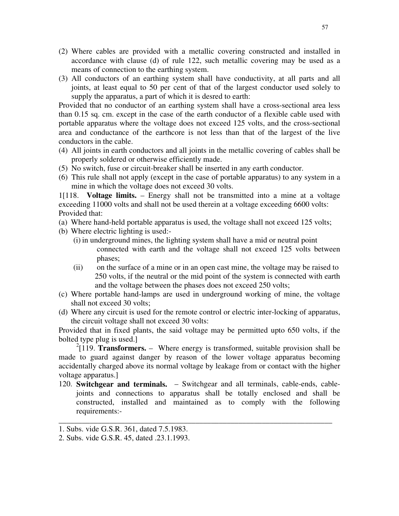- (2) Where cables are provided with a metallic covering constructed and installed in accordance with clause (d) of rule 122, such metallic covering may be used as a means of connection to the earthing system.
- (3) All conductors of an earthing system shall have conductivity, at all parts and all joints, at least equal to 50 per cent of that of the largest conductor used solely to supply the apparatus, a part of which it is desred to earth:

Provided that no conductor of an earthing system shall have a cross-sectional area less than 0.15 sq. cm. except in the case of the earth conductor of a flexible cable used with portable apparatus where the voltage does not exceed 125 volts, and the cross-sectional area and conductance of the earthcore is not less than that of the largest of the live conductors in the cable.

- (4) All joints in earth conductors and all joints in the metallic covering of cables shall be properly soldered or otherwise efficiently made.
- (5) No switch, fuse or circuit-breaker shall be inserted in any earth conductor.
- (6) This rule shall not apply (except in the case of portable apparatus) to any system in a mine in which the voltage does not exceed 30 volts.

1[118. **Voltage limits.** – Energy shall not be transmitted into a mine at a voltage exceeding 11000 volts and shall not be used therein at a voltage exceeding 6600 volts: Provided that:

- (a) Where hand-held portable apparatus is used, the voltage shall not exceed 125 volts;
- (b) Where electric lighting is used:-
	- (i) in underground mines, the lighting system shall have a mid or neutral point connected with earth and the voltage shall not exceed 125 volts between phases;
	- (ii) on the surface of a mine or in an open cast mine, the voltage may be raised to 250 volts, if the neutral or the mid point of the system is connected with earth and the voltage between the phases does not exceed 250 volts;
- (c) Where portable hand-lamps are used in underground working of mine, the voltage shall not exceed 30 volts;
- (d) Where any circuit is used for the remote control or electric inter-locking of apparatus, the circuit voltage shall not exceed 30 volts:

Provided that in fixed plants, the said voltage may be permitted upto 650 volts, if the bolted type plug is used.]

 $2[119]$ . **Transformers.** – Where energy is transformed, suitable provision shall be made to guard against danger by reason of the lower voltage apparatus becoming accidentally charged above its normal voltage by leakage from or contact with the higher voltage apparatus.]

120. **Switchgear and terminals.** – Switchgear and all terminals, cable-ends, cablejoints and connections to apparatus shall be totally enclosed and shall be constructed, installed and maintained as to comply with the following requirements:-

<sup>1.</sup> Subs. vide G.S.R. 361, dated 7.5.1983.

<sup>2.</sup> Subs. vide G.S.R. 45, dated .23.1.1993.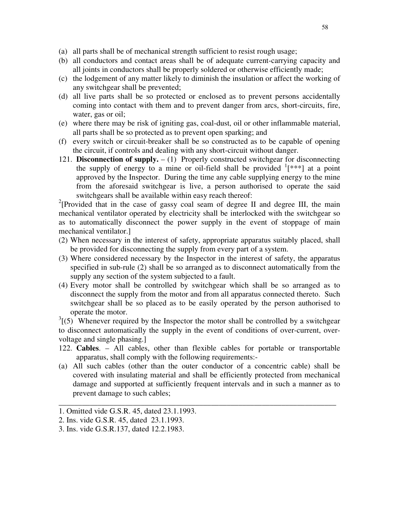- (a) all parts shall be of mechanical strength sufficient to resist rough usage;
- (b) all conductors and contact areas shall be of adequate current-carrying capacity and all joints in conductors shall be properly soldered or otherwise efficiently made;
- (c) the lodgement of any matter likely to diminish the insulation or affect the working of any switchgear shall be prevented;
- (d) all live parts shall be so protected or enclosed as to prevent persons accidentally coming into contact with them and to prevent danger from arcs, short-circuits, fire, water, gas or oil;
- (e) where there may be risk of igniting gas, coal-dust, oil or other inflammable material, all parts shall be so protected as to prevent open sparking; and
- (f) every switch or circuit-breaker shall be so constructed as to be capable of opening the circuit, if controls and dealing with any short-circuit without danger.
- 121. **Disconnection of supply.** (1) Properly constructed switchgear for disconnecting the supply of energy to a mine or oil-field shall be provided  $1$ [\*\*\*] at a point approved by the Inspector. During the time any cable supplying energy to the mine from the aforesaid switchgear is live, a person authorised to operate the said switchgears shall be available within easy reach thereof:

<sup>2</sup>[Provided that in the case of gassy coal seam of degree II and degree III, the main mechanical ventilator operated by electricity shall be interlocked with the switchgear so as to automatically disconnect the power supply in the event of stoppage of main mechanical ventilator.]

- (2) When necessary in the interest of safety, appropriate apparatus suitably placed, shall be provided for disconnecting the supply from every part of a system.
- (3) Where considered necessary by the Inspector in the interest of safety, the apparatus specified in sub-rule (2) shall be so arranged as to disconnect automatically from the supply any section of the system subjected to a fault.
- (4) Every motor shall be controlled by switchgear which shall be so arranged as to disconnect the supply from the motor and from all apparatus connected thereto. Such switchgear shall be so placed as to be easily operated by the person authorised to operate the motor.

 $3(5)$  Whenever required by the Inspector the motor shall be controlled by a switchgear to disconnect automatically the supply in the event of conditions of over-current, overvoltage and single phasing.]

- 122. **Cables**. All cables, other than flexible cables for portable or transportable apparatus, shall comply with the following requirements:-
- (a) All such cables (other than the outer conductor of a concentric cable) shall be covered with insulating material and shall be efficiently protected from mechanical damage and supported at sufficiently frequent intervals and in such a manner as to prevent damage to such cables;

\_\_\_\_\_\_\_\_\_\_\_\_\_\_\_\_\_\_\_\_\_\_\_\_\_\_\_\_\_\_\_\_\_\_\_\_\_\_\_\_\_\_\_\_\_\_\_\_\_\_\_\_\_\_\_\_\_\_\_\_\_\_\_\_\_\_\_\_\_\_\_

3. Ins. vide G.S.R.137, dated 12.2.1983.

<sup>1.</sup> Omitted vide G.S.R. 45, dated 23.1.1993.

<sup>2.</sup> Ins. vide G.S.R. 45, dated 23.1.1993.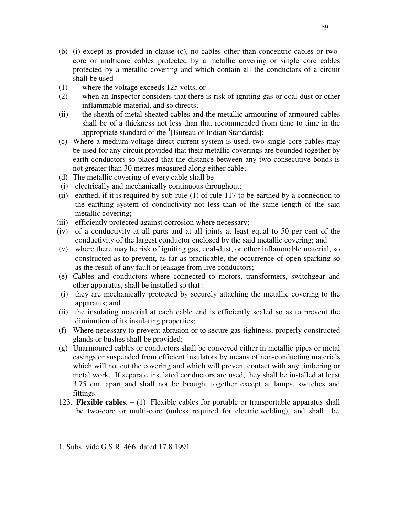- (b) (i) except as provided in clause (c), no cables other than concentric cables or twocore or multicore cables protected by a metallic covering or single core cables protected by a metallic covering and which contain all the conductors of a circuit shall be used-
- (1) where the voltage exceeds 125 volts, or
- (2) when an Inspector considers that there is risk of igniting gas or coal-dust or other inflammable material, and so directs;
- (ii) the sheath of metal-sheated cables and the metallic armouring of armoured cables shall be of a thickness not less than that recommended from time to time in the appropriate standard of the <sup>1</sup>[Bureau of Indian Standards];
- (c) Where a medium voltage direct current system is used, two single core cables may be used for any circuit provided that their metallic coverings are bounded together by earth conductors so placed that the distance between any two consecutive bonds is not greater than 30 metres measured along either cable;
- (d) The metallic covering of every cable shall be-
- (i) electrically and mechanically continuous throughout;
- (ii) earthed, if it is required by sub-rule (1) of rule 117 to be earthed by a connection to the earthing system of conductivity not less than of the same length of the said metallic covering;
- (iii) efficiently protected against corrosion where necessary;
- (iv) of a conductivity at all parts and at all joints at least equal to 50 per cent of the conductivity of the largest conductor enclosed by the said metallic covering; and
- (v) where there may be risk of igniting gas, coal-dust, or other inflammable material, so constructed as to prevent, as far as practicable, the occurrence of open sparking so as the result of any fault or leakage from live conductors;
- (e) Cables and conductors where connected to motors, transformers, switchgear and other apparatus, shall be installed so that :-
- (i) they are mechanically protected by securely attaching the metallic covering to the apparatus; and
- (ii) the insulating material at each cable end is efficiently sealed so as to prevent the diminution of its insulating properties;
- (f) Where necessary to prevent abrasion or to secure gas-tightness, properly constructed glands or bushes shall be provided;
- (g) Unarmoured cables or conductors shall be conveyed either in metallic pipes or metal casings or suspended from efficient insulators by means of non-conducting materials which will not cut the covering and which will prevent contact with any timbering or metal work. If separate insulated conductors are used, they shall be installed at least 3.75 cm. apart and shall not be brought together except at lamps, switches and fittings.
- 123. **Flexible cables**. (1) Flexible cables for portable or transportable apparatus shall be two-core or multi-core (unless required for electric welding), and shall be

<sup>59</sup>

\_\_\_\_\_\_\_\_\_\_\_\_\_\_\_\_\_\_\_\_\_\_\_\_\_\_\_\_\_\_\_\_\_\_\_\_\_\_\_\_\_\_\_\_\_\_\_\_\_\_\_\_\_\_\_\_\_\_\_\_\_\_\_\_\_\_\_\_\_\_ 1. Subs. vide G.S.R. 466, dated 17.8.1991.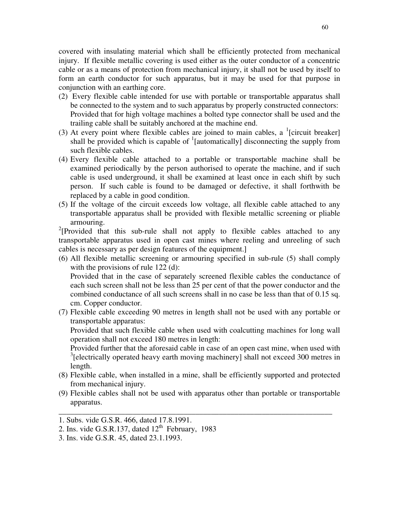covered with insulating material which shall be efficiently protected from mechanical injury. If flexible metallic covering is used either as the outer conductor of a concentric cable or as a means of protection from mechanical injury, it shall not be used by itself to form an earth conductor for such apparatus, but it may be used for that purpose in conjunction with an earthing core.

- (2) Every flexible cable intended for use with portable or transportable apparatus shall be connected to the system and to such apparatus by properly constructed connectors: Provided that for high voltage machines a bolted type connector shall be used and the trailing cable shall be suitably anchored at the machine end.
- (3) At every point where flexible cables are joined to main cables, a  $^1$ [circuit breaker] shall be provided which is capable of  $\frac{1}{2}$  [automatically] disconnecting the supply from such flexible cables.
- (4) Every flexible cable attached to a portable or transportable machine shall be examined periodically by the person authorised to operate the machine, and if such cable is used underground, it shall be examined at least once in each shift by such person. If such cable is found to be damaged or defective, it shall forthwith be replaced by a cable in good condition.
- (5) If the voltage of the circuit exceeds low voltage, all flexible cable attached to any transportable apparatus shall be provided with flexible metallic screening or pliable armouring.

<sup>2</sup>[Provided that this sub-rule shall not apply to flexible cables attached to any transportable apparatus used in open cast mines where reeling and unreeling of such cables is necessary as per design features of the equipment.]

(6) All flexible metallic screening or armouring specified in sub-rule (5) shall comply with the provisions of rule 122 (d):

Provided that in the case of separately screened flexible cables the conductance of each such screen shall not be less than 25 per cent of that the power conductor and the combined conductance of all such screens shall in no case be less than that of 0.15 sq. cm. Copper conductor.

(7) Flexible cable exceeding 90 metres in length shall not be used with any portable or transportable apparatus:

Provided that such flexible cable when used with coalcutting machines for long wall operation shall not exceed 180 metres in length:

Provided further that the aforesaid cable in case of an open cast mine, when used with <sup>3</sup>[electrically operated heavy earth moving machinery] shall not exceed 300 metres in length.

- (8) Flexible cable, when installed in a mine, shall be efficiently supported and protected from mechanical injury.
- (9) Flexible cables shall not be used with apparatus other than portable or transportable apparatus.

\_\_\_\_\_\_\_\_\_\_\_\_\_\_\_\_\_\_\_\_\_\_\_\_\_\_\_\_\_\_\_\_\_\_\_\_\_\_\_\_\_\_\_\_\_\_\_\_\_\_\_\_\_\_\_\_\_\_\_\_\_\_\_\_\_\_\_\_\_\_

2. Ins. vide G.S.R.137, dated  $12^{th}$  February, 1983

<sup>1.</sup> Subs. vide G.S.R. 466, dated 17.8.1991.

<sup>3.</sup> Ins. vide G.S.R. 45, dated 23.1.1993.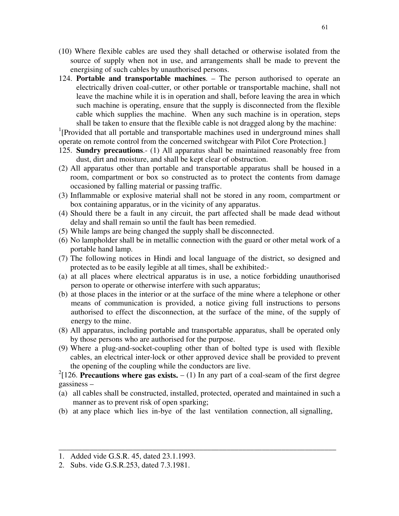- (10) Where flexible cables are used they shall detached or otherwise isolated from the source of supply when not in use, and arrangements shall be made to prevent the energising of such cables by unauthorised persons.
- 124. **Portable and transportable machines**. The person authorised to operate an electrically driven coal-cutter, or other portable or transportable machine, shall not leave the machine while it is in operation and shall, before leaving the area in which such machine is operating, ensure that the supply is disconnected from the flexible cable which supplies the machine. When any such machine is in operation, steps shall be taken to ensure that the flexible cable is not dragged along by the machine:

<sup>1</sup>[Provided that all portable and transportable machines used in underground mines shall operate on remote control from the concerned switchgear with Pilot Core Protection.]

- 125. **Sundry precautions**.- (1) All apparatus shall be maintained reasonably free from dust, dirt and moisture, and shall be kept clear of obstruction.
- (2) All apparatus other than portable and transportable apparatus shall be housed in a room, compartment or box so constructed as to protect the contents from damage occasioned by falling material or passing traffic.
- (3) Inflammable or explosive material shall not be stored in any room, compartment or box containing apparatus, or in the vicinity of any apparatus.
- (4) Should there be a fault in any circuit, the part affected shall be made dead without delay and shall remain so until the fault has been remedied.
- (5) While lamps are being changed the supply shall be disconnected.
- (6) No lampholder shall be in metallic connection with the guard or other metal work of a portable hand lamp.
- (7) The following notices in Hindi and local language of the district, so designed and protected as to be easily legible at all times, shall be exhibited:-
- (a) at all places where electrical apparatus is in use, a notice forbidding unauthorised person to operate or otherwise interfere with such apparatus;
- (b) at those places in the interior or at the surface of the mine where a telephone or other means of communication is provided, a notice giving full instructions to persons authorised to effect the disconnection, at the surface of the mine, of the supply of energy to the mine.
- (8) All apparatus, including portable and transportable apparatus, shall be operated only by those persons who are authorised for the purpose.
- (9) Where a plug-and-socket-coupling other than of bolted type is used with flexible cables, an electrical inter-lock or other approved device shall be provided to prevent the opening of the coupling while the conductors are live.

2 [126. **Precautions where gas exists.** – (1) In any part of a coal-seam of the first degree gassiness –

- (a) all cables shall be constructed, installed, protected, operated and maintained in such a manner as to prevent risk of open sparking;
- (b) at any place which lies in-bye of the last ventilation connection, all signalling,

<sup>1.</sup> Added vide G.S.R. 45, dated 23.1.1993.

<sup>2.</sup> Subs. vide G.S.R.253, dated 7.3.1981.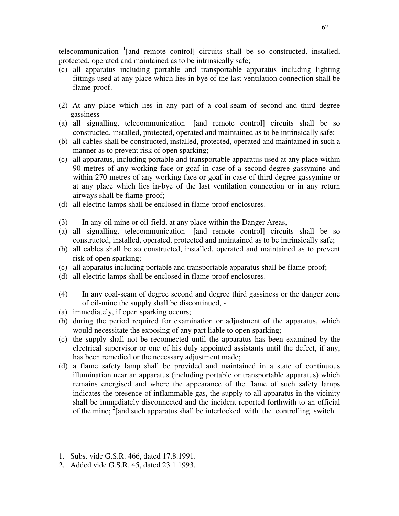telecommunication <sup>1</sup>[and remote control] circuits shall be so constructed, installed, protected, operated and maintained as to be intrinsically safe;

- (c) all apparatus including portable and transportable apparatus including lighting fittings used at any place which lies in bye of the last ventilation connection shall be flame-proof.
- (2) At any place which lies in any part of a coal-seam of second and third degree gassiness –
- (a) all signalling, telecommunication 1 [and remote control] circuits shall be so constructed, installed, protected, operated and maintained as to be intrinsically safe;
- (b) all cables shall be constructed, installed, protected, operated and maintained in such a manner as to prevent risk of open sparking;
- (c) all apparatus, including portable and transportable apparatus used at any place within 90 metres of any working face or goaf in case of a second degree gassymine and within 270 metres of any working face or goaf in case of third degree gassymine or at any place which lies in-bye of the last ventilation connection or in any return airways shall be flame-proof;
- (d) all electric lamps shall be enclosed in flame-proof enclosures.
- (3) In any oil mine or oil-field, at any place within the Danger Areas, -
- (a) all signalling, telecommunication 1 [and remote control] circuits shall be so constructed, installed, operated, protected and maintained as to be intrinsically safe;
- (b) all cables shall be so constructed, installed, operated and maintained as to prevent risk of open sparking;
- (c) all apparatus including portable and transportable apparatus shall be flame-proof;
- (d) all electric lamps shall be enclosed in flame-proof enclosures.
- (4) In any coal-seam of degree second and degree third gassiness or the danger zone of oil-mine the supply shall be discontinued, -
- (a) immediately, if open sparking occurs;
- (b) during the period required for examination or adjustment of the apparatus, which would necessitate the exposing of any part liable to open sparking;
- (c) the supply shall not be reconnected until the apparatus has been examined by the electrical supervisor or one of his duly appointed assistants until the defect, if any, has been remedied or the necessary adjustment made;
- (d) a flame safety lamp shall be provided and maintained in a state of continuous illumination near an apparatus (including portable or transportable apparatus) which remains energised and where the appearance of the flame of such safety lamps indicates the presence of inflammable gas, the supply to all apparatus in the vicinity shall be immediately disconnected and the incident reported forthwith to an official of the mine; 2 [and such apparatus shall be interlocked with the controlling switch

<sup>1.</sup> Subs. vide G.S.R. 466, dated 17.8.1991.

<sup>2.</sup> Added vide G.S.R. 45, dated 23.1.1993.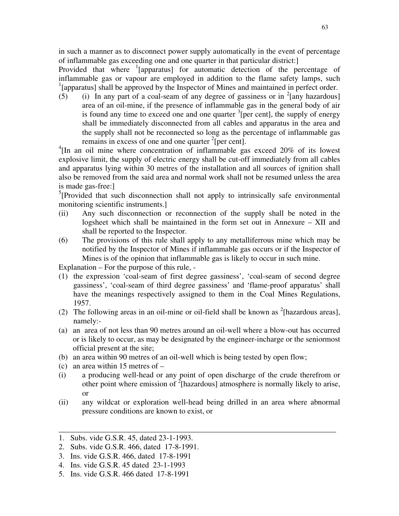in such a manner as to disconnect power supply automatically in the event of percentage of inflammable gas exceeding one and one quarter in that particular district:]

Provided that where <sup>1</sup>[apparatus] for automatic detection of the percentage of inflammable gas or vapour are employed in addition to the flame safety lamps, such <sup>1</sup>[apparatus] shall be approved by the Inspector of Mines and maintained in perfect order.

 $(5)$  (i) In any part of a coal-seam of any degree of gassiness or in <sup>2</sup>[any hazardous] area of an oil-mine, if the presence of inflammable gas in the general body of air is found any time to exceed one and one quarter  $\frac{3}{2}$  [per cent], the supply of energy shall be immediately disconnected from all cables and apparatus in the area and the supply shall not be reconnected so long as the percentage of inflammable gas remains in excess of one and one quarter  $2$ [per cent].

<sup>4</sup>[In an oil mine where concentration of inflammable gas exceed 20% of its lowest explosive limit, the supply of electric energy shall be cut-off immediately from all cables and apparatus lying within 30 metres of the installation and all sources of ignition shall also be removed from the said area and normal work shall not be resumed unless the area is made gas-free:]

 $<sup>5</sup>$ [Provided that such disconnection shall not apply to intrinsically safe environmental</sup> monitoring scientific instruments.]

- (ii) Any such disconnection or reconnection of the supply shall be noted in the logsheet which shall be maintained in the form set out in Annexure – XII and shall be reported to the Inspector.
- (6) The provisions of this rule shall apply to any metalliferrous mine which may be notified by the Inspector of Mines if inflammable gas occurs or if the Inspector of Mines is of the opinion that inflammable gas is likely to occur in such mine.

Explanation – For the purpose of this rule, -

- (1) the expression 'coal-seam of first degree gassiness' , 'coal-seam of second degree gassiness' , 'coal-seam of third degree gassiness' and 'flame-proof apparatus' shall have the meanings respectively assigned to them in the Coal Mines Regulations, 1957.
- (2) The following areas in an oil-mine or oil-field shall be known as  $2$ [hazardous areas], namely:-
- (a) an area of not less than 90 metres around an oil-well where a blow-out has occurred or is likely to occur, as may be designated by the engineer-incharge or the seniormost official present at the site;
- (b) an area within 90 metres of an oil-well which is being tested by open flow;
- (c) an area within  $15$  metres of  $-$
- (i) a producing well-head or any point of open discharge of the crude therefrom or other point where emission of <sup>2</sup>[hazardous] atmosphere is normally likely to arise, or
- (ii) any wildcat or exploration well-head being drilled in an area where abnormal pressure conditions are known to exist, or

- 2. Subs. vide G.S.R. 466, dated 17-8-1991.
- 3. Ins. vide G.S.R. 466, dated 17-8-1991
- 4. Ins. vide G.S.R. 45 dated 23-1-1993
- 5. Ins. vide G.S.R. 466 dated 17-8-1991

<sup>1.</sup> Subs. vide G.S.R. 45, dated 23-1-1993.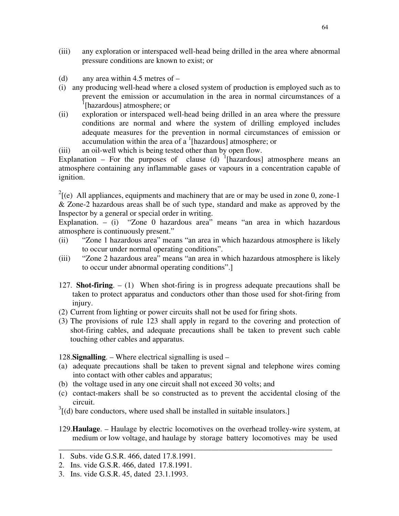- (iii) any exploration or interspaced well-head being drilled in the area where abnormal pressure conditions are known to exist; or
- (d) any area within 4.5 metres of –
- (i) any producing well-head where a closed system of production is employed such as to prevent the emission or accumulation in the area in normal circumstances of a <sup>1</sup>[hazardous] atmosphere; or
- (ii) exploration or interspaced well-head being drilled in an area where the pressure conditions are normal and where the system of drilling employed includes adequate measures for the prevention in normal circumstances of emission or accumulation within the area of a <sup>1</sup>[hazardous] atmosphere; or

(iii) an oil-well which is being tested other than by open flow.

Explanation – For the purposes of clause (d)  $\frac{1}{2}$ [hazardous] atmosphere means an atmosphere containing any inflammable gases or vapours in a concentration capable of ignition.

 $2^2$ [(e) All appliances, equipments and machinery that are or may be used in zone 0, zone-1 & Zone-2 hazardous areas shall be of such type, standard and make as approved by the Inspector by a general or special order in writing.

Explanation.  $-$  (i) "Zone 0 hazardous area" means "an area in which hazardous atmosphere is continuously present."

- (ii) " Zone 1 hazardous area" means " an area in which hazardous atmosphere is likely to occur under normal operating conditions".
- (iii) "Zone 2 hazardous area" means " an area in which hazardous atmosphere is likely to occur under abnormal operating conditions".]
- 127. **Shot-firing**. (1) When shot-firing is in progress adequate precautions shall be taken to protect apparatus and conductors other than those used for shot-firing from injury.
- (2) Current from lighting or power circuits shall not be used for firing shots.
- (3) The provisions of rule 123 shall apply in regard to the covering and protection of shot-firing cables, and adequate precautions shall be taken to prevent such cable touching other cables and apparatus.

### 128.**Signalling**. – Where electrical signalling is used –

- (a) adequate precautions shall be taken to prevent signal and telephone wires coming into contact with other cables and apparatus;
- (b) the voltage used in any one circuit shall not exceed 30 volts; and
- (c) contact-makers shall be so constructed as to prevent the accidental closing of the circuit.
- $3$ [(d) bare conductors, where used shall be installed in suitable insulators.]
- 129.**Haulage**. Haulage by electric locomotives on the overhead trolley-wire system, at medium or low voltage, and haulage by storage battery locomotives may be used

- 2. Ins. vide G.S.R. 466, dated 17.8.1991.
- 3. Ins. vide G.S.R. 45, dated 23.1.1993.

<sup>1.</sup> Subs. vide G.S.R. 466, dated 17.8.1991.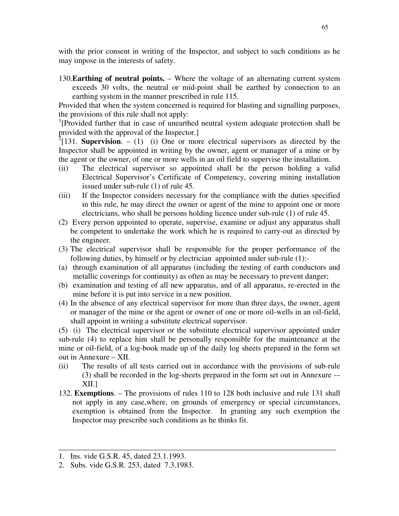with the prior consent in writing of the Inspector, and subject to such conditions as he may impose in the interests of safety.

130.**Earthing of neutral points.** – Where the voltage of an alternating current system exceeds 30 volts, the neutral or mid-point shall be earthed by connection to an earthing system in the manner prescribed in rule 115.

Provided that when the system concerned is required for blasting and signalling purposes, the provisions of this rule shall not apply:

<sup>1</sup>[Provided further that in case of unearthed neutral system adequate protection shall be provided with the approval of the Inspector.]

 $2$ [131. **Supervision.** – (1) (i) One or more electrical supervisors as directed by the Inspector shall be appointed in writing by the owner, agent or manager of a mine or by the agent or the owner, of one or more wells in an oil field to supervise the installation.

- (ii) The electrical supervisor so appointed shall be the person holding a valid Electrical Supervisor's Certificate of Competency, covering mining installation issued under sub-rule (1) of rule 45.
- (iii) If the Inspector considers necessary for the compliance with the duties specified in this rule, he may direct the owner or agent of the mine to appoint one or more electricians, who shall be persons holding licence under sub-rule (1) of rule 45.
- (2) Every person appointed to operate, supervise, examine or adjust any apparatus shall be competent to undertake the work which he is required to carry-out as directed by the engineer.
- (3) The electrical supervisor shall be responsible for the proper performance of the following duties, by himself or by electrician appointed under sub-rule (1):-
- (a) through examination of all apparatus (including the testing of earth conductors and metallic coverings for continuity) as often as may be necessary to prevent danger;
- (b) examination and testing of all new apparatus, and of all apparatus, re-erected in the mine before it is put into service in a new position.
- (4) In the absence of any electrical supervisor for more than three days, the owner, agent or manager of the mine or the agent or owner of one or more oil-wells in an oil-field, shall appoint in writing a substitute electrical supervisor.

(5) (i) The electrical supervisor or the substitute electrical supervisor appointed under sub-rule (4) to replace him shall be personally responsible for the maintenance at the mine or oil-field, of a log-book made up of the daily log sheets prepared in the form set out in Annexure – XII.

- (ii) The results of all tests carried out in accordance with the provisions of sub-rule (3) shall be recorded in the log-sheets prepared in the form set out in Annexure -– XII.]
- 132. **Exemptions**. The provisions of rules 110 to 128 both inclusive and rule 131 shall not apply in any case,where, on grounds of emergency or special circumstances, exemption is obtained from the Inspector. In granting any such exemption the Inspector may prescribe such conditions as he thinks fit.

<sup>1.</sup> Ins. vide G.S.R. 45, dated 23.1.1993.

<sup>2.</sup> Subs. vide G.S.R. 253, dated 7.3.1983.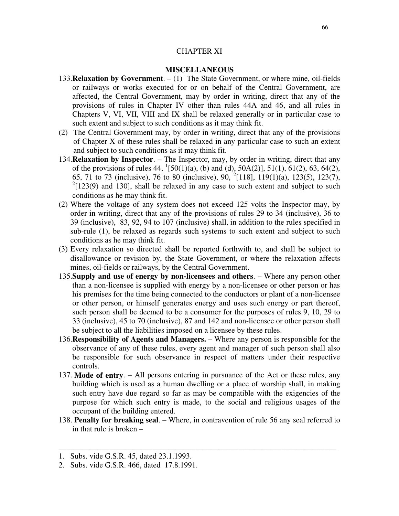### CHAPTER XI

### **MISCELLANEOUS**

- 133.**Relaxation by Government**. (1) The State Government, or where mine, oil-fields or railways or works executed for or on behalf of the Central Government, are affected, the Central Government, may by order in writing, direct that any of the provisions of rules in Chapter IV other than rules 44A and 46, and all rules in Chapters V, VI, VII, VIII and IX shall be relaxed generally or in particular case to such extent and subject to such conditions as it may think fit.
- (2) The Central Government may, by order in writing, direct that any of the provisions of Chapter X of these rules shall be relaxed in any particular case to such an extent and subject to such conditions as it may think fit.
- 134.**Relaxation by Inspector**. The Inspector, may, by order in writing, direct that any of the provisions of rules 44,  ${}^{1}[50(1)(a), (b)$  and (d), 50A(2)], 51(1), 61(2), 63, 64(2), 65, 71 to 73 (inclusive), 76 to 80 (inclusive), 90,  $^{2}[118]$ , 119(1)(a), 123(5), 123(7),  $2$ [123(9) and 130], shall be relaxed in any case to such extent and subject to such conditions as he may think fit.
- (2) Where the voltage of any system does not exceed 125 volts the Inspector may, by order in writing, direct that any of the provisions of rules 29 to 34 (inclusive), 36 to 39 (inclusive), 83, 92, 94 to 107 (inclusive) shall, in addition to the rules specified in sub-rule (1), be relaxed as regards such systems to such extent and subject to such conditions as he may think fit.
- (3) Every relaxation so directed shall be reported forthwith to, and shall be subject to disallowance or revision by, the State Government, or where the relaxation affects mines, oil-fields or railways, by the Central Government.
- 135.**Supply and use of energy by non-licensees and others**. Where any person other than a non-licensee is supplied with energy by a non-licensee or other person or has his premises for the time being connected to the conductors or plant of a non-licensee or other person, or himself generates energy and uses such energy or part thereof, such person shall be deemed to be a consumer for the purposes of rules 9, 10, 29 to 33 (inclusive), 45 to 70 (inclusive), 87 and 142 and non-licensee or other person shall be subject to all the liabilities imposed on a licensee by these rules.
- 136.**Responsibility of Agents and Managers.** Where any person is responsible for the observance of any of these rules, every agent and manager of such person shall also be responsible for such observance in respect of matters under their respective controls.
- 137. **Mode of entry**. All persons entering in pursuance of the Act or these rules, any building which is used as a human dwelling or a place of worship shall, in making such entry have due regard so far as may be compatible with the exigencies of the purpose for which such entry is made, to the social and religious usages of the occupant of the building entered.
- 138. **Penalty for breaking seal**. Where, in contravention of rule 56 any seal referred to in that rule is broken –

<sup>1.</sup> Subs. vide G.S.R. 45, dated 23.1.1993.

<sup>2.</sup> Subs. vide G.S.R. 466, dated 17.8.1991.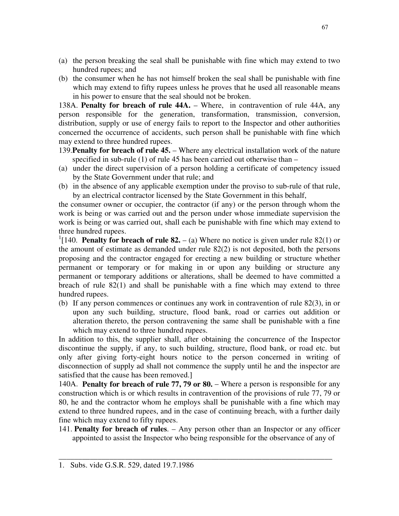- (a) the person breaking the seal shall be punishable with fine which may extend to two hundred rupees; and
- (b) the consumer when he has not himself broken the seal shall be punishable with fine which may extend to fifty rupees unless he proves that he used all reasonable means in his power to ensure that the seal should not be broken.

138A. **Penalty for breach of rule 44A.** – Where, in contravention of rule 44A, any person responsible for the generation, transformation, transmission, conversion, distribution, supply or use of energy fails to report to the Inspector and other authorities concerned the occurrence of accidents, such person shall be punishable with fine which may extend to three hundred rupees.

- 139.**Penalty for breach of rule 45.** Where any electrical installation work of the nature specified in sub-rule (1) of rule 45 has been carried out otherwise than –
- (a) under the direct supervision of a person holding a certificate of competency issued by the State Government under that rule; and
- (b) in the absence of any applicable exemption under the proviso to sub-rule of that rule, by an electrical contractor licensed by the State Government in this behalf,

the consumer owner or occupier, the contractor (if any) or the person through whom the work is being or was carried out and the person under whose immediate supervision the work is being or was carried out, shall each be punishable with fine which may extend to three hundred rupees.

<sup>1</sup>[140. **Penalty for breach of rule 82.** – (a) Where no notice is given under rule 82(1) or the amount of estimate as demanded under rule 82(2) is not deposited, both the persons proposing and the contractor engaged for erecting a new building or structure whether permanent or temporary or for making in or upon any building or structure any permanent or temporary additions or alterations, shall be deemed to have committed a breach of rule 82(1) and shall be punishable with a fine which may extend to three hundred rupees.

(b) If any person commences or continues any work in contravention of rule 82(3), in or upon any such building, structure, flood bank, road or carries out addition or alteration thereto, the person contravening the same shall be punishable with a fine which may extend to three hundred rupees.

In addition to this, the supplier shall, after obtaining the concurrence of the Inspector discontinue the supply, if any, to such building, structure, flood bank, or road etc. but only after giving forty-eight hours notice to the person concerned in writing of disconnection of supply ad shall not commence the supply until he and the inspector are satisfied that the cause has been removed.]

140A. **Penalty for breach of rule 77, 79 or 80.** – Where a person is responsible for any construction which is or which results in contravention of the provisions of rule 77, 79 or 80, he and the contractor whom he employs shall be punishable with a fine which may extend to three hundred rupees, and in the case of continuing breach, with a further daily fine which may extend to fifty rupees.

141. **Penalty for breach of rules**. – Any person other than an Inspector or any officer appointed to assist the Inspector who being responsible for the observance of any of

\_\_\_\_\_\_\_\_\_\_\_\_\_\_\_\_\_\_\_\_\_\_\_\_\_\_\_\_\_\_\_\_\_\_\_\_\_\_\_\_\_\_\_\_\_\_\_\_\_\_\_\_\_\_\_\_\_\_\_\_\_\_\_\_\_\_\_\_\_\_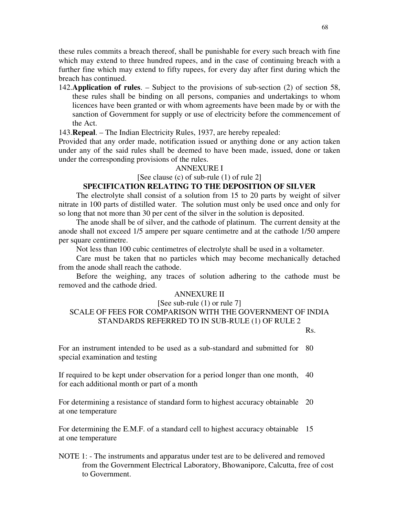these rules commits a breach thereof, shall be punishable for every such breach with fine which may extend to three hundred rupees, and in the case of continuing breach with a further fine which may extend to fifty rupees, for every day after first during which the breach has continued.

142.**Application of rules**. – Subject to the provisions of sub-section (2) of section 58, these rules shall be binding on all persons, companies and undertakings to whom licences have been granted or with whom agreements have been made by or with the sanction of Government for supply or use of electricity before the commencement of the Act.

143.**Repeal**. – The Indian Electricity Rules, 1937, are hereby repealed:

Provided that any order made, notification issued or anything done or any action taken under any of the said rules shall be deemed to have been made, issued, done or taken under the corresponding provisions of the rules.

## ANNEXURE I

[See clause (c) of sub-rule (1) of rule 2]

## **SPECIFICATION RELATING TO THE DEPOSITION OF SILVER**

The electrolyte shall consist of a solution from 15 to 20 parts by weight of silver nitrate in 100 parts of distilled water. The solution must only be used once and only for so long that not more than 30 per cent of the silver in the solution is deposited.

The anode shall be of silver, and the cathode of platinum. The current density at the anode shall not exceed 1/5 ampere per square centimetre and at the cathode 1/50 ampere per square centimetre.

Not less than 100 cubic centimetres of electrolyte shall be used in a voltameter.

Care must be taken that no particles which may become mechanically detached from the anode shall reach the cathode.

Before the weighing, any traces of solution adhering to the cathode must be removed and the cathode dried.

## ANNEXURE II

### [See sub-rule (1) or rule 7]

# SCALE OF FEES FOR COMPARISON WITH THE GOVERNMENT OF INDIA STANDARDS REFERRED TO IN SUB-RULE (1) OF RULE 2

Rs.

For an instrument intended to be used as a sub-standard and submitted for 80 special examination and testing

If required to be kept under observation for a period longer than one month, 40 for each additional month or part of a month

For determining a resistance of standard form to highest accuracy obtainable 20 at one temperature

For determining the E.M.F. of a standard cell to highest accuracy obtainable 15 at one temperature

NOTE 1: - The instruments and apparatus under test are to be delivered and removed from the Government Electrical Laboratory, Bhowanipore, Calcutta, free of cost to Government.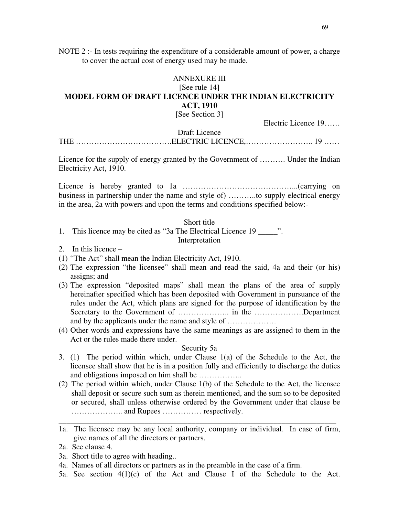NOTE 2 :- In tests requiring the expenditure of a considerable amount of power, a charge to cover the actual cost of energy used may be made.

# ANNEXURE III [See rule 14] **MODEL FORM OF DRAFT LICENCE UNDER THE INDIAN ELECTRICITY ACT, 1910**

[See Section 3]

Electric Licence 19… …

Draft Licence THE … … … … … … … … … … … … .ELECTRIC LICENCE,… … … … … … … … .. 19 … …

Licence for the supply of energy granted by the Government of .......... Under the Indian Electricity Act, 1910.

Licence is hereby granted to 1a … … … … … … … … … … … … … … ...(carrying on business in partnership under the name and style of) … … … ..to supply electrical energy in the area, 2a with powers and upon the terms and conditions specified below:-

### Short title

- 1. This licence may be cited as "3a The Electrical Licence 19 \_\_\_\_\_\_\_". Interpretation
- 2. In this licence –
- (1) " The Act" shall mean the Indian Electricity Act, 1910.
- (2) The expression " the licensee" shall mean and read the said, 4a and their (or his) assigns; and
- (3) The expression " deposited maps" shall mean the plans of the area of supply hereinafter specified which has been deposited with Government in pursuance of the rules under the Act, which plans are signed for the purpose of identification by the Secretary to the Government of ......................... in the ....................Department and by the applicants under the name and style of … … … … … … .
- (4) Other words and expressions have the same meanings as are assigned to them in the Act or the rules made there under.

#### Security 5a

- 3. (1) The period within which, under Clause 1(a) of the Schedule to the Act, the licensee shall show that he is in a position fully and efficiently to discharge the duties and obligations imposed on him shall be … … … … … ..
- (2) The period within which, under Clause 1(b) of the Schedule to the Act, the licensee shall deposit or secure such sum as therein mentioned, and the sum so to be deposited or secured, shall unless otherwise ordered by the Government under that clause be … … … … … … .. and Rupees … … … … … respectively.

\_\_\_\_\_\_\_\_\_\_\_\_\_\_\_\_\_\_\_\_\_\_\_\_\_\_\_\_\_\_\_\_\_\_\_\_\_\_\_\_\_\_\_\_\_\_\_\_\_\_\_\_\_\_\_\_\_\_\_\_\_\_\_\_\_\_\_\_\_\_\_

- 4a. Names of all directors or partners as in the preamble in the case of a firm.
- 5a. See section 4(1)(c) of the Act and Clause I of the Schedule to the Act.

<sup>1</sup>a. The licensee may be any local authority, company or individual. In case of firm, give names of all the directors or partners.

<sup>2</sup>a. See clause 4.

<sup>3</sup>a. Short title to agree with heading..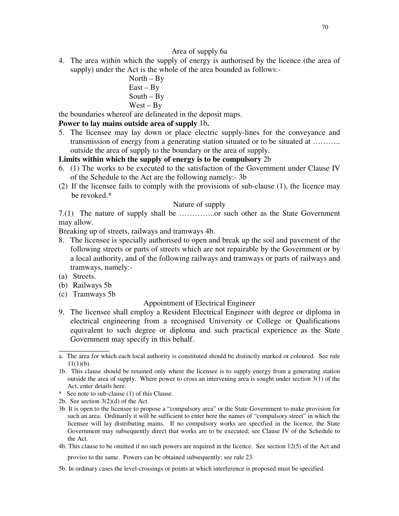### Area of supply 6a

4. The area within which the supply of energy is authorised by the licence (the area of supply) under the Act is the whole of the area bounded as follows:-

```
North – ByEast - BySouth – ByWest - By
```
the boundaries whereof are delineated in the deposit maps.

### **Power to lay mains outside area of supply** 1b**.**

5. The licensee may lay down or place electric supply-lines for the conveyance and transmission of energy from a generating station situated or to be situated at … … … .. outside the area of supply to the boundary or the area of supply.

### **Limits within which the supply of energy is to be compulsory** 2b

- 6. (1) The works to be executed to the satisfaction of the Government under Clause IV of the Schedule to the Act are the following namely:- 3b
- (2) If the licensee fails to comply with the provisions of sub-clause (1), the licence may be revoked.\*

### Nature of supply

7.(1) The nature of supply shall be … … … … ..or such other as the State Government may allow.

Breaking up of streets, railways and tramways 4b.

- 8. The licensee is specially authorised to open and break up the soil and pavement of the following streets or parts of streets which are not repairable by the Government or by a local authority, and of the following railways and tramways or parts of railways and tramways, namely:-
- (a) Streets.
- (b) Railways 5b

\_\_\_\_\_\_\_\_\_\_\_\_\_

(c) Tramways 5b

### Appointment of Electrical Engineer

9. The licensee shall employ a Resident Electrical Engineer with degree or diploma in electrical engineering from a recognised University or College or Qualifications equivalent to such degree or diploma and such practical experience as the State Government may specify in this behalf.

4b. This clause to be omitted if no such powers are required in the licence. See section 12(5) of the Act and proviso to the same. Powers can be obtained subsequently; see rule 23.

a. The area for which each local authority is constituted should be distinctly marked or coloured. See rule  $11(1)(b)$ .

<sup>1</sup>b. This clause should be retained only where the licensee is to supply energy from a generating station outside the area of supply. Where power to cross an intervening area is sought under section  $3(1)$  of the Act, enter details here.

<sup>\*</sup> See note to sub-clause (1) of this Clause.

<sup>2</sup>b. See section 3(2)(d) of the Act.

<sup>3</sup>b. It is open to the licensee to propose a " compulsory area" or the State Government to make provision for such an area. Ordinarily it will be sufficient to enter here the names of "compulsory street" in which the licensee will lay distributing mains. If no compulsory works are specified in the licence, the State Government may subsequently direct that works are to be executed; see Clause IV of the Schedule to the Act.

<sup>5</sup>b. In ordinary cases the level-crossings or points at which interference is proposed must be specified.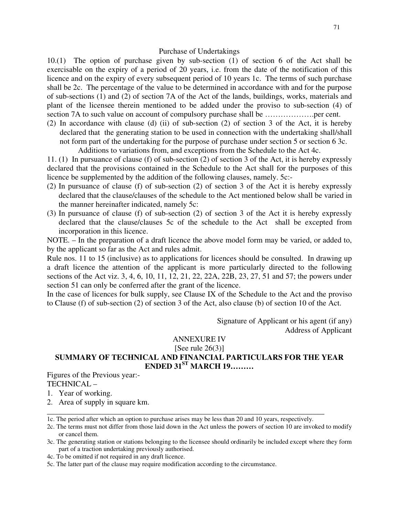10.(1) The option of purchase given by sub-section (1) of section 6 of the Act shall be exercisable on the expiry of a period of 20 years, i.e. from the date of the notification of this licence and on the expiry of every subsequent period of 10 years 1c. The terms of such purchase shall be 2c. The percentage of the value to be determined in accordance with and for the purpose of sub-sections (1) and (2) of section 7A of the Act of the lands, buildings, works, materials and plant of the licensee therein mentioned to be added under the proviso to sub-section (4) of section 7A to such value on account of compulsory purchase shall be … … … … … … .per cent.

(2) In accordance with clause (d) (ii) of sub-section (2) of section 3 of the Act, it is hereby declared that the generating station to be used in connection with the undertaking shall/shall not form part of the undertaking for the purpose of purchase under section 5 or section 6 3c. Additions to variations from, and exceptions from the Schedule to the Act 4c.

11. (1) In pursuance of clause (f) of sub-section (2) of section 3 of the Act, it is hereby expressly declared that the provisions contained in the Schedule to the Act shall for the purposes of this licence be supplemented by the addition of the following clauses, namely. 5c:-

- (2) In pursuance of clause (f) of sub-section (2) of section 3 of the Act it is hereby expressly declared that the clause/clauses of the schedule to the Act mentioned below shall be varied in the manner hereinafter indicated, namely 5c:
- (3) In pursuance of clause (f) of sub-section (2) of section 3 of the Act it is hereby expressly declared that the clause/clauses 5c of the schedule to the Act shall be excepted from incorporation in this licence.

NOTE. – In the preparation of a draft licence the above model form may be varied, or added to, by the applicant so far as the Act and rules admit.

Rule nos. 11 to 15 (inclusive) as to applications for licences should be consulted. In drawing up a draft licence the attention of the applicant is more particularly directed to the following sections of the Act viz. 3, 4, 6, 10, 11, 12, 21, 22, 22A, 22B, 23, 27, 51 and 57; the powers under section 51 can only be conferred after the grant of the licence.

In the case of licences for bulk supply, see Clause IX of the Schedule to the Act and the proviso to Clause (f) of sub-section (2) of section 3 of the Act, also clause (b) of section 10 of the Act.

> Signature of Applicant or his agent (if any) Address of Applicant

### ANNEXURE IV

```
[See rule 26(3)]
```
# **SUMMARY OF TECHNICAL AND FINANCIAL PARTICULARS FOR THE YEAR ENDED 31 ST MARCH 19………**

Figures of the Previous year:- TECHNICAL –

1. Year of working.

2. Area of supply in square km.

\_\_\_\_\_\_\_\_\_\_\_\_\_\_\_\_\_\_\_\_\_\_\_\_\_\_\_\_\_\_\_\_\_\_\_\_\_\_\_\_\_\_\_\_\_\_\_\_\_\_\_\_\_\_\_\_\_\_\_\_\_\_\_\_\_\_\_\_\_\_\_ 1c. The period after which an option to purchase arises may be less than 20 and 10 years, respectively.

2c. The terms must not differ from those laid down in the Act unless the powers of section 10 are invoked to modify or cancel them.

<sup>3</sup>c. The generating station or stations belonging to the licensee should ordinarily be included except where they form part of a traction undertaking previously authorised.

<sup>4</sup>c. To be omitted if not required in any draft licence.

<sup>5</sup>c. The latter part of the clause may require modification according to the circumstance.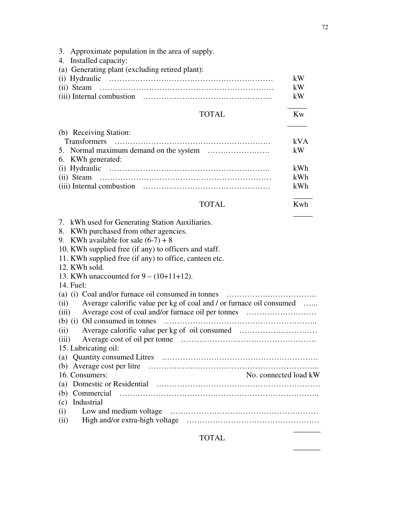- 3. Approximate population in the area of supply.
- 4. Installed capacity:
- (a) Generating plant (excluding retired plant):
- (i) Hydraulic … … … … … … … … … … … … … … … … … … … … … kW (ii) Steam … … … … … … … … … … … … … … … … … … … … … … . kW (iii) Internal combustion … … … … … … … … … … … … … … … kW

## TOTAL Kw

| (b) Receiving Station: |     |
|------------------------|-----|
|                        | kVA |
|                        | kW  |
| 6. KWh generated:      |     |
|                        | kWh |
|                        | kWh |
|                        | kWh |
|                        |     |

## TOTAL Kwh

 $\overline{\phantom{a}}$ 

 $\overline{\phantom{a}}$ 

 $\overline{\phantom{a}}$ 

 $\overline{\phantom{a}}$ 

7. kWh used for Generating Station Auxiliaries.

- 8. KWh purchased from other agencies.
- 9. KWh available for sale  $(6-7) + 8$

10. KWh supplied free (if any) to officers and staff.

- 11. KWh supplied free (if any) to office, canteen etc.
- 12. KWh sold.
- 13. KWh unaccounted for 9 (10+11+12).
- 14. Fuel:

# TOTAL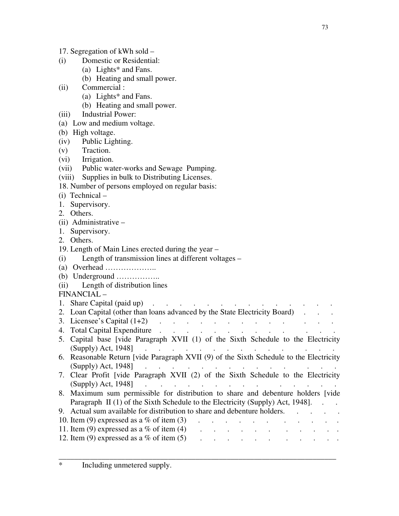- 17. Segregation of kWh sold –
- (i) Domestic or Residential:
	- (a) Lights\* and Fans.
	- (b) Heating and small power.
- (ii) Commercial :
	- (a) Lights\* and Fans.
	- (b) Heating and small power.
- (iii) Industrial Power:
- (a) Low and medium voltage.
- (b) High voltage.
- (iv) Public Lighting.
- (v) Traction.
- (vi) Irrigation.
- (vii) Public water-works and Sewage Pumping.
- (viii) Supplies in bulk to Distributing Licenses.
- 18. Number of persons employed on regular basis:
- (i) Technical –
- 1. Supervisory.
- 2. Others.
- (ii) Administrative –
- 1. Supervisory.
- 2. Others.
- 19. Length of Main Lines erected during the year –
- (i) Length of transmission lines at different voltages –
- (a) Overhead … … … … … … ..
- $(b)$  Underground  $\dots\dots\dots\dots\dots\dots$
- (ii) Length of distribution lines

 $FINANCIAT$  –

| .                                                                                                                                                                                     |
|---------------------------------------------------------------------------------------------------------------------------------------------------------------------------------------|
| 1. Share Capital (paid up)                                                                                                                                                            |
| 2. Loan Capital (other than loans advanced by the State Electricity Board).                                                                                                           |
| 3. Licensee's Capital $(1+2)$                                                                                                                                                         |
|                                                                                                                                                                                       |
| 5. Capital base [vide Paragraph XVII (1) of the Sixth Schedule to the Electricity                                                                                                     |
| $(Supply)$ Act, 1948]                                                                                                                                                                 |
| 6. Reasonable Return [vide Paragraph XVII (9) of the Sixth Schedule to the Electricity                                                                                                |
| $(Supply)$ Act, 1948]                                                                                                                                                                 |
| 7. Clear Profit [vide Paragraph XVII (2) of the Sixth Schedule to the Electricity                                                                                                     |
| $(Supply)$ Act, 1948]                                                                                                                                                                 |
| 8. Maximum sum permissible for distribution to share and debenture holders [vide]                                                                                                     |
| Paragraph II (1) of the Sixth Schedule to the Electricity (Supply) Act, 1948.                                                                                                         |
| 9. Actual sum available for distribution to share and debenture holders.                                                                                                              |
| 10. Item (9) expressed as a % of item (3)<br>and a series of the contract of the contract of                                                                                          |
| 11. Item (9) expressed as a % of item (4)<br>and a series of the contract of the contract of the contract of                                                                          |
| 12. Item (9) expressed as a % of item $(5)$<br>$\mathcal{L}^{\mathcal{A}}$ . The contribution of the contribution of the contribution of $\mathcal{L}^{\mathcal{A}}$<br>$\sim$ $\sim$ |
|                                                                                                                                                                                       |

\_\_\_\_\_\_\_\_\_\_\_\_\_\_\_\_\_\_\_\_\_\_\_\_\_\_\_\_\_\_\_\_\_\_\_\_\_\_\_\_\_\_\_\_\_\_\_\_\_\_\_\_\_\_\_\_\_\_\_\_\_\_\_\_\_\_\_\_\_\_\_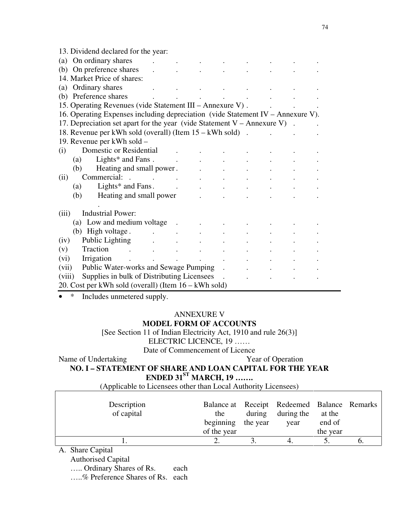13. Dividend declared for the year: (a) On ordinary shares . (b) On preference shares 14. Market Price of shares: (a) Ordinary shares (b) Preference shares . . . . . . . . 15. Operating Revenues (vide Statement III – Annexure V) . . . . 16. Operating Expenses including depreciation (vide Statement IV – Annexure V). 17. Depreciation set apart for the year (vide Statement V – Annexure V) . . 18. Revenue per kWh sold (overall) (Item 15 – kWh sold). 19. Revenue per kWh sold – (i) Domestic or Residential (a) Lights\* and Fans. (b) Heating and small power. . . . . . . . . (ii) Commercial: . . . . . . . . . (a) Lights\* and Fans.  $\cdot$  .  $\cdot$  . (b) Heating and small power . (iii) Industrial Power: (a) Low and medium voltage . . . . . (b) High voltage  $\ldots$  .  $\ldots$  . (iv) Public Lighting . . . . . . . (v) Traction . . . . . . . . . (vi) Irrigation . . . . . . (vii) Public Water-works and Sewage Pumping . (viii) Supplies in bulk of Distributing Licensees . 20. Cost per kWh sold (overall) (Item 16 – kWh sold)

Includes unmetered supply.

### ANNEXURE V **MODEL FORM OF ACCOUNTS**

[See Section 11 of Indian Electricity Act, 1910 and rule 26(3)] ELECTRIC LICENCE, 19 … … Date of Commencement of Licence

Name of Undertaking Year of Operation

**NO. I – STATEMENT OF SHARE AND LOAN CAPITAL FOR THE YEAR ENDED 31 ST MARCH, 19 … … .**

(Applicable to Licensees other than Local Authority Licensees)

| Description<br>of capital | the<br>beginning the year<br>of the year | Balance at Receipt Redeemed Balance Remarks<br>during during the<br>year | at the<br>end of<br>the year |  |
|---------------------------|------------------------------------------|--------------------------------------------------------------------------|------------------------------|--|
|                           |                                          |                                                                          |                              |  |
|                           |                                          |                                                                          |                              |  |

A. Share Capital

Authorised Capital

..... Ordinary Shares of Rs. each

… ..% Preference Shares of Rs. each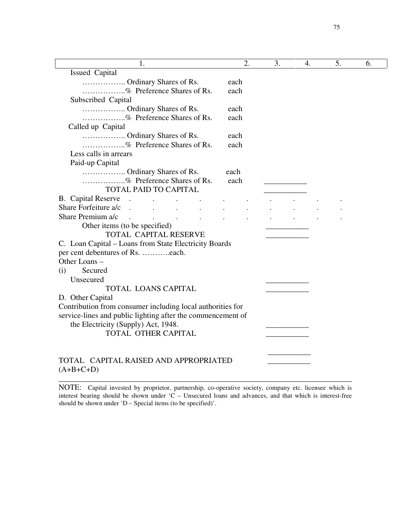| 1.                                                                 | 2.   | 3. | 4. | 5. | 6. |
|--------------------------------------------------------------------|------|----|----|----|----|
| <b>Issued Capital</b>                                              |      |    |    |    |    |
| Ordinary Shares of Rs.                                             | each |    |    |    |    |
| % Preference Shares of Rs.                                         | each |    |    |    |    |
| Subscribed Capital                                                 |      |    |    |    |    |
| Ordinary Shares of Rs.                                             | each |    |    |    |    |
| % Preference Shares of Rs.                                         | each |    |    |    |    |
| Called up Capital                                                  |      |    |    |    |    |
| Ordinary Shares of Rs.                                             | each |    |    |    |    |
| % Preference Shares of Rs.                                         | each |    |    |    |    |
| Less calls in arrears                                              |      |    |    |    |    |
| Paid-up Capital                                                    |      |    |    |    |    |
| Ordinary Shares of Rs.                                             | each |    |    |    |    |
| % Preference Shares of Rs.                                         | each |    |    |    |    |
| <b>TOTAL PAID TO CAPITAL</b>                                       |      |    |    |    |    |
| <b>B.</b> Capital Reserve<br>$\sim$<br>$\mathcal{L} = \mathcal{L}$ |      |    |    |    |    |
| Share Forfeiture a/c<br>$\sim$<br>$\sim$<br>Share Premium a/c      |      |    |    |    |    |
| $\sim$<br>$\bullet$                                                |      |    |    |    |    |
| Other items (to be specified)<br>TOTAL CAPITAL RESERVE             |      |    |    |    |    |
| C. Loan Capital - Loans from State Electricity Boards              |      |    |    |    |    |
|                                                                    |      |    |    |    |    |
| Other Loans -                                                      |      |    |    |    |    |
| Secured<br>(i)                                                     |      |    |    |    |    |
| Unsecured                                                          |      |    |    |    |    |
| <b>TOTAL LOANS CAPITAL</b>                                         |      |    |    |    |    |
| D. Other Capital                                                   |      |    |    |    |    |
| Contribution from consumer including local authorities for         |      |    |    |    |    |
| service-lines and public lighting after the commencement of        |      |    |    |    |    |
| the Electricity (Supply) Act, 1948.                                |      |    |    |    |    |
| TOTAL OTHER CAPITAL                                                |      |    |    |    |    |
|                                                                    |      |    |    |    |    |
|                                                                    |      |    |    |    |    |
| TOTAL CAPITAL RAISED AND APPROPRIATED                              |      |    |    |    |    |
| $(A+B+C+D)$                                                        |      |    |    |    |    |

NOTE: Capital invested by proprietor, partnership, co-operative society, company etc. licensee which is interest bearing should be shown under 'C – Unsecured loans and advances, and that which is interest-free should be shown under  $D -$  Special items (to be specified)'.

\_\_\_\_\_\_\_\_\_\_\_\_\_\_\_\_\_\_\_\_\_\_\_\_\_\_\_\_\_\_\_\_\_\_\_\_\_\_\_\_\_\_\_\_\_\_\_\_\_\_\_\_\_\_\_\_\_\_\_\_\_\_\_\_\_\_\_\_\_\_\_\_\_\_\_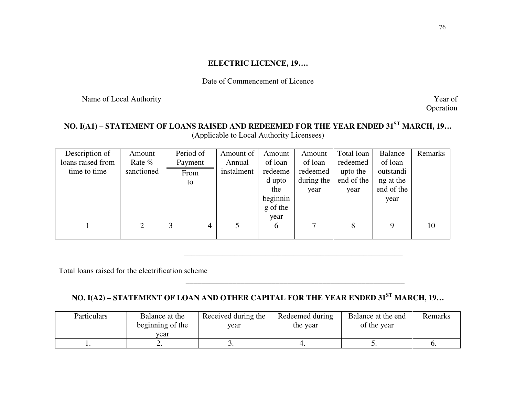## **ELECTRIC LICENCE, 19… .**

## Date of Commencement of Licence

Name of Local Authority Year of

Operation

# **NO. I(A1) – STATEMENT OF LOANS RAISED AND REDEEMED FOR THE YEAR ENDED <sup>31</sup>ST MARCH, 19…** (Applicable to Local Authority Licensees)

| Description of    | Amount         | Period of | Amount of  | Amount   | Amount     | Total loan | <b>Balance</b> | Remarks |
|-------------------|----------------|-----------|------------|----------|------------|------------|----------------|---------|
| loans raised from | Rate $%$       | Payment   | Annual     | of loan  | of loan    | redeemed   | of loan        |         |
| time to time      | sanctioned     | From      | instalment | redeeme  | redeemed   | upto the   | outstandi      |         |
|                   |                | to        |            | d upto   | during the | end of the | ng at the      |         |
|                   |                |           |            | the      | year       | year       | end of the     |         |
|                   |                |           |            | beginnin |            |            | year           |         |
|                   |                |           |            | g of the |            |            |                |         |
|                   |                |           |            | year     |            |            |                |         |
|                   | $\overline{2}$ | 3         | 5          | 6        | 7          | 8          | 9              | 10      |
|                   |                |           |            |          |            |            |                |         |

Total loans raised for the electrification scheme

# **NO. I(A2) – STATEMENT OF LOAN AND OTHER CAPITAL FOR THE YEAR ENDED <sup>31</sup>ST MARCH, 19…**

| Particulars<br>Balance at the<br>beginning of the |      | Received during the<br>year | Redeemed during<br>the year | Balance at the end<br>of the year | Remarks |
|---------------------------------------------------|------|-----------------------------|-----------------------------|-----------------------------------|---------|
|                                                   | year |                             |                             |                                   |         |
|                                                   | ,    | <u>.</u>                    |                             |                                   |         |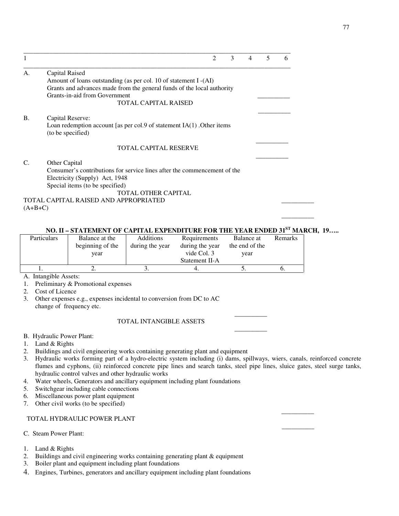|           |                                                                                                                                                                                                                                       | $\mathcal{L}$ | 3 | $\overline{4}$ | 5 | 6 |
|-----------|---------------------------------------------------------------------------------------------------------------------------------------------------------------------------------------------------------------------------------------|---------------|---|----------------|---|---|
| A.        | Capital Raised<br>Amount of loans outstanding (as per col. 10 of statement I - (AI)<br>Grants and advances made from the general funds of the local authority<br>Grants-in-aid from Government<br><b>TOTAL CAPITAL RAISED</b>         |               |   |                |   |   |
| В.        | Capital Reserve:<br>Loan redemption account [as per col.9 of statement $IA(1)$ . Other items<br>(to be specified)                                                                                                                     |               |   |                |   |   |
|           | <b>TOTAL CAPITAL RESERVE</b>                                                                                                                                                                                                          |               |   |                |   |   |
| C.        | Other Capital<br>Consumer's contributions for service lines after the commencement of the<br>Electricity (Supply) Act, 1948<br>Special items (to be specified)<br><b>TOTAL OTHER CAPITAL</b><br>TOTAL CAPITAL RAISED AND APPROPRIATED |               |   |                |   |   |
| $(A+B+C)$ |                                                                                                                                                                                                                                       |               |   |                |   |   |

**NO. II – STATEMENT OF CAPITAL EXPENDITURE FOR THE YEAR ENDED 31 ST MARCH, 19… ..**

| Particulars | Balance at the<br>beginning of the<br>vear | Additions<br>during the year | Requirements<br>during the year<br>vide Col. 3<br>Statement II-A | Balance at<br>the end of the<br>vear | Remarks |
|-------------|--------------------------------------------|------------------------------|------------------------------------------------------------------|--------------------------------------|---------|
|             |                                            |                              |                                                                  |                                      |         |

A. Intangible Assets:

- 1. Preliminary & Promotional expenses
- 2. Cost of Licence
- 3. Other expenses e.g., expenses incidental to conversion from DC to AC change of frequency etc.

TOTAL INTANGIBLE ASSETS

- B. Hydraulic Power Plant:
- 1. Land & Rights
- 2. Buildings and civil engineering works containing generating plant and equipment
- 3. Hydraulic works forming part of a hydro-electric system including (i) dams, spillways, wiers, canals, reinforced concrete flumes and cyphons, (ii) reinforced concrete pipe lines and search tanks, steel pipe lines, sluice gates, steel surge tanks, hydraulic control valves and other hydraulic works
- 4. Water wheels, Generators and ancillary equipment including plant foundations
- 5. Switchgear including cable connections
- 6. Miscellaneous power plant equipment
- 7. Other civil works (to be specified)

#### TOTAL HYDRAULIC POWER PLANT

- C. Steam Power Plant:
- 1. Land & Rights
- 2. Buildings and civil engineering works containing generating plant & equipment
- 3. Boiler plant and equipment including plant foundations
- 4. Engines, Turbines, generators and ancillary equipment including plant foundations

 $\overline{\phantom{a}}$ 

\_\_\_\_\_\_\_\_\_\_

 $\overline{\phantom{a}}$ 

 $\overline{\phantom{a}}$ 

 $\overline{\phantom{a}}$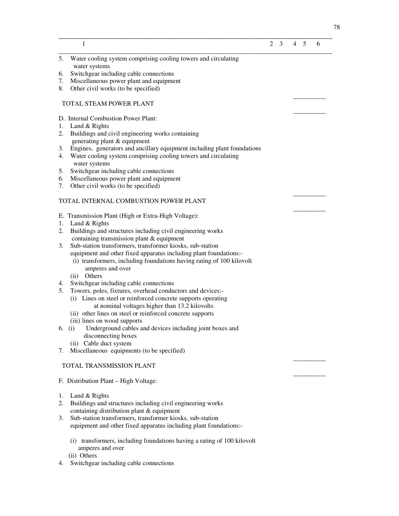| . .<br>٦ | ۰.<br>×<br>M.<br>۰. |
|----------|---------------------|
|          |                     |

|    | 1                                                                                                       | 2 | 3 | 4 | 5 | 6 |  |
|----|---------------------------------------------------------------------------------------------------------|---|---|---|---|---|--|
| 5. | Water cooling system comprising cooling towers and circulating                                          |   |   |   |   |   |  |
|    | water systems                                                                                           |   |   |   |   |   |  |
| 6. | Switchgear including cable connections                                                                  |   |   |   |   |   |  |
| 7. | Miscellaneous power plant and equipment                                                                 |   |   |   |   |   |  |
| 8. | Other civil works (to be specified)                                                                     |   |   |   |   |   |  |
|    | TOTAL STEAM POWER PLANT                                                                                 |   |   |   |   |   |  |
|    | D. Internal Combustion Power Plant:                                                                     |   |   |   |   |   |  |
| 1. | Land & Rights                                                                                           |   |   |   |   |   |  |
| 2. | Buildings and civil engineering works containing                                                        |   |   |   |   |   |  |
|    | generating plant & equipment                                                                            |   |   |   |   |   |  |
| 3. | Engines, generators and ancillary equipment including plant foundations                                 |   |   |   |   |   |  |
| 4. | Water cooling system comprising cooling towers and circulating<br>water systems                         |   |   |   |   |   |  |
| 5. | Switchgear including cable connections                                                                  |   |   |   |   |   |  |
| 6. | Miscellaneous power plant and equipment                                                                 |   |   |   |   |   |  |
| 7. | Other civil works (to be specified)                                                                     |   |   |   |   |   |  |
|    | TOTAL INTERNAL COMBUSTION POWER PLANT                                                                   |   |   |   |   |   |  |
|    |                                                                                                         |   |   |   |   |   |  |
|    | E. Transmission Plant (High or Extra-High Voltage):                                                     |   |   |   |   |   |  |
| 1. | Land & Rights                                                                                           |   |   |   |   |   |  |
| 2. | Buildings and structures including civil engineering works<br>containing transmission plant & equipment |   |   |   |   |   |  |
| 3. | Sub-station transformers, transformer kiosks, sub-station                                               |   |   |   |   |   |  |
|    | equipment and other fixed apparatus including plant foundations:-                                       |   |   |   |   |   |  |
|    | (i) transformers, including foundations having rating of 100 kilovolt                                   |   |   |   |   |   |  |
|    | amperes and over                                                                                        |   |   |   |   |   |  |
|    | Others<br>(ii)                                                                                          |   |   |   |   |   |  |
| 4. | Switchgear including cable connections                                                                  |   |   |   |   |   |  |
| 5. | Towers, poles, fixtures, overhead conductors and devices:-                                              |   |   |   |   |   |  |
|    | (i) Lines on steel or reinforced concrete supports operating                                            |   |   |   |   |   |  |
|    | at nominal voltages higher than 13.2 kilovolts                                                          |   |   |   |   |   |  |
|    | (ii) other lines on steel or reinforced concrete supports                                               |   |   |   |   |   |  |
|    | (iii) lines on wood supports                                                                            |   |   |   |   |   |  |
|    | Underground cables and devices including joint boxes and<br>6. $(i)$                                    |   |   |   |   |   |  |
|    | disconnecting boxes                                                                                     |   |   |   |   |   |  |
|    | (ii) Cable duct system                                                                                  |   |   |   |   |   |  |
| 7. | Miscellaneous equipments (to be specified)                                                              |   |   |   |   |   |  |
|    | TOTAL TRANSMISSION PLANT                                                                                |   |   |   |   |   |  |
|    | F. Distribution Plant - High Voltage:                                                                   |   |   |   |   |   |  |
| 1. | Land & Rights                                                                                           |   |   |   |   |   |  |
| 2. | Buildings and structures including civil engineering works                                              |   |   |   |   |   |  |
|    | containing distribution plant & equipment                                                               |   |   |   |   |   |  |
| 3. | Sub-station transformers, transformer kiosks, sub-station                                               |   |   |   |   |   |  |
|    | equipment and other fixed apparatus including plant foundations:-                                       |   |   |   |   |   |  |
|    | (i) transformers, including foundations having a rating of 100 kilovolt                                 |   |   |   |   |   |  |
|    | amperes and over                                                                                        |   |   |   |   |   |  |
|    | (ii) Others                                                                                             |   |   |   |   |   |  |
| 4. | Switchgear including cable connections                                                                  |   |   |   |   |   |  |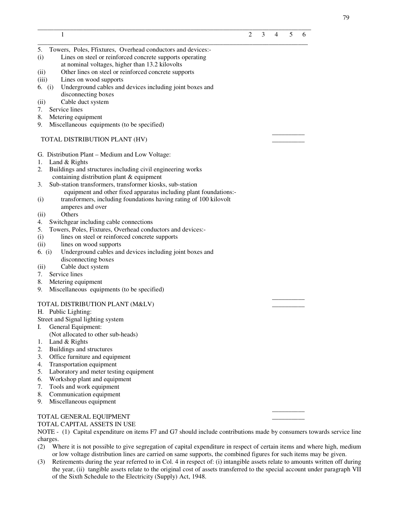$\overline{\phantom{a}}$ 

\_\_\_\_\_\_\_\_\_\_

\_\_\_\_\_\_\_\_\_\_

5. Towers, Poles, Ffixtures, Overhead conductors and devices:-

\_\_\_\_\_\_\_\_\_\_\_\_\_\_\_\_\_\_\_\_\_\_\_\_\_\_\_\_\_\_\_\_\_\_\_\_\_\_\_\_\_\_\_\_\_\_\_\_\_\_\_\_\_\_\_\_\_\_\_\_\_\_\_\_\_\_\_\_\_\_\_\_\_\_\_\_\_\_\_\_\_\_\_

- (i) Lines on steel or reinforced concrete supports operating
- at nominal voltages, higher than 13.2 kilovolts
- (ii) Other lines on steel or reinforced concrete supports
- (iii) Lines on wood supports
- 6. (i) Underground cables and devices including joint boxes and disconnecting boxes
- (ii) Cable duct system
- 7. Service lines
- 8. Metering equipment
- 9. Miscellaneous equipments (to be specified)

## TOTAL DISTRIBUTION PLANT (HV)

- G. Distribution Plant Medium and Low Voltage:
- 1. Land & Rights
- 2. Buildings and structures including civil engineering works containing distribution plant & equipment
- 3. Sub-station transformers, transformer kiosks, sub-station equipment and other fixed apparatus including plant foundations:-
- (i) transformers, including foundations having rating of 100 kilovolt amperes and over
- (ii) Others
- 4. Switchgear including cable connections
- 5. Towers, Poles, Fixtures, Overhead conductors and devices:-
- (i) lines on steel or reinforced concrete supports
- (ii) lines on wood supports
- 6. (i) Underground cables and devices including joint boxes and disconnecting boxes
- (ii) Cable duct system
- 7. Service lines
- 8. Metering equipment
- 9. Miscellaneous equipments (to be specified)

### TOTAL DISTRIBUTION PLANT (M&LV)

H. Public Lighting:

- Street and Signal lighting system
- I. General Equipment:
	- (Not allocated to other sub-heads)
- 1. Land & Rights
- 2. Buildings and structures
- 3. Office furniture and equipment
- 4. Transportation equipment
- 5. Laboratory and meter testing equipment
- 6. Workshop plant and equipment
- 7. Tools and work equipment
- 8. Communication equipment
- 9. Miscellaneous equipment

### TOTAL GENERAL EQUIPMENT \_\_\_\_\_\_\_\_\_\_

### TOTAL CAPITAL ASSETS IN USE

NOTE - (1) Capital expenditure on items F7 and G7 should include contributions made by consumers towards service line charges.

- (2) Where it is not possible to give segregation of capital expenditure in respect of certain items and where high, medium or low voltage distribution lines are carried on same supports, the combined figures for such items may be given.
- (3) Retirements during the year referred to in Col. 4 in respect of: (i) intangible assets relate to amounts written off during the year, (ii) tangible assets relate to the original cost of assets transferred to the special account under paragraph VII of the Sixth Schedule to the Electricity (Supply) Act, 1948.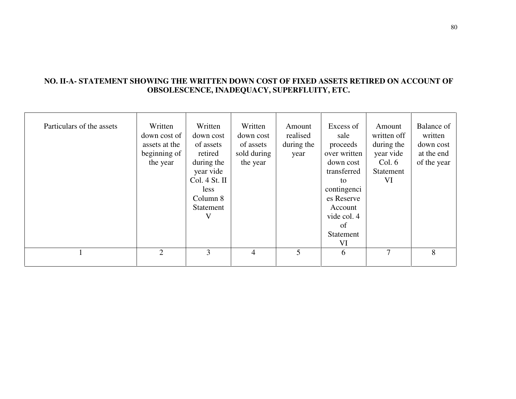## **NO. II-A- STATEMENT SHOWING THE WRITTEN DOWN COST OF FIXED ASSETS RETIRED ON ACCOUNT OF OBSOLESCENCE, INADEQUACY, SUPERFLUITY, ETC.**

| Particulars of the assets | Written<br>down cost of<br>assets at the<br>beginning of<br>the year | Written<br>down cost<br>of assets<br>retired<br>during the<br>year vide<br>Col. $4$ St. II<br>less<br>Column 8<br>Statement<br>V | Written<br>down cost<br>of assets<br>sold during<br>the year | Amount<br>realised<br>during the<br>year | Excess of<br>sale<br>proceeds<br>over written<br>down cost<br>transferred<br>to<br>contingenci<br>es Reserve<br>Account<br>vide col. 4<br>of<br>Statement<br>VI | Amount<br>written off<br>during the<br>year vide<br>Col. 6<br>Statement<br>VI | Balance of<br>written<br>down cost<br>at the end<br>of the year |
|---------------------------|----------------------------------------------------------------------|----------------------------------------------------------------------------------------------------------------------------------|--------------------------------------------------------------|------------------------------------------|-----------------------------------------------------------------------------------------------------------------------------------------------------------------|-------------------------------------------------------------------------------|-----------------------------------------------------------------|
|                           | $\overline{2}$                                                       | 3                                                                                                                                | $\overline{4}$                                               | 5                                        | 6                                                                                                                                                               | $\tau$                                                                        | 8                                                               |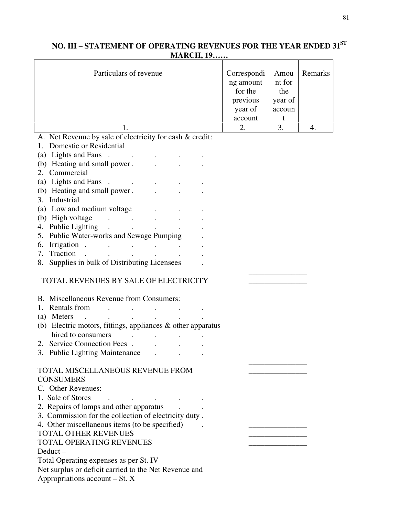# **NO. III – STATEMENT OF OPERATING REVENUES FOR THE YEAR ENDED 31 ST MARCH, 19… …**

| Particulars of revenue                                         |                                                                                                                               | Correspondi<br>ng amount<br>for the<br>previous<br>year of<br>account | Amou<br>nt for<br>the<br>year of<br>accoun<br>t | Remarks |
|----------------------------------------------------------------|-------------------------------------------------------------------------------------------------------------------------------|-----------------------------------------------------------------------|-------------------------------------------------|---------|
| 1.                                                             |                                                                                                                               | 2.                                                                    | 3.                                              | 4.      |
| A. Net Revenue by sale of electricity for cash & credit:       |                                                                                                                               |                                                                       |                                                 |         |
| Domestic or Residential<br>1.                                  |                                                                                                                               |                                                                       |                                                 |         |
| (a) Lights and Fans                                            |                                                                                                                               |                                                                       |                                                 |         |
| (b) Heating and small power.                                   |                                                                                                                               |                                                                       |                                                 |         |
| Commercial<br>2.                                               |                                                                                                                               |                                                                       |                                                 |         |
| (a) Lights and Fans                                            |                                                                                                                               |                                                                       |                                                 |         |
| (b) Heating and small power.                                   |                                                                                                                               |                                                                       |                                                 |         |
| Industrial<br>3.                                               |                                                                                                                               |                                                                       |                                                 |         |
| (a) Low and medium voltage                                     |                                                                                                                               |                                                                       |                                                 |         |
| (b) High voltage<br><b>Contract Contract Contract Contract</b> |                                                                                                                               |                                                                       |                                                 |         |
| 4. Public Lighting .                                           |                                                                                                                               |                                                                       |                                                 |         |
| 5. Public Water-works and Sewage Pumping                       |                                                                                                                               |                                                                       |                                                 |         |
| Irrigation.<br>6.<br><b>Contract Contract</b>                  |                                                                                                                               |                                                                       |                                                 |         |
| Traction.<br>7.                                                |                                                                                                                               |                                                                       |                                                 |         |
| Supplies in bulk of Distributing Licensees<br>8.               |                                                                                                                               |                                                                       |                                                 |         |
| TOTAL REVENUES BY SALE OF ELECTRICITY                          |                                                                                                                               |                                                                       |                                                 |         |
| B. Miscellaneous Revenue from Consumers:                       |                                                                                                                               |                                                                       |                                                 |         |
| Rentals from<br>1.                                             |                                                                                                                               |                                                                       |                                                 |         |
| (a) Meters                                                     |                                                                                                                               |                                                                       |                                                 |         |
| (b) Electric motors, fittings, appliances $\&$ other apparatus |                                                                                                                               |                                                                       |                                                 |         |
| hired to consumers                                             |                                                                                                                               |                                                                       |                                                 |         |
| 2. Service Connection Fees.                                    |                                                                                                                               |                                                                       |                                                 |         |
| 3. Public Lighting Maintenance                                 |                                                                                                                               |                                                                       |                                                 |         |
|                                                                |                                                                                                                               |                                                                       |                                                 |         |
| TOTAL MISCELLANEOUS REVENUE FROM                               |                                                                                                                               |                                                                       |                                                 |         |
| <b>CONSUMERS</b>                                               |                                                                                                                               |                                                                       |                                                 |         |
| C. Other Revenues:                                             |                                                                                                                               |                                                                       |                                                 |         |
| 1. Sale of Stores                                              | $\mathcal{L}(\mathcal{A})$ , and $\mathcal{L}(\mathcal{A})$ , and $\mathcal{L}(\mathcal{A})$ , and $\mathcal{L}(\mathcal{A})$ |                                                                       |                                                 |         |
| 2. Repairs of lamps and other apparatus                        |                                                                                                                               |                                                                       |                                                 |         |
| 3. Commission for the collection of electricity duty.          |                                                                                                                               |                                                                       |                                                 |         |
| 4. Other miscellaneous items (to be specified)                 |                                                                                                                               |                                                                       |                                                 |         |
| <b>TOTAL OTHER REVENUES</b>                                    |                                                                                                                               |                                                                       |                                                 |         |
| TOTAL OPERATING REVENUES                                       |                                                                                                                               |                                                                       |                                                 |         |
| $Deduct -$                                                     |                                                                                                                               |                                                                       |                                                 |         |
| Total Operating expenses as per St. IV                         |                                                                                                                               |                                                                       |                                                 |         |
| Net surplus or deficit carried to the Net Revenue and          |                                                                                                                               |                                                                       |                                                 |         |
| Appropriations account $-$ St. X                               |                                                                                                                               |                                                                       |                                                 |         |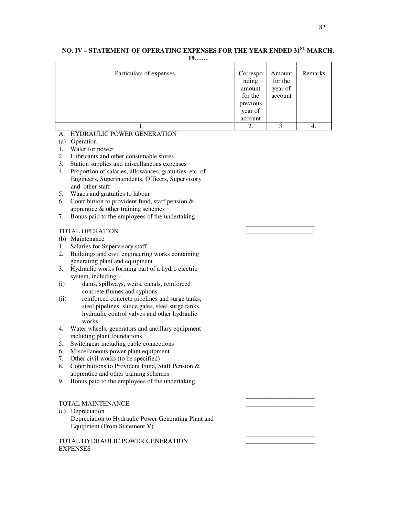| $19$                    |                                                                          |                                         |         |
|-------------------------|--------------------------------------------------------------------------|-----------------------------------------|---------|
| Particulars of expenses | Correspo<br>nding<br>amount<br>for the<br>previous<br>year of<br>account | Amount<br>for the<br>year of<br>account | Remarks |

### **NO. IV – STATEMENT OF OPERATING EXPENSES FOR THE YEAR ENDED 31 ST MARCH,**

1.  $2. \t 3. \t 4.$ A. HYDRAULIC POWER GENERATION

- (a) Operation
- 1. Water for power
- 2. Lubricants and other consumable stores
- 3. Station supplies and miscellaneous expenses
- 4. Proportion of salaries, allowances, gratuities, etc. of Engineers, Superintendents, Officers, Supervisory and other staff
- 5. Wages and gratuities to labour
- 6. Contribution to provident fund, staff pension  $\&$ apprentice & other training schemes
- 7. Bonus paid to the employees of the undertaking

#### TOTAL OPERATION

- (b) Maintenance
- 1. Salaries for Supervisory staff
- 2. Buildings and civil engineering works containing generating plant and equipment
- 3. Hydraulic works forming part of a hydro electric system, including –
- (i) dams, spillways, weirs, canals, reinforced concrete flumes and syphons
- (ii) reinforced concrete pipelines and surge tanks, steel pipelines, sluice gates, steel surge tanks, hydraulic control valves and other hydraulic works
- 4. Water wheels, generators and ancillary equipment including plant foundations
- 5. Switchgear including cable connections
- 6. Miscellaneous power plant equipment
- 7. Other civil works (to be specified)
- 8. Contributions to Provident Fund, Staff Pension & apprentice and other training schemes
- 9. Bonus paid to the employees of the undertaking

#### TOTAL MAINTENANCE

(c) Depreciation Depreciation to Hydraulic Power Generating Plant and Equipment (From Statement V)

TOTAL HYDRAULIC POWER GENERATION EXPENSES

\_\_\_\_\_\_\_\_\_\_\_\_\_\_\_\_\_\_\_\_\_

\_\_\_\_\_\_\_\_\_\_\_\_\_\_\_\_\_\_\_\_\_

\_\_\_\_\_\_\_\_\_\_\_\_\_\_\_\_\_\_\_\_\_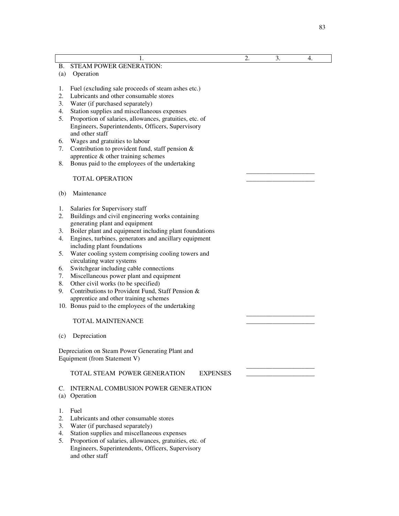\_\_\_\_\_\_\_\_\_\_\_\_\_\_\_\_\_\_\_\_\_

\_\_\_\_\_\_\_\_\_\_\_\_\_\_\_\_\_\_\_\_\_

\_\_\_\_\_\_\_\_\_\_\_\_\_\_\_\_\_\_\_\_\_

#### 1. 2. 3. 4. B. STEAM POWER GENERATION:

- (a) Operation
- 1. Fuel (excluding sale proceeds of steam ashes etc.)
- 2. Lubricants and other consumable stores
- 3. Water (if purchased separately)
- 4. Station supplies and miscellaneous expenses
- 5. Proportion of salaries, allowances, gratuities, etc. of Engineers, Superintendents, Officers, Supervisory and other staff
- 6. Wages and gratuities to labour
- 7. Contribution to provident fund, staff pension & apprentice & other training schemes
- 8. Bonus paid to the employees of the undertaking

#### TOTAL OPERATION

- (b) Maintenance
- 1. Salaries for Supervisory staff
- 2. Buildings and civil engineering works containing generating plant and equipment
- 3. Boiler plant and equipment including plant foundations
- 4. Engines, turbines, generators and ancillary equipment including plant foundations
- 5. Water cooling system comprising cooling towers and circulating water systems
- 6. Switchgear including cable connections
- 7. Miscellaneous power plant and equipment
- 8. Other civil works (to be specified)
- 9. Contributions to Provident Fund, Staff Pension & apprentice and other training schemes
- 10. Bonus paid to the employees of the undertaking

#### TOTAL MAINTENANCE

(c) Depreciation

Depreciation on Steam Power Generating Plant and Equipment (from Statement V)

#### TOTAL STEAM POWER GENERATION EXPENSES

- C. INTERNAL COMBUSION POWER GENERATION
- (a) Operation
- 1. Fuel
- 2. Lubricants and other consumable stores
- 3. Water (if purchased separately)
- 4. Station supplies and miscellaneous expenses
- 5. Proportion of salaries, allowances, gratuities, etc. of Engineers, Superintendents, Officers, Supervisory and other staff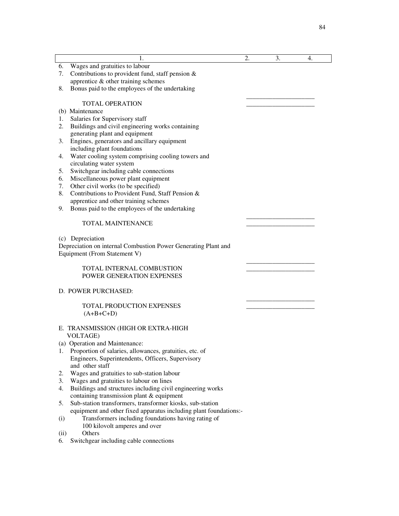|      | 1.                                                                | 2. | 3. | 4. |
|------|-------------------------------------------------------------------|----|----|----|
| 6.   | Wages and gratuities to labour                                    |    |    |    |
| 7.   | Contributions to provident fund, staff pension $\&$               |    |    |    |
|      | apprentice & other training schemes                               |    |    |    |
| 8.   | Bonus paid to the employees of the undertaking                    |    |    |    |
|      |                                                                   |    |    |    |
|      | <b>TOTAL OPERATION</b>                                            |    |    |    |
|      | (b) Maintenance                                                   |    |    |    |
| 1.   | Salaries for Supervisory staff                                    |    |    |    |
| 2.   | Buildings and civil engineering works containing                  |    |    |    |
|      | generating plant and equipment                                    |    |    |    |
| 3.   | Engines, generators and ancillary equipment                       |    |    |    |
|      | including plant foundations                                       |    |    |    |
| 4.   | Water cooling system comprising cooling towers and                |    |    |    |
|      | circulating water system                                          |    |    |    |
| 5.   | Switchgear including cable connections                            |    |    |    |
| 6.   | Miscellaneous power plant equipment                               |    |    |    |
| 7.   | Other civil works (to be specified)                               |    |    |    |
| 8.   | Contributions to Provident Fund, Staff Pension &                  |    |    |    |
|      | apprentice and other training schemes                             |    |    |    |
| 9.   | Bonus paid to the employees of the undertaking                    |    |    |    |
|      |                                                                   |    |    |    |
|      | <b>TOTAL MAINTENANCE</b>                                          |    |    |    |
|      |                                                                   |    |    |    |
|      | (c) Depreciation                                                  |    |    |    |
|      |                                                                   |    |    |    |
|      | Depreciation on internal Combustion Power Generating Plant and    |    |    |    |
|      | Equipment (From Statement V)                                      |    |    |    |
|      |                                                                   |    |    |    |
|      | TOTAL INTERNAL COMBUSTION                                         |    |    |    |
|      | POWER GENERATION EXPENSES                                         |    |    |    |
|      |                                                                   |    |    |    |
|      | D. POWER PURCHASED:                                               |    |    |    |
|      |                                                                   |    |    |    |
|      | <b>TOTAL PRODUCTION EXPENSES</b>                                  |    |    |    |
|      | $(A+B+C+D)$                                                       |    |    |    |
|      |                                                                   |    |    |    |
|      | E. TRANSMISSION (HIGH OR EXTRA-HIGH                               |    |    |    |
|      | VOLTAGE)                                                          |    |    |    |
|      | (a) Operation and Maintenance:                                    |    |    |    |
| 1.   | Proportion of salaries, allowances, gratuities, etc. of           |    |    |    |
|      | Engineers, Superintendents, Officers, Supervisory                 |    |    |    |
|      | and other staff                                                   |    |    |    |
| 2.   | Wages and gratuities to sub-station labour                        |    |    |    |
| 3.   | Wages and gratuities to labour on lines                           |    |    |    |
| 4.   | Buildings and structures including civil engineering works        |    |    |    |
|      | containing transmission plant & equipment                         |    |    |    |
| 5.   | Sub-station transformers, transformer kiosks, sub-station         |    |    |    |
|      | equipment and other fixed apparatus including plant foundations:- |    |    |    |
| (i)  | Transformers including foundations having rating of               |    |    |    |
|      | 100 kilovolt amperes and over                                     |    |    |    |
| (ii) | Others                                                            |    |    |    |
| 6.   | Switchgear including cable connections                            |    |    |    |

84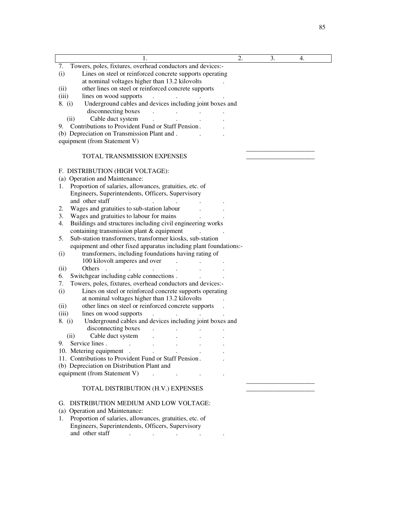| 1.                                                                 | 2. | 3. | 4. |  |
|--------------------------------------------------------------------|----|----|----|--|
| Towers, poles, fixtures, overhead conductors and devices:-<br>7.   |    |    |    |  |
| (i)<br>Lines on steel or reinforced concrete supports operating    |    |    |    |  |
| at nominal voltages higher than 13.2 kilovolts                     |    |    |    |  |
| other lines on steel or reinforced concrete supports<br>(ii)       |    |    |    |  |
| (iii)<br>lines on wood supports                                    |    |    |    |  |
| Underground cables and devices including joint boxes and<br>8. (i) |    |    |    |  |
| disconnecting boxes                                                |    |    |    |  |
| Cable duct system<br>(ii)                                          |    |    |    |  |
| Contributions to Provident Fund or Staff Pension.                  |    |    |    |  |
| 9.<br>(b) Depreciation on Transmission Plant and.                  |    |    |    |  |
| equipment (from Statement V)                                       |    |    |    |  |
|                                                                    |    |    |    |  |
| TOTAL TRANSMISSION EXPENSES                                        |    |    |    |  |
|                                                                    |    |    |    |  |
| F. DISTRIBUTION (HIGH VOLTAGE):                                    |    |    |    |  |
| (a) Operation and Maintenance:                                     |    |    |    |  |
| Proportion of salaries, allowances, gratuities, etc. of<br>1.      |    |    |    |  |
| Engineers, Superintendents, Officers, Supervisory                  |    |    |    |  |
| and other staff                                                    |    |    |    |  |
| Wages and gratuities to sub-station labour<br>2.                   |    |    |    |  |
| Wages and gratuities to labour for mains<br>3.                     |    |    |    |  |
| Buildings and structures including civil engineering works<br>4.   |    |    |    |  |
| containing transmission plant & equipment                          |    |    |    |  |
| Sub-station transformers, transformer kiosks, sub-station<br>5.    |    |    |    |  |
| equipment and other fixed apparatus including plant foundations:-  |    |    |    |  |
| transformers, including foundations having rating of<br>(i)        |    |    |    |  |
| 100 kilovolt amperes and over                                      |    |    |    |  |
| Others<br>(ii)                                                     |    |    |    |  |
| Switchgear including cable connections.<br>6.                      |    |    |    |  |
| Towers, poles, fixtures, overhead conductors and devices:-<br>7.   |    |    |    |  |
| Lines on steel or reinforced concrete supports operating<br>(i)    |    |    |    |  |
| at nominal voltages higher than 13.2 kilovolts                     |    |    |    |  |
| other lines on steel or reinforced concrete supports<br>(ii)       |    |    |    |  |
| (iii)<br>lines on wood supports                                    |    |    |    |  |
| Underground cables and devices including joint boxes and<br>8. (i) |    |    |    |  |
| disconnecting boxes                                                |    |    |    |  |
| Cable duct system<br>(ii)                                          |    |    |    |  |
| 9.<br>Service lines.                                               |    |    |    |  |
| 10. Metering equipment .                                           |    |    |    |  |
| 11. Contributions to Provident Fund or Staff Pension.              |    |    |    |  |
| (b) Depreciation on Distribution Plant and                         |    |    |    |  |
| equipment (from Statement V)                                       |    |    |    |  |
|                                                                    |    |    |    |  |
| TOTAL DISTRIBUTION (H.V.) EXPENSES                                 |    |    |    |  |
|                                                                    |    |    |    |  |
| DISTRIBUTION MEDIUM AND LOW VOLTAGE:<br>G.                         |    |    |    |  |
| (a) Operation and Maintenance:                                     |    |    |    |  |
| Proportion of salaries, allowances, gratuities, etc. of<br>1.      |    |    |    |  |
| Engineers, Superintendents, Officers, Supervisory                  |    |    |    |  |

and other staff . . . . .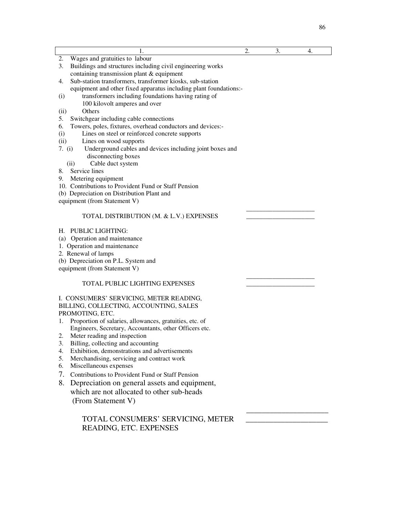| 1.                                                                                | 2. | 3. | 4. |
|-----------------------------------------------------------------------------------|----|----|----|
| Wages and gratuities to labour<br>2.                                              |    |    |    |
| 3.<br>Buildings and structures including civil engineering works                  |    |    |    |
| containing transmission plant & equipment                                         |    |    |    |
| Sub-station transformers, transformer kiosks, sub-station<br>4.                   |    |    |    |
| equipment and other fixed apparatus including plant foundations:-                 |    |    |    |
| transformers including foundations having rating of<br>(i)                        |    |    |    |
| 100 kilovolt amperes and over                                                     |    |    |    |
| Others<br>(ii)                                                                    |    |    |    |
| Switchgear including cable connections<br>5.                                      |    |    |    |
| Towers, poles, fixtures, overhead conductors and devices:-<br>6.                  |    |    |    |
| Lines on steel or reinforced concrete supports<br>(i)                             |    |    |    |
| (ii)<br>Lines on wood supports                                                    |    |    |    |
| Underground cables and devices including joint boxes and<br>7. $(i)$              |    |    |    |
| disconnecting boxes                                                               |    |    |    |
| Cable duct system<br>(ii)<br>Service lines<br>8.                                  |    |    |    |
| Metering equipment<br>9.                                                          |    |    |    |
| 10. Contributions to Provident Fund or Staff Pension                              |    |    |    |
| (b) Depreciation on Distribution Plant and                                        |    |    |    |
| equipment (from Statement V)                                                      |    |    |    |
|                                                                                   |    |    |    |
| TOTAL DISTRIBUTION (M. & L.V.) EXPENSES                                           |    |    |    |
|                                                                                   |    |    |    |
| H. PUBLIC LIGHTING:                                                               |    |    |    |
| (a) Operation and maintenance                                                     |    |    |    |
| 1. Operation and maintenance                                                      |    |    |    |
| 2. Renewal of lamps<br>(b) Depreciation on P.L. System and                        |    |    |    |
| equipment (from Statement V)                                                      |    |    |    |
|                                                                                   |    |    |    |
| TOTAL PUBLIC LIGHTING EXPENSES                                                    |    |    |    |
|                                                                                   |    |    |    |
| I. CONSUMERS' SERVICING, METER READING,<br>BILLING, COLLECTING, ACCOUNTING, SALES |    |    |    |
| PROMOTING, ETC.                                                                   |    |    |    |
| Proportion of salaries, allowances, gratuities, etc. of<br>1.                     |    |    |    |
| Engineers, Secretary, Accountants, other Officers etc.                            |    |    |    |
| 2. Meter reading and inspection                                                   |    |    |    |
| 3.<br>Billing, collecting and accounting                                          |    |    |    |
| Exhibition, demonstrations and advertisements<br>4.                               |    |    |    |
| Merchandising, servicing and contract work<br>5.                                  |    |    |    |
| Miscellaneous expenses<br>6.                                                      |    |    |    |
| 7. Contributions to Provident Fund or Staff Pension                               |    |    |    |
| 8.<br>Depreciation on general assets and equipment,                               |    |    |    |
| which are not allocated to other sub-heads                                        |    |    |    |
| (From Statement V)                                                                |    |    |    |
|                                                                                   |    |    |    |
|                                                                                   |    |    |    |
| TOTAL CONSUMERS' SERVICING, METER                                                 |    |    |    |
| READING, ETC. EXPENSES                                                            |    |    |    |
|                                                                                   |    |    |    |
|                                                                                   |    |    |    |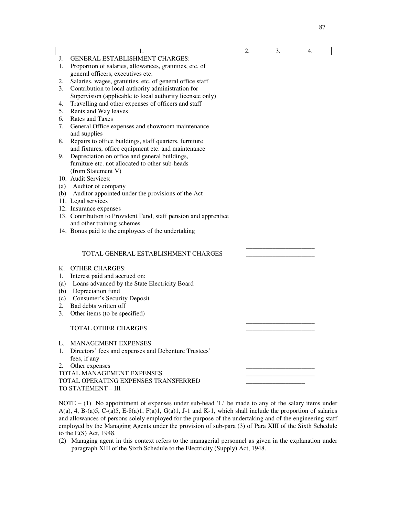|          |                                                                                                                 | 2. |    |    |
|----------|-----------------------------------------------------------------------------------------------------------------|----|----|----|
|          | 1.<br><b>GENERAL ESTABLISHMENT CHARGES:</b>                                                                     |    | 3. | 4. |
| J.       |                                                                                                                 |    |    |    |
| 1.       | Proportion of salaries, allowances, gratuities, etc. of                                                         |    |    |    |
|          | general officers, executives etc.                                                                               |    |    |    |
| 2.<br>3. | Salaries, wages, gratuities, etc. of general office staff<br>Contribution to local authority administration for |    |    |    |
|          | Supervision (applicable to local authority licensee only)                                                       |    |    |    |
| 4.       | Travelling and other expenses of officers and staff                                                             |    |    |    |
| 5.       | Rents and Way leaves                                                                                            |    |    |    |
| 6.       | Rates and Taxes                                                                                                 |    |    |    |
| 7.       | General Office expenses and showroom maintenance                                                                |    |    |    |
|          | and supplies                                                                                                    |    |    |    |
| 8.       | Repairs to office buildings, staff quarters, furniture                                                          |    |    |    |
|          | and fixtures, office equipment etc. and maintenance                                                             |    |    |    |
| 9.       | Depreciation on office and general buildings,                                                                   |    |    |    |
|          | furniture etc. not allocated to other sub-heads                                                                 |    |    |    |
|          | (from Statement V)                                                                                              |    |    |    |
|          | 10. Audit Services:                                                                                             |    |    |    |
|          | (a) Auditor of company                                                                                          |    |    |    |
|          | (b) Auditor appointed under the provisions of the Act                                                           |    |    |    |
|          | 11. Legal services                                                                                              |    |    |    |
|          | 12. Insurance expenses                                                                                          |    |    |    |
|          | 13. Contribution to Provident Fund, staff pension and apprentice                                                |    |    |    |
|          | and other training schemes                                                                                      |    |    |    |
|          | 14. Bonus paid to the employees of the undertaking                                                              |    |    |    |
|          |                                                                                                                 |    |    |    |
|          |                                                                                                                 |    |    |    |
|          | TOTAL GENERAL ESTABLISHMENT CHARGES                                                                             |    |    |    |
|          |                                                                                                                 |    |    |    |
|          | K. OTHER CHARGES:                                                                                               |    |    |    |
| 1.       | Interest paid and accrued on:                                                                                   |    |    |    |
|          | (a) Loans advanced by the State Electricity Board                                                               |    |    |    |
|          | (b) Depreciation fund                                                                                           |    |    |    |
|          | (c) Consumer's Security Deposit                                                                                 |    |    |    |
| 2.       | Bad debts written off                                                                                           |    |    |    |
| 3.       | Other items (to be specified)                                                                                   |    |    |    |
|          | <b>TOTAL OTHER CHARGES</b>                                                                                      |    |    |    |
|          |                                                                                                                 |    |    |    |
| L.       | <b>MANAGEMENT EXPENSES</b>                                                                                      |    |    |    |
| 1.       | Directors' fees and expenses and Debenture Trustees'                                                            |    |    |    |
|          | fees, if any                                                                                                    |    |    |    |
| 2.       | Other expenses                                                                                                  |    |    |    |
|          | TOTAL MANAGEMENT EXPENSES                                                                                       |    |    |    |
|          | TOTAL OPERATING EXPENSES TRANSFERRED                                                                            |    |    |    |

TO STATEMENT – III

NOTE –  $(1)$  No appointment of expenses under sub-head 'L' be made to any of the salary items under A(a), 4, B-(a)5, C-(a)5, E-8(a)1, F(a)1, G(a)1, J-1 and K-1, which shall include the proportion of salaries and allowances of persons solely employed for the purpose of the undertaking and of the engineering staff employed by the Managing Agents under the provision of sub-para (3) of Para XIII of the Sixth Schedule to the E(S) Act, 1948.

(2) Managing agent in this context refers to the managerial personnel as given in the explanation under paragraph XIII of the Sixth Schedule to the Electricity (Supply) Act, 1948.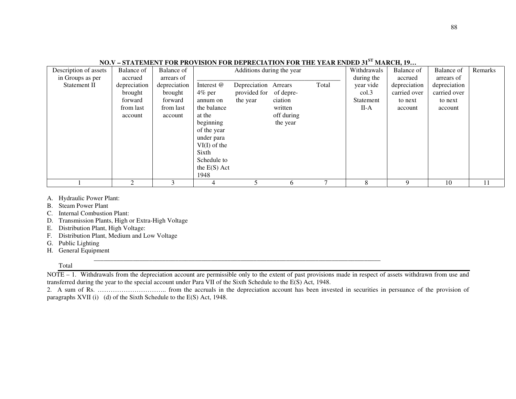|                       | NO. Y = 51ATEMENT FOR FRO VISION FOR DEI RECIATION FOR THE TEAR ENDED 31 – MARCH, 17 |              |                |                           |            |       |             |              |              |         |
|-----------------------|--------------------------------------------------------------------------------------|--------------|----------------|---------------------------|------------|-------|-------------|--------------|--------------|---------|
| Description of assets | Balance of                                                                           | Balance of   |                | Additions during the year |            |       | Withdrawals | Balance of   | Balance of   | Remarks |
| in Groups as per      | accrued                                                                              | arrears of   |                |                           |            |       | during the  | accrued      | arrears of   |         |
| Statement II          | depreciation                                                                         | depreciation | Interest @     | Depreciation Arrears      |            | Total | year vide   | depreciation | depreciation |         |
|                       | brought                                                                              | brought      | $4\%$ per      | provided for of depre-    |            |       | col.3       | carried over | carried over |         |
|                       | forward                                                                              | forward      | annum on       | the year                  | ciation    |       | Statement   | to next      | to next      |         |
|                       | from last                                                                            | from last    | the balance    |                           | written    |       | II-A        | account      | account      |         |
|                       | account                                                                              | account      | at the         |                           | off during |       |             |              |              |         |
|                       |                                                                                      |              | beginning      |                           | the year   |       |             |              |              |         |
|                       |                                                                                      |              | of the year    |                           |            |       |             |              |              |         |
|                       |                                                                                      |              | under para     |                           |            |       |             |              |              |         |
|                       |                                                                                      |              | $VI(I)$ of the |                           |            |       |             |              |              |         |
|                       |                                                                                      |              | Sixth          |                           |            |       |             |              |              |         |
|                       |                                                                                      |              | Schedule to    |                           |            |       |             |              |              |         |
|                       |                                                                                      |              | the $E(S)$ Act |                           |            |       |             |              |              |         |
|                       |                                                                                      |              | 1948           |                           |            |       |             |              |              |         |
|                       | ∍                                                                                    | 3            |                |                           | 6          |       |             | 9            | 10           |         |

#### **NO.V – STATEMENT FOR PROVISION FOR DEPRECIATION FOR THE YEAR ENDED <sup>31</sup>ST MARCH, 19…**

A. Hydraulic Power Plant:

B. Steam Power Plant

C. Internal Combustion Plant:

D. Transmission Plants, High or Extra-High Voltage

E. Distribution Plant, High Voltage:

F. Distribution Plant, Medium and Low Voltage

G. Public Lighting

H. General Equipment

Total

NOTE – 1. Withdrawals from the depreciation account are permissible only to the extent of pas<sup>t</sup> provisions made in respec<sup>t</sup> of assets withdrawn from use and transferred during the year to the special account under Para VII of the Sixth Schedule to the E(S) Act, 1948.

2. A sum of Rs. … … … … … … … … … … .. from the accruals in the depreciation account has been invested in securities in persuance of the provision of paragraphs XVII (i) (d) of the Sixth Schedule to the E(S) Act, 1948.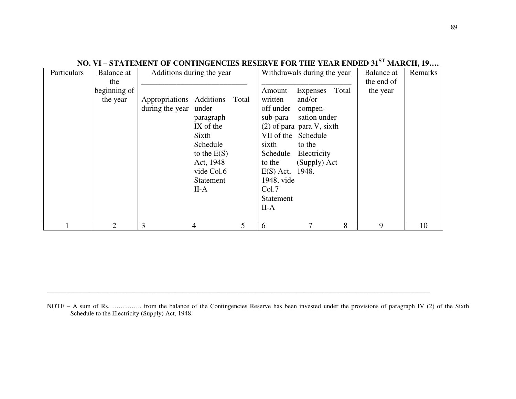| Particulars | Balance at<br>the        | Additions during the year                         |                                                                                                                       |       |                                                                                                                                                     | Withdrawals during the year                                                                                                                  |       | Balance at<br>the end of | Remarks |
|-------------|--------------------------|---------------------------------------------------|-----------------------------------------------------------------------------------------------------------------------|-------|-----------------------------------------------------------------------------------------------------------------------------------------------------|----------------------------------------------------------------------------------------------------------------------------------------------|-------|--------------------------|---------|
|             | beginning of<br>the year | Appropriations Additions<br>during the year under | paragraph<br>IX of the<br>Sixth<br>Schedule<br>to the $E(S)$<br>Act, 1948<br>vide Col.6<br><b>Statement</b><br>$II-A$ | Total | Amount<br>written<br>off under<br>sub-para<br>sixth<br>Schedule<br>to the<br>$E(S)$ Act, 1948.<br>1948, vide<br>Col.7<br><b>Statement</b><br>$II-A$ | Expenses<br>and/or<br>compen-<br>sation under<br>$(2)$ of para para V, sixth<br>VII of the Schedule<br>to the<br>Electricity<br>(Supply) Act | Total | the year                 |         |
|             | 2                        | 3                                                 | 4                                                                                                                     | 5     | 6                                                                                                                                                   | 7                                                                                                                                            | 8     | 9                        | 10      |

## **NO. VI – STATEMENT OF CONTINGENCIES RESERVE FOR THE YEAR ENDED <sup>31</sup>ST MARCH, 19… .**

NOTE – A sum of Rs. .............. from the balance of the Contingencies Reserve has been invested under the provisions of paragraph IV (2) of the Sixth Schedule to the Electricity (Supply) Act, 1948.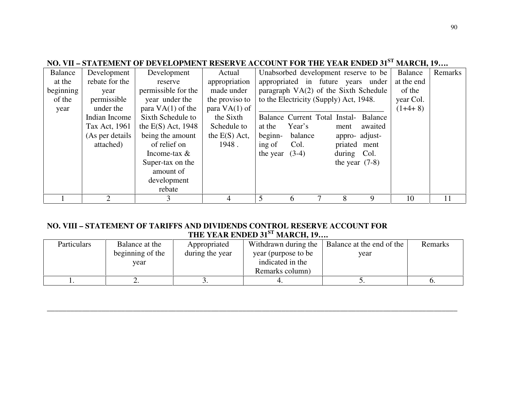| Balance   | Development                 | Development          | Actual          | Balance<br>Remarks<br>Unabsorbed development reserve to be |
|-----------|-----------------------------|----------------------|-----------------|------------------------------------------------------------|
| at the    | rebate for the              | reserve              | appropriation   | appropriated in future years under<br>at the end           |
| beginning | year                        | permissible for the  | made under      | paragraph $VA(2)$ of the Sixth Schedule<br>of the          |
| of the    | permissible                 | year under the       | the proviso to  | to the Electricity (Supply) Act, 1948.<br>year Col.        |
| year      | under the                   | para $VA(1)$ of the  | para $VA(1)$ of | $(1+4+8)$                                                  |
|           | Indian Income               | Sixth Schedule to    | the Sixth       | Balance Current Total Instal- Balance                      |
|           | Tax Act, 1961               | the $E(S)$ Act, 1948 | Schedule to     | at the<br>Year's<br>awaited<br>ment                        |
|           | (As per details)            | being the amount     | the $E(S)$ Act, | balance<br>beginn-<br>appro- adjust-                       |
|           | attached)                   | of relief on         | 1948.           | ing of<br>priated ment<br>Col.                             |
|           |                             | Income-tax $\&$      |                 | the year<br>$(3-4)$<br>during Col.                         |
|           |                             | Super-tax on the     |                 | the year $(7-8)$                                           |
|           |                             | amount of            |                 |                                                            |
|           |                             | development          |                 |                                                            |
|           |                             | rebate               |                 |                                                            |
|           | $\mathcal{D}_{\mathcal{L}}$ | 3                    | 4               | 5<br>9<br>11<br>8<br>10<br>6                               |

# **NO. VII – STATEMENT OF DEVELOPMENT RESERVE ACCOUNT FOR THE YEAR ENDED <sup>31</sup>ST MARCH, 19… .**

## **NO. VIII – STATEMENT OF TARIFFS AND DIVIDENDS CONTROL RESERVE ACCOUNT FOR THE YEAR ENDED <sup>31</sup>ST MARCH, 19… .**

| <b>Particulars</b> | Balance at the   | Appropriated    | Withdrawn during the | Balance at the end of the | Remarks |
|--------------------|------------------|-----------------|----------------------|---------------------------|---------|
|                    | beginning of the | during the year | year (purpose to be  | year                      |         |
|                    | vear             |                 | indicated in the     |                           |         |
|                    |                  |                 | Remarks column)      |                           |         |
|                    | ـ ت              | ັ.              |                      | <u>.</u>                  |         |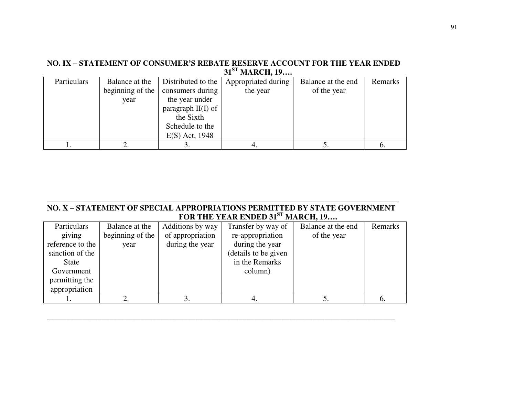# **NO. IX – STATEMENT OF CONSUMER'S REBATE RESERVE ACCOUNT FOR THE YEAR ENDED <sup>31</sup>ST MARCH, 19… .**

| Particulars | Balance at the   | Distributed to the   | Appropriated during | Balance at the end | Remarks |
|-------------|------------------|----------------------|---------------------|--------------------|---------|
|             | beginning of the | consumers during     | the year            | of the year        |         |
|             | year             | the year under       |                     |                    |         |
|             |                  | paragraph $II(I)$ of |                     |                    |         |
|             |                  | the Sixth            |                     |                    |         |
|             |                  | Schedule to the      |                     |                    |         |
|             |                  | $E(S)$ Act, 1948     |                     |                    |         |
|             |                  |                      |                     |                    |         |

# NO. X – STATEMENT OF SPECIAL APPROPRIATIONS PERMITTED BY STATE GOVERNMENT **FOR THE YEAR ENDED <sup>31</sup>ST MARCH, 19… .**

| Particulars      | Balance at the   | Additions by way | Transfer by way of   | Balance at the end | Remarks |
|------------------|------------------|------------------|----------------------|--------------------|---------|
| giving           | beginning of the | of appropriation | re-appropriation     | of the year        |         |
| reference to the | year             | during the year  | during the year      |                    |         |
| sanction of the  |                  |                  | (details to be given |                    |         |
| <b>State</b>     |                  |                  | in the Remarks       |                    |         |
| Government       |                  |                  | column)              |                    |         |
| permitting the   |                  |                  |                      |                    |         |
| appropriation    |                  |                  |                      |                    |         |
|                  |                  |                  |                      |                    | O.      |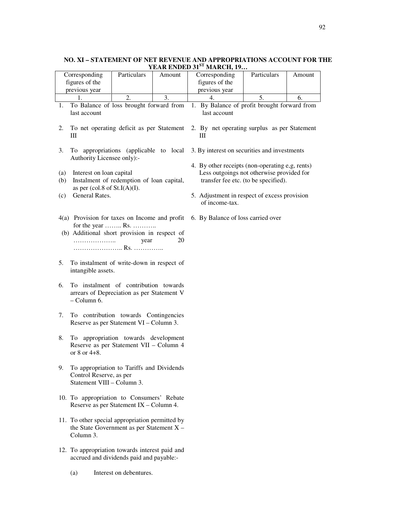| Corresponding                                                                                              | Particulars                                                                                        | Amount | Corresponding                                                                                                                        | Particulars    | Amount |  |  |
|------------------------------------------------------------------------------------------------------------|----------------------------------------------------------------------------------------------------|--------|--------------------------------------------------------------------------------------------------------------------------------------|----------------|--------|--|--|
| figures of the                                                                                             |                                                                                                    |        |                                                                                                                                      | figures of the |        |  |  |
| previous year                                                                                              |                                                                                                    |        | previous year                                                                                                                        |                |        |  |  |
| 1.                                                                                                         | 2.                                                                                                 | 3.     | 4.                                                                                                                                   | 5.             | 6.     |  |  |
| To Balance of loss brought forward from<br>1.<br>last account                                              |                                                                                                    |        | 1. By Balance of profit brought forward from<br>last account                                                                         |                |        |  |  |
| 2.<br>Ш                                                                                                    | To net operating deficit as per Statement                                                          |        | 2. By net operating surplus as per Statement<br>Ш                                                                                    |                |        |  |  |
| 3.<br>Authority Licensee only):-                                                                           | To appropriations (applicable to local                                                             |        | 3. By interest on securities and investments                                                                                         |                |        |  |  |
|                                                                                                            |                                                                                                    |        | 4. By other receipts (non-operating e,g, rents)<br>Less outgoings not otherwise provided for<br>transfer fee etc. (to be specified). |                |        |  |  |
| Interest on loan capital<br>(a)<br>(b)                                                                     | Instalment of redemption of loan capital,                                                          |        |                                                                                                                                      |                |        |  |  |
| as per (col.8 of $St.I(A)(I)$ .<br>General Rates.<br>(c)                                                   |                                                                                                    |        | 5. Adjustment in respect of excess provision<br>of income-tax.                                                                       |                |        |  |  |
|                                                                                                            | for the year  Rs.                                                                                  |        | 4(a) Provision for taxes on Income and profit 6. By Balance of loss carried over                                                     |                |        |  |  |
| (b) Additional short provision in respect of                                                               |                                                                                                    |        |                                                                                                                                      |                |        |  |  |
| .                                                                                                          | year                                                                                               | 20     |                                                                                                                                      |                |        |  |  |
|                                                                                                            |                                                                                                    |        |                                                                                                                                      |                |        |  |  |
| 5.                                                                                                         | To instalment of write-down in respect of<br>intangible assets.                                    |        |                                                                                                                                      |                |        |  |  |
| To instalment of contribution towards<br>6.<br>arrears of Depreciation as per Statement V<br>$-$ Column 6. |                                                                                                    |        |                                                                                                                                      |                |        |  |  |
| 7.<br>To contribution towards Contingencies<br>Reserve as per Statement VI - Column 3.                     |                                                                                                    |        |                                                                                                                                      |                |        |  |  |
| 8.<br>or $8$ or $4+8$ .                                                                                    | To appropriation towards development<br>Reserve as per Statement VII - Column 4                    |        |                                                                                                                                      |                |        |  |  |
| 9.                                                                                                         | To appropriation to Tariffs and Dividends<br>Control Reserve, as per<br>Statement VIII - Column 3. |        |                                                                                                                                      |                |        |  |  |
|                                                                                                            | 10. To appropriation to Consumers' Rebate<br>Reserve as per Statement IX - Column 4.               |        |                                                                                                                                      |                |        |  |  |
| Column 3.                                                                                                  | 11. To other special appropriation permitted by<br>the State Government as per Statement $X -$     |        |                                                                                                                                      |                |        |  |  |
|                                                                                                            | 12. To appropriation towards interest paid and<br>accrued and dividends paid and payable:-         |        |                                                                                                                                      |                |        |  |  |
| (a)                                                                                                        | Interest on debentures.                                                                            |        |                                                                                                                                      |                |        |  |  |

#### **NO. XI – STATEMENT OF NET REVENUE AND APPROPRIATIONS ACCOUNT FOR THE YEAR ENDED 31 ST MARCH, 19…**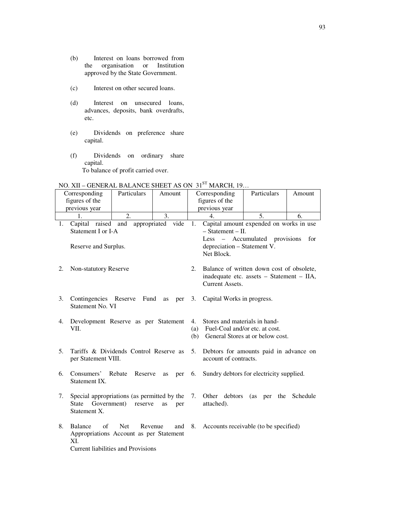- (b) Interest on loans borrowed from the organisation or Institution approved by the State Government.
- (c) Interest on other secured loans.
- (d) Interest on unsecured loans, advances, deposits, bank overdrafts, etc.
- (e) Dividends on preference share capital.
- (f) Dividends on ordinary share capital. To balance of profit carried over.

NO. XII – GENERAL BALANCE SHEET AS ON 31 ST MARCH, 19…

|                                                                                                   | Corresponding                                                                                                               | Particulars           | Amount    |                                                                                                                                         | Corresponding                                                                                                           | Particulars                           | Amount |
|---------------------------------------------------------------------------------------------------|-----------------------------------------------------------------------------------------------------------------------------|-----------------------|-----------|-----------------------------------------------------------------------------------------------------------------------------------------|-------------------------------------------------------------------------------------------------------------------------|---------------------------------------|--------|
|                                                                                                   | figures of the                                                                                                              |                       |           |                                                                                                                                         | figures of the                                                                                                          |                                       |        |
|                                                                                                   | previous year                                                                                                               |                       |           |                                                                                                                                         | previous year                                                                                                           |                                       |        |
|                                                                                                   | 1.                                                                                                                          | $\overline{2}$ .      | 3.        |                                                                                                                                         | $\overline{4}$ .                                                                                                        | 5.                                    | 6.     |
| Capital raised<br>vide<br>and<br>appropriated<br>1.<br>Statement I or I-A<br>Reserve and Surplus. |                                                                                                                             |                       | 1.        | Capital amount expended on works in use<br>$-$ Statement $-$ II.<br>Less – Accumulated provisions<br>for<br>depreciation - Statement V. |                                                                                                                         |                                       |        |
| 2.                                                                                                | Non-statutory Reserve                                                                                                       |                       |           | 2.                                                                                                                                      | Net Block.<br>Balance of written down cost of obsolete,<br>inadequate etc. assets - Statement - IIA,<br>Current Assets. |                                       |        |
| 3.                                                                                                | Fund<br>Contingencies Reserve<br>per<br>as<br>Statement No. VI                                                              |                       |           |                                                                                                                                         | 3. Capital Works in progress.                                                                                           |                                       |        |
| 4.                                                                                                | Development Reserve as per Statement<br>VII.                                                                                |                       |           | 4.<br>(a)<br>(b)                                                                                                                        | Stores and materials in hand-<br>Fuel-Coal and/or etc. at cost.<br>General Stores at or below cost.                     |                                       |        |
| 5 <sub>1</sub>                                                                                    | Tariffs & Dividends Control Reserve as<br>per Statement VIII.                                                               |                       |           | 5.                                                                                                                                      | Debtors for amounts paid in advance on<br>account of contracts.                                                         |                                       |        |
| 6.                                                                                                | Consumers'<br>Statement IX.                                                                                                 | Rebate<br>Reserve     | as<br>per | 6.                                                                                                                                      | Sundry debtors for electricity supplied.                                                                                |                                       |        |
| 7.                                                                                                | Special appropriations (as permitted by the<br><b>State</b><br>Government)<br>reserve<br>as<br>per<br>Statement X.          |                       |           | 7.                                                                                                                                      | Other debtors (as per the Schedule<br>attached).                                                                        |                                       |        |
| 8.                                                                                                | <b>Balance</b><br>$\sigma$ f<br>Appropriations Account as per Statement<br>XI.<br><b>Current liabilities and Provisions</b> | <b>Net</b><br>Revenue | and       | 8.                                                                                                                                      |                                                                                                                         | Accounts receivable (to be specified) |        |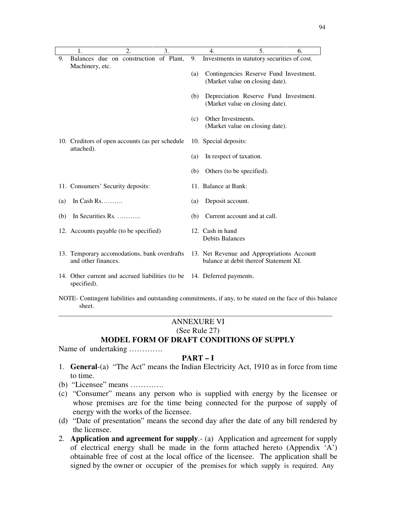|     | 1.                                                                  | 2.                                                            | 3.  |     | 4.                                         | 5.                                                                                   | 6. |
|-----|---------------------------------------------------------------------|---------------------------------------------------------------|-----|-----|--------------------------------------------|--------------------------------------------------------------------------------------|----|
| 9.  | Balances due on construction of Plant,<br>Machinery, etc.           |                                                               |     | 9.  |                                            | Investments in statutory securities of cost.                                         |    |
|     |                                                                     |                                                               |     | (a) |                                            | Contingencies Reserve Fund Investment.<br>(Market value on closing date).            |    |
|     |                                                                     |                                                               |     | (b) |                                            | Depreciation Reserve Fund Investment.<br>(Market value on closing date).             |    |
|     |                                                                     |                                                               |     | (c) |                                            | Other Investments.<br>(Market value on closing date).                                |    |
|     |                                                                     | 10. Creditors of open accounts (as per schedule<br>attached). |     |     | 10. Special deposits:                      |                                                                                      |    |
|     |                                                                     |                                                               |     | (a) |                                            | In respect of taxation.                                                              |    |
|     |                                                                     |                                                               | (b) |     | Others (to be specified).                  |                                                                                      |    |
|     | 11. Consumers' Security deposits:                                   |                                                               |     |     | 11. Balance at Bank:                       |                                                                                      |    |
| (a) | In Cash $Rs$                                                        |                                                               |     | (a) | Deposit account.                           |                                                                                      |    |
| (b) | In Securities Rs.                                                   |                                                               |     | (b) |                                            | Current account and at call.                                                         |    |
|     | 12. Accounts payable (to be specified)                              |                                                               |     |     | 12. Cash in hand<br><b>Debits Balances</b> |                                                                                      |    |
|     | 13. Temporary accomodations, bank overdrafts<br>and other finances. |                                                               |     |     |                                            | 13. Net Revenue and Appropriations Account<br>balance at debit thereof Statement XI. |    |
|     | 14. Other current and accrued liabilities (to be<br>specified).     |                                                               |     |     | 14. Deferred payments.                     |                                                                                      |    |

NOTE- Contingent liabilities and outstanding commitments, if any, to be stated on the face of this balance sheet.

\_\_\_\_\_\_\_\_\_\_\_\_\_\_\_\_\_\_\_\_\_\_\_\_\_\_\_\_\_\_\_\_\_\_\_\_\_\_\_\_\_\_\_\_\_\_\_\_\_\_\_\_\_\_\_\_\_\_\_\_\_\_\_\_\_\_\_\_\_\_\_\_\_\_\_\_\_\_\_\_\_\_\_\_

### ANNEXURE VI (See Rule 27)

### **MODEL FORM OF DRAFT CONDITIONS OF SUPPLY**

Name of undertaking .............

### **PART – I**

- 1. **General**-(a) "The Act" means the Indian Electricity Act, 1910 as in force from time to time.
- (b) "Licensee" means  $\dots\dots\dots\dots$
- (c) " Consumer" means any person who is supplied with energy by the licensee or whose premises are for the time being connected for the purpose of supply of energy with the works of the licensee.
- (d) " Date of presentation" means the second day after the date of any bill rendered by the licensee.
- 2. **Application and agreement for supply**.- (a) Application and agreement for supply of electrical energy shall be made in the form attached hereto (Appendix 'A') obtainable free of cost at the local office of the licensee. The application shall be signed by the owner or occupier of the premises for which supply is required. Any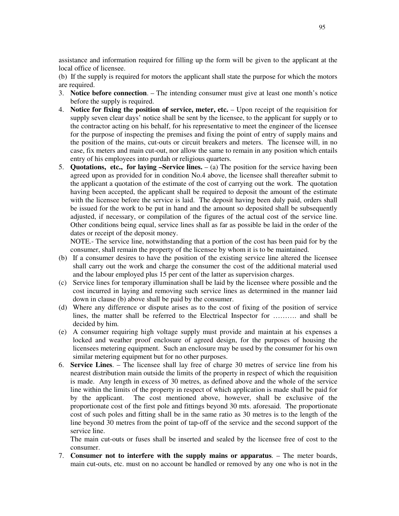assistance and information required for filling up the form will be given to the applicant at the local office of licensee.

(b) If the supply is required for motors the applicant shall state the purpose for which the motors are required.

- 3. **Notice before connection**. The intending consumer must give at least one month's notice before the supply is required.
- 4. **Notice for fixing the position of service, meter, etc.** Upon receipt of the requisition for supply seven clear days' notice shall be sent by the licensee, to the applicant for supply or to the contractor acting on his behalf, for his representative to meet the engineer of the licensee for the purpose of inspecting the premises and fixing the point of entry of supply mains and the position of the mains, cut-outs or circuit breakers and meters. The licensee will, in no case, fix meters and main cut-out, nor allow the same to remain in any position which entails entry of his employees into purdah or religious quarters.
- 5. **Quotations, etc., for laying –Service lines.** (a) The position for the service having been agreed upon as provided for in condition No.4 above, the licensee shall thereafter submit to the applicant a quotation of the estimate of the cost of carrying out the work. The quotation having been accepted, the applicant shall be required to deposit the amount of the estimate with the licensee before the service is laid. The deposit having been duly paid, orders shall be issued for the work to be put in hand and the amount so deposited shall be subsequently adjusted, if necessary, or compilation of the figures of the actual cost of the service line. Other conditions being equal, service lines shall as far as possible be laid in the order of the dates or receipt of the deposit money.

NOTE.- The service line, notwithstanding that a portion of the cost has been paid for by the consumer, shall remain the property of the licensee by whom it is to be maintained.

- (b) If a consumer desires to have the position of the existing service line altered the licensee shall carry out the work and charge the consumer the cost of the additional material used and the labour employed plus 15 per cent of the latter as supervision charges.
- (c) Service lines for temporary illumination shall be laid by the licensee where possible and the cost incurred in laying and removing such service lines as determined in the manner laid down in clause (b) above shall be paid by the consumer.
- (d) Where any difference or dispute arises as to the cost of fixing of the position of service lines, the matter shall be referred to the Electrical Inspector for … … … . and shall be decided by him.
- (e) A consumer requiring high voltage supply must provide and maintain at his expenses a locked and weather proof enclosure of agreed design, for the purposes of housing the licensees metering equipment. Such an enclosure may be used by the consumer for his own similar metering equipment but for no other purposes.
- 6. **Service Lines**. The licensee shall lay free of charge 30 metres of service line from his nearest distribution main outside the limits of the property in respect of which the requisition is made. Any length in excess of 30 metres, as defined above and the whole of the service line within the limits of the property in respect of which application is made shall be paid for by the applicant. The cost mentioned above, however, shall be exclusive of the proportionate cost of the first pole and fittings beyond 30 mts. aforesaid. The proportionate cost of such poles and fitting shall be in the same ratio as 30 metres is to the length of the line beyond 30 metres from the point of tap-off of the service and the second support of the service line.

The main cut-outs or fuses shall be inserted and sealed by the licensee free of cost to the consumer.

7. **Consumer not to interfere with the supply mains or apparatus**. – The meter boards, main cut-outs, etc. must on no account be handled or removed by any one who is not in the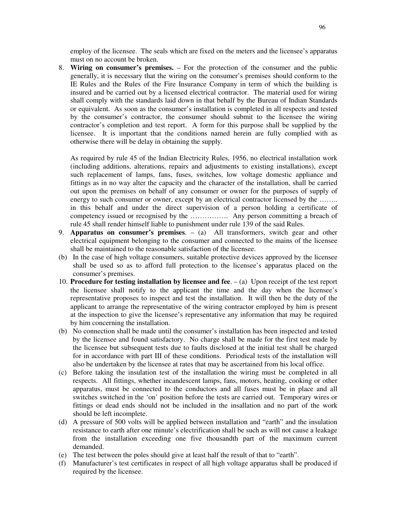employ of the licensee. The seals which are fixed on the meters and the licensee's apparatus must on no account be broken.

8. **Wiring on consumer's premises.** – For the protection of the consumer and the public generally, it is necessary that the wiring on the consumer's premises should conform to the IE Rules and the Rules of the Fire Insurance Company in term of which the building is insured and be carried out by a licensed electrical contractor. The material used for wiring shall comply with the standards laid down in that behalf by the Bureau of Indian Standards or equivalent. As soon as the consumer's installation is completed in all respects and tested by the consumer's contractor, the consumer should submit to the licensee the wiring contractor's completion and test report. A form for this purpose shall be supplied by the licensee. It is important that the conditions named herein are fully complied with as otherwise there will be delay in obtaining the supply.

As required by rule 45 of the Indian Electricity Rules, 1956, no electrical installation work (including additions, alterations, repairs and adjustments to existing installations), except such replacement of lamps, fans, fuses, switches, low voltage domestic appliance and fittings as in no way alter the capacity and the character of the installation, shall be carried out upon the premises on behalf of any consumer or owner for the purposes of supply of energy to such consumer or owner, except by an electrical contractor licensed by the ....... in this behalf and under the direct supervision of a person holding a certificate of competency issued or recognised by the … … … … … . Any person committing a breach of rule 45 shall render himself liable to punishment under rule 139 of the said Rules.

- 9. **Apparatus on consumer's premises**. (a) All transformers, switch gear and other electrical equipment belonging to the consumer and connected to the mains of the licensee shall be maintained to the reasonable satisfaction of the licensee.
- (b) In the case of high voltage consumers, suitable protective devices approved by the licensee shall be used so as to afford full protection to the licensee's apparatus placed on the consumer's premises.
- 10. **Procedure for testing installation by licensee and fee**. (a) Upon receipt of the test report the licensee shall notify to the applicant the time and the day when the licensee's representative proposes to inspect and test the installation. It will then be the duty of the applicant to arrange the representative of the wiring contractor employed by him is present at the inspection to give the licensee's representative any information that may be required by him concerning the installation.
- (b) No connection shall be made until the consumer's installation has been inspected and tested by the licensee and found satisfactory. No charge shall be made for the first test made by the licensee but subsequent tests due to faults disclosed at the initial test shall be charged for in accordance with part III of these conditions. Periodical tests of the installation will also be undertaken by the licensee at rates that may be ascertained from his local office.
- (c) Before taking the insulation test of the installation the wiring must be completed in all respects. All fittings, whether incandescent lamps, fans, motors, heating, cooking or other apparatus, must be connected to the conductors and all fuses must be in place and all switches switched in the 'on' position before the tests are carried out. Temporary wires or fittings or dead ends should not be included in the insallation and no part of the work should be left incomplete.
- (d) A pressure of 500 volts will be applied between installation and "earth" and the insulation resistance to earth after one minute's electrification shall be such as will not cause a leakage from the installation exceeding one five thousandth part of the maximum current demanded.
- (e) The test between the poles should give at least half the result of that to "earth".
- (f) Manufacturer's test certificates in respect of all high voltage apparatus shall be produced if required by the licensee.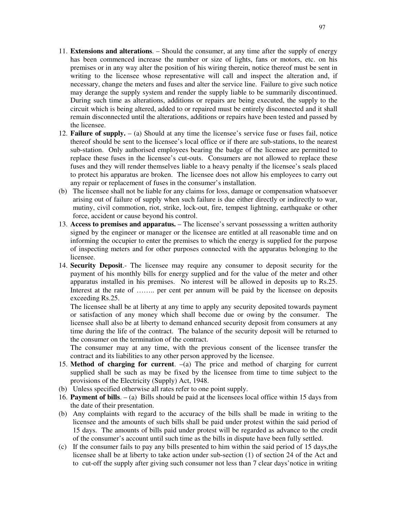- 11. **Extensions and alterations**. Should the consumer, at any time after the supply of energy has been commenced increase the number or size of lights, fans or motors, etc. on his premises or in any way alter the position of his wiring therein, notice thereof must be sent in writing to the licensee whose representative will call and inspect the alteration and, if necessary, change the meters and fuses and alter the service line. Failure to give such notice may derange the supply system and render the supply liable to be summarily discontinued. During such time as alterations, additions or repairs are being executed, the supply to the circuit which is being altered, added to or repaired must be entirely disconnected and it shall remain disconnected until the alterations, additions or repairs have been tested and passed by the licensee.
- 12. **Failure of supply.** (a) Should at any time the licensee's service fuse or fuses fail, notice thereof should be sent to the licensee's local office or if there are sub-stations, to the nearest sub-station. Only authorised employees bearing the badge of the licensee are permitted to replace these fuses in the licensee's cut-outs. Consumers are not allowed to replace these fuses and they will render themselves liable to a heavy penalty if the licensee's seals placed to protect his apparatus are broken. The licensee does not allow his employees to carry out any repair or replacement of fuses in the consumer's installation.
- (b) The licensee shall not be liable for any claims for loss, damage or compensation whatsoever arising out of failure of supply when such failure is due either directly or indirectly to war, mutiny, civil commotion, riot, strike, lock-out, fire, tempest lightning, earthquake or other force, accident or cause beyond his control.
- 13. **Access to premises and apparatus.** The licensee's servant possesssing a written authority signed by the engineer or manager or the licensee are entitled at all reasonable time and on informing the occupier to enter the premises to which the energy is supplied for the purpose of inspecting meters and for other purposes connected with the apparatus belonging to the licensee.
- 14. **Security Deposit**.- The licensee may require any consumer to deposit security for the payment of his monthly bills for energy supplied and for the value of the meter and other apparatus installed in his premises. No interest will be allowed in deposits up to Rs.25. Interest at the rate of ........ per cent per annum will be paid by the licensee on deposits exceeding Rs.25.

The licensee shall be at liberty at any time to apply any security deposited towards payment or satisfaction of any money which shall become due or owing by the consumer. The licensee shall also be at liberty to demand enhanced security deposit from consumers at any time during the life of the contract. The balance of the security deposit will be returned to the consumer on the termination of the contract.

The consumer may at any time, with the previous consent of the licensee transfer the contract and its liabilities to any other person approved by the licensee.

- 15. **Method of charging for current**. –(a) The price and method of charging for current supplied shall be such as may be fixed by the licensee from time to time subject to the provisions of the Electricity (Supply) Act, 1948.
- (b) Unless specified otherwise all rates refer to one point supply.
- 16. **Payment of bills**. (a) Bills should be paid at the licensees local office within 15 days from the date of their presentation.
- (b) Any complaints with regard to the accuracy of the bills shall be made in writing to the licensee and the amounts of such bills shall be paid under protest within the said period of 15 days. The amounts of bills paid under protest will be regarded as advance to the credit of the consumer's account until such time as the bills in dispute have been fully settled.
- (c) If the consumer fails to pay any bills presented to him within the said period of 15 days,the licensee shall be at liberty to take action under sub-section (1) of section 24 of the Act and to cut-off the supply after giving such consumer not less than 7 clear days' notice in writing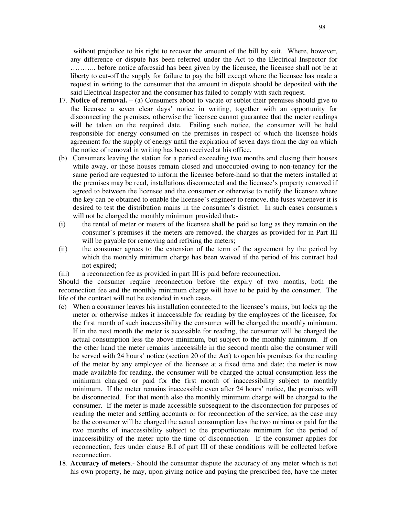without prejudice to his right to recover the amount of the bill by suit. Where, however, any difference or dispute has been referred under the Act to the Electrical Inspector for … … … .. before notice aforesaid has been given by the licensee, the licensee shall not be at liberty to cut-off the supply for failure to pay the bill except where the licensee has made a request in writing to the consumer that the amount in dispute should be deposited with the said Electrical Inspector and the consumer has failed to comply with such request.

- 17. **Notice of removal.** (a) Consumers about to vacate or sublet their premises should give to the licensee a seven clear days' notice in writing, together with an opportunity for disconnecting the premises, otherwise the licensee cannot guarantee that the meter readings will be taken on the required date. Failing such notice, the consumer will be held responsible for energy consumed on the premises in respect of which the licensee holds agreement for the supply of energy until the expiration of seven days from the day on which the notice of removal in writing has been received at his office.
- (b) Consumers leaving the station for a period exceeding two months and closing their houses while away, or those houses remain closed and unoccupied owing to non-tenancy for the same period are requested to inform the licensee before-hand so that the meters installed at the premises may be read, installations disconnected and the licensee's property removed if agreed to between the licensee and the consumer or otherwise to notify the licensee where the key can be obtained to enable the licensee's engineer to remove, the fuses whenever it is desired to test the distribution mains in the consumer's district. In such cases consumers will not be charged the monthly minimum provided that:-
- (i) the rental of meter or meters of the licensee shall be paid so long as they remain on the consumer's premises if the meters are removed, the charges as provided for in Part III will be payable for removing and refixing the meters;
- (ii) the consumer agrees to the extension of the term of the agreement by the period by which the monthly minimum charge has been waived if the period of his contract had not expired;
- (iii) a reconnection fee as provided in part III is paid before reconnection.

Should the consumer require reconnection before the expiry of two months, both the reconnection fee and the monthly minimum charge will have to be paid by the consumer. The life of the contract will not be extended in such cases.

- (c) When a consumer leaves his installation connected to the licensee's mains, but locks up the meter or otherwise makes it inaccessible for reading by the employees of the licensee, for the first month of such inaccessibility the consumer will be charged the monthly minimum. If in the next month the meter is accessible for reading, the consumer will be charged the actual consumption less the above minimum, but subject to the monthly minimum. If on the other hand the meter remains inaccessible in the second month also the consumer will be served with 24 hours' notice (section 20 of the Act) to open his premises for the reading of the meter by any employee of the licensee at a fixed time and date; the meter is now made available for reading, the consumer will be charged the actual consumption less the minimum charged or paid for the first month of inaccessibility subject to monthly minimum. If the meter remains inaccessible even after 24 hours' notice, the premises will be disconnected. For that month also the monthly minimum charge will be charged to the consumer. If the meter is made accessible subsequent to the disconnection for purposes of reading the meter and settling accounts or for reconnection of the service, as the case may be the consumer will be charged the actual consumption less the two minima or paid for the two months of inaccessibility subject to the proportionate minimum for the period of inaccessibility of the meter upto the time of disconnection. If the consumer applies for reconnection, fees under clause B.I of part III of these conditions will be collected before reconnection.
- 18. **Accuracy of meters**.- Should the consumer dispute the accuracy of any meter which is not his own property, he may, upon giving notice and paying the prescribed fee, have the meter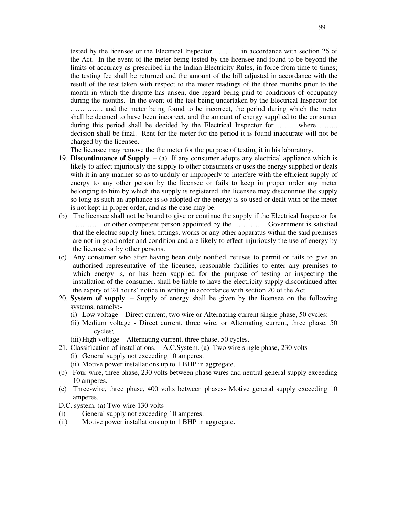tested by the licensee or the Electrical Inspector, … … … . in accordance with section 26 of the Act. In the event of the meter being tested by the licensee and found to be beyond the limits of accuracy as prescribed in the Indian Electricity Rules, in force from time to times; the testing fee shall be returned and the amount of the bill adjusted in accordance with the result of the test taken with respect to the meter readings of the three months prior to the month in which the dispute has arisen, due regard being paid to conditions of occupancy during the months. In the event of the test being undertaken by the Electrical Inspector for … … … … .. and the meter being found to be incorrect, the period during which the meter shall be deemed to have been incorrect, and the amount of energy supplied to the consumer during this period shall be decided by the Electrical Inspector for … ... where … decision shall be final. Rent for the meter for the period it is found inaccurate will not be charged by the licensee.

The licensee may remove the the meter for the purpose of testing it in his laboratory.

- 19. **Discontinuance of Supply**. (a) If any consumer adopts any electrical appliance which is likely to affect injuriously the supply to other consumers or uses the energy supplied or deals with it in any manner so as to unduly or improperly to interfere with the efficient supply of energy to any other person by the licensee or fails to keep in proper order any meter belonging to him by which the supply is registered, the licensee may discontinue the supply so long as such an appliance is so adopted or the energy is so used or dealt with or the meter is not kept in proper order, and as the case may be.
- (b) The licensee shall not be bound to give or continue the supply if the Electrical Inspector for ............. or other competent person appointed by the ............... Government is satisfied that the electric supply-lines, fittings, works or any other apparatus within the said premises are not in good order and condition and are likely to effect injuriously the use of energy by the licensee or by other persons.
- (c) Any consumer who after having been duly notified, refuses to permit or fails to give an authorised representative of the licensee, reasonable facilities to enter any premises to which energy is, or has been supplied for the purpose of testing or inspecting the installation of the consumer, shall be liable to have the electricity supply discontinued after the expiry of 24 hours' notice in writing in accordance with section 20 of the Act.
- 20. **System of supply**. Supply of energy shall be given by the licensee on the following systems, namely:-
	- (i) Low voltage Direct current, two wire or Alternating current single phase, 50 cycles;
	- (ii) Medium voltage Direct current, three wire, or Alternating current, three phase, 50 cycles;
	- (iii)High voltage Alternating current, three phase, 50 cycles.
- 21. Classification of installations. A.C.System. (a) Two wire single phase, 230 volts
	- (i) General supply not exceeding 10 amperes.
	- (ii) Motive power installations up to 1 BHP in aggregate.
- (b) Four-wire, three phase, 230 volts between phase wires and neutral general supply exceeding 10 amperes.
- (c) Three-wire, three phase, 400 volts between phases- Motive general supply exceeding 10 amperes.
- D.C. system. (a) Two-wire 130 volts –
- (i) General supply not exceeding 10 amperes.
- (ii) Motive power installations up to 1 BHP in aggregate.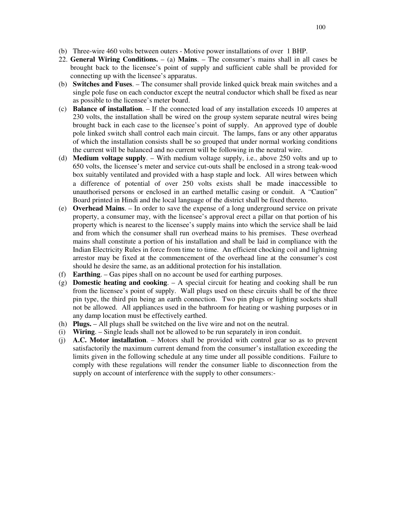- (b) Three-wire 460 volts between outers Motive power installations of over 1 BHP.
- 22. **General Wiring Conditions.** (a) **Mains**. The consumer's mains shall in all cases be brought back to the licensee's point of supply and sufficient cable shall be provided for connecting up with the licensee's apparatus.
- (b) **Switches and Fuses**. The consumer shall provide linked quick break main switches and a single pole fuse on each conductor except the neutral conductor which shall be fixed as near as possible to the licensee's meter board.
- (c) **Balance of installation**. If the connected load of any installation exceeds 10 amperes at 230 volts, the installation shall be wired on the group system separate neutral wires being brought back in each case to the licensee's point of supply. An approved type of double pole linked switch shall control each main circuit. The lamps, fans or any other apparatus of which the installation consists shall be so grouped that under normal working conditions the current will be balanced and no current will be following in the neutral wire.
- (d) **Medium voltage supply**. With medium voltage supply, i.e., above 250 volts and up to 650 volts, the licensee's meter and service cut-outs shall be enclosed in a strong teak-wood box suitably ventilated and provided with a hasp staple and lock. All wires between which a difference of potential of over 250 volts exists shall be made inaccessible to unauthorised persons or enclosed in an earthed metallic casing or conduit. A "Caution" Board printed in Hindi and the local language of the district shall be fixed thereto.
- (e) **Overhead Mains**. In order to save the expense of a long underground service on private property, a consumer may, with the licensee's approval erect a pillar on that portion of his property which is nearest to the licensee's supply mains into which the service shall be laid and from which the consumer shall run overhead mains to his premises. These overhead mains shall constitute a portion of his installation and shall be laid in compliance with the Indian Electricity Rules in force from time to time. An efficient chocking coil and lightning arrestor may be fixed at the commencement of the overhead line at the consumer's cost should he desire the same, as an additional protection for his installation.
- (f) **Earthing**. Gas pipes shall on no account be used for earthing purposes.
- (g) **Domestic heating and cooking**. A special circuit for heating and cooking shall be run from the licensee's point of supply. Wall plugs used on these circuits shall be of the three pin type, the third pin being an earth connection. Two pin plugs or lighting sockets shall not be allowed. All appliances used in the bathroom for heating or washing purposes or in any damp location must be effectively earthed.
- (h) **Plugs.** All plugs shall be switched on the live wire and not on the neutral.
- (i) **Wiring**. Single leads shall not be allowed to be run separately in iron conduit.
- (j) **A.C. Motor installation**. Motors shall be provided with control gear so as to prevent satisfactorily the maximum current demand from the consumer's installation exceeding the limits given in the following schedule at any time under all possible conditions. Failure to comply with these regulations will render the consumer liable to disconnection from the supply on account of interference with the supply to other consumers:-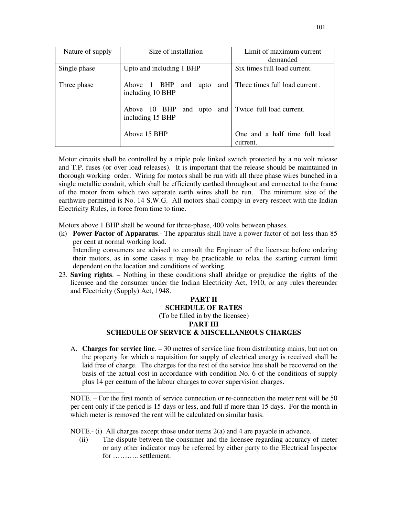| Nature of supply | Size of installation                            | Limit of maximum current                  |  |
|------------------|-------------------------------------------------|-------------------------------------------|--|
|                  |                                                 | demanded                                  |  |
| Single phase     | Upto and including 1 BHP                        | Six times full load current.              |  |
| Three phase      | Above 1 BHP and<br>upto and<br>including 10 BHP | Three times full load current.            |  |
|                  | Above 10 BHP and upto and<br>including 15 BHP   | Twice full load current.                  |  |
|                  | Above 15 BHP                                    | One and a half time full load<br>current. |  |

Motor circuits shall be controlled by a triple pole linked switch protected by a no volt release and T.P. fuses (or over load releases). It is important that the release should be maintained in thorough working order. Wiring for motors shall be run with all three phase wires bunched in a single metallic conduit, which shall be efficiently earthed throughout and connected to the frame of the motor from which two separate earth wires shall be run. The minimum size of the earthwire permitted is No. 14 S.W.G. All motors shall comply in every respect with the Indian Electricity Rules, in force from time to time.

Motors above 1 BHP shall be wound for three-phase, 400 volts between phases.

- (k) **Power Factor of Apparatus**.- The apparatus shall have a power factor of not less than 85 per cent at normal working load. Intending consumers are advised to consult the Engineer of the licensee before ordering their motors, as in some cases it may be practicable to relax the starting current limit dependent on the location and conditions of working.
- 23. **Saving rights**. Nothing in these conditions shall abridge or prejudice the rights of the licensee and the consumer under the Indian Electricity Act, 1910, or any rules thereunder and Electricity (Supply) Act, 1948.

#### **PART II SCHEDULE OF RATES**

## (To be filled in by the licensee) **PART III SCHEDULE OF SERVICE & MISCELLANEOUS CHARGES**

A. **Charges for service line**. – 30 metres of service line from distributing mains, but not on the property for which a requisition for supply of electrical energy is received shall be laid free of charge. The charges for the rest of the service line shall be recovered on the basis of the actual cost in accordance with condition No. 6 of the conditions of supply plus 14 per centum of the labour charges to cover supervision charges.

NOTE. – For the first month of service connection or re-connection the meter rent will be 50 per cent only if the period is 15 days or less, and full if more than 15 days. For the month in which meter is removed the rent will be calculated on similar basis.

NOTE.- (i) All charges except those under items  $2(a)$  and 4 are payable in advance.

\_\_\_\_\_\_\_\_\_\_\_\_\_\_\_

(ii) The dispute between the consumer and the licensee regarding accuracy of meter or any other indicator may be referred by either party to the Electrical Inspector for … …… settlement.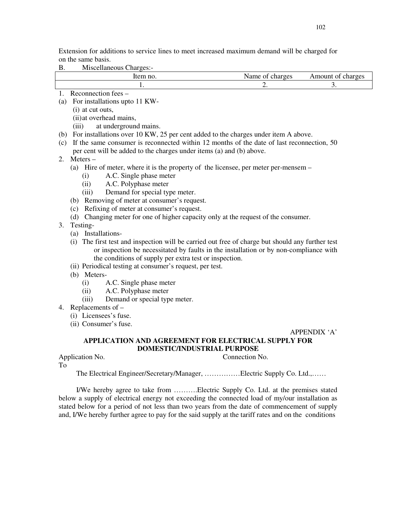Extension for additions to service lines to meet increased maximum demand will be charged for on the same basis.

B. Miscellaneous Charges:-

| no          | ame<br>0.0000<br>'NА. | mount)،<br>റ*<br>ve. |
|-------------|-----------------------|----------------------|
| - -<br>____ | <u>.</u>              | $\ddotsc$            |

- (a) For installations upto 11 KW-
	- (i) at cut outs,
	- (ii)at overhead mains,
	- (iii) at underground mains.
- (b) For installations over 10 KW, 25 per cent added to the charges under item A above.
- (c) If the same consumer is reconnected within 12 months of the date of last reconnection, 50 per cent will be added to the charges under items (a) and (b) above.
- 
- 2. Meters
	- (a) Hire of meter, where it is the property of the licensee, per meter per-mensem
		- (i) A.C. Single phase meter
		- (ii) A.C. Polyphase meter
		- (iii) Demand for special type meter.
	- (b) Removing of meter at consumer's request.
	- (c) Refixing of meter at consumer's request.
	- (d) Changing meter for one of higher capacity only at the request of the consumer.
- 3. Testing-
	- (a) Installations-
	- (i) The first test and inspection will be carried out free of charge but should any further test or inspection be necessitated by faults in the installation or by non-compliance with the conditions of supply per extra test or inspection.
	- (ii) Periodical testing at consumer's request, per test.
	- (b) Meters-
		- (i) A.C. Single phase meter
		- (ii) A.C. Polyphase meter
		- (iii) Demand or special type meter.
- 4. Replacements of
	- (i) Licensees's fuse.
	- (ii) Consumer's fuse.

APPENDIX 'A'

## **APPLICATION AND AGREEMENT FOR ELECTRICAL SUPPLY FOR DOMESTIC/INDUSTRIAL PURPOSE**

Application No. Connection No.

To

The Electrical Engineer/Secretary/Manager, … … … … … Electric Supply Co. Ltd.,… …

I/We hereby agree to take from … … … .Electric Supply Co. Ltd. at the premises stated below a supply of electrical energy not exceeding the connected load of my/our installation as stated below for a period of not less than two years from the date of commencement of supply and, I/We hereby further agree to pay for the said supply at the tariff rates and on the conditions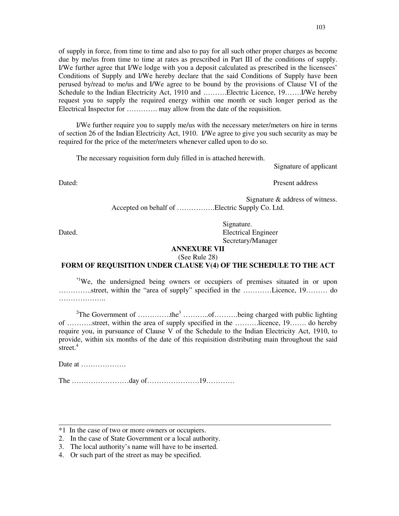of supply in force, from time to time and also to pay for all such other proper charges as become due by me/us from time to time at rates as prescribed in Part III of the conditions of supply. I/We further agree that I/We lodge with you a deposit calculated as prescribed in the licensees' Conditions of Supply and I/We hereby declare that the said Conditions of Supply have been perused by/read to me/us and I/We agree to be bound by the provisions of Clause VI of the Schedule to the Indian Electricity Act, 1910 and … ........Electric Licence, 19… ....I/We hereby request you to supply the required energy within one month or such longer period as the Electrical Inspector for ............. may allow from the date of the requisition.

I/We further require you to supply me/us with the necessary meter/meters on hire in terms of section 26 of the Indian Electricity Act, 1910. I/We agree to give you such security as may be required for the price of the meter/meters whenever called upon to do so.

The necessary requisition form duly filled in is attached herewith.

Signature of applicant

Dated: Present address and the present address and the present address and the present address and the present address and the present address and the present address and the present address and the present address and the

Signature & address of witness. Accepted on behalf of … … … … … .Electric Supply Co. Ltd.

Signature. Dated. Electrical Engineer Secretary/Manager

## **ANNEXURE VII**

(See Rule 28)

# **FORM OF REQUISITION UNDER CLAUSE V(4) OF THE SCHEDULE TO THE ACT**

<sup>\*1</sup>We, the undersigned being owners or occupiers of premises situated in or upon … … … … ..street, within the " area of supply" specified in the … … … … Licence, 19… … … do … … … … … … … … …

<sup>2</sup>The Government of .............the<sup>3</sup> ...........of.........being charged with public lighting of … … … ..street, within the area of supply specified in the … … … .licence, 19… … . do hereby require you, in pursuance of Clause V of the Schedule to the Indian Electricity Act, 1910, to provide, within six months of the date of this requisition distributing main throughout the said street. 4

\_\_\_\_\_\_\_\_\_\_\_\_\_\_\_\_\_\_\_\_\_\_\_\_\_\_\_\_\_\_\_\_\_\_\_\_\_\_\_\_\_\_\_\_\_\_\_\_\_\_\_\_\_\_\_\_\_\_\_\_\_\_\_\_\_\_\_\_\_\_\_\_\_\_\_\_

Date at ………………

The … … … … … … … … day of … … … … … … … … 19… … … …

- 3. The local authority's name will have to be inserted.
- 4. Or such part of the street as may be specified.

<sup>\*1</sup> In the case of two or more owners or occupiers.

<sup>2.</sup> In the case of State Government or a local authority.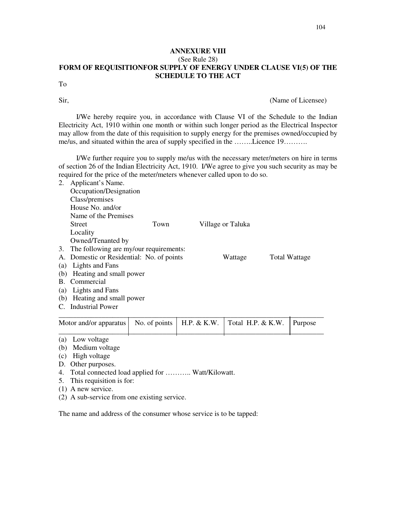## **ANNEXURE VIII** (See Rule 28) **FORM OF REQUISITIONFOR SUPPLY OF ENERGY UNDER CLAUSE VI(5) OF THE SCHEDULE TO THE ACT**

To

Sir, (Name of Licensee)

I/We hereby require you, in accordance with Clause VI of the Schedule to the Indian Electricity Act, 1910 within one month or within such longer period as the Electrical Inspector may allow from the date of this requisition to supply energy for the premises owned/occupied by me/us, and situated within the area of supply specified in the … … ..Licence 19… … … .

I/We further require you to supply me/us with the necessary meter/meters on hire in terms of section 26 of the Indian Electricity Act, 1910. I/We agree to give you such security as may be required for the price of the meter/meters whenever called upon to do so.

| 2.  | Applicant's Name.                         |      |                   |                      |
|-----|-------------------------------------------|------|-------------------|----------------------|
|     | Occupation/Designation                    |      |                   |                      |
|     | Class/premises                            |      |                   |                      |
|     | House No. and/or                          |      |                   |                      |
|     | Name of the Premises                      |      |                   |                      |
|     | <b>Street</b>                             | Town | Village or Taluka |                      |
|     | Locality                                  |      |                   |                      |
|     | Owned/Tenanted by                         |      |                   |                      |
| 3.  | The following are my/our requirements:    |      |                   |                      |
|     | A. Domestic or Residential: No. of points |      | Wattage           | <b>Total Wattage</b> |
|     | (a) Lights and Fans                       |      |                   |                      |
|     | (b) Heating and small power               |      |                   |                      |
|     | B. Commercial                             |      |                   |                      |
|     | (a) Lights and Fans                       |      |                   |                      |
| (b) | Heating and small power                   |      |                   |                      |
|     |                                           |      |                   |                      |

C. Industrial Power

| Motor and/or apparatus   No. of points   H.P. & K.W.   Total H.P. & K.W.   Purpose |  |
|------------------------------------------------------------------------------------|--|

- (a) Low voltage
- (b) Medium voltage
- (c) High voltage
- D. Other purposes.
- 4. Total connected load applied for ........... Watt/Kilowatt.
- 5. This requisition is for:
- (1) A new service.
- (2) A sub-service from one existing service.

The name and address of the consumer whose service is to be tapped: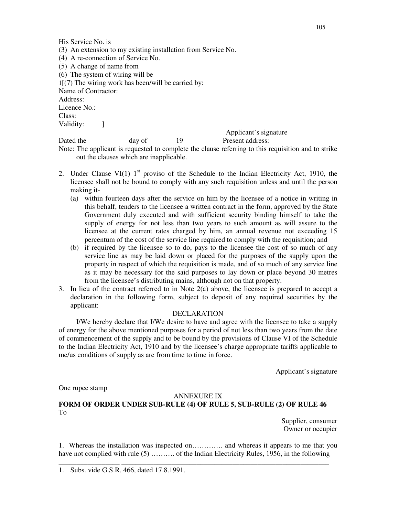His Service No. is

(3) An extension to my existing installation from Service No.

(4) A re-connection of Service No.

(5) A change of name from

(6) The system of wiring will be

 $1(7)$  The wiring work has been/will be carried by:

Name of Contractor:

Address:

Licence No.: Class:

Validity: 1

Applicant's signature Dated the day of 19 Present address:

Note: The applicant is requested to complete the clause referring to this requisition and to strike out the clauses which are inapplicable.

- 2. Under Clause VI $(1)$  1<sup>st</sup> proviso of the Schedule to the Indian Electricity Act, 1910, the licensee shall not be bound to comply with any such requisition unless and until the person making it-
	- (a) within fourteen days after the service on him by the licensee of a notice in writing in this behalf, tenders to the licensee a written contract in the form, approved by the State Government duly executed and with sufficient security binding himself to take the supply of energy for not less than two years to such amount as will assure to the licensee at the current rates charged by him, an annual revenue not exceeding 15 percentum of the cost of the service line required to comply with the requisition; and
	- (b) if required by the licensee so to do, pays to the licensee the cost of so much of any service line as may be laid down or placed for the purposes of the supply upon the property in respect of which the requisition is made, and of so much of any service line as it may be necessary for the said purposes to lay down or place beyond 30 metres from the licensee's distributing mains, although not on that property.
- 3. In lieu of the contract referred to in Note 2(a) above, the licensee is prepared to accept a declaration in the following form, subject to deposit of any required securities by the applicant:

## DECLARATION

I/We hereby declare that I/We desire to have and agree with the licensee to take a supply of energy for the above mentioned purposes for a period of not less than two years from the date of commencement of the supply and to be bound by the provisions of Clause VI of the Schedule to the Indian Electricity Act, 1910 and by the licensee's charge appropriate tariffs applicable to me/us conditions of supply as are from time to time in force.

Applicant's signature

One rupee stamp

## ANNEXURE IX

#### **FORM OF ORDER UNDER SUB-RULE (4) OF RULE 5, SUB-RULE (2) OF RULE 46** To

Supplier, consumer Owner or occupier

1. Whereas the installation was inspected on… … … … . and whereas it appears to me that you have not complied with rule (5) … ... ... of the Indian Electricity Rules, 1956, in the following

\_\_\_\_\_\_\_\_\_\_\_\_\_\_\_\_\_ \_\_\_\_\_\_\_\_\_\_\_\_\_\_\_\_\_\_\_\_\_\_\_\_\_\_\_\_\_\_\_\_\_\_\_\_\_\_\_\_\_\_\_\_\_\_\_\_\_\_\_\_\_\_\_\_\_\_

<sup>1.</sup> Subs. vide G.S.R. 466, dated 17.8.1991.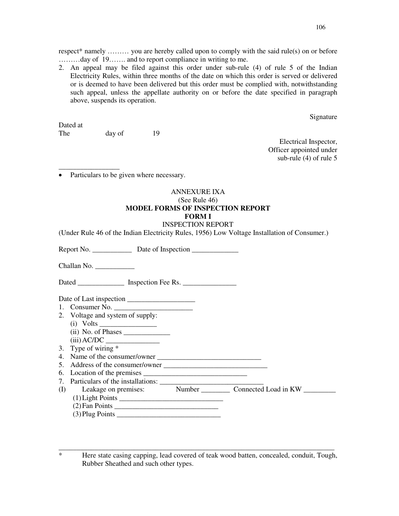respect<sup>\*</sup> namely ........ you are hereby called upon to comply with the said rule(s) on or before … … … day of 19… … . and to report compliance in writing to me.

2. An appeal may be filed against this order under sub-rule (4) of rule 5 of the Indian Electricity Rules, within three months of the date on which this order is served or delivered or is deemed to have been delivered but this order must be complied with, notwithstanding such appeal, unless the appellate authority on or before the date specified in paragraph above, suspends its operation.

|                                  |                                                                             |    |                                                                                   | Signature                                                                                                                               |
|----------------------------------|-----------------------------------------------------------------------------|----|-----------------------------------------------------------------------------------|-----------------------------------------------------------------------------------------------------------------------------------------|
| Dated at                         |                                                                             |    |                                                                                   |                                                                                                                                         |
| The                              | day of                                                                      | 19 |                                                                                   | Electrical Inspector,<br>Officer appointed under<br>sub-rule $(4)$ of rule 5                                                            |
|                                  | Particulars to be given where necessary.                                    |    |                                                                                   |                                                                                                                                         |
|                                  |                                                                             |    | <b>ANNEXURE IXA</b><br>(See Rule 46)<br><b>FORM I</b><br><b>INSPECTION REPORT</b> | <b>MODEL FORMS OF INSPECTION REPORT</b><br>(Under Rule 46 of the Indian Electricity Rules, 1956) Low Voltage Installation of Consumer.) |
|                                  |                                                                             |    |                                                                                   |                                                                                                                                         |
| Challan No.                      |                                                                             |    |                                                                                   |                                                                                                                                         |
|                                  |                                                                             |    | Dated ______________________ Inspection Fee Rs. _________________________________ |                                                                                                                                         |
| 3. Type of wiring *<br>7.<br>(I) | 1. Consumer No.<br>2. Voltage and system of supply:<br>Leakage on premises: |    |                                                                                   |                                                                                                                                         |

\_\_\_\_\_\_\_\_\_\_\_\_\_\_\_\_\_\_\_\_\_\_\_\_\_\_\_\_\_\_\_\_\_\_\_\_\_\_\_\_\_\_\_\_\_\_\_\_\_\_\_\_\_\_\_\_\_\_\_\_\_\_\_\_\_\_\_\_\_\_\_\_\_\_\_\_\_ \* Here state casing capping, lead covered of teak wood batten, concealed, conduit, Tough, Rubber Sheathed and such other types.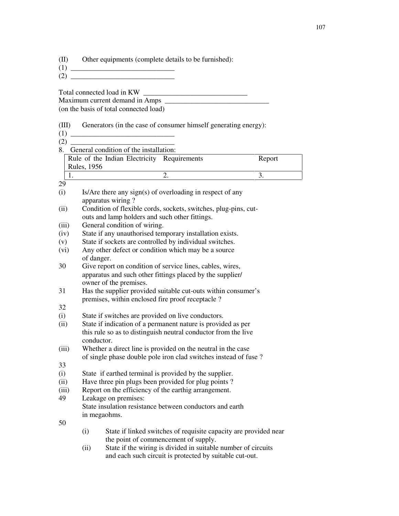(1) \_\_\_\_\_\_\_\_\_\_\_\_\_\_\_\_\_\_\_\_\_\_\_\_\_\_\_\_\_  $(2)$ 

Total connected load in KW \_\_\_\_\_\_\_\_\_\_\_\_\_\_\_\_\_\_\_\_\_\_\_\_\_\_\_\_\_

Maximum current demand in Amps

(on the basis of total connected load)

(III) Generators (in the case of consumer himself generating energy):

(1) \_\_\_\_\_\_\_\_\_\_\_\_\_\_\_\_\_\_\_\_\_\_\_\_\_\_\_\_\_

 $(2)$ 

# 8. General condition of the installation:

| Rule of the Indian Electricity Requirements | Report |
|---------------------------------------------|--------|
| <b>Rules</b> , 1956                         |        |
|                                             |        |

| 29    |                                                                 |
|-------|-----------------------------------------------------------------|
| (i)   | $Is/Are$ there any sign(s) of overloading in respect of any     |
|       | apparatus wiring?                                               |
| (ii)  | Condition of flexible cords, sockets, switches, plug-pins, cut- |
|       | outs and lamp holders and such other fittings.                  |
| (iii) | General condition of wiring.                                    |
| (iv)  | State if any unauthorised temporary installation exists.        |
| (v)   | State if sockets are controlled by individual switches.         |
| (vi)  | Any other defect or condition which may be a source             |

- of danger.
- 30 Give report on condition of service lines, cables, wires, apparatus and such other fittings placed by the supplier/ owner of the premises.
- 31 Has the supplier provided suitable cut-outs within consumer's premises, within enclosed fire proof receptacle ?
- 32
- (i) State if switches are provided on live conductors.
- (ii) State if indication of a permanent nature is provided as per this rule so as to distinguish neutral conductor from the live conductor.
- (iii) Whether a direct line is provided on the neutral in the case of single phase double pole iron clad switches instead of fuse ? 33
- (i) State if earthed terminal is provided by the supplier.
- (ii) Have three pin plugs been provided for plug points ?
- (iii) Report on the efficiency of the earthig arrangement.
- 49 Leakage on premises: State insulation resistance between conductors and earth in megaohms.
- 50
- (i) State if linked switches of requisite capacity are provided near the point of commencement of supply.
- (ii) State if the wiring is divided in suitable number of circuits and each such circuit is protected by suitable cut-out.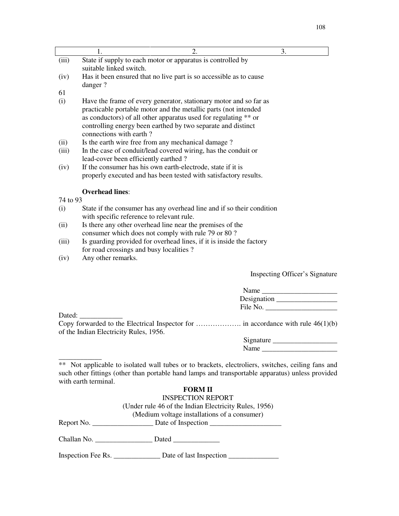|          | 1.                                       | $\overline{2}$ .                                                                                                                                                                                                                                                        | 3.                             |
|----------|------------------------------------------|-------------------------------------------------------------------------------------------------------------------------------------------------------------------------------------------------------------------------------------------------------------------------|--------------------------------|
| (iii)    | suitable linked switch.                  | State if supply to each motor or apparatus is controlled by                                                                                                                                                                                                             |                                |
| (iv)     | danger?                                  | Has it been ensured that no live part is so accessible as to cause                                                                                                                                                                                                      |                                |
| 61       |                                          |                                                                                                                                                                                                                                                                         |                                |
| (i)      | connections with earth?                  | Have the frame of every generator, stationary motor and so far as<br>practicable portable motor and the metallic parts (not intended<br>as conductors) of all other apparatus used for regulating ** or<br>controlling energy been earthed by two separate and distinct |                                |
| (ii)     |                                          | Is the earth wire free from any mechanical damage?                                                                                                                                                                                                                      |                                |
| (iii)    | lead-cover been efficiently earthed?     | In the case of conduit/lead covered wiring, has the conduit or                                                                                                                                                                                                          |                                |
| (iv)     |                                          | If the consumer has his own earth-electrode, state if it is<br>properly executed and has been tested with satisfactory results.                                                                                                                                         |                                |
|          | <b>Overhead lines:</b>                   |                                                                                                                                                                                                                                                                         |                                |
| 74 to 93 |                                          |                                                                                                                                                                                                                                                                         |                                |
| (i)      |                                          | State if the consumer has any overhead line and if so their condition<br>with specific reference to relevant rule.                                                                                                                                                      |                                |
| (ii)     |                                          | Is there any other overhead line near the premises of the<br>consumer which does not comply with rule 79 or 80 ?                                                                                                                                                        |                                |
| (iii)    | for road crossings and busy localities ? | Is guarding provided for overhead lines, if it is inside the factory                                                                                                                                                                                                    |                                |
| (iv)     | Any other remarks.                       |                                                                                                                                                                                                                                                                         |                                |
|          |                                          |                                                                                                                                                                                                                                                                         | Inspecting Officer's Signature |
|          |                                          |                                                                                                                                                                                                                                                                         | Name                           |
|          |                                          |                                                                                                                                                                                                                                                                         | Designation                    |
|          |                                          |                                                                                                                                                                                                                                                                         | File No.                       |
| Dated:   |                                          |                                                                                                                                                                                                                                                                         |                                |
|          |                                          | Copy forwarded to the Electrical Inspector for  in accordance with rule 46(1)(b)                                                                                                                                                                                        |                                |

of the Indian Electricity Rules, 1956.

\_\_\_\_\_\_\_\_\_\_\_\_

| Signature |  |
|-----------|--|
| Name      |  |

\*\* Not applicable to isolated wall tubes or to brackets, electroliers, switches, ceiling fans and such other fittings (other than portable hand lamps and transportable apparatus) unless provided with earth terminal.

| FORM II |
|---------|
|---------|

(Under rule 46 of the Indian Electricity Rules, 1956)

(Medium voltage installations of a consumer)

| Report No. | Date of Inspection |  |
|------------|--------------------|--|
|------------|--------------------|--|

Challan No. \_\_\_\_\_\_\_\_\_\_\_\_\_\_\_\_ Dated \_\_\_\_\_\_\_\_\_\_\_\_\_

Inspection Fee Rs. \_\_\_\_\_\_\_\_\_\_\_\_\_\_\_ Date of last Inspection \_\_\_\_\_\_\_\_\_\_\_\_\_\_\_\_\_\_\_\_\_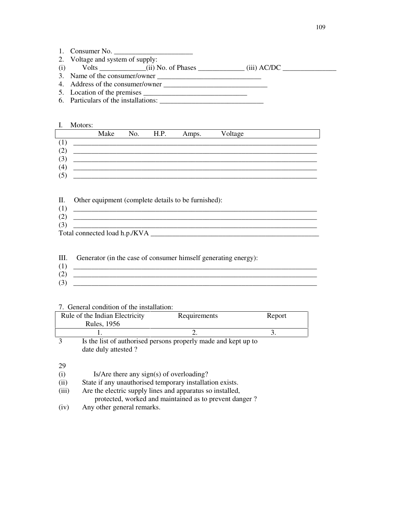- 1. Consumer No. \_\_\_\_\_\_\_\_\_\_\_\_\_\_\_\_\_\_\_\_\_\_
- 2. Voltage and system of supply:
- (i) Volts \_\_\_\_\_\_\_\_\_\_\_\_\_(ii) No. of Phases \_\_\_\_\_\_\_\_\_\_\_\_\_ (iii) AC/DC \_\_\_\_\_\_\_\_\_\_\_\_\_\_\_
- 3. Name of the consumer/owner  $\frac{1}{\sqrt{1-\frac{1}{2}}}\left| \frac{1}{\sqrt{1-\frac{1}{2}}}\right|$
- 4. Address of the consumer/owner \_\_\_\_\_\_\_\_\_\_\_\_\_\_\_\_\_\_\_\_\_\_\_\_\_\_\_\_\_
- 5. Location of the premises  $\frac{1}{\sqrt{1-\frac{1}{n}}}\$
- 6. Particulars of the installations:

## I. Motors: Make No. H.P. Amps. Voltage  $(1)$ (2) \_\_\_\_\_\_\_\_\_\_\_\_\_\_\_\_\_\_\_\_\_\_\_\_\_\_\_\_\_\_\_\_\_\_\_\_\_\_\_\_\_\_\_\_\_\_\_\_\_\_\_\_\_\_\_\_\_\_\_\_\_\_\_\_\_\_\_\_  $(3)$   $\qquad \qquad$  $(4)$   $\qquad \qquad$  $(5)$   $\qquad \qquad$

II. Other equipment (complete details to be furnished):

| Total connected load h.p./KVA |  |  |
|-------------------------------|--|--|

|--|

| (1) |  |
|-----|--|
|     |  |
| (2) |  |

 $(3)$   $\qquad \qquad$ 

#### 7. General condition of the installation:

| Rule of the Indian Electricity | Requirements                                                   | Report |
|--------------------------------|----------------------------------------------------------------|--------|
| Rules, 1956                    |                                                                |        |
|                                |                                                                |        |
|                                | Is the list of authorised persons properly made and kept up to |        |
| date duly attested ?           |                                                                |        |

29

- (i) Is/Are there any sign(s) of overloading?
- (ii) State if any unauthorised temporary installation exists.
- (iii) Are the electric supply lines and apparatus so installed, protected, worked and maintained as to prevent danger ?
- (iv) Any other general remarks.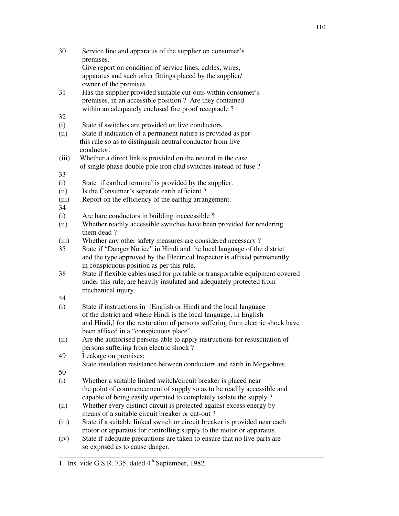30 Service line and apparatus of the supplier on consumer's premises. Give report on condition of service lines, cables, wires, apparatus and such other fittings placed by the supplier/ owner of the premises. 31 Has the supplier provided suitable cut-outs within consumer's premises, in an accessible position ? Are they contained within an adequately enclosed fire proof receptacle ? 32 (i) State if switches are provided on live conductors. (ii) State if indication of a permanent nature is provided as per this rule so as to distinguish neutral conductor from live conductor. (iii) Whether a direct link is provided on the neutral in the case of single phase double pole iron clad switches instead of fuse ? 33 (i) State if earthed terminal is provided by the supplier. (ii) Is the Consumer's separate earth efficient ? (iii) Report on the efficiency of the earthig arrangement. 34 (i) Are bare conductors in building inaccessible ? (ii) Whether readily accessible switches have been provided for rendering them dead ? (iii) Whether any other safety measures are considered necessary ? 35 State if " Danger Notice" in Hindi and the local language of the district and the type approved by the Electrical Inspector is affixed permanently in conspicuous position as per this rule. 38 State if flexible cables used for portable or transportable equipment covered under this rule, are heavily insulated and adequately protected from mechanical injury. 44 (i) State if instructions in 1 [English or Hindi and the local language of the district and where Hindi is the local language, in English and Hindi,] for the restoration of persons suffering from electric shock have been affixed in a "conspicuous place". (ii) Are the authorised persons able to apply instructions for resuscitation of persons suffering from electric shock ? 49 Leakage on premises: State insulation resistance between conductors and earth in Megaohms. 50 (i) Whether a suitable linked switch/circuit breaker is placed near the point of commencement of supply so as to be readily accessible and capable of being easily operated to completely isolate the supply ? (ii) Whether every distinct circuit is protected against excess energy by means of a suitable circuit breaker or cut-out ? (iii) State if a suitable linked switch or circuit breaker is provided near each motor or apparatus for controlling supply to the motor or apparatus. (iv) State if adequate precautions are taken to ensure that no live parts are so exposed as to cause danger. \_\_\_\_\_\_\_\_\_\_\_\_\_\_\_\_\_\_\_\_\_\_\_\_\_\_\_\_\_\_\_\_\_\_\_\_\_\_\_\_\_\_\_\_\_\_\_\_\_\_\_\_\_\_\_\_\_\_\_\_\_\_\_\_\_\_\_\_\_\_\_\_\_\_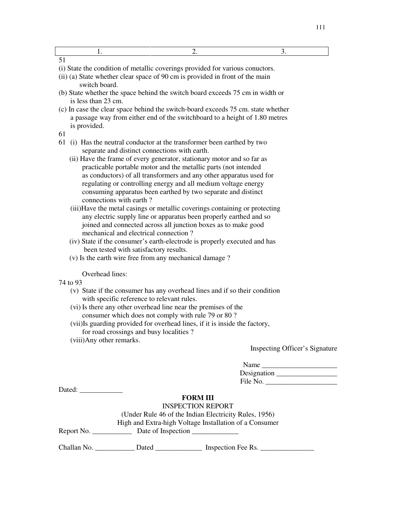| 1.                                                                              | 2.                                                                                                                                                              | 3.                             |
|---------------------------------------------------------------------------------|-----------------------------------------------------------------------------------------------------------------------------------------------------------------|--------------------------------|
| 51                                                                              |                                                                                                                                                                 |                                |
|                                                                                 | (i) State the condition of metallic coverings provided for various conuctors.                                                                                   |                                |
| switch board.                                                                   | (ii) (a) State whether clear space of 90 cm is provided in front of the main                                                                                    |                                |
| is less than 23 cm.                                                             | (b) State whether the space behind the switch board exceeds 75 cm in width or                                                                                   |                                |
|                                                                                 | (c) In case the clear space behind the switch-board exceeds 75 cm. state whether<br>a passage way from either end of the switchboard to a height of 1.80 metres |                                |
| is provided.<br>61                                                              |                                                                                                                                                                 |                                |
| 61<br>separate and distinct connections with earth.                             | (i) Has the neutral conductor at the transformer been earthed by two                                                                                            |                                |
|                                                                                 | (ii) Have the frame of every generator, stationary motor and so far as<br>practicable portable motor and the metallic parts (not intended                       |                                |
|                                                                                 | as conductors) of all transformers and any other apparatus used for                                                                                             |                                |
|                                                                                 | regulating or controlling energy and all medium voltage energy<br>consuming apparatus been earthed by two separate and distinct                                 |                                |
| connections with earth?                                                         | (iii) Have the metal casings or metallic coverings containing or protecting                                                                                     |                                |
|                                                                                 | any electric supply line or apparatus been properly earthed and so<br>joined and connected across all junction boxes as to make good                            |                                |
| mechanical and electrical connection?<br>been tested with satisfactory results. | (iv) State if the consumer's earth-electrode is properly executed and has                                                                                       |                                |
|                                                                                 | (v) Is the earth wire free from any mechanical damage?                                                                                                          |                                |
| Overhead lines:                                                                 |                                                                                                                                                                 |                                |
| 74 to 93                                                                        | (v) State if the consumer has any overhead lines and if so their condition                                                                                      |                                |
| with specific reference to relevant rules.                                      | (vi) Is there any other overhead line near the premises of the                                                                                                  |                                |
|                                                                                 | consumer which does not comply with rule 79 or 80 ?<br>(vii)Is guarding provided for overhead lines, if it is inside the factory,                               |                                |
| for road crossings and busy localities?                                         |                                                                                                                                                                 |                                |
| (viii) Any other remarks.                                                       |                                                                                                                                                                 | Inspecting Officer's Signature |
|                                                                                 |                                                                                                                                                                 | Name                           |
|                                                                                 |                                                                                                                                                                 | Designation                    |
|                                                                                 |                                                                                                                                                                 | File No.                       |

# **FORM III**

INSPECTION REPORT (Under Rule 46 of the Indian Electricity Rules, 1956) High and Extra-high Voltage Installation of a Consumer Report No. \_\_\_\_\_\_\_\_\_\_\_\_\_\_\_\_\_\_ Date of Inspection \_\_\_\_\_\_\_\_\_\_\_\_\_\_\_\_\_\_\_\_\_\_\_\_\_\_\_\_\_\_\_

Challan No. \_\_\_\_\_\_\_\_\_\_\_ Dated \_\_\_\_\_\_\_\_\_\_\_\_\_ Inspection Fee Rs. \_\_\_\_\_\_\_\_\_\_\_\_\_\_\_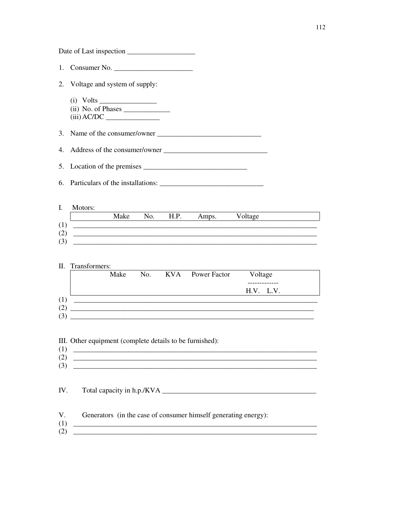|                          | 1. Consumer No. $\frac{1}{2}$                                                                                                                                                                                                                   |
|--------------------------|-------------------------------------------------------------------------------------------------------------------------------------------------------------------------------------------------------------------------------------------------|
|                          | 2. Voltage and system of supply:                                                                                                                                                                                                                |
|                          | (ii) No. of Phases                                                                                                                                                                                                                              |
|                          |                                                                                                                                                                                                                                                 |
|                          |                                                                                                                                                                                                                                                 |
|                          |                                                                                                                                                                                                                                                 |
|                          |                                                                                                                                                                                                                                                 |
|                          | Motors:<br>Make No. H.P. Amps. Voltage                                                                                                                                                                                                          |
| (1)<br>(2)               |                                                                                                                                                                                                                                                 |
|                          | II. Transformers:<br>KVA Power Factor<br>Make<br>No.<br>Voltage<br>H.V. L.V.                                                                                                                                                                    |
| (1)<br>(2)               |                                                                                                                                                                                                                                                 |
| (3)<br>(1)<br>(2)<br>(3) | <u> 1989 - Andrea Branden, amerikan bernama bernama bernama dalam pengaran bernama dalam pengaran bernama dalam </u><br>III. Other equipment (complete details to be furnished):<br><u> 1989 - Johann Stoff, amerikansk politiker (d. 1989)</u> |
| IV.                      |                                                                                                                                                                                                                                                 |
|                          | Generators (in the case of consumer himself generating energy):                                                                                                                                                                                 |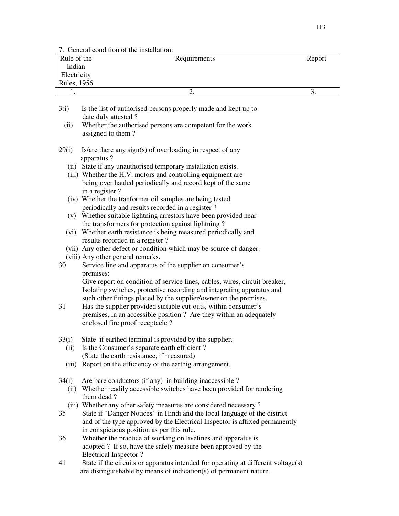7. General condition of the installation:

| Rule of the         | Requirements | Report   |
|---------------------|--------------|----------|
| Indian              |              |          |
| Electricity         |              |          |
| <b>Rules</b> , 1956 |              |          |
|                     | ـ ت          | <u>.</u> |

- 3(i) Is the list of authorised persons properly made and kept up to date duly attested ?
	- (ii) Whether the authorised persons are competent for the work assigned to them ?
- $29(i)$  Is/are there any sign(s) of overloading in respect of any apparatus ?
	- (ii) State if any unauthorised temporary installation exists.
	- (iii) Whether the H.V. motors and controlling equipment are being over hauled periodically and record kept of the same in a register ?
	- (iv) Whether the tranformer oil samples are being tested periodically and results recorded in a register ?
	- (v) Whether suitable lightning arrestors have been provided near the transformers for protection against lightning ?
	- (vi) Whether earth resistance is being measured periodically and results recorded in a register ?
	- (vii) Any other defect or condition which may be source of danger.
- (viii) Any other general remarks.
- 30 Service line and apparatus of the supplier on consumer's premises: Give report on condition of service lines, cables, wires, circuit breaker, Isolating switches, protective recording and integrating apparatus and such other fittings placed by the supplier/owner on the premises.
- 31 Has the supplier provided suitable cut-outs, within consumer's premises, in an accessible position ? Are they within an adequately enclosed fire proof receptacle ?
- 33(i) State if earthed terminal is provided by the supplier.
	- (ii) Is the Consumer's separate earth efficient ? (State the earth resistance, if measured)
	- (iii) Report on the efficiency of the earthig arrangement.
- 34(i) Are bare conductors (if any) in building inaccessible ?
	- (ii) Whether readily accessible switches have been provided for rendering them dead ?
	- (iii) Whether any other safety measures are considered necessary ?
- 35 State if " Danger Notices" in Hindi and the local language of the district and of the type approved by the Electrical Inspector is affixed permanently in conspicuous position as per this rule.
- 36 Whether the practice of working on livelines and apparatus is adopted ? If so, have the safety measure been approved by the Electrical Inspector ?
- 41 State if the circuits or apparatus intended for operating at different voltage(s) are distinguishable by means of indication(s) of permanent nature.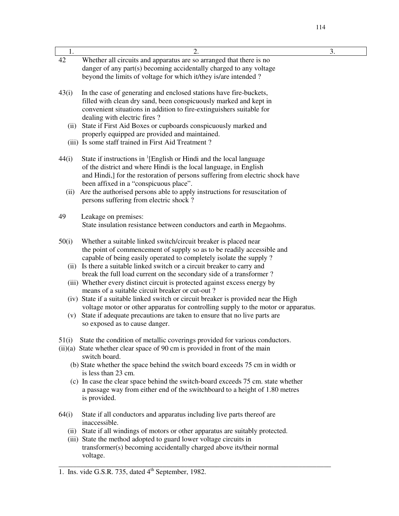$\mathcal{L}(\mathcal{A})$ 

| 1.    | 2.                                                                                             | 3. |
|-------|------------------------------------------------------------------------------------------------|----|
| 42    | Whether all circuits and apparatus are so arranged that there is no                            |    |
|       | danger of any part(s) becoming accidentally charged to any voltage                             |    |
|       | beyond the limits of voltage for which it/they is/are intended?                                |    |
|       |                                                                                                |    |
| 43(i) | In the case of generating and enclosed stations have fire-buckets,                             |    |
|       | filled with clean dry sand, been conspicuously marked and kept in                              |    |
|       | convenient situations in addition to fire-extinguishers suitable for                           |    |
| (ii)  | dealing with electric fires?<br>State if First Aid Boxes or cupboards conspicuously marked and |    |
|       | properly equipped are provided and maintained.                                                 |    |
|       | (iii) Is some staff trained in First Aid Treatment?                                            |    |
|       |                                                                                                |    |
| 44(i) | State if instructions in <sup>1</sup> [English or Hindi and the local language                 |    |
|       | of the district and where Hindi is the local language, in English                              |    |
|       | and Hindi,] for the restoration of persons suffering from electric shock have                  |    |
|       | been affixed in a "conspicuous place".                                                         |    |
| (ii)  | Are the authorised persons able to apply instructions for resuscitation of                     |    |
|       | persons suffering from electric shock?                                                         |    |
|       |                                                                                                |    |
| 49    | Leakage on premises:<br>State insulation resistance between conductors and earth in Megaohms.  |    |
|       |                                                                                                |    |
| 50(i) | Whether a suitable linked switch/circuit breaker is placed near                                |    |
|       | the point of commencement of supply so as to be readily accessible and                         |    |
|       | capable of being easily operated to completely isolate the supply?                             |    |
| (ii)  | Is there a suitable linked switch or a circuit breaker to carry and                            |    |
|       | break the full load current on the secondary side of a transformer?                            |    |
|       | (iii) Whether every distinct circuit is protected against excess energy by                     |    |
|       | means of a suitable circuit breaker or cut-out?                                                |    |
|       | (iv) State if a suitable linked switch or circuit breaker is provided near the High            |    |
|       | voltage motor or other apparatus for controlling supply to the motor or apparatus.             |    |
| (v)   | State if adequate precautions are taken to ensure that no live parts are                       |    |
|       | so exposed as to cause danger.                                                                 |    |
| 51(i) | State the condition of metallic coverings provided for various conductors.                     |    |
|       | $(ii)(a)$ State whether clear space of 90 cm is provided in front of the main                  |    |
|       | switch board.                                                                                  |    |
|       | (b) State whether the space behind the switch board exceeds 75 cm in width or                  |    |
|       | is less than 23 cm.                                                                            |    |
|       | (c) In case the clear space behind the switch-board exceeds 75 cm. state whether               |    |
|       | a passage way from either end of the switchboard to a height of 1.80 metres                    |    |
|       | is provided.                                                                                   |    |
|       |                                                                                                |    |
| 64(i) | State if all conductors and apparatus including live parts thereof are                         |    |
|       | inaccessible.<br>State if all windings of motors or other apparatus are suitably protected.    |    |
| (ii)  | (iii) State the method adopted to guard lower voltage circuits in                              |    |
|       | transformer(s) becoming accidentally charged above its/their normal                            |    |
|       | voltage.                                                                                       |    |
|       |                                                                                                |    |

<sup>1.</sup> Ins. vide G.S.R. 735, dated 4<sup>th</sup> September, 1982.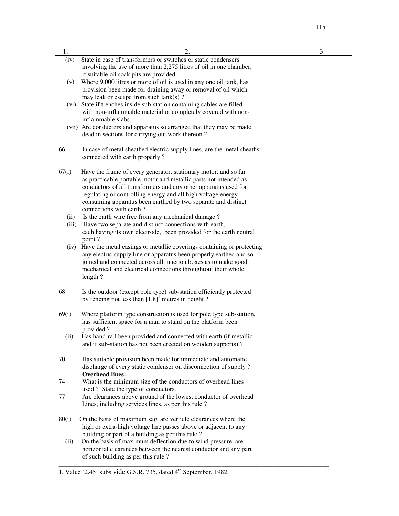| 1.    | 2.                                                                                                                                 | 3. |
|-------|------------------------------------------------------------------------------------------------------------------------------------|----|
| (iv)  | State in case of transformers or switches or static condensers                                                                     |    |
|       | involving the use of more than 2,275 litres of oil in one chamber,                                                                 |    |
|       | if suitable oil soak pits are provided.                                                                                            |    |
| (v)   | Where 9,000 litres or more of oil is used in any one oil tank, has                                                                 |    |
|       | provision been made for draining away or removal of oil which                                                                      |    |
|       | may leak or escape from such $tank(s)$ ?                                                                                           |    |
| (vi)  | State if trenches inside sub-station containing cables are filled<br>with non-inflammable material or completely covered with non- |    |
|       | inflammable slabs.                                                                                                                 |    |
|       | (vii) Are conductors and apparatus so arranged that they may be made                                                               |    |
|       | dead in sections for carrying out work thereon?                                                                                    |    |
|       |                                                                                                                                    |    |
| 66    | In case of metal sheathed electric supply lines, are the metal sheaths                                                             |    |
|       | connected with earth properly?                                                                                                     |    |
|       |                                                                                                                                    |    |
| 67(i) | Have the frame of every generator, stationary motor, and so far                                                                    |    |
|       | as practicable portable motor and metallic parts not intended as                                                                   |    |
|       | conductors of all transformers and any other apparatus used for<br>regulating or controlling energy and all high voltage energy    |    |
|       | consuming apparatus been earthed by two separate and distinct                                                                      |    |
|       | connections with earth?                                                                                                            |    |
| (ii)  | Is the earth wire free from any mechanical damage?                                                                                 |    |
| (iii) | Have two separate and distinct connections with earth,                                                                             |    |
|       | each having its own electrode, been provided for the earth neutral                                                                 |    |
|       | point?                                                                                                                             |    |
| (iv)  | Have the metal casings or metallic coverings containing or protecting                                                              |    |
|       | any electric supply line or apparatus been properly earthed and so                                                                 |    |
|       | joined and connected across all junction boxes as to make good                                                                     |    |
|       | mechanical and electrical connections throughtout their whole<br>length?                                                           |    |
|       |                                                                                                                                    |    |
| 68    | Is the outdoor (except pole type) sub-station efficiently protected                                                                |    |
|       | by fencing not less than $[1.8]$ <sup>1</sup> metres in height ?                                                                   |    |
|       |                                                                                                                                    |    |
| 69(i) | Where platform type construction is used for pole type sub-station,                                                                |    |
|       | has sufficient space for a man to stand on the platform been                                                                       |    |
|       | provided?                                                                                                                          |    |
| (ii)  | Has hand-rail been provided and connected with earth (if metallic<br>and if sub-station has not been erected on wooden supports)?  |    |
|       |                                                                                                                                    |    |
| 70    | Has suitable provision been made for immediate and automatic                                                                       |    |
|       | discharge of every static condenser on disconnection of supply?                                                                    |    |
|       | <b>Overhead lines:</b>                                                                                                             |    |
| 74    | What is the minimum size of the conductors of overhead lines                                                                       |    |
|       | used ? State the type of conductors.                                                                                               |    |
| 77    | Are clearances above ground of the lowest conductor of overhead                                                                    |    |
|       | Lines, including services lines, as per this rule?                                                                                 |    |
| 80(i) | On the basis of maximum sag, are verticle clearances where the                                                                     |    |
|       | high or extra-high voltage line passes above or adjacent to any                                                                    |    |
|       | building or part of a building as per this rule?                                                                                   |    |
| (ii)  | On the basis of maximum deflection due to wind pressure, are                                                                       |    |
|       | horizontal clearances between the nearest conductor and any part                                                                   |    |
|       | of such building as per this rule?                                                                                                 |    |
|       |                                                                                                                                    |    |

### 1. Value '2.45' subs.vide G.S.R. 735, dated 4<sup>th</sup> September, 1982.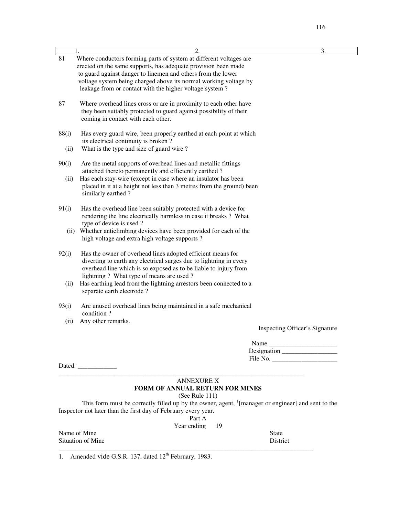|       | $\overline{2}$ .<br>1.                                                                                                                                                                                                                           | 3.                             |
|-------|--------------------------------------------------------------------------------------------------------------------------------------------------------------------------------------------------------------------------------------------------|--------------------------------|
| 81    | Where conductors forming parts of system at different voltages are<br>erected on the same supports, has adequate provision been made<br>to guard against danger to linemen and others from the lower                                             |                                |
|       | voltage system being charged above its normal working voltage by<br>leakage from or contact with the higher voltage system?                                                                                                                      |                                |
| 87    | Where overhead lines cross or are in proximity to each other have<br>they been suitably protected to guard against possibility of their<br>coming in contact with each other.                                                                    |                                |
| 88(i) | Has every guard wire, been properly earthed at each point at which<br>its electrical continuity is broken?                                                                                                                                       |                                |
| (ii)  | What is the type and size of guard wire?                                                                                                                                                                                                         |                                |
| 90(i) | Are the metal supports of overhead lines and metallic fittings<br>attached thereto permanently and efficiently earthed?                                                                                                                          |                                |
| (ii)  | Has each stay-wire (except in case where an insulator has been<br>placed in it at a height not less than 3 metres from the ground) been<br>similarly earthed?                                                                                    |                                |
| 91(i) | Has the overhead line been suitably protected with a device for<br>rendering the line electrically harmless in case it breaks ? What<br>type of device is used?                                                                                  |                                |
|       | (ii) Whether anticlimbing devices have been provided for each of the<br>high voltage and extra high voltage supports?                                                                                                                            |                                |
| 92(i) | Has the owner of overhead lines adopted efficient means for<br>diverting to earth any electrical surges due to lightning in every<br>overhead line which is so exposed as to be liable to injury from<br>lightning? What type of means are used? |                                |
| (ii)  | Has earthing lead from the lightning arrestors been connected to a<br>separate earth electrode?                                                                                                                                                  |                                |
| 93(i) | Are unused overhead lines being maintained in a safe mechanical<br>condition?                                                                                                                                                                    |                                |
| (ii)  | Any other remarks.                                                                                                                                                                                                                               |                                |
|       |                                                                                                                                                                                                                                                  | Inspecting Officer's Signature |
|       |                                                                                                                                                                                                                                                  | Name                           |
|       |                                                                                                                                                                                                                                                  |                                |
|       |                                                                                                                                                                                                                                                  | File No.                       |

\_\_\_\_\_\_\_\_\_\_\_\_\_\_\_\_\_\_\_\_\_\_\_\_\_\_\_\_\_\_\_\_\_\_\_\_\_\_\_\_\_\_\_\_\_\_\_\_\_\_\_\_\_\_\_\_\_\_\_\_\_\_\_\_\_\_\_\_\_\_\_\_\_\_\_ ANNEXURE X **FORM OF ANNUAL RETURN FOR MINES** (See Rule 111) This form must be correctly filled up by the owner, agent, <sup>1</sup>[manager or engineer] and sent to the Inspector not later than the first day of February every year. Part A Year ending 19

Name of Mine<br>Situation of Mine<br>District Situation of Mine \_\_\_\_\_\_\_\_\_\_\_\_\_\_\_\_\_\_\_\_\_\_\_\_\_\_\_\_\_\_\_\_\_\_\_\_\_\_\_\_\_\_\_\_\_\_\_\_\_\_\_\_\_\_\_\_\_\_\_\_\_\_\_\_\_\_\_\_\_\_\_\_\_\_\_\_\_\_

1. Amended vide G.S.R. 137, dated  $12<sup>th</sup>$  February, 1983.

Dated: \_\_\_\_\_\_\_\_\_\_\_\_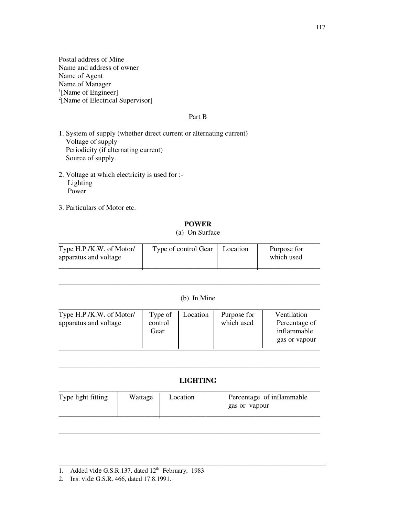Postal address of Mine Name and address of owner Name of Agent Name of Manager <sup>1</sup>[Name of Engineer] <sup>2</sup>[Name of Electrical Supervisor]

#### Part B

- 1. System of supply (whether direct current or alternating current) Voltage of supply Periodicity (if alternating current) Source of supply.
- 2. Voltage at which electricity is used for :- Lighting Power
- 3. Particulars of Motor etc.

#### **POWER** (a) On Surface

|--|

**\_\_\_\_\_\_\_\_\_\_\_\_\_\_\_\_\_\_\_\_\_\_\_\_\_\_\_\_\_\_\_\_\_\_\_\_\_\_\_\_\_\_\_\_\_\_\_\_\_\_\_\_\_\_\_\_\_\_\_\_\_\_\_\_\_\_\_\_\_\_\_\_\_**

## (b) In Mine

| Type H.P./K.W. of Motor/<br>apparatus and voltage | Type of<br>control<br>Gear | Location | Purpose for<br>which used | Ventilation<br>Percentage of<br>inflammable<br>gas or vapour |
|---------------------------------------------------|----------------------------|----------|---------------------------|--------------------------------------------------------------|
|---------------------------------------------------|----------------------------|----------|---------------------------|--------------------------------------------------------------|

**\_\_\_\_\_\_\_\_\_\_\_\_\_\_\_\_\_\_\_\_\_\_\_\_\_\_\_\_\_\_\_\_\_\_\_\_\_\_\_\_\_\_\_\_\_\_\_\_\_\_\_\_\_\_\_\_\_\_\_\_\_\_\_\_\_\_\_\_\_\_\_\_\_**

## **LIGHTING**

| Type light fitting | Wattage | Location | Percentage of inflammable<br>gas or vapour |
|--------------------|---------|----------|--------------------------------------------|
|                    |         |          |                                            |

**\_\_\_\_\_\_\_\_\_\_\_\_\_\_\_\_\_\_\_\_\_\_\_\_\_\_\_\_\_\_\_\_\_\_\_\_\_\_\_\_\_\_\_\_\_\_\_\_\_\_\_\_\_\_\_\_\_\_\_\_\_\_\_\_\_\_\_\_\_\_\_\_\_**

\_\_\_\_\_\_\_\_\_\_\_\_\_\_\_\_\_\_\_\_\_\_\_\_\_\_\_\_\_\_\_\_\_\_\_\_\_\_\_\_\_\_\_\_\_\_\_\_\_\_\_\_\_\_\_\_\_\_\_\_\_\_\_\_\_\_\_\_\_\_\_\_\_\_\_\_\_\_\_\_\_\_

2. Ins. vide G.S.R. 466, dated 17.8.1991.

<sup>1.</sup> Added vide G.S.R.137, dated 12<sup>th</sup> February, 1983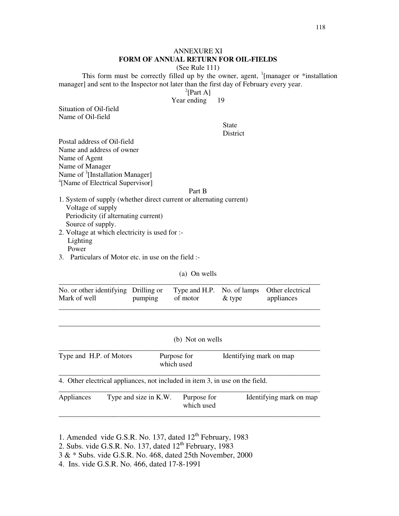## ANNEXURE XI **FORM OF ANNUAL RETURN FOR OIL-FIELDS**

(See Rule 111)

This form must be correctly filled up by the owner, agent, <sup>1</sup>[manager or \*installation manager] and sent to the Inspector not later than the first day of February every year.

 $2$ [Part A]

Year ending 19

Situation of Oil-field Name of Oil-field

> State District

Postal address of Oil-field Name and address of owner Name of Agent Name of Manager Name of <sup>3</sup>[Installation Manager] 4 [Name of Electrical Supervisor]

#### Part B

- 1. System of supply (whether direct current or alternating current) Voltage of supply Periodicity (if alternating current) Source of supply. 2. Voltage at which electricity is used for :- Lighting
	- Power
- 3. Particulars of Motor etc. in use on the field :-

(a) On wells

| No. or other identifying Drilling or<br>Mark of well | pumping | of motor | $\&$ type | Type and H.P. No. of lamps Other electrical<br>appliances |
|------------------------------------------------------|---------|----------|-----------|-----------------------------------------------------------|

|                         |                       |                           | (b) Not on wells          |                                                                              |
|-------------------------|-----------------------|---------------------------|---------------------------|------------------------------------------------------------------------------|
| Type and H.P. of Motors |                       | Purpose for<br>which used |                           | Identifying mark on map                                                      |
|                         |                       |                           |                           | 4. Other electrical appliances, not included in item 3, in use on the field. |
| Appliances              | Type and size in K.W. |                           | Purpose for<br>which used | Identifying mark on map                                                      |

1. Amended vide G.S.R. No. 137, dated 12<sup>th</sup> February, 1983

2. Subs. vide G.S.R. No. 137, dated  $12<sup>th</sup>$  February, 1983

3 & \* Subs. vide G.S.R. No. 468, dated 25th November, 2000

4. Ins. vide G.S.R. No. 466, dated 17-8-1991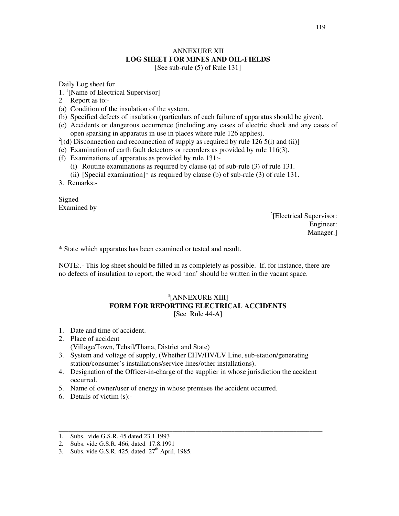## ANNEXURE XII **LOG SHEET FOR MINES AND OIL-FIELDS** [See sub-rule (5) of Rule 131]

Daily Log sheet for

- 1. 1 [Name of Electrical Supervisor]
- 2 Report as to:-
- (a) Condition of the insulation of the system.
- (b) Specified defects of insulation (particulars of each failure of apparatus should be given).
- (c) Accidents or dangerous occurrence (including any cases of electric shock and any cases of open sparking in apparatus in use in places where rule 126 applies).
- $^{2}$ [(d) Disconnection and reconnection of supply as required by rule 126 5(i) and (ii)]
- (e) Examination of earth fault detectors or recorders as provided by rule 116(3).
- (f) Examinations of apparatus as provided by rule 131:-
	- (i) Routine examinations as required by clause (a) of sub-rule (3) of rule 131.
	- (ii) [Special examination]\* as required by clause (b) of sub-rule  $(3)$  of rule 131.
- 3. Remarks:-

Signed Examined by

> <sup>2</sup>[Electrical Supervisor: Engineer: Manager.]

\* State which apparatus has been examined or tested and result.

NOTE:.- This log sheet should be filled in as completely as possible. If, for instance, there are no defects of insulation to report, the word 'non' should be written in the vacant space.

#### <sup>3</sup>[ANNEXURE XIII] **FORM FOR REPORTING ELECTRICAL ACCIDENTS** [See Rule 44-A]

- 1. Date and time of accident.
- 2. Place of accident (Village/Town, Tehsil/Thana, District and State)
- 3. System and voltage of supply, (Whether EHV/HV/LV Line, sub-station/generating station/consumer's installations/service lines/other installations).
- 4. Designation of the Officer-in-charge of the supplier in whose jurisdiction the accident occurred.

\_\_\_\_\_\_\_\_\_\_\_\_\_\_\_\_\_\_\_\_\_\_\_\_\_\_\_\_\_\_\_\_\_\_\_\_\_\_\_\_\_\_\_\_\_\_\_\_\_\_\_\_\_\_\_\_\_\_\_\_\_\_\_\_\_\_\_\_\_\_\_\_\_\_\_\_\_\_\_\_\_

- 5. Name of owner/user of energy in whose premises the accident occurred.
- 6. Details of victim (s):-

<sup>1.</sup> Subs. vide G.S.R. 45 dated 23.1.1993

<sup>2.</sup> Subs. vide G.S.R. 466, dated 17.8.1991

<sup>3.</sup> Subs. vide G.S.R. 425, dated  $27<sup>th</sup>$  April, 1985.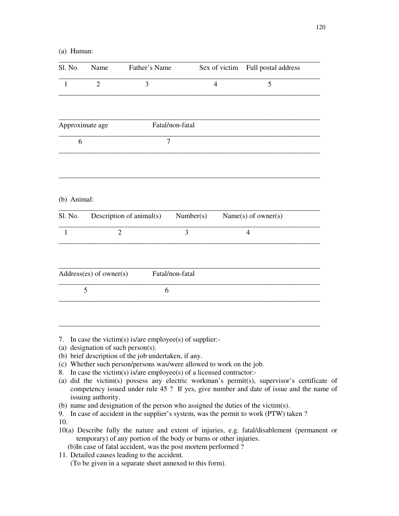(a) Human:

| Sl. No.         | Name                    | Father's Name            |                 | Sex of victim  | Full postal address |
|-----------------|-------------------------|--------------------------|-----------------|----------------|---------------------|
| $\mathbf{1}$    | $\overline{2}$          | 3                        |                 | $\overline{4}$ | 5                   |
|                 |                         |                          |                 |                |                     |
| Approximate age |                         |                          | Fatal/non-fatal |                |                     |
| 6               |                         |                          | $\tau$          |                |                     |
|                 |                         |                          |                 |                |                     |
|                 |                         |                          |                 |                |                     |
|                 |                         |                          |                 |                |                     |
|                 |                         |                          |                 |                |                     |
|                 |                         |                          |                 |                |                     |
| (b) Animal:     |                         |                          |                 |                |                     |
| Sl. No.         |                         | Description of animal(s) | Number(s)       |                | Name(s) of owner(s) |
| $\overline{1}$  |                         | $\overline{2}$           | $\overline{3}$  |                | $\overline{4}$      |
|                 |                         |                          |                 |                |                     |
|                 |                         |                          |                 |                |                     |
|                 | Address(es) of owner(s) |                          | Fatal/non-fatal |                |                     |
|                 | 5                       | 6                        |                 |                |                     |

- 7. In case the victim(s) is/are employee(s) of supplier:-
- (a) designation of such person(s).
- (b) brief description of the job undertaken, if any.
- (c) Whether such person/persons was/were allowed to work on the job.
- 8. In case the victim(s) is/are employee(s) of a licensed contractor:-
- (a) did the victim(s) possess any electric workman's permit(s), supervisor's certificate of competency issued under rule 45 ? If yes, give number and date of issue and the name of issuing authority.

**\_\_\_\_\_\_\_\_\_\_\_\_\_\_\_\_\_\_\_\_\_\_\_\_\_\_\_\_\_\_\_\_\_\_\_\_\_\_\_\_\_\_\_\_\_\_\_\_\_\_\_\_\_\_\_\_\_\_\_\_\_\_\_\_\_\_\_\_\_\_\_\_\_**

- (b) name and designation of the person who assigned the duties of the victim(s).
- 9. In case of accident in the supplier's system, was the permit to work (PTW) taken ? 10.
- 10(a) Describe fully the nature and extent of injuries, e.g. fatal/disablement (permanent or temporary) of any portion of the body or burns or other injuries.
	- (b)In case of fatal accident, was the post mortem performed ?
- 11. Detailed causes leading to the accident.

(To be given in a separate sheet annexed to this form).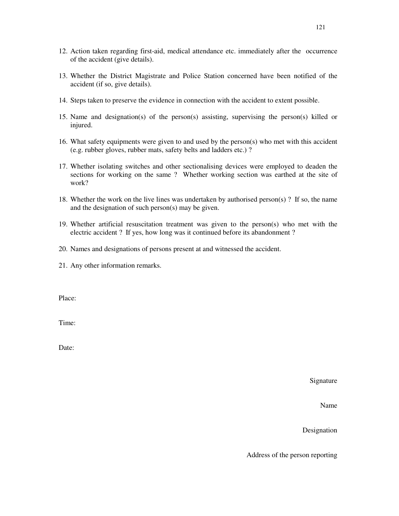- 12. Action taken regarding first-aid, medical attendance etc. immediately after the occurrence of the accident (give details).
- 13. Whether the District Magistrate and Police Station concerned have been notified of the accident (if so, give details).
- 14. Steps taken to preserve the evidence in connection with the accident to extent possible.
- 15. Name and designation(s) of the person(s) assisting, supervising the person(s) killed or injured.
- 16. What safety equipments were given to and used by the person(s) who met with this accident (e.g. rubber gloves, rubber mats, safety belts and ladders etc.) ?
- 17. Whether isolating switches and other sectionalising devices were employed to deaden the sections for working on the same ? Whether working section was earthed at the site of work?
- 18. Whether the work on the live lines was undertaken by authorised person(s) ? If so, the name and the designation of such person(s) may be given.
- 19. Whether artificial resuscitation treatment was given to the person(s) who met with the electric accident ? If yes, how long was it continued before its abandonment ?
- 20. Names and designations of persons present at and witnessed the accident.
- 21. Any other information remarks.

Place:

Time:

Date:

Signature

Name

Designation

Address of the person reporting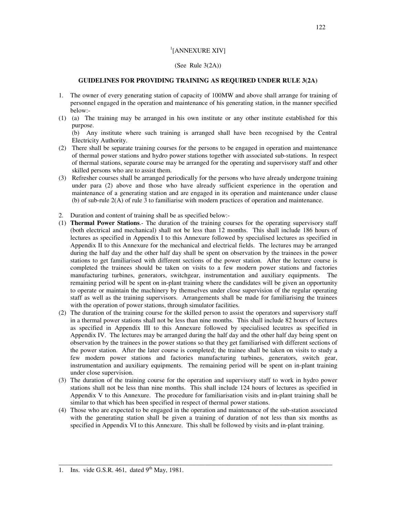### <sup>1</sup>[ANNEXURE XIV]

(See Rule 3(2A))

#### **GUIDELINES FOR PROVIDING TRAINING AS REQUIRED UNDER RULE 3(2A)**

- 1. The owner of every generating station of capacity of 100MW and above shall arrange for training of personnel engaged in the operation and maintenance of his generating station, in the manner specified below:-
- (1) (a) The training may be arranged in his own institute or any other institute established for this purpose.

(b) Any institute where such training is arranged shall have been recognised by the Central Electricity Authority.

- (2) There shall be separate training courses for the persons to be engaged in operation and maintenance of thermal power stations and hydro power stations together with associated sub-stations. In respect of thermal stations, separate course may be arranged for the operating and supervisory staff and other skilled persons who are to assist them.
- (3) Refresher courses shall be arranged periodically for the persons who have already undergone training under para (2) above and those who have already sufficient experience in the operation and maintenance of a generating station and are engaged in its operation and maintenance under clause (b) of sub-rule 2(A) of rule 3 to familiarise with modern practices of operation and maintenance.
- 2. Duration and content of training shall be as specified below:-
- (1) **Thermal Power Stations**.- The duration of the training courses for the operating supervisory staff (both electrical and mechanical) shall not be less than 12 months. This shall include 186 hours of lectures as specified in Appendix I to this Annexure followed by specialised lectures as specified in Appendix II to this Annexure for the mechanical and electrical fields. The lectures may be arranged during the half day and the other half day shall be spent on observation by the trainees in the power stations to get familiarised with different sections of the power station. After the lecture course is completed the trainees should be taken on visits to a few modern power stations and factories manufacturing turbines, generators, switchgear, instrumentation and auxiliary equipments. The remaining period will be spent on in-plant training where the candidates will be given an opportunity to operate or maintain the machinery by themselves under close supervision of the regular operating staff as well as the training supervisors. Arrangements shall be made for familiarising the trainees with the operation of power stations, through simulator facilities.
- (2) The duration of the training course for the skilled person to assist the operators and supervisory staff in a thermal power stations shall not be less than nine months. This shall include 82 hours of lectures as specified in Appendix III to this Annexure followed by specialised lecutres as specified in Appendix IV. The lectures may be arranged during the half day and the other half day being spent on observation by the trainees in the power stations so that they get familiarised with different sections of the power station. After the later course is completed; the trainee shall be taken on visits to study a few modern power stations and factories manufacturing turbines, generators, switch gear, instrumentation and auxiliary equipments. The remaining period will be spent on in-plant training under close supervision.
- (3) The duration of the training course for the operation and supervisory staff to work in hydro power stations shall not be less than nine months. This shall include 124 hours of lectures as specified in Appendix V to this Annexure. The procedure for familiarisation visits and in-plant training shall be similar to that which has been specified in respect of thermal power stations.
- (4) Those who are expected to be engaged in the operation and maintenance of the sub-station associated with the generating station shall be given a training of duration of not less than six months as specified in Appendix VI to this Annexure. This shall be followed by visits and in-plant training.

\_\_\_\_\_\_\_\_\_\_\_\_\_\_\_\_\_\_\_\_\_\_\_\_\_\_\_\_\_\_\_\_\_\_\_\_\_\_\_\_\_\_\_\_\_\_\_\_\_\_\_\_\_\_\_\_\_\_\_\_\_\_\_\_\_\_\_\_\_\_\_\_\_\_\_\_\_\_\_\_\_\_\_\_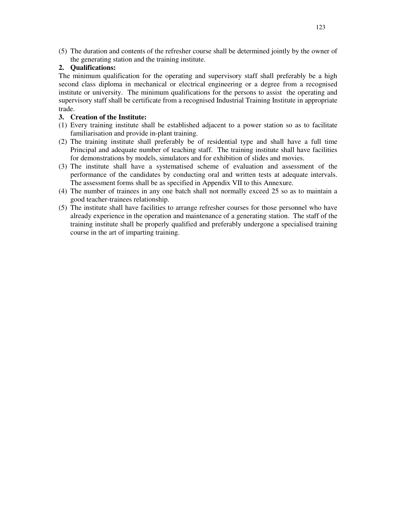(5) The duration and contents of the refresher course shall be determined jointly by the owner of the generating station and the training institute.

## **2. Qualifications:**

The minimum qualification for the operating and supervisory staff shall preferably be a high second class diploma in mechanical or electrical engineering or a degree from a recognised institute or university. The minimum qualifications for the persons to assist the operating and supervisory staff shall be certificate from a recognised Industrial Training Institute in appropriate trade.

## **3. Creation of the Institute:**

- (1) Every training institute shall be established adjacent to a power station so as to facilitate familiarisation and provide in-plant training.
- (2) The training institute shall preferably be of residential type and shall have a full time Principal and adequate number of teaching staff. The training institute shall have facilities for demonstrations by models, simulators and for exhibition of slides and movies.
- (3) The institute shall have a systematised scheme of evaluation and assessment of the performance of the candidates by conducting oral and written tests at adequate intervals. The assessment forms shall be as specified in Appendix VII to this Annexure.
- (4) The number of trainees in any one batch shall not normally exceed 25 so as to maintain a good teacher-trainees relationship.
- (5) The institute shall have facilities to arrange refresher courses for those personnel who have already experience in the operation and maintenance of a generating station. The staff of the training institute shall be properly qualified and preferably undergone a specialised training course in the art of imparting training.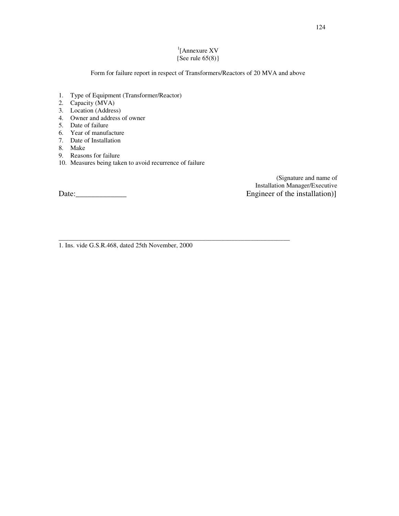#### <sup>1</sup>[Annexure XV {See rule  $65(8)$ }

### Form for failure report in respect of Transformers/Reactors of 20 MVA and above

- 1. Type of Equipment (Transformer/Reactor)
- 2. Capacity (MVA)
- 3. Location (Address)
- 4. Owner and address of owner
- 5. Date of failure
- 6. Year of manufacture
- 7. Date of Installation
- 8. Make
- 9. Reasons for failure
- 10. Measures being taken to avoid recurrence of failure

(Signature and name of Installation Manager/Executive Date: Engineer of the installation)

\_\_\_\_\_\_\_\_\_\_\_\_\_\_\_\_\_\_\_\_\_\_\_\_\_\_\_\_\_\_\_\_\_\_\_\_\_\_\_\_\_\_\_\_\_\_\_\_\_\_\_\_\_\_\_\_\_\_\_\_\_\_\_\_\_\_\_\_\_\_\_ 1. Ins. vide G.S.R.468, dated 25th November, 2000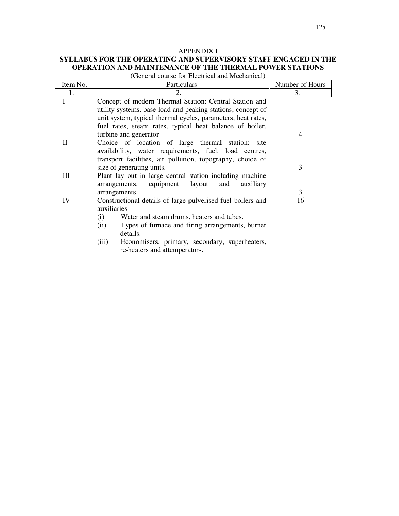| APPENDIX I                                                      |  |
|-----------------------------------------------------------------|--|
| SYLLABUS FOR THE OPERATING AND SUPERVISORY STAFF ENGAGED IN THE |  |
| <b>OPERATION AND MAINTENANCE OF THE THERMAL POWER STATIONS</b>  |  |

|              | (General course for Electrical and Mechanical)               |                 |
|--------------|--------------------------------------------------------------|-----------------|
| Item No.     | Particulars                                                  | Number of Hours |
| 1.           | 2.                                                           | 3.              |
| Ι            | Concept of modern Thermal Station: Central Station and       |                 |
|              | utility systems, base load and peaking stations, concept of  |                 |
|              | unit system, typical thermal cycles, parameters, heat rates, |                 |
|              | fuel rates, steam rates, typical heat balance of boiler,     |                 |
|              | turbine and generator                                        | $\overline{4}$  |
| $\mathbf{H}$ | Choice of location of large thermal station: site            |                 |
|              | availability, water requirements, fuel, load centres,        |                 |
|              | transport facilities, air pollution, topography, choice of   |                 |
|              | size of generating units.                                    | 3               |
| Ш            | Plant lay out in large central station including machine     |                 |
|              | arrangements, equipment<br>layout<br>and<br>auxiliary        |                 |
|              | arrangements.                                                | 3               |
| IV           | Constructional details of large pulverised fuel boilers and  | 16              |
|              | auxiliaries                                                  |                 |
|              | Water and steam drums, heaters and tubes.<br>(i)             |                 |
|              | Types of furnace and firing arrangements, burner<br>(ii)     |                 |
|              | details.                                                     |                 |
|              | Economisers, primary, secondary, superheaters,<br>(iii)      |                 |
|              | re-heaters and attemperators.                                |                 |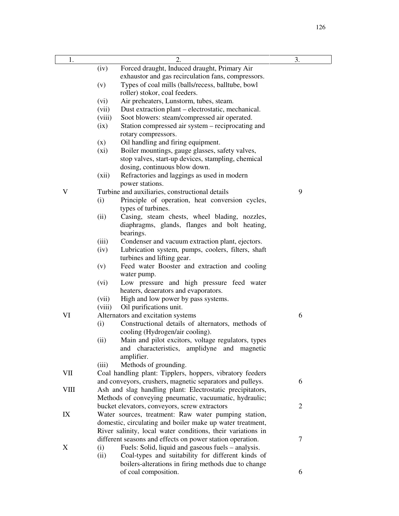| 1.   | 2.                                                          | 3.             |
|------|-------------------------------------------------------------|----------------|
|      | Forced draught, Induced draught, Primary Air<br>(iv)        |                |
|      | exhaustor and gas recirculation fans, compressors.          |                |
|      | Types of coal mills (balls/recess, balltube, bowl<br>(v)    |                |
|      | roller) stokor, coal feeders.                               |                |
|      | (vi)<br>Air preheaters, Lunstorm, tubes, steam.             |                |
|      | Dust extraction plant – electrostatic, mechanical.<br>(vii) |                |
|      | (viii)<br>Soot blowers: steam/compressed air operated.      |                |
|      | Station compressed air system – reciprocating and<br>(ix)   |                |
|      | rotary compressors.                                         |                |
|      | Oil handling and firing equipment.<br>(x)                   |                |
|      | Boiler mountings, gauge glasses, safety valves,<br>(xi)     |                |
|      | stop valves, start-up devices, stampling, chemical          |                |
|      | dosing, continuous blow down.                               |                |
|      | (xii)<br>Refractories and laggings as used in modern        |                |
|      | power stations.                                             |                |
| V    | Turbine and auxiliaries, constructional details             | 9              |
|      | Principle of operation, heat conversion cycles,<br>(i)      |                |
|      |                                                             |                |
|      | types of turbines.<br>(ii)                                  |                |
|      | Casing, steam chests, wheel blading, nozzles,               |                |
|      | diaphragms, glands, flanges and bolt heating,               |                |
|      | bearings.                                                   |                |
|      | (iii)<br>Condenser and vacuum extraction plant, ejectors.   |                |
|      | Lubrication system, pumps, coolers, filters, shaft<br>(iv)  |                |
|      | turbines and lifting gear.                                  |                |
|      | (v)<br>Feed water Booster and extraction and cooling        |                |
|      | water pump.                                                 |                |
|      | Low pressure and high pressure feed water<br>(vi)           |                |
|      | heaters, deaerators and evaporators.                        |                |
|      | (vii)<br>High and low power by pass systems.                |                |
|      | Oil purifications unit.<br>(viii)                           |                |
| VI   | Alternators and excitation systems                          | 6              |
|      | Constructional details of alternators, methods of<br>(i)    |                |
|      | cooling (Hydrogen/air cooling).                             |                |
|      | Main and pilot excitors, voltage regulators, types<br>(ii)  |                |
|      | and characteristics, amplidyne and magnetic                 |                |
|      | amplifier.                                                  |                |
|      | Methods of grounding.<br>(iii)                              |                |
| VII  | Coal handling plant: Tipplers, hoppers, vibratory feeders   |                |
|      | and conveyors, crushers, magnetic separators and pulleys.   | 6              |
| VIII | Ash and slag handling plant: Electrostatic precipitators,   |                |
|      | Methods of conveying pneumatic, vacuumatic, hydraulic;      |                |
|      | bucket elevators, conveyors, screw extractors               | $\overline{2}$ |
| IX   | Water sources, treatment: Raw water pumping station,        |                |
|      | domestic, circulating and boiler make up water treatment,   |                |
|      | River salinity, local water conditions, their variations in |                |
|      |                                                             | $\tau$         |
|      | different seasons and effects on power station operation.   |                |
| X    | Fuels: Solid, liquid and gaseous fuels – analysis.<br>(i)   |                |
|      | Coal-types and suitability for different kinds of<br>(ii)   |                |
|      | boilers-alterations in firing methods due to change         |                |
|      | of coal composition.                                        | 6              |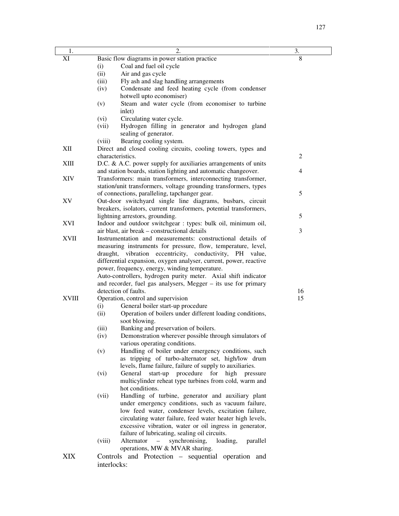| 1.          | 2.                                                                                                                               | 3.             |
|-------------|----------------------------------------------------------------------------------------------------------------------------------|----------------|
| ΧI          | Basic flow diagrams in power station practice                                                                                    | 8              |
|             | Coal and fuel oil cycle<br>(i)                                                                                                   |                |
|             | (ii)<br>Air and gas cycle                                                                                                        |                |
|             | Fly ash and slag handling arrangements<br>(iii)                                                                                  |                |
|             | Condensate and feed heating cycle (from condenser<br>(iv)                                                                        |                |
|             | hotwell upto economiser)                                                                                                         |                |
|             | Steam and water cycle (from economiser to turbine<br>(v)                                                                         |                |
|             | inlet)                                                                                                                           |                |
|             | Circulating water cycle.<br>(vi)                                                                                                 |                |
|             | Hydrogen filling in generator and hydrogen gland<br>(vii)                                                                        |                |
|             | sealing of generator.                                                                                                            |                |
|             | Bearing cooling system.<br>(viii)                                                                                                |                |
| XII         | Direct and closed cooling circuits, cooling towers, types and                                                                    |                |
|             | characteristics.                                                                                                                 | $\overline{c}$ |
| XIII        | D.C. & A.C. power supply for auxiliaries arrangements of units                                                                   |                |
|             | and station boards, station lighting and automatic changeover.                                                                   | 4              |
| <b>XIV</b>  | Transformers: main transformers, interconnecting transformer,                                                                    |                |
|             | station/unit transformers, voltage grounding transformers, types                                                                 |                |
|             | of connections, paralleling, tapchanger gear.                                                                                    | 5              |
| XV          | Out-door switchyard single line diagrams, busbars, circuit<br>breakers, isolators, current transformers, potential transformers, |                |
|             | lightning arrestors, grounding.                                                                                                  | 5              |
| XVI         | Indoor and outdoor switchgear : types: bulk oil, minimum oil,                                                                    |                |
|             | air blast, air break – constructional details                                                                                    | 3              |
| <b>XVII</b> | Instrumentation and measurements: constructional details of                                                                      |                |
|             | measuring instruments for pressure, flow, temperature, level,                                                                    |                |
|             | draught, vibration eccentricity, conductivity, PH value,                                                                         |                |
|             | differential expansion, oxygen analyser, current, power, reactive                                                                |                |
|             | power, frequency, energy, winding temperature.                                                                                   |                |
|             | Auto-controllers, hydrogen purity meter. Axial shift indicator                                                                   |                |
|             | and recorder, fuel gas analysers, Megger - its use for primary                                                                   |                |
|             | detection of faults.                                                                                                             | 16             |
| XVIII       | Operation, control and supervision                                                                                               | 15             |
|             | General boiler start-up procedure<br>(i)                                                                                         |                |
|             | Operation of boilers under different loading conditions,<br>(ii)                                                                 |                |
|             | soot blowing.                                                                                                                    |                |
|             | Banking and preservation of boilers.<br>(iii)                                                                                    |                |
|             | (iv)<br>Demonstration wherever possible through simulators of<br>various operating conditions.                                   |                |
|             | Handling of boiler under emergency conditions, such<br>(v)                                                                       |                |
|             | as tripping of turbo-alternator set, high/low drum                                                                               |                |
|             | levels, flame failure, failure of supply to auxiliaries.                                                                         |                |
|             | General start-up procedure for high<br>(vi)<br>pressure                                                                          |                |
|             | multicylinder reheat type turbines from cold, warm and                                                                           |                |
|             | hot conditions.                                                                                                                  |                |
|             | (vii)<br>Handling of turbine, generator and auxiliary plant                                                                      |                |
|             | under emergency conditions, such as vacuum failure,                                                                              |                |
|             | low feed water, condenser levels, excitation failure,                                                                            |                |
|             | circulating water failure, feed water heater high levels,                                                                        |                |
|             | excessive vibration, water or oil ingress in generator,                                                                          |                |
|             | failure of lubricating, sealing oil circuits.                                                                                    |                |
|             | (viii)<br>Alternator<br>synchronising,<br>loading,<br>parallel<br>$\qquad \qquad -$                                              |                |
|             | operations, MW & MVAR sharing.                                                                                                   |                |
| XIX         | Controls and Protection – sequential operation and                                                                               |                |
|             | interlocks:                                                                                                                      |                |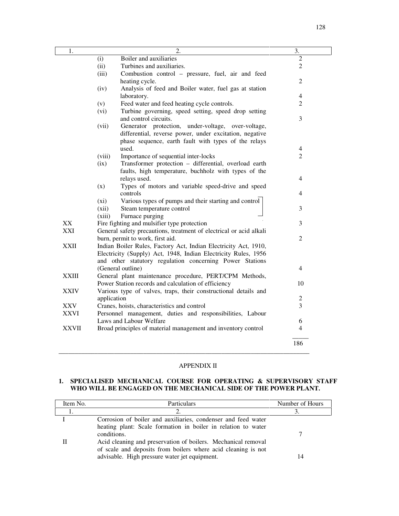| ٦<br>۰,<br>× |
|--------------|
|--------------|

| 1.           | 2.                                                                 | 3.             |
|--------------|--------------------------------------------------------------------|----------------|
|              | Boiler and auxiliaries<br>(i)                                      | $\overline{2}$ |
|              | (ii)<br>Turbines and auxiliaries.                                  | $\overline{c}$ |
|              | (iii)<br>Combustion control – pressure, fuel, air and feed         |                |
|              | heating cycle.                                                     | $\overline{2}$ |
|              | Analysis of feed and Boiler water, fuel gas at station<br>(iv)     |                |
|              | laboratory.                                                        | 4              |
|              | Feed water and feed heating cycle controls.<br>(v)                 | $\overline{2}$ |
|              | Turbine governing, speed setting, speed drop setting<br>(vi)       |                |
|              | and control circuits.                                              | 3              |
|              | Generator protection, under-voltage, over-voltage,<br>(vii)        |                |
|              | differential, reverse power, under excitation, negative            |                |
|              | phase sequence, earth fault with types of the relays               |                |
|              | used.                                                              | 4              |
|              | (viii)<br>Importance of sequential inter-locks                     | $\overline{2}$ |
|              | Transformer protection - differential, overload earth<br>(ix)      |                |
|              | faults, high temperature, buchholz with types of the               |                |
|              | relays used.                                                       | 4              |
|              | Types of motors and variable speed-drive and speed<br>(x)          |                |
|              | controls                                                           | 4              |
|              | Various types of pumps and their starting and control<br>(xi)      |                |
|              | Steam temperature control<br>(xii)                                 | 3              |
|              | Furnace purging<br>(xiii)                                          |                |
| XX           | Fire fighting and mulsifier type protection                        | 3              |
| XXI          | General safety precautions, treatment of electrical or acid alkali |                |
|              | burn, permit to work, first aid.                                   | 2              |
| XXII         | Indian Boiler Rules, Factory Act, Indian Electricity Act, 1910,    |                |
|              | Electricity (Supply) Act, 1948, Indian Electricity Rules, 1956     |                |
|              | and other statutory regulation concerning Power Stations           |                |
|              | (General outline)                                                  | 4              |
| <b>XXIII</b> | General plant maintenance procedure, PERT/CPM Methods,             |                |
|              | Power Station records and calculation of efficiency                | 10             |
| <b>XXIV</b>  | Various type of valves, traps, their constructional details and    |                |
|              | application                                                        | $\overline{c}$ |
| <b>XXV</b>   | Cranes, hoists, characteristics and control                        | 3              |
| <b>XXVI</b>  | Personnel management, duties and responsibilities, Labour          |                |
|              | Laws and Labour Welfare                                            | 6              |
| <b>XXVII</b> | Broad principles of material management and inventory control      | 4              |
|              |                                                                    | 186            |

## APPENDIX II

\_\_\_\_\_\_\_\_\_\_\_\_\_\_\_\_\_\_\_\_\_\_\_\_\_\_\_\_\_\_\_\_\_\_\_\_\_\_\_\_\_\_\_\_\_\_\_\_\_\_\_\_\_\_\_\_\_\_\_\_\_\_\_\_\_\_\_\_\_\_\_\_\_\_\_\_\_

#### **1. SPECIALISED MECHANICAL COURSE FOR OPERATING & SUPERVISORY STAFF WHO WILL BE ENGAGED ON THE MECHANICAL SIDE OF THE POWER PLANT.**

| Item No. | <b>Particulars</b>                                            | Number of Hours |
|----------|---------------------------------------------------------------|-----------------|
|          |                                                               |                 |
|          | Corrosion of boiler and auxiliaries, condenser and feed water |                 |
|          | heating plant: Scale formation in boiler in relation to water |                 |
|          | conditions.                                                   |                 |
|          | Acid cleaning and preservation of boilers. Mechanical removal |                 |
|          | of scale and deposits from boilers where acid cleaning is not |                 |
|          | advisable. High pressure water jet equipment.                 | 14              |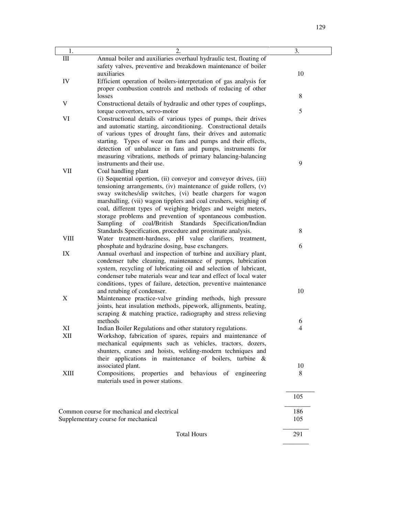| 1.                        | 2.                                                                 | 3.             |
|---------------------------|--------------------------------------------------------------------|----------------|
| Ш                         | Annual boiler and auxiliaries overhaul hydraulic test, floating of |                |
|                           | safety valves, preventive and breakdown maintenance of boiler      |                |
|                           | auxiliaries                                                        | 10             |
| IV                        | Efficient operation of boilers-interpretation of gas analysis for  |                |
|                           | proper combustion controls and methods of reducing of other        |                |
|                           | losses                                                             | 8              |
| V                         | Constructional details of hydraulic and other types of couplings,  |                |
|                           | torque convertors, servo-motor                                     | 5              |
| VI                        | Constructional details of various types of pumps, their drives     |                |
|                           | and automatic starting, airconditioning. Constructional details    |                |
|                           | of various types of drought fans, their drives and automatic       |                |
|                           | starting. Types of wear on fans and pumps and their effects,       |                |
|                           | detection of unbalance in fans and pumps, instruments for          |                |
|                           | measuring vibrations, methods of primary balancing-balancing       |                |
|                           | instruments and their use.                                         | 9              |
| VII                       | Coal handling plant                                                |                |
|                           | (i) Sequential opertion, (ii) conveyor and conveyor drives, (iii)  |                |
|                           | tensioning arrangements, (iv) maintenance of guide rollers, (v)    |                |
|                           | sway switches/slip switches, (vi) beatle chargers for wagon        |                |
|                           | marshalling, (vii) wagon tipplers and coal crushers, weighing of   |                |
|                           | coal, different types of weighing bridges and weight meters,       |                |
|                           | storage problems and prevention of spontaneous combustion.         |                |
|                           | of coal/British<br>Standards<br>Sampling<br>Specification/Indian   |                |
|                           | Standards Specification, procedure and proximate analysis.         | 8              |
| <b>VIII</b>               | Water treatment-hardness, pH value clarifiers, treatment,          |                |
|                           | phosphate and hydrazine dosing, base exchangers.                   | 6              |
| IX                        | Annual overhaul and inspection of turbine and auxiliary plant,     |                |
|                           | condenser tube cleaning, maintenance of pumps, lubrication         |                |
|                           | system, recycling of lubricating oil and selection of lubricant,   |                |
|                           | condenser tube materials wear and tear and effect of local water   |                |
|                           | conditions, types of failure, detection, preventive maintenance    |                |
|                           | and retubing of condenser.                                         | 10             |
| $\boldsymbol{\mathrm{X}}$ | Maintenance practice-valve grinding methods, high pressure         |                |
|                           | joints, heat insulation methods, pipework, allignments, beating,   |                |
|                           | scraping & matching practice, radiography and stress relieving     |                |
|                           | methods                                                            | 6              |
| XI                        | Indian Boiler Regulations and other statutory regulations.         | $\overline{4}$ |
| XII                       | Workshop, fabrication of spares, repairs and maintenance of        |                |
|                           | mechanical equipments such as vehicles, tractors, dozers,          |                |
|                           | shunters, cranes and hoists, welding-modern techniques and         |                |
|                           | their applications in maintenance of boilers, turbine &            |                |
|                           | associated plant.                                                  | 10             |
| XIII                      | Compositions, properties and behavious of engineering              | 8              |
|                           | materials used in power stations.                                  |                |
|                           |                                                                    | 105            |
|                           | Common course for mechanical and electrical                        | 186            |
|                           | Supplementary course for mechanical                                | 105            |
|                           | <b>Total Hours</b>                                                 | 291            |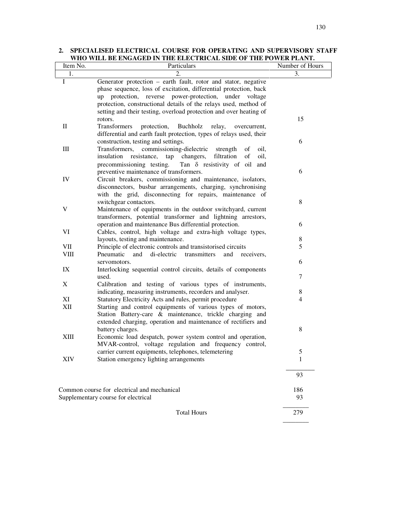| SPECIALISED ELECTRICAL COURSE FOR OPERATING AND SUPERVISORY STAFF |  |
|-------------------------------------------------------------------|--|
| WHO WILL BE ENGAGED IN THE ELECTRICAL SIDE OF THE POWER PLANT.    |  |

| Item No.                  | Particulars                                                            | Number of Hours |
|---------------------------|------------------------------------------------------------------------|-----------------|
| 1.                        | 2.                                                                     | 3.              |
| I                         | Generator protection - earth fault, rotor and stator, negative         |                 |
|                           | phase sequence, loss of excitation, differential protection, back      |                 |
|                           | up protection, reverse power-protection, under voltage                 |                 |
|                           | protection, constructional details of the relays used, method of       |                 |
|                           | setting and their testing, overload protection and over heating of     |                 |
|                           | rotors.                                                                | 15              |
| $\rm{II}$                 | Transformers<br>protection,<br>Buchholz<br>relay,<br>overcurrent.      |                 |
|                           | differential and earth fault protection, types of relays used, their   |                 |
|                           | construction, testing and settings.                                    | 6               |
| Ш                         | Transformers, commissioning-dielectric                                 |                 |
|                           | strength<br>oil,<br>οf                                                 |                 |
|                           | insulation<br>resistance, tap<br>filtration<br>oil,<br>changers,<br>of |                 |
|                           | Tan δ resistivity of oil<br>precommissioning testing.<br>and           |                 |
|                           | preventive maintenance of transformers.                                | 6               |
| IV                        | Circuit breakers, commissioning and maintenance, isolators,            |                 |
|                           | disconnectors, busbar arrangements, charging, synchronising            |                 |
|                           | with the grid, disconnecting for repairs, maintenance of               |                 |
|                           | switchgear contactors.                                                 | 8               |
| $\boldsymbol{\mathrm{V}}$ | Maintenance of equipments in the outdoor switchyard, current           |                 |
|                           | transformers, potential transformer and lightning arrestors,           |                 |
|                           | operation and maintenance Bus differential protection.                 | 6               |
|                           |                                                                        |                 |
| VI                        | Cables, control, high voltage and extra-high voltage types,            |                 |
|                           | layouts, testing and maintenance.                                      | 8               |
| VII                       | Principle of electronic controls and transistorised circuits           | 5               |
| <b>VIII</b>               | di-electric<br>Pneumatic<br>and<br>transmitters<br>and<br>receivers,   |                 |
|                           | servomotors.                                                           | 6               |
| IX                        | Interlocking sequential control circuits, details of components        |                 |
|                           | used.                                                                  | 7               |
| X                         | Calibration and testing of various types of instruments,               |                 |
|                           | indicating, measuring instruments, recorders and analyser.             | 8               |
| ΧI                        | Statutory Electricity Acts and rules, permit procedure                 | 4               |
| XII                       | Starting and control equipments of various types of motors,            |                 |
|                           | Station Battery-care & maintenance, trickle charging and               |                 |
|                           | extended charging, operation and maintenance of rectifiers and         |                 |
|                           |                                                                        | 8               |
|                           | battery charges.                                                       |                 |
| XШ                        | Economic load despatch, power system control and operation,            |                 |
|                           | MVAR-control, voltage regulation and frequency control,                |                 |
|                           | carrier current equipments, telephones, telemetering                   | 5               |
| <b>XIV</b>                | Station emergency lighting arrangements                                | 1               |
|                           |                                                                        | 93              |
|                           | Common course for electrical and mechanical                            | 186             |
|                           | Supplementary course for electrical                                    | 93              |
|                           |                                                                        |                 |
|                           | <b>Total Hours</b>                                                     | 279             |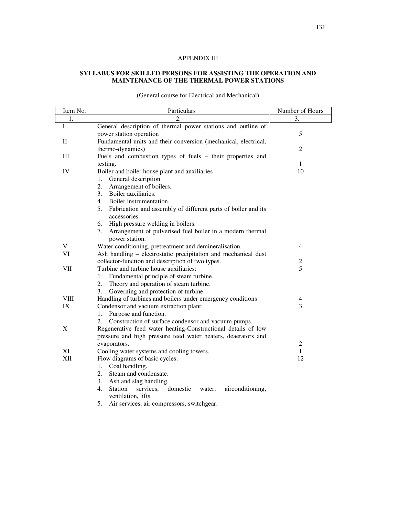## APPENDIX III

#### **SYLLABUS FOR SKILLED PERSONS FOR ASSISTING THE OPERATION AND MAINTENANCE OF THE THERMAL POWER STATIONS**

(General course for Electrical and Mechanical)

| Item No.     | Particulars                                                          | Number of Hours         |
|--------------|----------------------------------------------------------------------|-------------------------|
| 1.           | 2.                                                                   | 3.                      |
| I            | General description of thermal power stations and outline of         |                         |
|              | power station operation                                              | 5                       |
| $\mathbf{I}$ | Fundamental units and their conversion (mechanical, electrical,      |                         |
|              | thermo-dynamics)                                                     | $\overline{c}$          |
| III          | Fuels and combustion types of fuels – their properties and           |                         |
|              | testing.                                                             | 1                       |
| IV           | Boiler and boiler house plant and auxiliaries                        | 10                      |
|              | 1. General description.                                              |                         |
|              | 2.<br>Arrangement of boilers.                                        |                         |
|              | 3.<br>Boiler auxiliaries.                                            |                         |
|              | 4.<br>Boiler instrumentation.                                        |                         |
|              | 5.<br>Fabrication and assembly of different parts of boiler and its  |                         |
|              | accessories.                                                         |                         |
|              | High pressure welding in boilers.<br>6.                              |                         |
|              | Arrangement of pulverised fuel boiler in a modern thermal<br>7.      |                         |
|              | power station.                                                       |                         |
| V            | Water conditioning, pretreatment and demineralisation.               | $\overline{4}$          |
| VI           | Ash handling - electrostatic precipitation and mechanical dust       |                         |
|              | collector-function and description of two types.                     | $\overline{\mathbf{c}}$ |
| VII          | Turbine and turbine house auxiliaries:                               | 5                       |
|              | Fundamental principle of steam turbine.<br>1.                        |                         |
|              | 2.<br>Theory and operation of steam turbine.                         |                         |
|              | 3.<br>Governing and protection of turbine.                           |                         |
| <b>VIII</b>  | Handling of turbines and boilers under emergency conditions          | 4                       |
| IX           | Condensor and vacuum extraction plant:                               | 3                       |
|              | Purpose and function.<br>1.                                          |                         |
|              | 2.<br>Construction of surface condensor and vacuum pumps.            |                         |
| $\mathbf X$  | Regenerative feed water heating-Constructional details of low        |                         |
|              | pressure and high pressure feed water heaters, deaerators and        |                         |
|              | evaporators.                                                         | $\overline{c}$          |
| XI           | Cooling water systems and cooling towers.                            | 1                       |
| <b>XII</b>   | Flow diagrams of basic cycles:                                       | 12                      |
|              | Coal handling.<br>1.                                                 |                         |
|              | Steam and condensate.<br>2.                                          |                         |
|              | 3.<br>Ash and slag handling.                                         |                         |
|              | 4.<br>Station<br>services,<br>domestic<br>airconditioning,<br>water, |                         |
|              | ventilation, lifts.                                                  |                         |

5. Air services, air compressors, switchgear.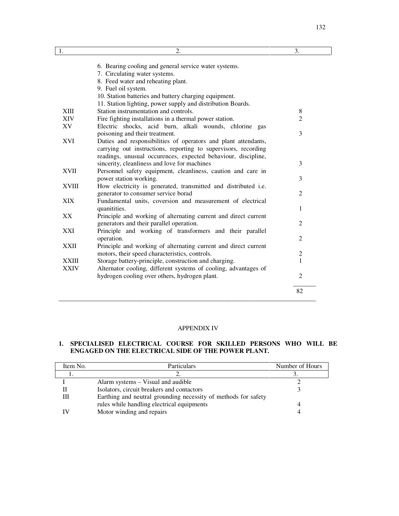| 1.           | 2.                                                                     | 3.             |
|--------------|------------------------------------------------------------------------|----------------|
|              |                                                                        |                |
|              | 6. Bearing cooling and general service water systems.                  |                |
|              | 7. Circulating water systems.<br>8. Feed water and reheating plant.    |                |
|              | 9. Fuel oil system.                                                    |                |
|              | 10. Station batteries and battery charging equipment.                  |                |
|              | 11. Station lighting, power supply and distribution Boards.            |                |
| <b>XIII</b>  | Station instrumentation and controls.                                  | 8              |
| XIV          | Fire fighting installations in a thermal power station.                | $\overline{2}$ |
| XV           | Electric shocks, acid burn, alkali wounds, chlorine gas                |                |
|              | poisoning and their treatment.                                         | 3              |
| <b>XVI</b>   | Duties and responsibilities of operators and plant attendants,         |                |
|              | carrying out instructions, reporting to supervisors, recording         |                |
|              | readings, unusual occurences, expected behaviour, discipline,          |                |
|              | sincerity, cleanliness and love for machines                           | 3              |
| <b>XVII</b>  | Personnel safety equipment, cleanliness, caution and care in           |                |
|              | power station working.                                                 | 3              |
| <b>XVIII</b> | How electricity is generated, transmitted and distributed i.e.         |                |
|              | generator to consumer service borad                                    | $\overline{2}$ |
| <b>XIX</b>   | Fundamental units, coversion and measurement of electrical             |                |
|              | quanitities.                                                           | 1              |
| XX           | Principle and working of alternating current and direct current        |                |
| <b>XXI</b>   | generators and their parallel operation.                               | $\overline{2}$ |
|              | Principle and working of transformers and their parallel<br>operation. | 2              |
| XXII         | Principle and working of alternating current and direct current        |                |
|              | motors, their speed characteristics, controls.                         | $\overline{c}$ |
| <b>XXIII</b> | Storage battery-principle, construction and charging.                  | 1              |
| <b>XXIV</b>  | Alternator cooling, different systems of cooling, advantages of        |                |
|              | hydrogen cooling over others, hydrogen plant.                          | $\overline{2}$ |
|              |                                                                        | 82             |

#### APPENDIX IV

#### **1. SPECIALISED ELECTRICAL COURSE FOR SKILLED PERSONS WHO WILL BE ENGAGED ON THE ELECTRICAL SIDE OF THE POWER PLANT.**

| Item No. | <b>Particulars</b>                                             | Number of Hours |
|----------|----------------------------------------------------------------|-----------------|
|          |                                                                |                 |
|          | Alarm systems – Visual and audible                             |                 |
|          | Isolators, circuit breakers and contactors                     |                 |
| Ш        | Earthing and neutral grounding necessity of methods for safety |                 |
|          | rules while handling electrical equipments                     |                 |
|          | Motor winding and repairs                                      |                 |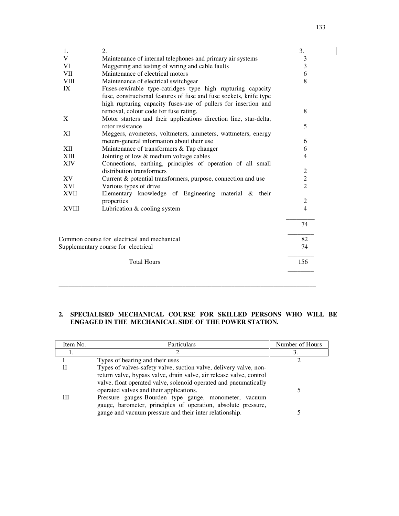| 3.             |
|----------------|
| 3              |
| 3              |
| 6              |
| 8              |
|                |
|                |
|                |
| 8              |
|                |
| 5              |
|                |
| 6              |
| 6              |
| 4              |
|                |
| $\mathfrak{2}$ |
| $\overline{c}$ |
| $\overline{2}$ |
|                |
| $\overline{2}$ |
| $\overline{4}$ |
| 74             |
| 82             |
| 74             |
| 156            |
|                |

#### **2. SPECIALISED MECHANICAL COURSE FOR SKILLED PERSONS WHO WILL BE ENGAGED IN THE MECHANICAL SIDE OF THE POWER STATION.**

\_\_\_\_\_\_\_\_\_\_\_\_\_\_\_\_\_\_\_\_\_\_\_\_\_\_\_\_\_\_\_\_\_\_\_\_\_\_\_\_\_\_\_\_\_\_\_\_\_\_\_\_\_\_\_\_\_\_\_\_\_\_\_\_\_\_\_\_\_\_\_\_\_\_\_\_\_\_\_

| Particulars                                                         | Number of Hours                                                                                                                                                                                                                                       |
|---------------------------------------------------------------------|-------------------------------------------------------------------------------------------------------------------------------------------------------------------------------------------------------------------------------------------------------|
|                                                                     | 3.                                                                                                                                                                                                                                                    |
| Types of bearing and their uses                                     |                                                                                                                                                                                                                                                       |
| Types of valves-safety valve, suction valve, delivery valve, non-   |                                                                                                                                                                                                                                                       |
| return valve, bypass valve, drain valve, air release valve, control |                                                                                                                                                                                                                                                       |
|                                                                     |                                                                                                                                                                                                                                                       |
| operated valves and their applications.                             |                                                                                                                                                                                                                                                       |
|                                                                     |                                                                                                                                                                                                                                                       |
|                                                                     |                                                                                                                                                                                                                                                       |
|                                                                     |                                                                                                                                                                                                                                                       |
|                                                                     | valve, float operated valve, solenoid operated and pneumatically<br>Pressure gauges-Bourden type gauge, monometer, vacuum<br>gauge, barometer, principles of operation, absolute pressure,<br>gauge and vacuum pressure and their inter relationship. |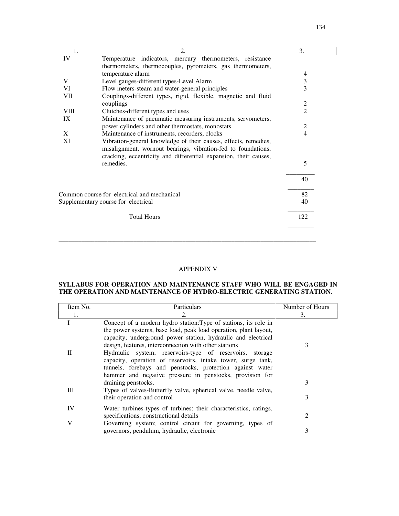| 1.<br>2.                                                              | 3.             |
|-----------------------------------------------------------------------|----------------|
| IV<br>Temperature indicators, mercury thermometers, resistance        |                |
| thermometers, thermocouples, pyrometers, gas thermometers,            |                |
| temperature alarm                                                     | 4              |
| Level gauges-different types-Level Alarm                              | 3              |
| Flow meters-steam and water-general principles                        | 3              |
| VII<br>Couplings-different types, rigid, flexible, magnetic and fluid |                |
| couplings                                                             | $\mathfrak{2}$ |
| VIII<br>Clutches-different types and uses                             | $\overline{2}$ |
| Maintenance of pneumatic measuring instruments, servometers,<br>IX    |                |
| power cylinders and other thermostats, monostats                      | $\overline{c}$ |
| Maintenance of instruments, recorders, clocks                         | $\overline{4}$ |
| Vibration-general knowledge of their causes, effects, remedies,       |                |
| misalignment, wornout bearings, vibration-fed to foundations,         |                |
| cracking, eccentricity and differential expansion, their causes,      |                |
| remedies.                                                             | 5              |
|                                                                       |                |
|                                                                       | 40             |
| Common course for electrical and mechanical                           | 82             |
| Supplementary course for electrical                                   | 40             |
| <b>Total Hours</b>                                                    | 122            |
|                                                                       |                |

#### APPENDIX V

#### **SYLLABUS FOR OPERATION AND MAINTENANCE STAFF WHO WILL BE ENGAGED IN THE OPERATION AND MAINTENANCE OF HYDRO-ELECTRIC GENERATING STATION.**

| Item No. | Particulars                                                                                                                                                                                                                                       | Number of Hours |
|----------|---------------------------------------------------------------------------------------------------------------------------------------------------------------------------------------------------------------------------------------------------|-----------------|
| 1.       | 2.                                                                                                                                                                                                                                                | 3.              |
|          | Concept of a modern hydro station: Type of stations, its role in<br>the power systems, base load, peak load operation, plant layout,                                                                                                              |                 |
|          | capacity; underground power station, hydraulic and electrical<br>design, features, interconnection with other stations                                                                                                                            | 3               |
| П        | Hydraulic system; reservoirs-type of reservoirs, storage<br>capacity, operation of reservoirs, intake tower, surge tank,<br>tunnels, forebays and penstocks, protection against water<br>hammer and negative pressure in penstocks, provision for |                 |
| Ш        | draining penstocks.<br>Types of valves-Butterfly valve, spherical valve, needle valve,                                                                                                                                                            | 3               |
|          | their operation and control                                                                                                                                                                                                                       | 3               |
| IV       | Water turbines-types of turbines; their characteristics, ratings,<br>specifications, constructional details                                                                                                                                       | 2               |
| V        | Governing system; control circuit for governing, types of<br>governors, pendulum, hydraulic, electronic                                                                                                                                           | 3               |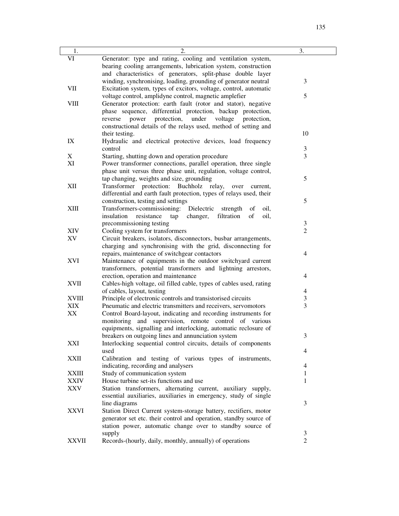| 1.           | $\overline{2}$ .                                                        | 3.             |
|--------------|-------------------------------------------------------------------------|----------------|
| VI           | Generator: type and rating, cooling and ventilation system,             |                |
|              | bearing cooling arrangements, lubrication system, construction          |                |
|              | and characteristics of generators, split-phase double layer             |                |
|              | winding, synchronising, loading, grounding of generator neutral         | 3              |
| VII          | Excitation system, types of excitors, voltage, control, automatic       |                |
|              | voltage control, amplidyne control, magnetic amplefier                  | 5              |
| VIII         | Generator protection: earth fault (rotor and stator), negative          |                |
|              | phase sequence, differential protection, backup protection,             |                |
|              | power protection,<br>under voltage<br>reverse<br>protection,            |                |
|              | constructional details of the relays used, method of setting and        |                |
|              | their testing.                                                          | 10             |
| IX           | Hydraulic and electrical protective devices, load frequency             |                |
|              | control                                                                 | 3              |
| X            | Starting, shutting down and operation procedure                         | 3              |
| XI           | Power transformer connections, parallel operation, three single         |                |
|              | phase unit versus three phase unit, regulation, voltage control,        |                |
|              | tap changing, weights and size, grounding                               | 5              |
| XII          | Transformer protection: Buchholz relay,<br>over<br>current,             |                |
|              | differential and earth fault protection, types of relays used, their    |                |
|              | construction, testing and settings                                      | 5              |
| XIII         | Transformers-commissioning: Dielectric<br>strength<br>of<br>oil,        |                |
|              | filtration<br>insulation<br>resistance<br>changer,<br>of<br>oil,<br>tap |                |
|              | precommissioning testing                                                | 3              |
| <b>XIV</b>   | Cooling system for transformers                                         | $\overline{c}$ |
| XV           | Circuit breakers, isolators, disconnectors, busbar arrangements,        |                |
|              | charging and synchronising with the grid, disconnecting for             |                |
|              | repairs, maintenance of switchgear contactors                           | 4              |
| XVI          | Maintenance of equipments in the outdoor switchyard current             |                |
|              | transformers, potential transformers and lightning arrestors,           |                |
|              | erection, operation and maintenance                                     | 4              |
| <b>XVII</b>  | Cables-high voltage, oil filled cable, types of cables used, rating     |                |
|              | of cables, layout, testing                                              | 4              |
| <b>XVIII</b> | Principle of electronic controls and transistorised circuits            | 3              |
| XIX          | Pneumatic and electric transmitters and receivers, servomotors          | 3              |
| XX           | Control Board-layout, indicating and recording instruments for          |                |
|              | monitoring and supervision, remote control of various                   |                |
|              | equipments, signalling and interlocking, automatic reclosure of         |                |
|              | breakers on outgoing lines and annunciation system                      | 3              |
| XXI          | Interlocking sequential control circuits, details of components         |                |
|              | used                                                                    | $\overline{4}$ |
| XXII         | Calibration and testing of various types of instruments,                |                |
|              | indicating, recording and analysers                                     | 4              |
| <b>XXIII</b> | Study of communication system                                           | 1              |
| <b>XXIV</b>  | House turbine set-its functions and use                                 | 1              |
| XXV          | Station transformers, alternating current, auxiliary supply,            |                |
|              | essential auxiliaries, auxiliaries in emergency, study of single        |                |
|              | line diagrams                                                           | 3              |
| <b>XXVI</b>  | Station Direct Current system-storage battery, rectifiers, motor        |                |
|              | generator set etc. their control and operation, standby source of       |                |
|              | station power, automatic change over to standby source of               |                |
|              | supply                                                                  | 3              |
| <b>XXVII</b> | Records-(hourly, daily, monthly, annually) of operations                | $\overline{2}$ |
|              |                                                                         |                |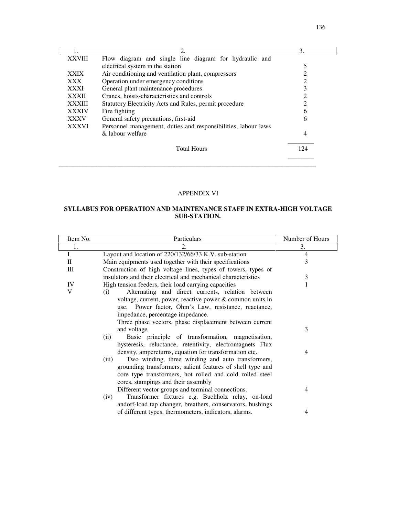|               | $\mathfrak{D}$                                                 | 3.             |
|---------------|----------------------------------------------------------------|----------------|
| <b>XXVIII</b> | Flow diagram and single line diagram for hydraulic and         |                |
|               | electrical system in the station                               |                |
| <b>XXIX</b>   | Air conditioning and ventilation plant, compressors            | $\overline{2}$ |
| <b>XXX</b>    | Operation under emergency conditions                           | $\mathfrak{D}$ |
| <b>XXXI</b>   | General plant maintenance procedures                           | 3              |
| <b>XXXII</b>  | Cranes, hoists-characteristics and controls                    | 2              |
| <b>XXXIII</b> | <b>Statutory Electricity Acts and Rules, permit procedure</b>  | $\mathfrak{D}$ |
| <b>XXXIV</b>  | Fire fighting                                                  | 6              |
| <b>XXXV</b>   | General safety precautions, first-aid                          | 6              |
| <b>XXXVI</b>  | Personnel management, duties and responsibilities, labour laws |                |
|               | & labour welfare                                               | 4              |
|               | <b>Total Hours</b>                                             | 124            |

## APPENDIX VI

\_\_\_\_\_\_\_\_\_\_\_\_\_\_\_\_\_\_\_\_\_\_\_\_\_\_\_\_\_\_\_\_\_\_\_\_\_\_\_\_\_\_\_\_\_\_\_\_\_\_\_\_\_\_\_\_\_\_\_\_\_\_\_\_\_\_\_\_\_\_\_\_\_\_\_\_\_\_\_

### **SYLLABUS FOR OPERATION AND MAINTENANCE STAFF IN EXTRA-HIGH VOLTAGE SUB-STATION.**

| Item No.  | Particulars                                                    | Number of Hours |
|-----------|----------------------------------------------------------------|-----------------|
| 1.        | 2.                                                             | 3.              |
| I         | Layout and location of 220/132/66/33 K.V. sub-station          | 4               |
| $\rm{II}$ | Main equipments used together with their specifications        | 3               |
| Ш         | Construction of high voltage lines, types of towers, types of  |                 |
|           | insulators and their electrical and mechanical characteristics | 3               |
| IV        | High tension feeders, their load carrying capacities           | 1               |
| V         | Alternating and direct currents, relation between<br>(i)       |                 |
|           | voltage, current, power, reactive power & common units in      |                 |
|           | use. Power factor, Ohm's Law, resistance, reactance,           |                 |
|           | impedance, percentage impedance.                               |                 |
|           | Three phase vectors, phase displacement between current        |                 |
|           | and voltage                                                    | 3               |
|           | Basic principle of transformation, magnetisation,<br>(ii)      |                 |
|           | hysteresis, reluctance, retentivity, electromagnets Flux       |                 |
|           | density, ampereturns, equation for transformation etc.         | 4               |
|           | Two winding, three winding and auto transformers,<br>(iii)     |                 |
|           | grounding transformers, salient features of shell type and     |                 |
|           | core type transformers, hot rolled and cold rolled steel       |                 |
|           | cores, stampings and their assembly                            |                 |
|           | Different vector groups and terminal connections.              | 4               |
|           | Transformer fixtures e.g. Buchholz relay, on-load<br>(iv)      |                 |
|           | andoff-load tap changer, breathers, conservators, bushings     |                 |
|           | of different types, thermometers, indicators, alarms.          | 4               |
|           |                                                                |                 |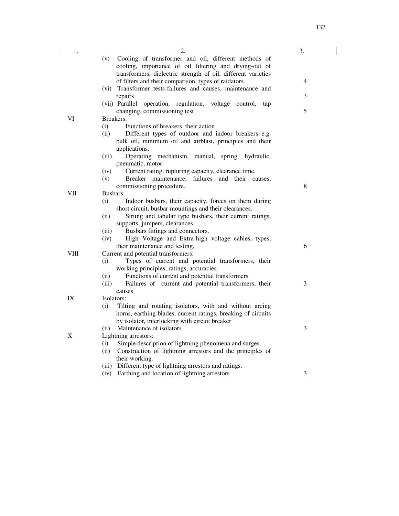| 1.          | 2.                                                                                                | 3.             |
|-------------|---------------------------------------------------------------------------------------------------|----------------|
|             | Cooling of transformer and oil, different methods of<br>(v)                                       |                |
|             | cooling, importance of oil filtering and drying-out of                                            |                |
|             | transformers, dielectric strength of oil, different varieties                                     |                |
|             | of filters and their comparison, types of raidators.                                              | 4              |
|             | Transformer tests-failures and causes, maintenance and<br>(vi)                                    | $\mathfrak{Z}$ |
|             | repairs<br>(vii) Parallel operation, regulation, voltage<br>control,                              |                |
|             | tap<br>changing, commissioning test                                                               | 5              |
| VI          | Breakers:                                                                                         |                |
|             | Functions of breakers, their action<br>(i)                                                        |                |
|             | (ii)<br>Different types of outdoor and indoor breakers e.g.                                       |                |
|             | bulk oil, minimum oil and airblast, principles and their                                          |                |
|             | applications.                                                                                     |                |
|             | (iii)<br>Operating mechanism, manual, spring, hydraulic,                                          |                |
|             | pneumatic, motor.                                                                                 |                |
|             | Current rating, rupturing capacity, clearance time.<br>(iv)                                       |                |
|             | Breaker maintenance, failures and their causes,<br>(v)                                            |                |
|             | commissioning procedure.                                                                          | 8              |
| VII         | Busbars:                                                                                          |                |
|             | (i)<br>Indoor busbars, their capacity, forces on them during                                      |                |
|             | short circuit, busbar mountings and their clearances.                                             |                |
|             | (ii)<br>Strung and tabular type busbars, their current ratings,<br>supports, jumpers, clearances. |                |
|             | Busbars fittings and connectors.<br>(iii)                                                         |                |
|             | (iv)<br>High Voltage and Extra-high voltage cables, types,                                        |                |
|             | their maintenance and testing.                                                                    | 6              |
| <b>VIII</b> | Current and potential transformers:                                                               |                |
|             | Types of current and potential transformers, their<br>(i)                                         |                |
|             | working principles, ratings, accuracies.                                                          |                |
|             | Functions of current and potential transformers<br>(ii)                                           |                |
|             | Failures of current and potential transformers, their<br>(iii)                                    | 3              |
|             | causes                                                                                            |                |
| IX          | Isolators:                                                                                        |                |
|             | Tilting and rotating isolators, with and without arcing<br>(i)                                    |                |
|             | horns, earthing blades, current ratings, breaking of circuits                                     |                |
|             | by isolator, interlocking with circuit breaker                                                    |                |
| X           | Maintenance of isolators<br>(ii)<br>Lightning arrestors:                                          | 3              |
|             | (i)<br>Simple description of lightning phenomena and surges.                                      |                |
|             | Construction of lightning arrestors and the principles of<br>(ii)                                 |                |
|             | their working.                                                                                    |                |
|             | (iii) Different type of lightning arrestors and ratings.                                          |                |
|             | Earthing and location of lightning arrestors<br>(iv)                                              | $\mathfrak{Z}$ |
|             |                                                                                                   |                |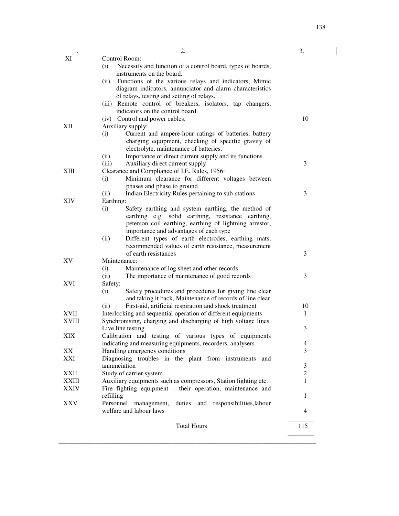| 1.           | 2.                                                                                                                        | 3.                  |
|--------------|---------------------------------------------------------------------------------------------------------------------------|---------------------|
| XI           | Control Room:                                                                                                             |                     |
|              | Necessity and function of a control board, types of boards,<br>(i)                                                        |                     |
|              | instruments on the board.<br>Functions of the various relays and indicators, Mimic<br>(ii)                                |                     |
|              | diagram indicators, annunciator and alarm characteristics                                                                 |                     |
|              | of relays, testing and setting of relays.                                                                                 |                     |
|              | (iii) Remote control of breakers, isolators, tap changers,                                                                |                     |
|              | indicators on the control board.                                                                                          |                     |
|              | (iv) Control and power cables.                                                                                            | 10                  |
| XII          | Auxiliary supply:                                                                                                         |                     |
|              | Current and ampere-hour ratings of batteries, battery<br>(i)                                                              |                     |
|              | charging equipment, checking of specific gravity of                                                                       |                     |
|              | electrolyte, maintenance of batteries.                                                                                    |                     |
|              | Importance of direct current supply and its functions<br>(ii)<br>Auxiliary direct current supply<br>(iii)                 | 3                   |
| XIII         | Clearance and Compliance of I.E. Rules, 1956:                                                                             |                     |
|              | (i)<br>Minimum clearance for different voltages between                                                                   |                     |
|              | phases and phase to ground                                                                                                |                     |
|              | Indian Electricity Rules pertaining to sub-stations<br>(ii)                                                               | 3                   |
| <b>XIV</b>   | Earthing:                                                                                                                 |                     |
|              | (i)<br>Safety earthing and system earthing, the method of                                                                 |                     |
|              | earthing e.g. solid earthing, resistance earthing,                                                                        |                     |
|              | peterson coil earthing, earthing of lightning arrestor,                                                                   |                     |
|              | importance and advantages of each type<br>Different types of earth electrodes, earthing mats,<br>(ii)                     |                     |
|              | recommended values of earth resistance, measurement                                                                       |                     |
|              | of earth resistances                                                                                                      | 3                   |
| XV           | Maintenance:                                                                                                              |                     |
|              | (i)<br>Maintenance of log sheet and other records                                                                         |                     |
|              | The importance of maintenance of good records<br>(ii)                                                                     | 3                   |
| XVI          | Safety:                                                                                                                   |                     |
|              | (i)<br>Safety procedures and procedures for giving line clear<br>and taking it back, Maintenance of records of line clear |                     |
|              | First-aid, artificial respiration and shock treatment<br>(ii)                                                             | 10                  |
| <b>XVII</b>  | Interlocking and sequential operation of different equipments                                                             | 1                   |
| XVIII        | Synchronising, charging and discharging of high voltage lines.                                                            |                     |
|              | Live line testing                                                                                                         | 3                   |
| XIX          | Calibration and testing of various types of equipments                                                                    |                     |
|              | indicating and measuring equipments, recorders, analysers                                                                 | 4                   |
| XX           | Handling emergency conditions                                                                                             | 3                   |
| XXI          | Diagnosing troubles in the plant from instruments and<br>annunciation                                                     |                     |
| XXII         | Study of carrier system                                                                                                   | 3<br>$\overline{2}$ |
| <b>XXIII</b> | Auxiliary equipments such as compressors, Station lighting etc.                                                           | 1                   |
| <b>XXIV</b>  | Fire fighting equipment – their operation, maintenance and                                                                |                     |
|              | refilling                                                                                                                 | 1                   |
| <b>XXV</b>   | Personnel<br>management,<br>duties and responsibilities, labour                                                           |                     |
|              | welfare and labour laws                                                                                                   | 4                   |
|              | <b>Total Hours</b>                                                                                                        | 115                 |
|              |                                                                                                                           |                     |
|              |                                                                                                                           |                     |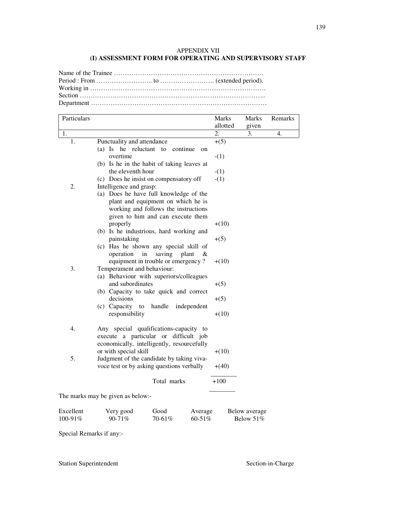## APPENDIX VII **(I) ASSESSMENT FORM FOR OPERATING AND SUPERVISORY STAFF**

| Particulars |                                                                            | Marks<br>allotted | <b>Marks</b><br>given | Remarks |
|-------------|----------------------------------------------------------------------------|-------------------|-----------------------|---------|
| 1.          |                                                                            | 2.                | 3.                    | 4.      |
| 1.          | Punctuality and attendance                                                 | $+(5)$            |                       |         |
|             | $(a)$ Is<br>he reluctant<br>to<br>continue<br>on                           |                   |                       |         |
|             | overtime                                                                   | $-(1)$            |                       |         |
|             | (b) Is he in the habit of taking leaves at                                 |                   |                       |         |
|             | the eleventh hour                                                          | $-(1)$            |                       |         |
|             | (c) Does he insist on compensatory off                                     | $-(1)$            |                       |         |
| 2.          | Intelligence and grasp:<br>(a) Does he have full knowledge of the          |                   |                       |         |
|             |                                                                            |                   |                       |         |
|             | plant and equipment on which he is<br>working and follows the instructions |                   |                       |         |
|             | given to him and can execute them                                          |                   |                       |         |
|             | properly                                                                   | $+(10)$           |                       |         |
|             | (b) Is he industrious, hard working and                                    |                   |                       |         |
|             | painstaking                                                                | $+(5)$            |                       |         |
|             | (c) Has he shown any special skill of                                      |                   |                       |         |
|             | saving<br>operation<br>in<br>plant<br>&                                    |                   |                       |         |
|             | equipment in trouble or emergency?                                         | $+(10)$           |                       |         |
| 3.          | Temperament and behaviour:                                                 |                   |                       |         |
|             | (a) Behaviour with superiors/colleagues                                    |                   |                       |         |
|             | and subordinates                                                           | $+(5)$            |                       |         |
|             | (b) Capacity to take quick and correct                                     |                   |                       |         |
|             | decisions                                                                  | $+(5)$            |                       |         |
|             | (c) Capacity to<br>handle<br>independent                                   |                   |                       |         |
|             | responsibility                                                             | $+(10)$           |                       |         |
|             |                                                                            |                   |                       |         |
| 4.          | Any special qualifications-capacity to                                     |                   |                       |         |
|             | execute a particular or difficult job                                      |                   |                       |         |
|             | economically, intelligently, resourcefully                                 |                   |                       |         |
|             | or with special skill                                                      | $+(10)$           |                       |         |
| 5.          | Judgment of the candidate by taking viva-                                  |                   |                       |         |
|             | voce test or by asking questions verbally                                  | $+(40)$           |                       |         |
|             | Total marks                                                                | $+100$            |                       |         |
|             | The marks may be given as below:-                                          |                   |                       |         |
| Excellent   | Good<br>Very good<br>Average                                               |                   | Below average         |         |

100-91% 90-71% 70-61% 60-51% Below 51%

Special Remarks if any:-

Station Superintendent Section-in-Charge

139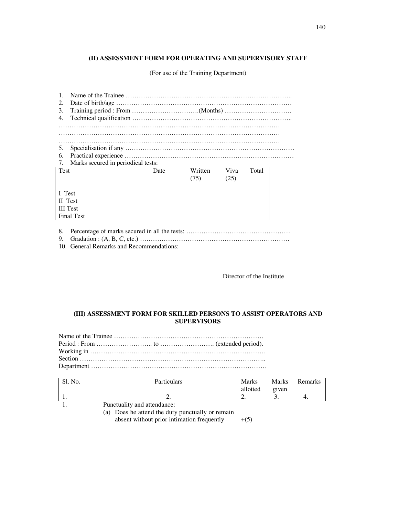## **(II) ASSESSMENT FORM FOR OPERATING AND SUPERVISORY STAFF**

(For use of the Training Department)

| 2.          |                                    |      |         |      |       |
|-------------|------------------------------------|------|---------|------|-------|
| 3.          |                                    |      |         |      |       |
| 4.          |                                    |      |         |      |       |
|             |                                    |      |         |      |       |
|             |                                    |      |         |      |       |
|             |                                    |      |         |      |       |
| 5.          |                                    |      |         |      |       |
| 6.          |                                    |      |         |      |       |
| 7.          | Marks secured in periodical tests: |      |         |      |       |
| <b>Test</b> |                                    | Date | Written | Viva | Total |
|             |                                    |      | (75)    | (25) |       |
|             |                                    |      |         |      |       |
| I Test      |                                    |      |         |      |       |
|             | II Test                            |      |         |      |       |
|             | <b>III</b> Test                    |      |         |      |       |
|             | <b>Final Test</b>                  |      |         |      |       |

8. Percentage of marks secured in all the tests: … … … … … … … … … … … … … … … …

9. Gradation : (A, B, C, etc.) … … … … … … … … … … … … … … … … … … … … … … …

10. General Remarks and Recommendations:

Director of the Institute

## **(III) ASSESSMENT FORM FOR SKILLED PERSONS TO ASSIST OPERATORS AND SUPERVISORS**

| Sl. No. | Particulars | Marks      | <b>Marks</b>             | Remarks |
|---------|-------------|------------|--------------------------|---------|
|         |             | allotted   | given                    |         |
| . .     | <u>.</u>    | <b>L</b> . | $\overline{\phantom{a}}$ |         |

1. Punctuality and attendance:

(a) Does he attend the duty punctually or remain absent without prior intimation frequently  $+(5)$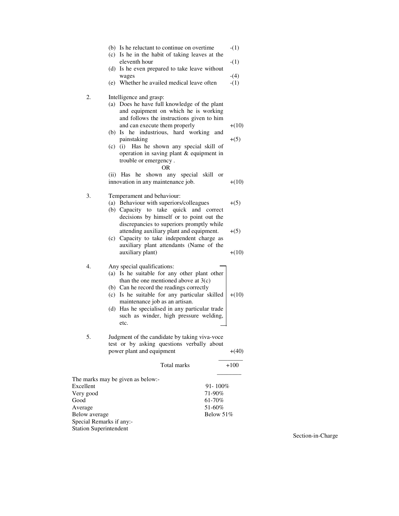|                                                                                        | (b) Is he reluctant to continue on overtime<br>(c) Is he in the habit of taking leaves at the                                                                                                                                                                                                                                                            |                                                       | $-(1)$            |
|----------------------------------------------------------------------------------------|----------------------------------------------------------------------------------------------------------------------------------------------------------------------------------------------------------------------------------------------------------------------------------------------------------------------------------------------------------|-------------------------------------------------------|-------------------|
|                                                                                        | eleventh hour<br>(d) Is he even prepared to take leave without                                                                                                                                                                                                                                                                                           |                                                       | $-(1)$            |
|                                                                                        | wages<br>(e) Whether he availed medical leave often                                                                                                                                                                                                                                                                                                      |                                                       | $-(4)$<br>$-(1)$  |
| 2.                                                                                     | Intelligence and grasp:<br>(a) Does he have full knowledge of the plant<br>and equipment on which he is working<br>and follows the instructions given to him<br>and can execute them properly<br>(b) Is he industrious, hard working                                                                                                                     | and                                                   | $+(10)$           |
|                                                                                        | painstaking<br>(i) Has he shown any special skill of<br>(c)<br>operation in saving plant & equipment in<br>trouble or emergency.<br>0R                                                                                                                                                                                                                   |                                                       | $+(5)$            |
|                                                                                        | (ii) Has he shown any special skill or<br>innovation in any maintenance job.                                                                                                                                                                                                                                                                             |                                                       | $+(10)$           |
| 3.                                                                                     | Temperament and behaviour:<br>(a) Behaviour with superiors/colleagues<br>(b) Capacity to take quick and correct<br>decisions by himself or to point out the                                                                                                                                                                                              |                                                       | $+(5)$            |
|                                                                                        | discrepancies to superiors promptly while<br>attending auxiliary plant and equipment.<br>(c) Capacity to take independent charge as<br>auxiliary plant attendants (Name of the<br>auxiliary plant)                                                                                                                                                       |                                                       | $+(5)$<br>$+(10)$ |
| 4.                                                                                     | Any special qualifications:<br>(a) Is he suitable for any other plant other<br>than the one mentioned above at $3(c)$<br>(b) Can he record the readings correctly<br>(c) Is he suitable for any particular skilled<br>maintenance job as an artisan.<br>(d) Has he specialised in any particular trade<br>such as winder, high pressure welding,<br>etc. |                                                       | $+(10)$           |
| 5.                                                                                     | Judgment of the candidate by taking viva-voce<br>test or by asking questions verbally about<br>power plant and equipment                                                                                                                                                                                                                                 |                                                       | $+(40)$           |
|                                                                                        | Total marks                                                                                                                                                                                                                                                                                                                                              |                                                       | $+100$            |
| Excellent<br>Very good<br>Good<br>Average<br>Below average<br>Special Remarks if any:- | The marks may be given as below:-                                                                                                                                                                                                                                                                                                                        | 91-100%<br>71-90%<br>61-70%<br>51-60%<br>Below $51\%$ |                   |

Station Superintendent

Section-in-Charge